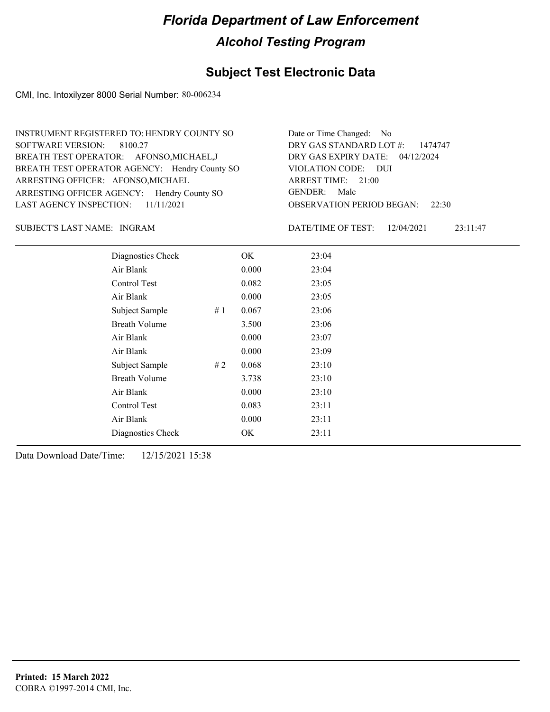## **Subject Test Electronic Data**

CMI, Inc. Intoxilyzer 8000 Serial Number: 80-006234

| INSTRUMENT REGISTERED TO: HENDRY COUNTY SO    | Date or Time Changed: No               |
|-----------------------------------------------|----------------------------------------|
| SOFTWARE VERSION: 8100.27                     | DRY GAS STANDARD LOT $\#$ : 1474747    |
| BREATH TEST OPERATOR: AFONSO, MICHAEL, J      | DRY GAS EXPIRY DATE: 04/12/2024        |
| BREATH TEST OPERATOR AGENCY: Hendry County SO | VIOLATION CODE: DUI                    |
| ARRESTING OFFICER: AFONSO, MICHAEL            | ARREST TIME: 21:00                     |
| ARRESTING OFFICER AGENCY: Hendry County SO    | GENDER: Male                           |
| LAST AGENCY INSPECTION: $11/11/2021$          | <b>OBSERVATION PERIOD BEGAN:</b> 22:30 |

INGRAM SUBJECT'S LAST NAME: DATE/TIME OF TEST:

DATE/TIME OF TEST: 12/04/2021 23:11:47

| Diagnostics Check    |    | OK    | 23:04 |
|----------------------|----|-------|-------|
| Air Blank            |    | 0.000 | 23:04 |
| Control Test         |    | 0.082 | 23:05 |
| Air Blank            |    | 0.000 | 23:05 |
| Subject Sample       | #1 | 0.067 | 23:06 |
| <b>Breath Volume</b> |    | 3.500 | 23:06 |
| Air Blank            |    | 0.000 | 23:07 |
| Air Blank            |    | 0.000 | 23:09 |
| Subject Sample       | #2 | 0.068 | 23:10 |
| <b>Breath Volume</b> |    | 3.738 | 23:10 |
| Air Blank            |    | 0.000 | 23:10 |
| Control Test         |    | 0.083 | 23:11 |
| Air Blank            |    | 0.000 | 23:11 |
| Diagnostics Check    |    | OK.   | 23:11 |
|                      |    |       |       |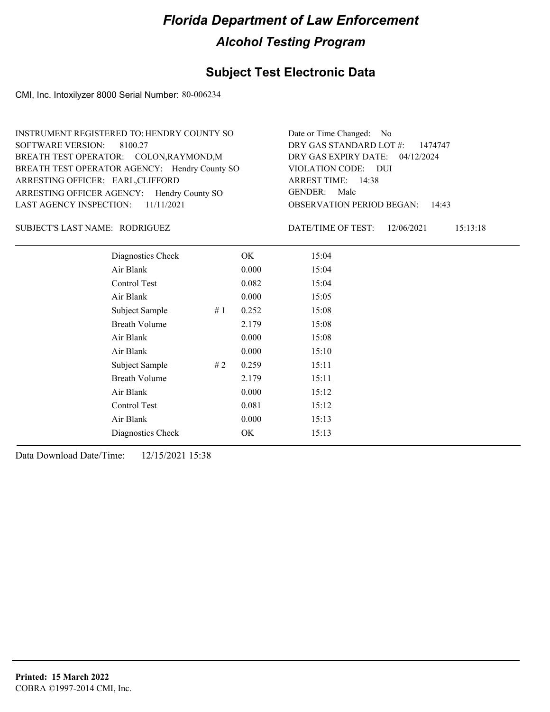## **Subject Test Electronic Data**

CMI, Inc. Intoxilyzer 8000 Serial Number: 80-006234

| INSTRUMENT REGISTERED TO: HENDRY COUNTY SO    | Date or Time Changed: No               |
|-----------------------------------------------|----------------------------------------|
| SOFTWARE VERSION: 8100.27                     | DRY GAS STANDARD LOT $\#$ : 1474747    |
| BREATH TEST OPERATOR: COLON, RAYMOND, M       | DRY GAS EXPIRY DATE: 04/12/2024        |
| BREATH TEST OPERATOR AGENCY: Hendry County SO | VIOLATION CODE: DUI                    |
| ARRESTING OFFICER: EARL, CLIFFORD             | ARREST TIME: 14:38                     |
| ARRESTING OFFICER AGENCY: Hendry County SO    | GENDER: Male                           |
| LAST AGENCY INSPECTION: $11/11/2021$          | <b>OBSERVATION PERIOD BEGAN: 14:43</b> |

#### RODRIGUEZ SUBJECT'S LAST NAME: DATE/TIME OF TEST:

DATE/TIME OF TEST: 12/06/2021 15:13:18

| Diagnostics Check    |    | OK    | 15:04 |
|----------------------|----|-------|-------|
| Air Blank            |    | 0.000 | 15:04 |
| Control Test         |    | 0.082 | 15:04 |
| Air Blank            |    | 0.000 | 15:05 |
| Subject Sample       | #1 | 0.252 | 15:08 |
| <b>Breath Volume</b> |    | 2.179 | 15:08 |
| Air Blank            |    | 0.000 | 15:08 |
| Air Blank            |    | 0.000 | 15:10 |
| Subject Sample       | #2 | 0.259 | 15:11 |
| <b>Breath Volume</b> |    | 2.179 | 15:11 |
| Air Blank            |    | 0.000 | 15:12 |
| Control Test         |    | 0.081 | 15:12 |
| Air Blank            |    | 0.000 | 15:13 |
| Diagnostics Check    |    | OK    | 15:13 |
|                      |    |       |       |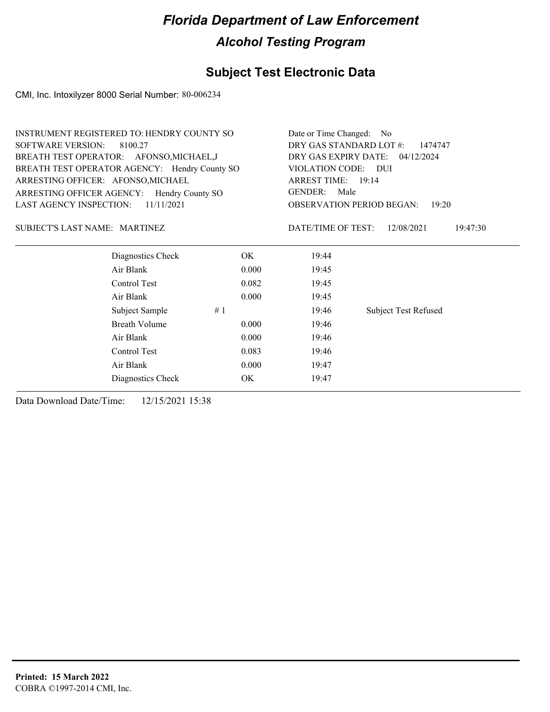## **Subject Test Electronic Data**

CMI, Inc. Intoxilyzer 8000 Serial Number: 80-006234

| <b>INSTRUMENT REGISTERED TO: HENDRY COUNTY SO</b> |       | Date or Time Changed: No           |                                           |  |  |
|---------------------------------------------------|-------|------------------------------------|-------------------------------------------|--|--|
| <b>SOFTWARE VERSION:</b><br>8100.27               |       | DRY GAS STANDARD LOT #:<br>1474747 |                                           |  |  |
| BREATH TEST OPERATOR: AFONSO, MICHAEL, J          |       | DRY GAS EXPIRY DATE:<br>04/12/2024 |                                           |  |  |
| BREATH TEST OPERATOR AGENCY: Hendry County SO     |       | VIOLATION CODE:                    | - DUI                                     |  |  |
| ARRESTING OFFICER: AFONSO, MICHAEL                |       | ARREST TIME: 19:14                 |                                           |  |  |
| ARRESTING OFFICER AGENCY: Hendry County SO        |       | <b>GENDER:</b><br>Male             |                                           |  |  |
| 11/11/2021<br>LAST AGENCY INSPECTION:             |       |                                    | <b>OBSERVATION PERIOD BEGAN:</b><br>19:20 |  |  |
| <b>SUBJECT'S LAST NAME: MARTINEZ</b>              |       | DATE/TIME OF TEST:                 | 12/08/2021<br>19:47:30                    |  |  |
| Diagnostics Check                                 | OK.   | 19:44                              |                                           |  |  |
| Air Blank                                         | 0.000 | 19:45                              |                                           |  |  |
| Control Test                                      | 0.082 | 19:45                              |                                           |  |  |
| Air Blank                                         | 0.000 | 19:45                              |                                           |  |  |
| Subject Sample                                    | #1    | 19:46                              | <b>Subject Test Refused</b>               |  |  |
| <b>Breath Volume</b>                              | 0.000 | 19:46                              |                                           |  |  |
| Air Blank                                         | 0.000 | 19:46                              |                                           |  |  |
| Control Test                                      | 0.083 | 19:46                              |                                           |  |  |
| Air Blank                                         | 0.000 |                                    |                                           |  |  |
| Diagnostics Check                                 | OK    | 19:47                              |                                           |  |  |
|                                                   |       |                                    |                                           |  |  |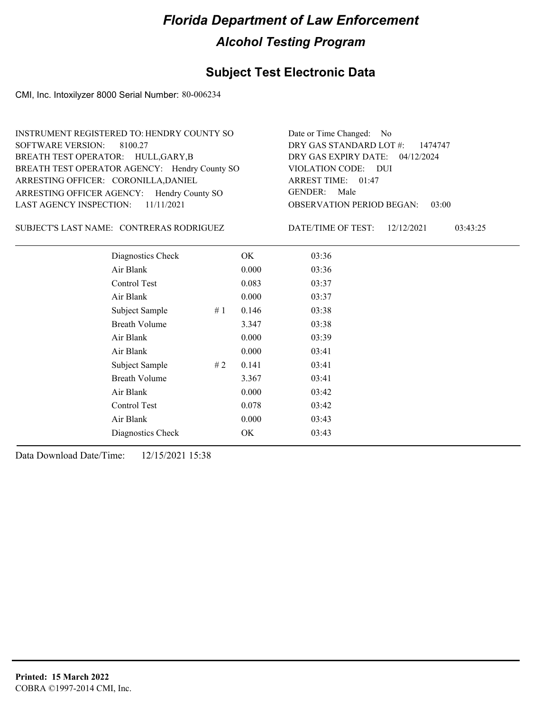## **Subject Test Electronic Data**

CMI, Inc. Intoxilyzer 8000 Serial Number: 80-006234

| INSTRUMENT REGISTERED TO: HENDRY COUNTY SO    | Date or Time Changed: No               |
|-----------------------------------------------|----------------------------------------|
| SOFTWARE VERSION: 8100.27                     | DRY GAS STANDARD LOT $\#$ : 1474747    |
| BREATH TEST OPERATOR: HULL, GARY, B           | DRY GAS EXPIRY DATE: 04/12/2024        |
| BREATH TEST OPERATOR AGENCY: Hendry County SO | VIOLATION CODE: DUI                    |
| ARRESTING OFFICER: CORONILLA, DANIEL          | ARREST TIME: 01:47                     |
| ARRESTING OFFICER AGENCY: Hendry County SO    | GENDER: Male                           |
| LAST AGENCY INSPECTION: $11/11/2021$          | <b>OBSERVATION PERIOD BEGAN: 03:00</b> |

SUBJECT'S LAST NAME: CONTRERAS RODRIGUEZ DATE/TIME OF TEST:

DATE/TIME OF TEST: 12/12/2021 03:43:25

| Diagnostics Check    |    | OK    | 03:36 |
|----------------------|----|-------|-------|
| Air Blank            |    | 0.000 | 03:36 |
| Control Test         |    | 0.083 | 03:37 |
| Air Blank            |    | 0.000 | 03:37 |
| Subject Sample       | #1 | 0.146 | 03:38 |
| <b>Breath Volume</b> |    | 3.347 | 03:38 |
| Air Blank            |    | 0.000 | 03:39 |
| Air Blank            |    | 0.000 | 03:41 |
| Subject Sample       | #2 | 0.141 | 03:41 |
| <b>Breath Volume</b> |    | 3.367 | 03:41 |
| Air Blank            |    | 0.000 | 03:42 |
| Control Test         |    | 0.078 | 03:42 |
| Air Blank            |    | 0.000 | 03:43 |
| Diagnostics Check    |    | OK    | 03:43 |
|                      |    |       |       |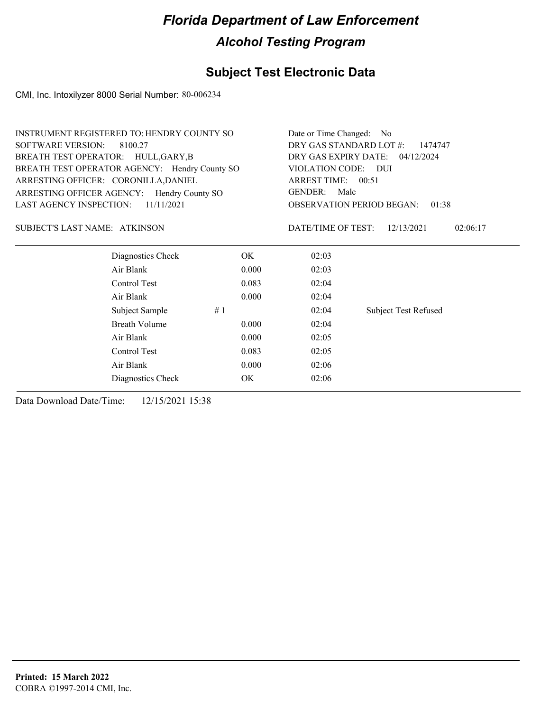## **Subject Test Electronic Data**

CMI, Inc. Intoxilyzer 8000 Serial Number: 80-006234

|                                               | <b>INSTRUMENT REGISTERED TO: HENDRY COUNTY SO</b> |       |                                              | Date or Time Changed: No                  |  |  |
|-----------------------------------------------|---------------------------------------------------|-------|----------------------------------------------|-------------------------------------------|--|--|
| <b>SOFTWARE VERSION:</b><br>8100.27           |                                                   |       | DRY GAS STANDARD LOT #:<br>1474747           |                                           |  |  |
| BREATH TEST OPERATOR: HULL, GARY, B           |                                                   |       | DRY GAS EXPIRY DATE: 04/12/2024              |                                           |  |  |
| BREATH TEST OPERATOR AGENCY: Hendry County SO |                                                   |       | VIOLATION CODE: DUI                          |                                           |  |  |
| ARRESTING OFFICER: CORONILLA, DANIEL          |                                                   |       | ARREST TIME: 00:51<br><b>GENDER:</b><br>Male |                                           |  |  |
| ARRESTING OFFICER AGENCY: Hendry County SO    |                                                   |       |                                              |                                           |  |  |
| <b>LAST AGENCY INSPECTION:</b>                | 11/11/2021                                        |       |                                              | <b>OBSERVATION PERIOD BEGAN:</b><br>01:38 |  |  |
| SUBJECT'S LAST NAME: ATKINSON                 |                                                   |       | DATE/TIME OF TEST:                           | 12/13/2021<br>02:06:17                    |  |  |
|                                               | Diagnostics Check                                 | OK.   | 02:03                                        |                                           |  |  |
|                                               | Air Blank                                         | 0.000 | 02:03                                        |                                           |  |  |
|                                               | Control Test                                      | 0.083 | 02:04                                        |                                           |  |  |
|                                               | Air Blank                                         | 0.000 | 02:04                                        |                                           |  |  |
|                                               | Subject Sample                                    | #1    | 02:04                                        | <b>Subject Test Refused</b>               |  |  |
|                                               | <b>Breath Volume</b>                              | 0.000 | 02:04                                        |                                           |  |  |
|                                               | Air Blank                                         | 0.000 | 02:05                                        |                                           |  |  |
|                                               | Control Test                                      | 0.083 | 02:05                                        |                                           |  |  |
|                                               | Air Blank                                         | 0.000 | 02:06                                        |                                           |  |  |
|                                               | Diagnostics Check                                 | OK.   | 02:06                                        |                                           |  |  |
|                                               |                                                   |       |                                              |                                           |  |  |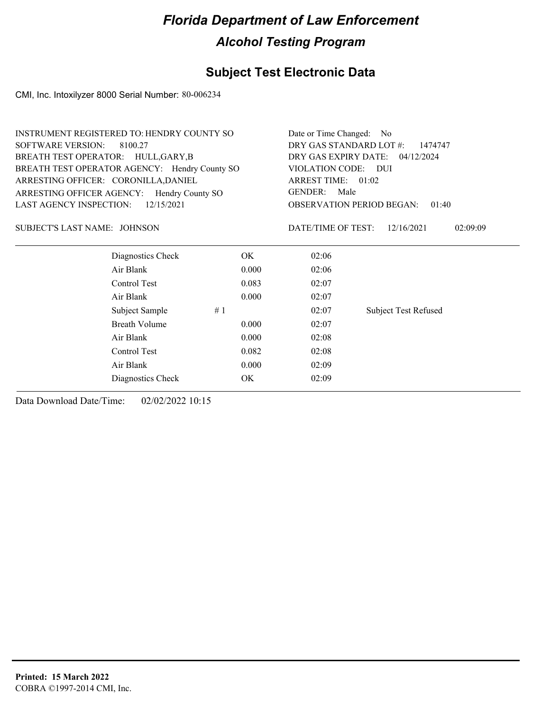## **Subject Test Electronic Data**

CMI, Inc. Intoxilyzer 8000 Serial Number: 80-006234

|                                               | INSTRUMENT REGISTERED TO: HENDRY COUNTY SO |                                       |                                           |  |
|-----------------------------------------------|--------------------------------------------|---------------------------------------|-------------------------------------------|--|
| <b>SOFTWARE VERSION:</b><br>8100.27           | DRY GAS STANDARD LOT #:<br>1474747         |                                       |                                           |  |
| BREATH TEST OPERATOR: HULL, GARY, B           | DRY GAS EXPIRY DATE: 04/12/2024            |                                       |                                           |  |
| BREATH TEST OPERATOR AGENCY: Hendry County SO |                                            | VIOLATION CODE: DUI                   |                                           |  |
| ARRESTING OFFICER: CORONILLA, DANIEL          |                                            | ARREST TIME: 01:02<br>GENDER:<br>Male |                                           |  |
| ARRESTING OFFICER AGENCY: Hendry County SO    |                                            |                                       |                                           |  |
| 12/15/2021<br>LAST AGENCY INSPECTION:         |                                            |                                       | <b>OBSERVATION PERIOD BEGAN:</b><br>01:40 |  |
| SUBJECT'S LAST NAME: JOHNSON                  |                                            | DATE/TIME OF TEST:                    | 12/16/2021<br>02:09:09                    |  |
| Diagnostics Check                             | OK.                                        | 02:06                                 |                                           |  |
| Air Blank                                     | 0.000                                      | 02:06                                 |                                           |  |
| Control Test                                  | 0.083                                      | 02:07                                 |                                           |  |
| Air Blank                                     | 0.000                                      | 02:07                                 |                                           |  |
| Subject Sample                                | #1                                         | 02:07                                 | <b>Subject Test Refused</b>               |  |
| <b>Breath Volume</b>                          | 0.000                                      | 02:07                                 |                                           |  |
| Air Blank                                     | 0.000                                      | 02:08                                 |                                           |  |
| Control Test                                  | 0.082                                      | 02:08                                 |                                           |  |
| Air Blank                                     | 0.000                                      | 02:09                                 |                                           |  |
| Diagnostics Check                             | OK                                         | 02:09                                 |                                           |  |
|                                               |                                            |                                       |                                           |  |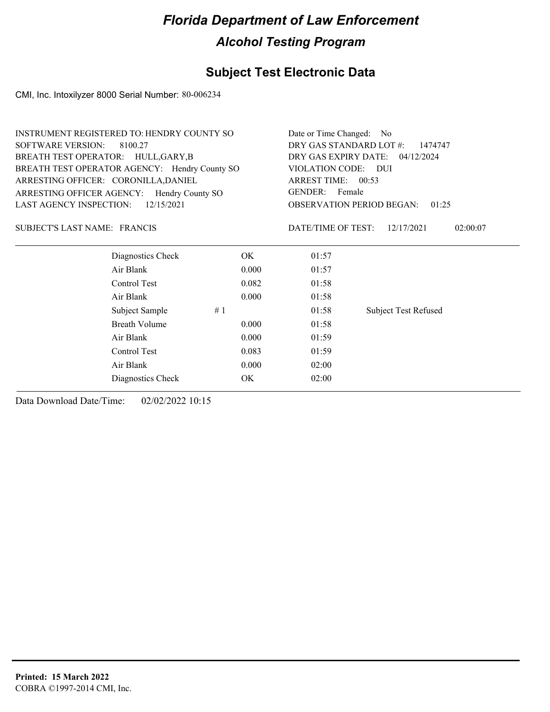## **Subject Test Electronic Data**

CMI, Inc. Intoxilyzer 8000 Serial Number: 80-006234

|                                      | INSTRUMENT REGISTERED TO: HENDRY COUNTY SO    |       |                                    | Date or Time Changed: No                  |  |  |
|--------------------------------------|-----------------------------------------------|-------|------------------------------------|-------------------------------------------|--|--|
| <b>SOFTWARE VERSION:</b><br>8100.27  |                                               |       | DRY GAS STANDARD LOT #:<br>1474747 |                                           |  |  |
|                                      | BREATH TEST OPERATOR: HULL, GARY, B           |       |                                    | DRY GAS EXPIRY DATE: 04/12/2024           |  |  |
|                                      | BREATH TEST OPERATOR AGENCY: Hendry County SO |       | VIOLATION CODE: DUI                |                                           |  |  |
| ARRESTING OFFICER: CORONILLA, DANIEL |                                               |       | ARREST TIME: 00:53                 |                                           |  |  |
|                                      | ARRESTING OFFICER AGENCY: Hendry County SO    |       | GENDER: Female                     |                                           |  |  |
| <b>LAST AGENCY INSPECTION:</b>       | 12/15/2021                                    |       |                                    | <b>OBSERVATION PERIOD BEGAN:</b><br>01:25 |  |  |
| SUBJECT'S LAST NAME: FRANCIS         |                                               |       | DATE/TIME OF TEST:                 | 12/17/2021<br>02:00:07                    |  |  |
|                                      | Diagnostics Check                             | OK.   | 01:57                              |                                           |  |  |
|                                      | Air Blank                                     | 0.000 | 01:57                              |                                           |  |  |
|                                      | Control Test                                  | 0.082 | 01:58                              |                                           |  |  |
|                                      | Air Blank                                     | 0.000 | 01:58                              |                                           |  |  |
|                                      | Subject Sample                                | #1    | 01:58                              | <b>Subject Test Refused</b>               |  |  |
|                                      | Breath Volume                                 | 0.000 | 01:58                              |                                           |  |  |
|                                      | Air Blank                                     | 0.000 | 01:59                              |                                           |  |  |
|                                      | Control Test                                  | 0.083 | 01:59                              |                                           |  |  |
|                                      | Air Blank                                     | 0.000 | 02:00                              |                                           |  |  |
|                                      | Diagnostics Check                             | OK    | 02:00                              |                                           |  |  |
|                                      |                                               |       |                                    |                                           |  |  |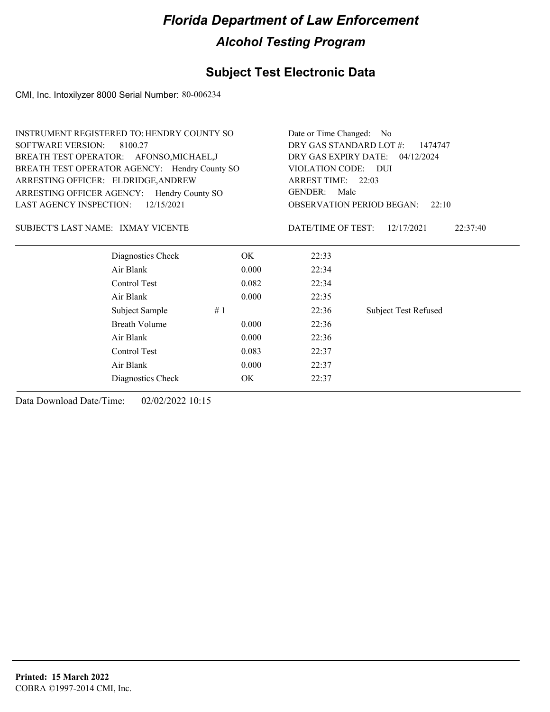## **Subject Test Electronic Data**

CMI, Inc. Intoxilyzer 8000 Serial Number: 80-006234

| INSTRUMENT REGISTERED TO: HENDRY COUNTY SO    |            | Date or Time Changed: No                                            |                                           |  |  |
|-----------------------------------------------|------------|---------------------------------------------------------------------|-------------------------------------------|--|--|
| <b>SOFTWARE VERSION:</b><br>8100.27           |            | DRY GAS STANDARD LOT #:<br>1474747                                  |                                           |  |  |
| BREATH TEST OPERATOR: AFONSO, MICHAEL, J      |            |                                                                     | DRY GAS EXPIRY DATE: 04/12/2024           |  |  |
| BREATH TEST OPERATOR AGENCY: Hendry County SO |            | VIOLATION CODE: DUI<br>ARREST TIME: 22:03<br><b>GENDER:</b><br>Male |                                           |  |  |
| ARRESTING OFFICER: ELDRIDGE, ANDREW           |            |                                                                     |                                           |  |  |
| ARRESTING OFFICER AGENCY: Hendry County SO    |            |                                                                     |                                           |  |  |
| LAST AGENCY INSPECTION:                       | 12/15/2021 |                                                                     | <b>OBSERVATION PERIOD BEGAN:</b><br>22:10 |  |  |
| SUBJECT'S LAST NAME: IXMAY VICENTE            |            | DATE/TIME OF TEST:                                                  | 12/17/2021<br>22:37:40                    |  |  |
| Diagnostics Check                             | OK.        | 22:33                                                               |                                           |  |  |
| Air Blank                                     | 0.000      | 22:34                                                               |                                           |  |  |
| Control Test                                  | 0.082      | 22:34                                                               |                                           |  |  |
| Air Blank                                     | 0.000      | 22:35                                                               |                                           |  |  |
| Subject Sample                                | #1         | 22:36                                                               | <b>Subject Test Refused</b>               |  |  |
| <b>Breath Volume</b>                          | 0.000      | 22:36                                                               |                                           |  |  |
| Air Blank                                     | 0.000      | 22:36                                                               |                                           |  |  |
| Control Test                                  | 0.083      | 22:37                                                               |                                           |  |  |
| Air Blank                                     | 0.000      | 22:37                                                               |                                           |  |  |
| Diagnostics Check                             | ОK         | 22:37                                                               |                                           |  |  |
|                                               |            |                                                                     |                                           |  |  |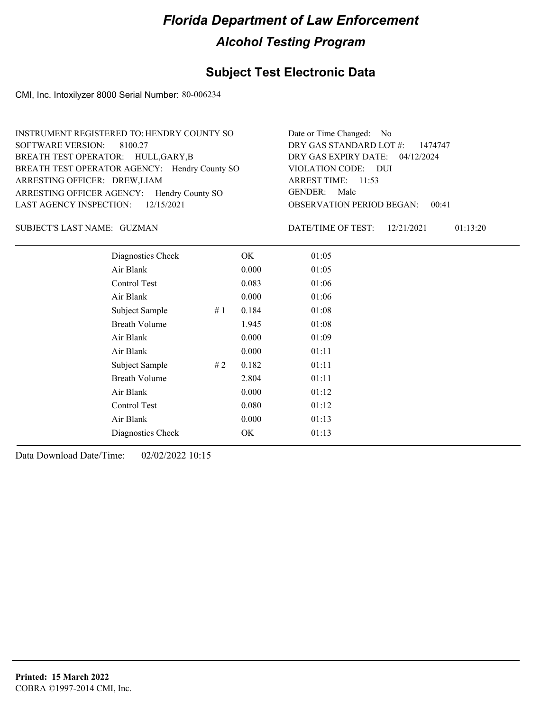### **Subject Test Electronic Data**

CMI, Inc. Intoxilyzer 8000 Serial Number: 80-006234

| INSTRUMENT REGISTERED TO: HENDRY COUNTY SO    | Date or Time Changed: No               |
|-----------------------------------------------|----------------------------------------|
| SOFTWARE VERSION: 8100.27                     | DRY GAS STANDARD LOT $\#$ : 1474747    |
| BREATH TEST OPERATOR: HULL, GARY, B           | DRY GAS EXPIRY DATE: 04/12/2024        |
| BREATH TEST OPERATOR AGENCY: Hendry County SO | VIOLATION CODE: DUI                    |
| ARRESTING OFFICER: DREW, LIAM                 | ARREST TIME: 11:53                     |
| ARRESTING OFFICER AGENCY: Hendry County SO    | GENDER: Male                           |
| LAST AGENCY INSPECTION: $12/15/2021$          | <b>OBSERVATION PERIOD BEGAN: 00:41</b> |

#### GUZMAN SUBJECT'S LAST NAME: DATE/TIME OF TEST:

DATE/TIME OF TEST: 12/21/2021 01:13:20

| Diagnostics Check    | OK    | 01:05 |
|----------------------|-------|-------|
| Air Blank            | 0.000 | 01:05 |
| Control Test         | 0.083 | 01:06 |
| Air Blank            | 0.000 | 01:06 |
| Subject Sample<br>#1 | 0.184 | 01:08 |
| <b>Breath Volume</b> | 1.945 | 01:08 |
| Air Blank            | 0.000 | 01:09 |
| Air Blank            | 0.000 | 01:11 |
| Subject Sample<br>#2 | 0.182 | 01:11 |
| <b>Breath Volume</b> | 2.804 | 01:11 |
| Air Blank            | 0.000 | 01:12 |
| Control Test         | 0.080 | 01:12 |
| Air Blank            | 0.000 | 01:13 |
| Diagnostics Check    | OK    | 01:13 |
|                      |       |       |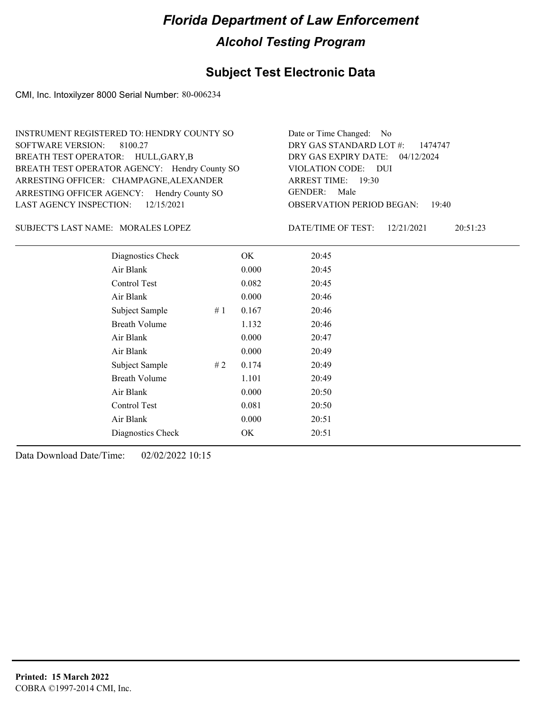## **Subject Test Electronic Data**

CMI, Inc. Intoxilyzer 8000 Serial Number: 80-006234

| INSTRUMENT REGISTERED TO: HENDRY COUNTY SO    | Date or Time Changed: No               |
|-----------------------------------------------|----------------------------------------|
| SOFTWARE VERSION: 8100.27                     | DRY GAS STANDARD LOT #: 1474747        |
| BREATH TEST OPERATOR: HULL, GARY, B           | DRY GAS EXPIRY DATE: 04/12/2024        |
| BREATH TEST OPERATOR AGENCY: Hendry County SO | VIOLATION CODE: DUI                    |
| ARRESTING OFFICER: CHAMPAGNE, ALEXANDER       | ARREST TIME: $19:30$                   |
| ARRESTING OFFICER AGENCY: Hendry County SO    | GENDER: Male                           |
| LAST AGENCY INSPECTION: $12/15/2021$          | <b>OBSERVATION PERIOD BEGAN: 19:40</b> |
|                                               |                                        |

SUBJECT'S LAST NAME: MORALES LOPEZ DATE/TIME OF TEST:

DATE/TIME OF TEST: 12/21/2021 20:51:23

| Diagnostics Check    |    | OK    | 20:45 |
|----------------------|----|-------|-------|
| Air Blank            |    | 0.000 | 20:45 |
| Control Test         |    | 0.082 | 20:45 |
| Air Blank            |    | 0.000 | 20:46 |
| Subject Sample       | #1 | 0.167 | 20:46 |
| <b>Breath Volume</b> |    | 1.132 | 20:46 |
| Air Blank            |    | 0.000 | 20:47 |
| Air Blank            |    | 0.000 | 20:49 |
| Subject Sample       | #2 | 0.174 | 20:49 |
| <b>Breath Volume</b> |    | 1.101 | 20:49 |
| Air Blank            |    | 0.000 | 20:50 |
| Control Test         |    | 0.081 | 20:50 |
| Air Blank            |    | 0.000 | 20:51 |
| Diagnostics Check    |    | OK    | 20:51 |
|                      |    |       |       |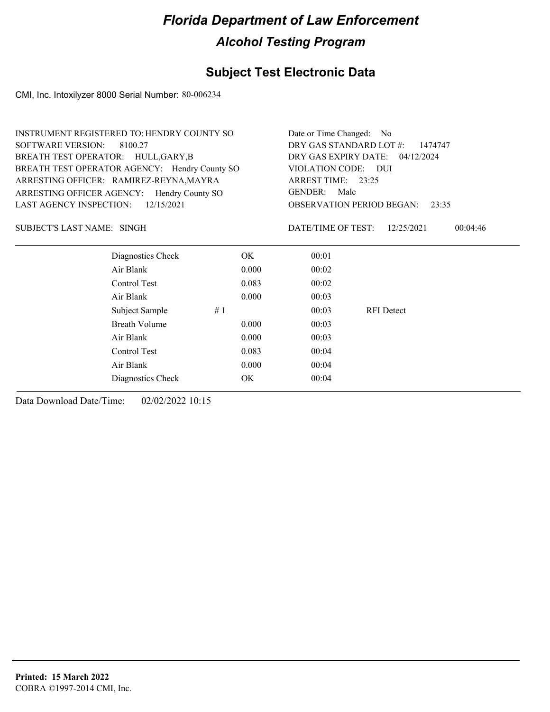## **Subject Test Electronic Data**

CMI, Inc. Intoxilyzer 8000 Serial Number: 80-006234

| DRY GAS STANDARD LOT #:<br><b>SOFTWARE VERSION:</b><br>8100.27<br>1474747<br>DRY GAS EXPIRY DATE: 04/12/2024<br>BREATH TEST OPERATOR: HULL, GARY, B<br>BREATH TEST OPERATOR AGENCY: Hendry County SO<br>VIOLATION CODE: DUI<br>ARRESTING OFFICER: RAMIREZ-REYNA, MAYRA<br>ARREST TIME: 23:25<br><b>GENDER:</b><br>Male<br>ARRESTING OFFICER AGENCY: Hendry County SO<br><b>LAST AGENCY INSPECTION:</b><br>12/15/2021<br><b>OBSERVATION PERIOD BEGAN:</b><br>23:35<br>DATE/TIME OF TEST:<br>SUBJECT'S LAST NAME: SINGH<br>12/25/2021<br>00:04:46<br>Diagnostics Check<br>OK.<br>00:01<br>Air Blank<br>00:02<br>0.000<br>Control Test<br>0.083<br>00:02<br>Air Blank<br>0.000<br>00:03<br>#1<br><b>RFI</b> Detect<br>Subject Sample<br>00:03<br><b>Breath Volume</b><br>0.000<br>00:03<br>Air Blank<br>0.000<br>00:03<br>Control Test<br>0.083<br>00:04<br>Air Blank<br>0.000<br>00:04<br><b>OK</b><br>00:04<br>Diagnostics Check | <b>INSTRUMENT REGISTERED TO: HENDRY COUNTY SO</b> | Date or Time Changed: No |  |  |  |  |  |
|---------------------------------------------------------------------------------------------------------------------------------------------------------------------------------------------------------------------------------------------------------------------------------------------------------------------------------------------------------------------------------------------------------------------------------------------------------------------------------------------------------------------------------------------------------------------------------------------------------------------------------------------------------------------------------------------------------------------------------------------------------------------------------------------------------------------------------------------------------------------------------------------------------------------------------|---------------------------------------------------|--------------------------|--|--|--|--|--|
|                                                                                                                                                                                                                                                                                                                                                                                                                                                                                                                                                                                                                                                                                                                                                                                                                                                                                                                                 |                                                   |                          |  |  |  |  |  |
|                                                                                                                                                                                                                                                                                                                                                                                                                                                                                                                                                                                                                                                                                                                                                                                                                                                                                                                                 |                                                   |                          |  |  |  |  |  |
|                                                                                                                                                                                                                                                                                                                                                                                                                                                                                                                                                                                                                                                                                                                                                                                                                                                                                                                                 |                                                   |                          |  |  |  |  |  |
|                                                                                                                                                                                                                                                                                                                                                                                                                                                                                                                                                                                                                                                                                                                                                                                                                                                                                                                                 |                                                   |                          |  |  |  |  |  |
|                                                                                                                                                                                                                                                                                                                                                                                                                                                                                                                                                                                                                                                                                                                                                                                                                                                                                                                                 |                                                   |                          |  |  |  |  |  |
|                                                                                                                                                                                                                                                                                                                                                                                                                                                                                                                                                                                                                                                                                                                                                                                                                                                                                                                                 |                                                   |                          |  |  |  |  |  |
|                                                                                                                                                                                                                                                                                                                                                                                                                                                                                                                                                                                                                                                                                                                                                                                                                                                                                                                                 |                                                   |                          |  |  |  |  |  |
|                                                                                                                                                                                                                                                                                                                                                                                                                                                                                                                                                                                                                                                                                                                                                                                                                                                                                                                                 |                                                   |                          |  |  |  |  |  |
|                                                                                                                                                                                                                                                                                                                                                                                                                                                                                                                                                                                                                                                                                                                                                                                                                                                                                                                                 |                                                   |                          |  |  |  |  |  |
|                                                                                                                                                                                                                                                                                                                                                                                                                                                                                                                                                                                                                                                                                                                                                                                                                                                                                                                                 |                                                   |                          |  |  |  |  |  |
|                                                                                                                                                                                                                                                                                                                                                                                                                                                                                                                                                                                                                                                                                                                                                                                                                                                                                                                                 |                                                   |                          |  |  |  |  |  |
|                                                                                                                                                                                                                                                                                                                                                                                                                                                                                                                                                                                                                                                                                                                                                                                                                                                                                                                                 |                                                   |                          |  |  |  |  |  |
|                                                                                                                                                                                                                                                                                                                                                                                                                                                                                                                                                                                                                                                                                                                                                                                                                                                                                                                                 |                                                   |                          |  |  |  |  |  |
|                                                                                                                                                                                                                                                                                                                                                                                                                                                                                                                                                                                                                                                                                                                                                                                                                                                                                                                                 |                                                   |                          |  |  |  |  |  |
|                                                                                                                                                                                                                                                                                                                                                                                                                                                                                                                                                                                                                                                                                                                                                                                                                                                                                                                                 |                                                   |                          |  |  |  |  |  |
|                                                                                                                                                                                                                                                                                                                                                                                                                                                                                                                                                                                                                                                                                                                                                                                                                                                                                                                                 |                                                   |                          |  |  |  |  |  |
|                                                                                                                                                                                                                                                                                                                                                                                                                                                                                                                                                                                                                                                                                                                                                                                                                                                                                                                                 |                                                   |                          |  |  |  |  |  |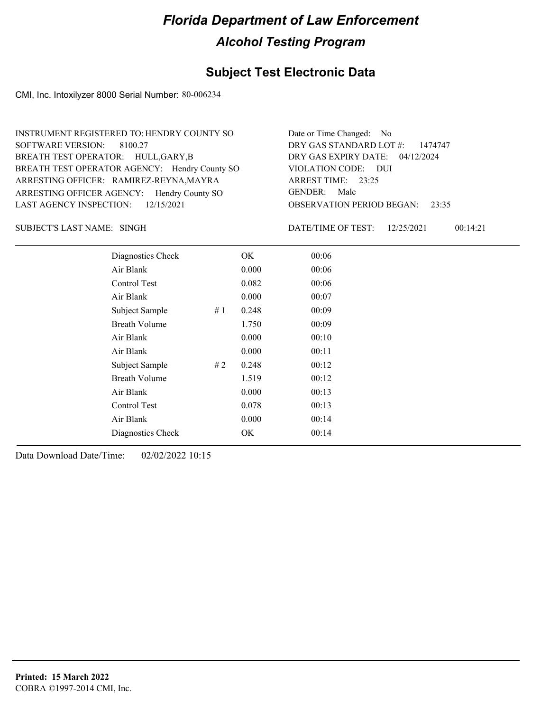### **Subject Test Electronic Data**

CMI, Inc. Intoxilyzer 8000 Serial Number: 80-006234

| INSTRUMENT REGISTERED TO: HENDRY COUNTY SO    | Date or Time Changed: No               |
|-----------------------------------------------|----------------------------------------|
| SOFTWARE VERSION: 8100.27                     | DRY GAS STANDARD LOT #: 1474747        |
| BREATH TEST OPERATOR: HULL, GARY, B           | DRY GAS EXPIRY DATE: 04/12/2024        |
| BREATH TEST OPERATOR AGENCY: Hendry County SO | VIOLATION CODE: DUI                    |
| ARRESTING OFFICER: RAMIREZ-REYNA, MAYRA       | ARREST TIME: $23:25$                   |
| ARRESTING OFFICER AGENCY: Hendry County SO    | GENDER: Male                           |
| LAST AGENCY INSPECTION: $12/15/2021$          | <b>OBSERVATION PERIOD BEGAN:</b> 23:35 |
|                                               |                                        |

SINGH SUBJECT'S LAST NAME: DATE/TIME OF TEST:

DATE/TIME OF TEST: 12/25/2021 00:14:21

| Diagnostics Check    |    | OK    | 00:06 |  |
|----------------------|----|-------|-------|--|
| Air Blank            |    | 0.000 | 00:06 |  |
| Control Test         |    | 0.082 | 00:06 |  |
| Air Blank            |    | 0.000 | 00:07 |  |
| Subject Sample       | #1 | 0.248 | 00:09 |  |
| <b>Breath Volume</b> |    | 1.750 | 00:09 |  |
| Air Blank            |    | 0.000 | 00:10 |  |
| Air Blank            |    | 0.000 | 00:11 |  |
| Subject Sample       | #2 | 0.248 | 00:12 |  |
| <b>Breath Volume</b> |    | 1.519 | 00:12 |  |
| Air Blank            |    | 0.000 | 00:13 |  |
| Control Test         |    | 0.078 | 00:13 |  |
| Air Blank            |    | 0.000 | 00:14 |  |
| Diagnostics Check    |    | OK    | 00:14 |  |
|                      |    |       |       |  |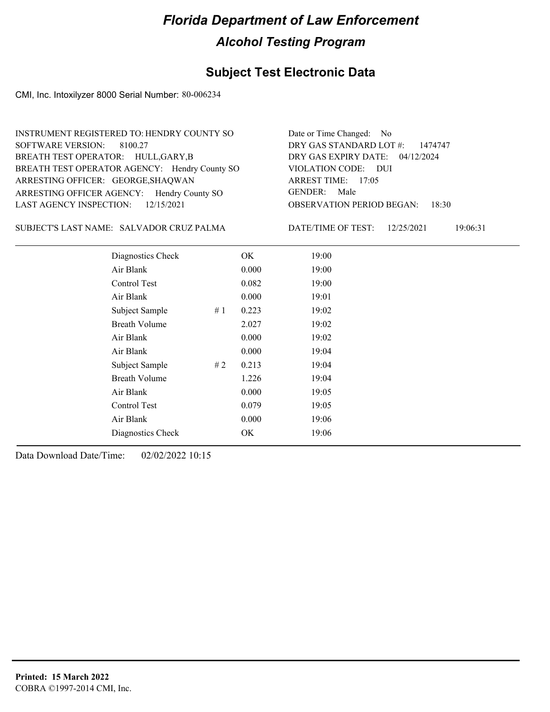## **Subject Test Electronic Data**

CMI, Inc. Intoxilyzer 8000 Serial Number: 80-006234

| INSTRUMENT REGISTERED TO: HENDRY COUNTY SO    | Date or Time Changed: No               |
|-----------------------------------------------|----------------------------------------|
| SOFTWARE VERSION: 8100.27                     | DRY GAS STANDARD LOT #: 1474747        |
| BREATH TEST OPERATOR: HULL, GARY, B           | DRY GAS EXPIRY DATE: 04/12/2024        |
| BREATH TEST OPERATOR AGENCY: Hendry County SO | VIOLATION CODE: DUI                    |
| ARRESTING OFFICER: GEORGE, SHAQWAN            | ARREST TIME: 17:05                     |
| ARRESTING OFFICER AGENCY: Hendry County SO    | GENDER: Male                           |
| LAST AGENCY INSPECTION: 12/15/2021            | <b>OBSERVATION PERIOD BEGAN: 18:30</b> |
|                                               |                                        |

SALVADOR CRUZ PALMA SUBJECT'S LAST NAME: DATE/TIME OF TEST:

DATE/TIME OF TEST: 12/25/2021 19:06:31

| Diagnostics Check    |    | OK    | 19:00 |  |
|----------------------|----|-------|-------|--|
| Air Blank            |    | 0.000 | 19:00 |  |
| Control Test         |    | 0.082 | 19:00 |  |
| Air Blank            |    | 0.000 | 19:01 |  |
| Subject Sample       | #1 | 0.223 | 19:02 |  |
| <b>Breath Volume</b> |    | 2.027 | 19:02 |  |
| Air Blank            |    | 0.000 | 19:02 |  |
| Air Blank            |    | 0.000 | 19:04 |  |
| Subject Sample       | #2 | 0.213 | 19:04 |  |
| <b>Breath Volume</b> |    | 1.226 | 19:04 |  |
| Air Blank            |    | 0.000 | 19:05 |  |
| Control Test         |    | 0.079 | 19:05 |  |
| Air Blank            |    | 0.000 | 19:06 |  |
| Diagnostics Check    |    | OK    | 19:06 |  |
|                      |    |       |       |  |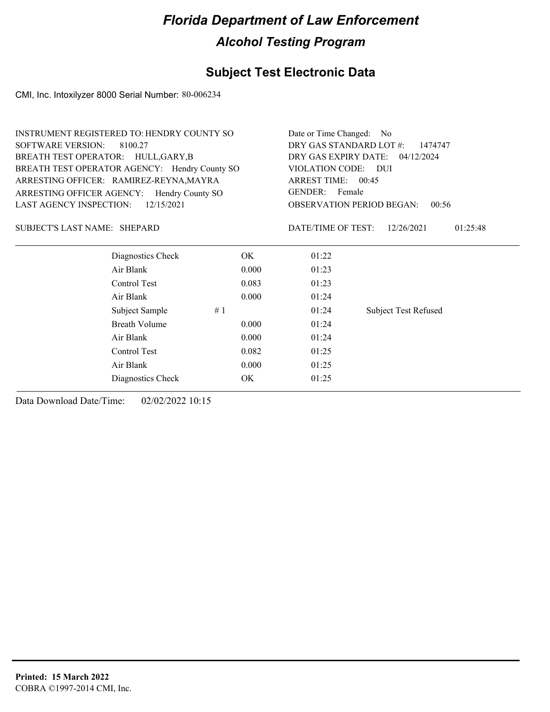## **Subject Test Electronic Data**

CMI, Inc. Intoxilyzer 8000 Serial Number: 80-006234

| <b>INSTRUMENT REGISTERED TO: HENDRY COUNTY SO</b> |                      |       | Date or Time Changed: No           |                             |  |  |
|---------------------------------------------------|----------------------|-------|------------------------------------|-----------------------------|--|--|
| <b>SOFTWARE VERSION:</b>                          | 8100.27              |       | DRY GAS STANDARD LOT #:<br>1474747 |                             |  |  |
| BREATH TEST OPERATOR: HULL, GARY, B               |                      |       | DRY GAS EXPIRY DATE: 04/12/2024    |                             |  |  |
| BREATH TEST OPERATOR AGENCY: Hendry County SO     |                      |       | VIOLATION CODE: DUI                |                             |  |  |
| ARRESTING OFFICER: RAMIREZ-REYNA, MAYRA           |                      |       | ARREST TIME: 00:45                 |                             |  |  |
| ARRESTING OFFICER AGENCY: Hendry County SO        |                      |       | GENDER: Female                     |                             |  |  |
| <b>LAST AGENCY INSPECTION:</b>                    | 12/15/2021           |       | <b>OBSERVATION PERIOD BEGAN:</b>   | 00:56                       |  |  |
| SUBJECT'S LAST NAME: SHEPARD                      |                      |       | DATE/TIME OF TEST:                 | 12/26/2021<br>01:25:48      |  |  |
|                                                   | Diagnostics Check    | OK.   | 01:22                              |                             |  |  |
|                                                   | Air Blank            | 0.000 | 01:23                              |                             |  |  |
|                                                   | Control Test         | 0.083 | 01:23                              |                             |  |  |
|                                                   | Air Blank            | 0.000 | 01:24                              |                             |  |  |
|                                                   | Subject Sample<br>#1 |       | 01:24                              | <b>Subject Test Refused</b> |  |  |
|                                                   | <b>Breath Volume</b> | 0.000 | 01:24                              |                             |  |  |
|                                                   | Air Blank            | 0.000 | 01:24                              |                             |  |  |
|                                                   | Control Test         | 0.082 | 01:25                              |                             |  |  |
| Air Blank<br>0.000                                |                      |       | 01:25                              |                             |  |  |
|                                                   | Diagnostics Check    | OK    | 01:25                              |                             |  |  |
|                                                   |                      |       |                                    |                             |  |  |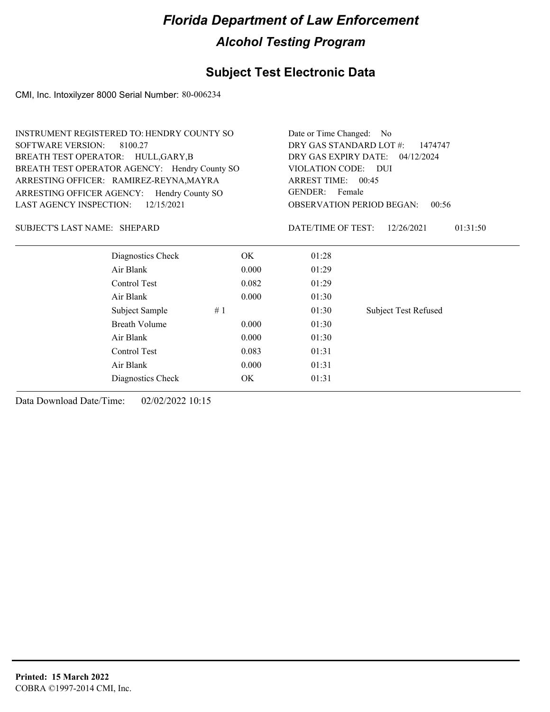## **Subject Test Electronic Data**

CMI, Inc. Intoxilyzer 8000 Serial Number: 80-006234

|                                     | INSTRUMENT REGISTERED TO: HENDRY COUNTY SO    |           | Date or Time Changed: No           |                                           |  |  |
|-------------------------------------|-----------------------------------------------|-----------|------------------------------------|-------------------------------------------|--|--|
| <b>SOFTWARE VERSION:</b>            | 8100.27                                       |           | DRY GAS STANDARD LOT #:<br>1474747 |                                           |  |  |
| BREATH TEST OPERATOR: HULL, GARY, B |                                               |           | DRY GAS EXPIRY DATE: 04/12/2024    |                                           |  |  |
|                                     | BREATH TEST OPERATOR AGENCY: Hendry County SO |           | VIOLATION CODE:                    | <b>DUI</b>                                |  |  |
|                                     | ARRESTING OFFICER: RAMIREZ-REYNA, MAYRA       |           | ARREST TIME: 00:45                 |                                           |  |  |
| ARRESTING OFFICER AGENCY:           | Hendry County SO                              |           | GENDER: Female                     |                                           |  |  |
| LAST AGENCY INSPECTION:             | 12/15/2021                                    |           |                                    | <b>OBSERVATION PERIOD BEGAN:</b><br>00:56 |  |  |
| SUBJECT'S LAST NAME: SHEPARD        |                                               |           | DATE/TIME OF TEST:                 | 01:31:50<br>12/26/2021                    |  |  |
|                                     | Diagnostics Check                             | OK.       | 01:28                              |                                           |  |  |
|                                     | Air Blank                                     | 0.000     | 01:29                              |                                           |  |  |
|                                     | Control Test                                  | 0.082     | 01:29                              |                                           |  |  |
|                                     | Air Blank                                     | 0.000     | 01:30                              |                                           |  |  |
|                                     | Subject Sample                                | #1        | 01:30                              | <b>Subject Test Refused</b>               |  |  |
|                                     | <b>Breath Volume</b>                          | 0.000     | 01:30                              |                                           |  |  |
|                                     | Air Blank                                     | 0.000     | 01:30                              |                                           |  |  |
|                                     | Control Test                                  | 0.083     | 01:31                              |                                           |  |  |
| Air Blank<br>0.000                  |                                               |           | 01:31                              |                                           |  |  |
|                                     | Diagnostics Check                             | <b>OK</b> | 01:31                              |                                           |  |  |
|                                     |                                               |           |                                    |                                           |  |  |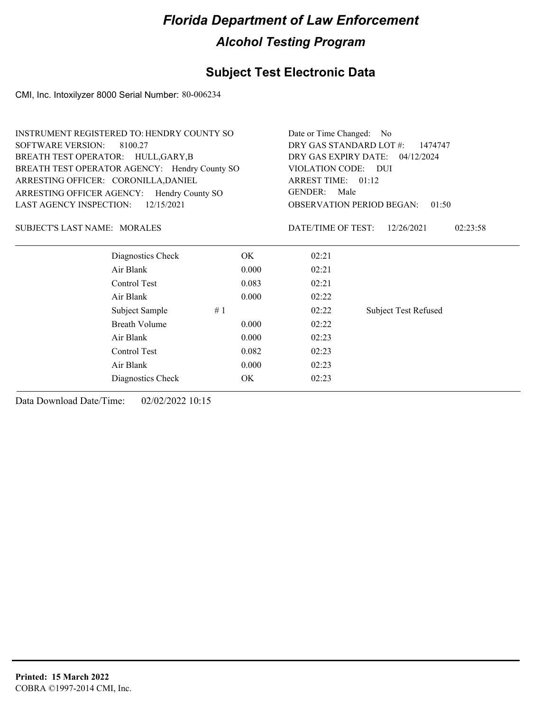## **Subject Test Electronic Data**

CMI, Inc. Intoxilyzer 8000 Serial Number: 80-006234

| INSTRUMENT REGISTERED TO: HENDRY COUNTY SO    |                      | Date or Time Changed: No           |                     |                                           |
|-----------------------------------------------|----------------------|------------------------------------|---------------------|-------------------------------------------|
| <b>SOFTWARE VERSION:</b><br>8100.27           |                      | DRY GAS STANDARD LOT #:<br>1474747 |                     |                                           |
| BREATH TEST OPERATOR: HULL, GARY, B           |                      | DRY GAS EXPIRY DATE: 04/12/2024    |                     |                                           |
| BREATH TEST OPERATOR AGENCY: Hendry County SO |                      |                                    | VIOLATION CODE: DUI |                                           |
| ARRESTING OFFICER: CORONILLA, DANIEL          |                      |                                    | ARREST TIME: 01:12  |                                           |
| ARRESTING OFFICER AGENCY: Hendry County SO    |                      |                                    | GENDER: Male        |                                           |
| LAST AGENCY INSPECTION:                       | 12/15/2021           |                                    |                     | <b>OBSERVATION PERIOD BEGAN:</b><br>01:50 |
| <b>SUBJECT'S LAST NAME: MORALES</b>           |                      |                                    | DATE/TIME OF TEST:  | 12/26/2021<br>02:23:58                    |
|                                               | Diagnostics Check    | OK.                                | 02:21               |                                           |
| Air Blank                                     |                      | 0.000                              | 02:21               |                                           |
| Control Test                                  |                      | 0.083                              | 02:21               |                                           |
| Air Blank                                     |                      | 0.000                              | 02:22               |                                           |
|                                               | #1<br>Subject Sample |                                    | 02:22               | <b>Subject Test Refused</b>               |
|                                               | <b>Breath Volume</b> | 0.000                              | 02:22               |                                           |
| Air Blank                                     |                      | 0.000                              | 02:23               |                                           |
| Control Test                                  |                      | 0.082                              | 02:23               |                                           |
| Air Blank<br>0.000                            |                      |                                    | 02:23               |                                           |
|                                               | Diagnostics Check    | OK                                 | 02:23               |                                           |
|                                               |                      |                                    |                     |                                           |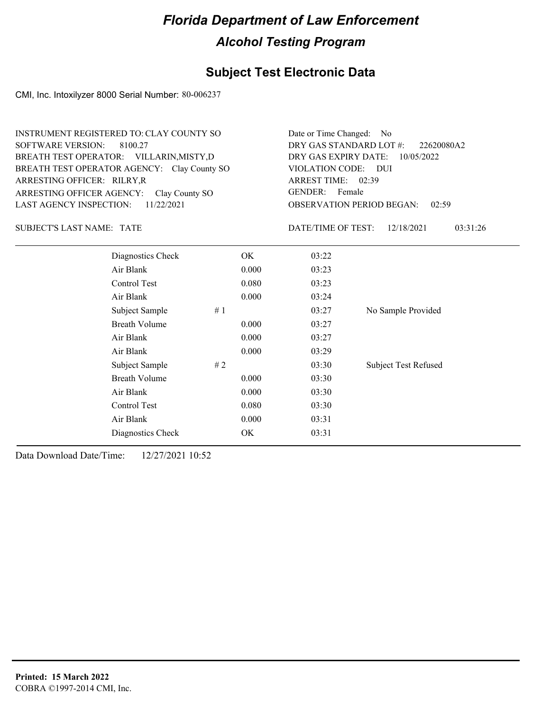## **Subject Test Electronic Data**

CMI, Inc. Intoxilyzer 8000 Serial Number: 80-006237

| <b>INSTRUMENT REGISTERED TO: CLAY COUNTY SO</b><br><b>SOFTWARE VERSION:</b><br>8100.27<br>BREATH TEST OPERATOR: VILLARIN, MISTY, D<br>BREATH TEST OPERATOR AGENCY: Clay County SO<br>ARRESTING OFFICER: RILRY, R<br>ARRESTING OFFICER AGENCY:<br>Clay County SO<br>11/22/2021<br><b>LAST AGENCY INSPECTION:</b> |                      |    | Date or Time Changed: No<br>DRY GAS STANDARD LOT #:<br>22620080A2<br>DRY GAS EXPIRY DATE:<br>10/05/2022<br>VIOLATION CODE: DUI<br>ARREST TIME: 02:39<br>GENDER: Female<br><b>OBSERVATION PERIOD BEGAN:</b><br>02:59 |                                              |                             |  |
|-----------------------------------------------------------------------------------------------------------------------------------------------------------------------------------------------------------------------------------------------------------------------------------------------------------------|----------------------|----|---------------------------------------------------------------------------------------------------------------------------------------------------------------------------------------------------------------------|----------------------------------------------|-----------------------------|--|
| <b>SUBJECT'S LAST NAME: TATE</b>                                                                                                                                                                                                                                                                                |                      |    |                                                                                                                                                                                                                     | DATE/TIME OF TEST:<br>12/18/2021<br>03:31:26 |                             |  |
|                                                                                                                                                                                                                                                                                                                 | Diagnostics Check    |    | OK.                                                                                                                                                                                                                 | 03:22                                        |                             |  |
|                                                                                                                                                                                                                                                                                                                 | Air Blank            |    | 0.000                                                                                                                                                                                                               | 03:23                                        |                             |  |
|                                                                                                                                                                                                                                                                                                                 | Control Test         |    | 0.080                                                                                                                                                                                                               | 03:23                                        |                             |  |
|                                                                                                                                                                                                                                                                                                                 | Air Blank            |    | 0.000                                                                                                                                                                                                               | 03:24                                        |                             |  |
|                                                                                                                                                                                                                                                                                                                 | Subject Sample       | #1 |                                                                                                                                                                                                                     | 03:27                                        | No Sample Provided          |  |
|                                                                                                                                                                                                                                                                                                                 | <b>Breath Volume</b> |    | 0.000                                                                                                                                                                                                               | 03:27                                        |                             |  |
|                                                                                                                                                                                                                                                                                                                 | Air Blank            |    | 0.000                                                                                                                                                                                                               | 03:27                                        |                             |  |
|                                                                                                                                                                                                                                                                                                                 | Air Blank            |    | 0.000                                                                                                                                                                                                               | 03:29                                        |                             |  |
|                                                                                                                                                                                                                                                                                                                 | Subject Sample       | #2 |                                                                                                                                                                                                                     | 03:30                                        | <b>Subject Test Refused</b> |  |
|                                                                                                                                                                                                                                                                                                                 | <b>Breath Volume</b> |    | 0.000                                                                                                                                                                                                               | 03:30                                        |                             |  |
|                                                                                                                                                                                                                                                                                                                 | Air Blank            |    | 0.000                                                                                                                                                                                                               | 03:30                                        |                             |  |
| Control Test<br>0.080                                                                                                                                                                                                                                                                                           |                      |    | 03:30                                                                                                                                                                                                               |                                              |                             |  |
|                                                                                                                                                                                                                                                                                                                 | Air Blank            |    | 0.000                                                                                                                                                                                                               | 03:31                                        |                             |  |
|                                                                                                                                                                                                                                                                                                                 | Diagnostics Check    |    | OK                                                                                                                                                                                                                  | 03:31                                        |                             |  |
|                                                                                                                                                                                                                                                                                                                 |                      |    |                                                                                                                                                                                                                     |                                              |                             |  |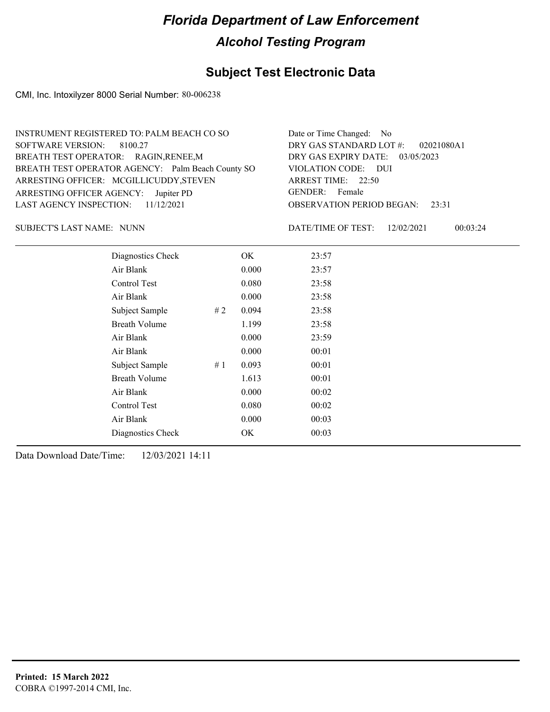## **Subject Test Electronic Data**

CMI, Inc. Intoxilyzer 8000 Serial Number: 80-006238

| INSTRUMENT REGISTERED TO: PALM BEACH CO SO        | Date or Time Changed: No               |
|---------------------------------------------------|----------------------------------------|
| SOFTWARE VERSION: 8100.27                         | DRY GAS STANDARD LOT #: 02021080A1     |
| BREATH TEST OPERATOR: RAGIN, RENEE, M             | DRY GAS EXPIRY DATE: 03/05/2023        |
| BREATH TEST OPERATOR AGENCY: Palm Beach County SO | VIOLATION CODE: DUI                    |
| ARRESTING OFFICER: MCGILLICUDDY, STEVEN           | ARREST TIME: 22:50                     |
| ARRESTING OFFICER AGENCY: Jupiter PD              | GENDER: Female                         |
| LAST AGENCY INSPECTION: $11/12/2021$              | <b>OBSERVATION PERIOD BEGAN: 23:31</b> |
|                                                   |                                        |

SUBJECT'S LAST NAME: NUNN CONTROL DATE/TIME OF TEST:

DATE/TIME OF TEST: 12/02/2021 00:03:24

| Diagnostics Check    |    | OK.   | 23:57 |
|----------------------|----|-------|-------|
| Air Blank            |    | 0.000 | 23:57 |
| Control Test         |    | 0.080 | 23:58 |
| Air Blank            |    | 0.000 | 23:58 |
| Subject Sample       | #2 | 0.094 | 23:58 |
| <b>Breath Volume</b> |    | 1.199 | 23:58 |
| Air Blank            |    | 0.000 | 23:59 |
| Air Blank            |    | 0.000 | 00:01 |
| Subject Sample       | #1 | 0.093 | 00:01 |
| <b>Breath Volume</b> |    | 1.613 | 00:01 |
| Air Blank            |    | 0.000 | 00:02 |
| Control Test         |    | 0.080 | 00:02 |
| Air Blank            |    | 0.000 | 00:03 |
| Diagnostics Check    |    | OK    | 00:03 |
|                      |    |       |       |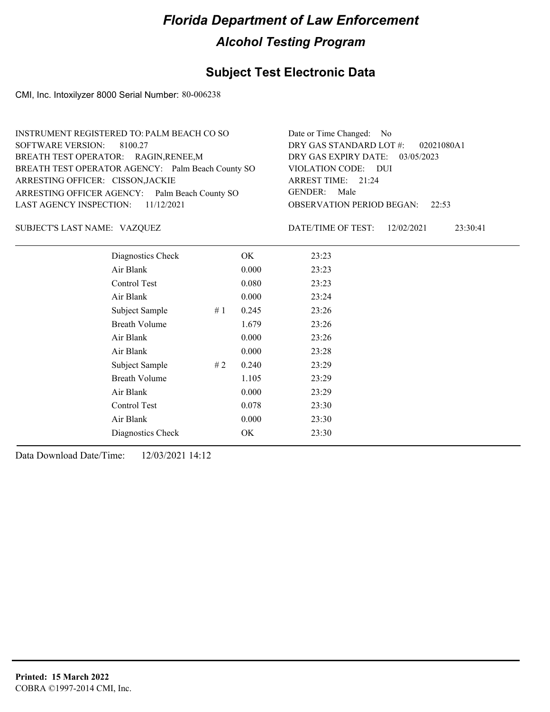### **Subject Test Electronic Data**

CMI, Inc. Intoxilyzer 8000 Serial Number: 80-006238

| INSTRUMENT REGISTERED TO: PALM BEACH CO SO        | Date or Time Changed: No               |
|---------------------------------------------------|----------------------------------------|
| SOFTWARE VERSION: 8100.27                         | DRY GAS STANDARD LOT #: 02021080A1     |
| BREATH TEST OPERATOR: RAGIN, RENEE, M             | DRY GAS EXPIRY DATE: $03/05/2023$      |
| BREATH TEST OPERATOR AGENCY: Palm Beach County SO | VIOLATION CODE: DUI                    |
| ARRESTING OFFICER: CISSON, JACKIE                 | ARREST TIME: 21:24                     |
| ARRESTING OFFICER AGENCY: Palm Beach County SO    | GENDER: Male                           |
| LAST AGENCY INSPECTION: $11/12/2021$              | <b>OBSERVATION PERIOD BEGAN:</b> 22:53 |
|                                                   |                                        |

VAZQUEZ SUBJECT'S LAST NAME: DATE/TIME OF TEST:

DATE/TIME OF TEST: 12/02/2021 23:30:41

| Diagnostics Check    |    | OK    | 23:23 |
|----------------------|----|-------|-------|
| Air Blank            |    | 0.000 | 23:23 |
| Control Test         |    | 0.080 | 23:23 |
| Air Blank            |    | 0.000 | 23:24 |
| Subject Sample       | #1 | 0.245 | 23:26 |
| <b>Breath Volume</b> |    | 1.679 | 23:26 |
| Air Blank            |    | 0.000 | 23:26 |
| Air Blank            |    | 0.000 | 23:28 |
| Subject Sample       | #2 | 0.240 | 23:29 |
| <b>Breath Volume</b> |    | 1.105 | 23:29 |
| Air Blank            |    | 0.000 | 23:29 |
| Control Test         |    | 0.078 | 23:30 |
| Air Blank            |    | 0.000 | 23:30 |
| Diagnostics Check    |    | OK    | 23:30 |
|                      |    |       |       |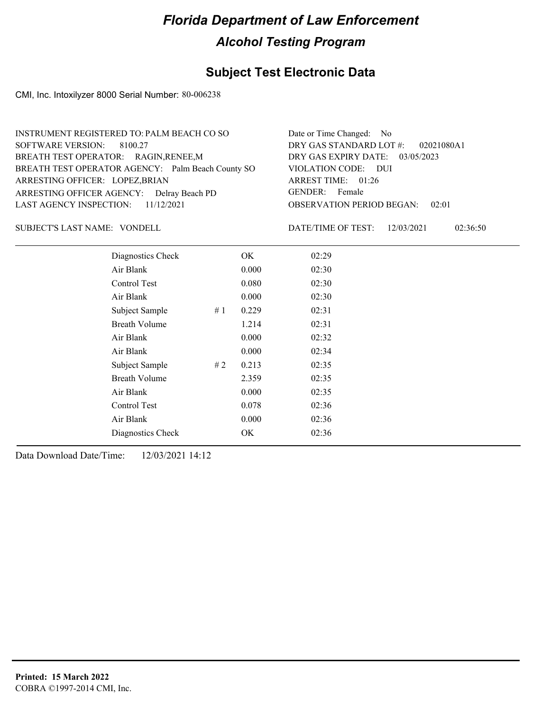### **Subject Test Electronic Data**

CMI, Inc. Intoxilyzer 8000 Serial Number: 80-006238

| INSTRUMENT REGISTERED TO: PALM BEACH CO SO        | Date or Time Changed: No               |
|---------------------------------------------------|----------------------------------------|
| SOFTWARE VERSION: 8100.27                         | DRY GAS STANDARD LOT #: 02021080A1     |
| BREATH TEST OPERATOR: RAGIN, RENEE, M             | DRY GAS EXPIRY DATE: 03/05/2023        |
| BREATH TEST OPERATOR AGENCY: Palm Beach County SO | VIOLATION CODE: DUI                    |
| ARRESTING OFFICER: LOPEZ, BRIAN                   | ARREST TIME: 01:26                     |
| ARRESTING OFFICER AGENCY: Delray Beach PD         | GENDER: Female                         |
| LAST AGENCY INSPECTION: $11/12/2021$              | <b>OBSERVATION PERIOD BEGAN: 02:01</b> |
|                                                   |                                        |

SUBJECT'S LAST NAME: VONDELL DATE/TIME OF TEST:

DATE/TIME OF TEST: 12/03/2021 02:36:50

| Diagnostics Check    |    | OK    | 02:29 |
|----------------------|----|-------|-------|
| Air Blank            |    | 0.000 | 02:30 |
| Control Test         |    | 0.080 | 02:30 |
| Air Blank            |    | 0.000 | 02:30 |
| Subject Sample       | #1 | 0.229 | 02:31 |
| <b>Breath Volume</b> |    | 1.214 | 02:31 |
| Air Blank            |    | 0.000 | 02:32 |
| Air Blank            |    | 0.000 | 02:34 |
| Subject Sample       | #2 | 0.213 | 02:35 |
| <b>Breath Volume</b> |    | 2.359 | 02:35 |
| Air Blank            |    | 0.000 | 02:35 |
| Control Test         |    | 0.078 | 02:36 |
| Air Blank            |    | 0.000 | 02:36 |
| Diagnostics Check    |    | OK    | 02:36 |
|                      |    |       |       |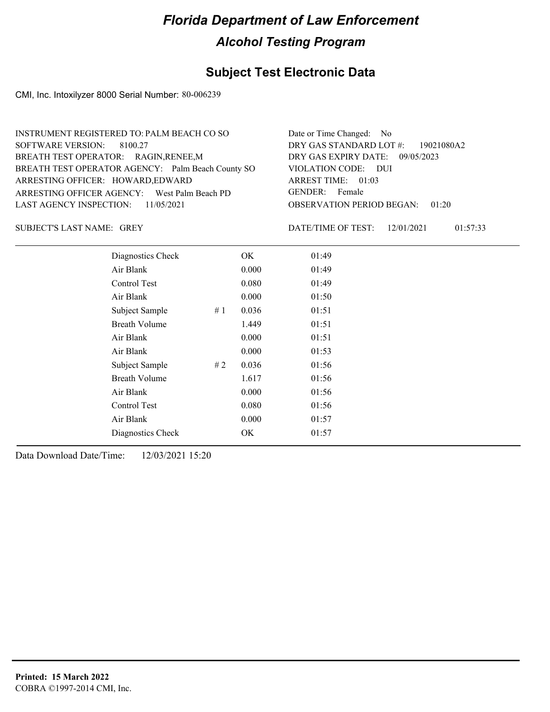### **Subject Test Electronic Data**

CMI, Inc. Intoxilyzer 8000 Serial Number: 80-006239

| INSTRUMENT REGISTERED TO: PALM BEACH CO SO        | Date or Time Changed: No               |
|---------------------------------------------------|----------------------------------------|
| SOFTWARE VERSION: 8100.27                         | DRY GAS STANDARD LOT $\#$ : 19021080A2 |
| BREATH TEST OPERATOR: RAGIN, RENEE, M             | DRY GAS EXPIRY DATE: 09/05/2023        |
| BREATH TEST OPERATOR AGENCY: Palm Beach County SO | VIOLATION CODE: DUI                    |
| ARRESTING OFFICER: HOWARD, EDWARD                 | ARREST TIME: 01:03                     |
| ARRESTING OFFICER AGENCY: West Palm Beach PD      | GENDER: Female                         |
| LAST AGENCY INSPECTION: $11/05/2021$              | <b>OBSERVATION PERIOD BEGAN: 01:20</b> |
|                                                   |                                        |

SUBJECT'S LAST NAME: GREY **Example 20** OATE/TIME OF TEST:

DATE/TIME OF TEST: 12/01/2021 01:57:33

| Diagnostics Check    | OK    | 01:49 |
|----------------------|-------|-------|
| Air Blank            | 0.000 | 01:49 |
| Control Test         | 0.080 | 01:49 |
| Air Blank            | 0.000 | 01:50 |
| Subject Sample<br>#1 | 0.036 | 01:51 |
| <b>Breath Volume</b> | 1.449 | 01:51 |
| Air Blank            | 0.000 | 01:51 |
| Air Blank            | 0.000 | 01:53 |
| Subject Sample<br>#2 | 0.036 | 01:56 |
| <b>Breath Volume</b> | 1.617 | 01:56 |
| Air Blank            | 0.000 | 01:56 |
| Control Test         | 0.080 | 01:56 |
| Air Blank            | 0.000 | 01:57 |
| Diagnostics Check    | OK    | 01:57 |
|                      |       |       |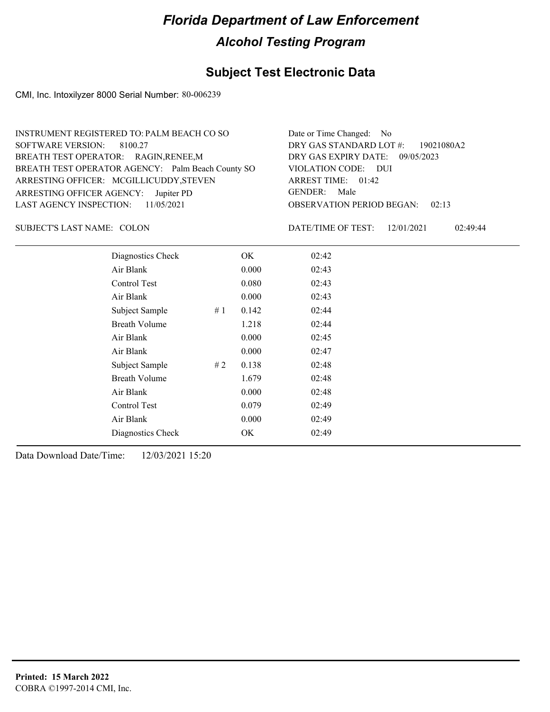### **Subject Test Electronic Data**

CMI, Inc. Intoxilyzer 8000 Serial Number: 80-006239

| INSTRUMENT REGISTERED TO: PALM BEACH CO SO        | Date or Time Changed: No               |
|---------------------------------------------------|----------------------------------------|
| SOFTWARE VERSION: 8100.27                         | DRY GAS STANDARD LOT #: 19021080A2     |
| BREATH TEST OPERATOR: RAGIN, RENEE, M             | DRY GAS EXPIRY DATE: 09/05/2023        |
| BREATH TEST OPERATOR AGENCY: Palm Beach County SO | VIOLATION CODE: DUI                    |
| ARRESTING OFFICER: MCGILLICUDDY, STEVEN           | ARREST TIME: 01:42                     |
| ARRESTING OFFICER AGENCY: Jupiter PD              | GENDER: Male                           |
| LAST AGENCY INSPECTION: 11/05/2021                | <b>OBSERVATION PERIOD BEGAN: 02:13</b> |
|                                                   |                                        |

SUBJECT'S LAST NAME: COLON DATE/TIME OF TEST:

DATE/TIME OF TEST: 12/01/2021 02:49:44

| Diagnostics Check    |    | OK    | 02:42 |
|----------------------|----|-------|-------|
| Air Blank            |    | 0.000 | 02:43 |
| Control Test         |    | 0.080 | 02:43 |
| Air Blank            |    | 0.000 | 02:43 |
| Subject Sample       | #1 | 0.142 | 02:44 |
| <b>Breath Volume</b> |    | 1.218 | 02:44 |
| Air Blank            |    | 0.000 | 02:45 |
| Air Blank            |    | 0.000 | 02:47 |
| Subject Sample       | #2 | 0.138 | 02:48 |
| <b>Breath Volume</b> |    | 1.679 | 02:48 |
| Air Blank            |    | 0.000 | 02:48 |
| Control Test         |    | 0.079 | 02:49 |
| Air Blank            |    | 0.000 | 02:49 |
| Diagnostics Check    |    | OK    | 02:49 |
|                      |    |       |       |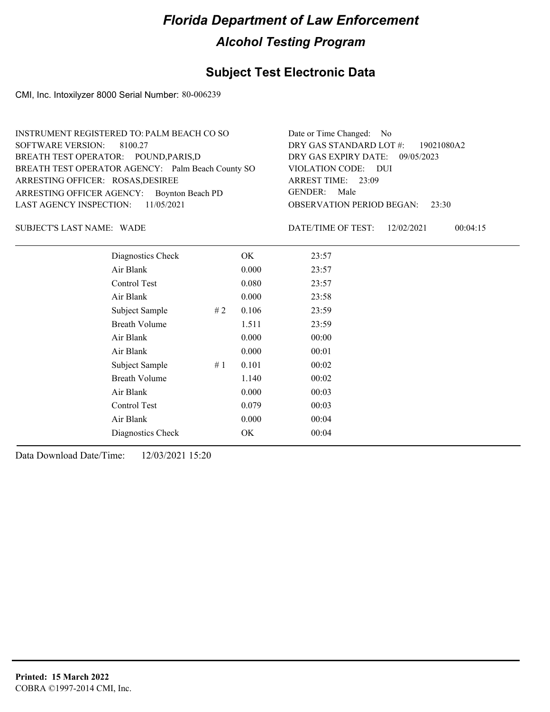### **Subject Test Electronic Data**

CMI, Inc. Intoxilyzer 8000 Serial Number: 80-006239

| INSTRUMENT REGISTERED TO: PALM BEACH CO SO        | Date or Time Changed: No               |
|---------------------------------------------------|----------------------------------------|
| SOFTWARE VERSION: 8100.27                         | DRY GAS STANDARD LOT $\#$ : 19021080A2 |
| BREATH TEST OPERATOR: POUND, PARIS, D             | DRY GAS EXPIRY DATE: 09/05/2023        |
| BREATH TEST OPERATOR AGENCY: Palm Beach County SO | VIOLATION CODE: DUI                    |
| ARRESTING OFFICER: ROSAS, DESIREE                 | ARREST TIME: 23:09                     |
| ARRESTING OFFICER AGENCY: Boynton Beach PD        | GENDER: Male                           |
| LAST AGENCY INSPECTION: 11/05/2021                | <b>OBSERVATION PERIOD BEGAN: 23:30</b> |
|                                                   |                                        |

SUBJECT'S LAST NAME: WADE **Example 20** DATE/TIME OF TEST:

DATE/TIME OF TEST: 12/02/2021 00:04:15

| Diagnostics Check    | OK    | 23:57 |
|----------------------|-------|-------|
| Air Blank            | 0.000 | 23:57 |
| Control Test         | 0.080 | 23:57 |
| Air Blank            | 0.000 | 23:58 |
| Subject Sample<br>#2 | 0.106 | 23:59 |
| <b>Breath Volume</b> | 1.511 | 23:59 |
| Air Blank            | 0.000 | 00:00 |
| Air Blank            | 0.000 | 00:01 |
| Subject Sample<br>#1 | 0.101 | 00:02 |
| <b>Breath Volume</b> | 1.140 | 00:02 |
| Air Blank            | 0.000 | 00:03 |
| Control Test         | 0.079 | 00:03 |
| Air Blank            | 0.000 | 00:04 |
| Diagnostics Check    | OK    | 00:04 |
|                      |       |       |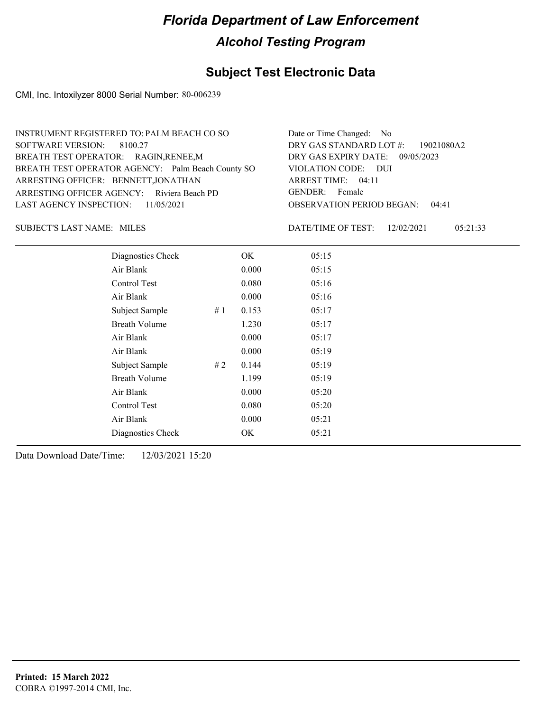### **Subject Test Electronic Data**

CMI, Inc. Intoxilyzer 8000 Serial Number: 80-006239

| INSTRUMENT REGISTERED TO: PALM BEACH CO SO        | Date or Time Changed: No               |
|---------------------------------------------------|----------------------------------------|
| SOFTWARE VERSION: 8100.27                         | DRY GAS STANDARD LOT $\#$ : 19021080A2 |
| BREATH TEST OPERATOR: RAGIN, RENEE, M             | DRY GAS EXPIRY DATE: 09/05/2023        |
| BREATH TEST OPERATOR AGENCY: Palm Beach County SO | VIOLATION CODE: DUI                    |
| ARRESTING OFFICER: BENNETT, JONATHAN              | ARREST TIME: 04:11                     |
| ARRESTING OFFICER AGENCY: Riviera Beach PD        | GENDER: Female                         |
| LAST AGENCY INSPECTION: $11/05/2021$              | <b>OBSERVATION PERIOD BEGAN: 04:41</b> |
|                                                   |                                        |

SUBJECT'S LAST NAME: MILES SUBJECT'S LAST NAME: MILES

DATE/TIME OF TEST: 12/02/2021 05:21:33

| Diagnostics Check    |    | OK    | 05:15 |
|----------------------|----|-------|-------|
| Air Blank            |    | 0.000 | 05:15 |
| Control Test         |    | 0.080 | 05:16 |
| Air Blank            |    | 0.000 | 05:16 |
| Subject Sample       | #1 | 0.153 | 05:17 |
| <b>Breath Volume</b> |    | 1.230 | 05:17 |
| Air Blank            |    | 0.000 | 05:17 |
| Air Blank            |    | 0.000 | 05:19 |
| Subject Sample       | #2 | 0.144 | 05:19 |
| <b>Breath Volume</b> |    | 1.199 | 05:19 |
| Air Blank            |    | 0.000 | 05:20 |
| Control Test         |    | 0.080 | 05:20 |
| Air Blank            |    | 0.000 | 05:21 |
| Diagnostics Check    |    | OK    | 05:21 |
|                      |    |       |       |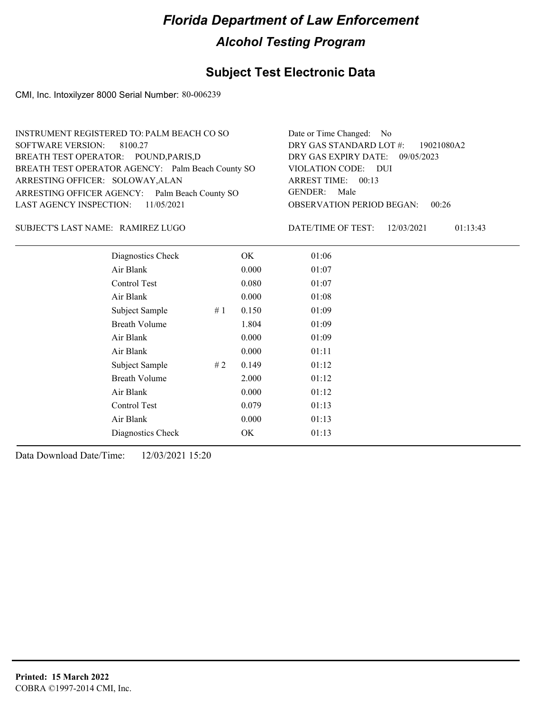## **Subject Test Electronic Data**

CMI, Inc. Intoxilyzer 8000 Serial Number: 80-006239

| INSTRUMENT REGISTERED TO: PALM BEACH CO SO        | Date or Time Changed: No               |
|---------------------------------------------------|----------------------------------------|
| SOFTWARE VERSION: 8100.27                         | DRY GAS STANDARD LOT #: 19021080A2     |
| BREATH TEST OPERATOR: POUND, PARIS, D             | DRY GAS EXPIRY DATE: 09/05/2023        |
| BREATH TEST OPERATOR AGENCY: Palm Beach County SO | VIOLATION CODE: DUI                    |
| ARRESTING OFFICER: SOLOWAY, ALAN                  | ARREST TIME: 00:13                     |
| ARRESTING OFFICER AGENCY: Palm Beach County SO    | GENDER: Male                           |
| LAST AGENCY INSPECTION: 11/05/2021                | <b>OBSERVATION PERIOD BEGAN: 00:26</b> |
|                                                   |                                        |

#### RAMIREZ LUGO SUBJECT'S LAST NAME: DATE/TIME OF TEST:

DATE/TIME OF TEST: 12/03/2021 01:13:43

| Diagnostics Check    |    | OK    | 01:06 |
|----------------------|----|-------|-------|
| Air Blank            |    | 0.000 | 01:07 |
| Control Test         |    | 0.080 | 01:07 |
| Air Blank            |    | 0.000 | 01:08 |
| Subject Sample       | #1 | 0.150 | 01:09 |
| <b>Breath Volume</b> |    | 1.804 | 01:09 |
| Air Blank            |    | 0.000 | 01:09 |
| Air Blank            |    | 0.000 | 01:11 |
| Subject Sample       | #2 | 0.149 | 01:12 |
| <b>Breath Volume</b> |    | 2.000 | 01:12 |
| Air Blank            |    | 0.000 | 01:12 |
| Control Test         |    | 0.079 | 01:13 |
| Air Blank            |    | 0.000 | 01:13 |
| Diagnostics Check    |    | OK    | 01:13 |
|                      |    |       |       |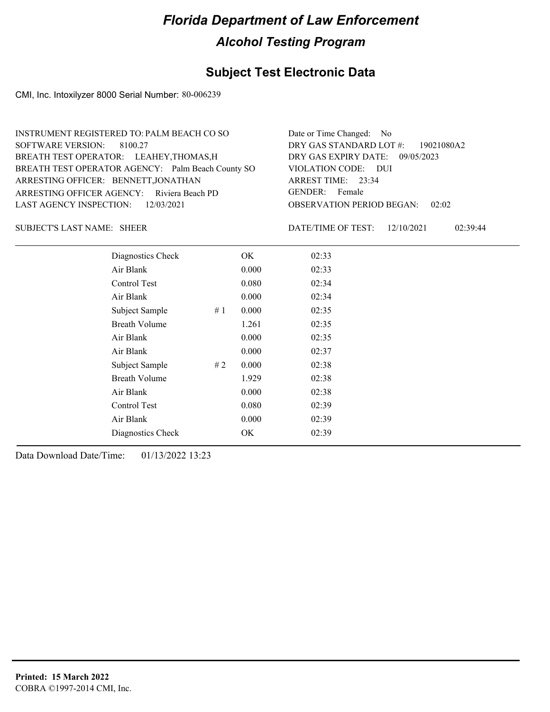### **Subject Test Electronic Data**

CMI, Inc. Intoxilyzer 8000 Serial Number: 80-006239

| INSTRUMENT REGISTERED TO: PALM BEACH CO SO        | Date or Time Changed: No               |
|---------------------------------------------------|----------------------------------------|
| SOFTWARE VERSION: 8100.27                         | DRY GAS STANDARD LOT #: 19021080A2     |
| BREATH TEST OPERATOR: LEAHEY, THOMAS, H           | DRY GAS EXPIRY DATE: 09/05/2023        |
| BREATH TEST OPERATOR AGENCY: Palm Beach County SO | VIOLATION CODE: DUI                    |
| ARRESTING OFFICER: BENNETT, JONATHAN              | ARREST TIME: 23:34                     |
| ARRESTING OFFICER AGENCY: Riviera Beach PD        | GENDER: Female                         |
| LAST AGENCY INSPECTION: 12/03/2021                | <b>OBSERVATION PERIOD BEGAN: 02:02</b> |
|                                                   |                                        |

SUBJECT'S LAST NAME: SHEER DATE/TIME OF TEST:

DATE/TIME OF TEST: 12/10/2021 02:39:44

| Diagnostics Check    |    | OK    | 02:33 |  |
|----------------------|----|-------|-------|--|
| Air Blank            |    | 0.000 | 02:33 |  |
| Control Test         |    | 0.080 | 02:34 |  |
| Air Blank            |    | 0.000 | 02:34 |  |
| Subject Sample       | #1 | 0.000 | 02:35 |  |
| <b>Breath Volume</b> |    | 1.261 | 02:35 |  |
| Air Blank            |    | 0.000 | 02:35 |  |
| Air Blank            |    | 0.000 | 02:37 |  |
| Subject Sample       | #2 | 0.000 | 02:38 |  |
| <b>Breath Volume</b> |    | 1.929 | 02:38 |  |
| Air Blank            |    | 0.000 | 02:38 |  |
| Control Test         |    | 0.080 | 02:39 |  |
| Air Blank            |    | 0.000 | 02:39 |  |
| Diagnostics Check    |    | OK    | 02:39 |  |
|                      |    |       |       |  |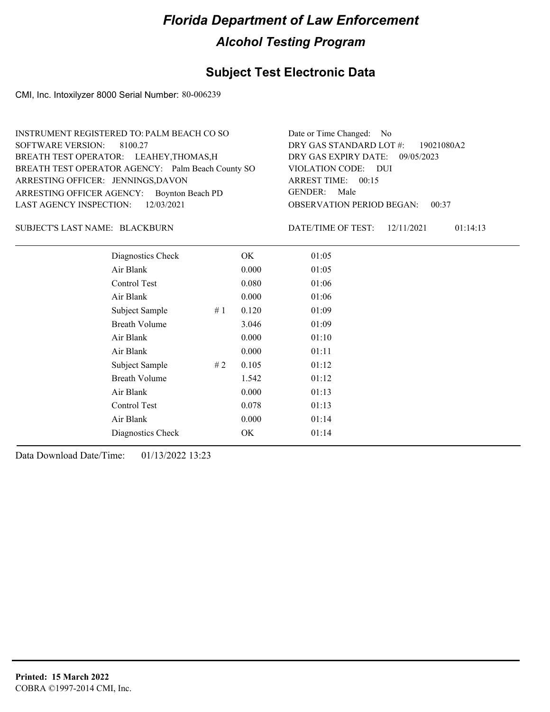## **Subject Test Electronic Data**

CMI, Inc. Intoxilyzer 8000 Serial Number: 80-006239

| INSTRUMENT REGISTERED TO: PALM BEACH CO SO        | Date or Time Changed: No               |
|---------------------------------------------------|----------------------------------------|
| SOFTWARE VERSION: 8100.27                         | DRY GAS STANDARD LOT $\#$ : 19021080A2 |
| BREATH TEST OPERATOR: LEAHEY, THOMAS, H           | DRY GAS EXPIRY DATE: 09/05/2023        |
| BREATH TEST OPERATOR AGENCY: Palm Beach County SO | VIOLATION CODE: DUI                    |
| ARRESTING OFFICER: JENNINGS, DAVON                | ARREST TIME: 00:15                     |
| ARRESTING OFFICER AGENCY: Boynton Beach PD        | GENDER: Male                           |
| LAST AGENCY INSPECTION: $12/03/2021$              | <b>OBSERVATION PERIOD BEGAN: 00:37</b> |
|                                                   |                                        |

#### BLACKBURN SUBJECT'S LAST NAME: DATE/TIME OF TEST:

DATE/TIME OF TEST: 12/11/2021 01:14:13

| Diagnostics Check    |    | OK    | 01:05 |
|----------------------|----|-------|-------|
| Air Blank            |    | 0.000 | 01:05 |
| Control Test         |    | 0.080 | 01:06 |
| Air Blank            |    | 0.000 | 01:06 |
| Subject Sample       | #1 | 0.120 | 01:09 |
| <b>Breath Volume</b> |    | 3.046 | 01:09 |
| Air Blank            |    | 0.000 | 01:10 |
| Air Blank            |    | 0.000 | 01:11 |
| Subject Sample       | #2 | 0.105 | 01:12 |
| <b>Breath Volume</b> |    | 1.542 | 01:12 |
| Air Blank            |    | 0.000 | 01:13 |
| Control Test         |    | 0.078 | 01:13 |
| Air Blank            |    | 0.000 | 01:14 |
| Diagnostics Check    |    | OK    | 01:14 |
|                      |    |       |       |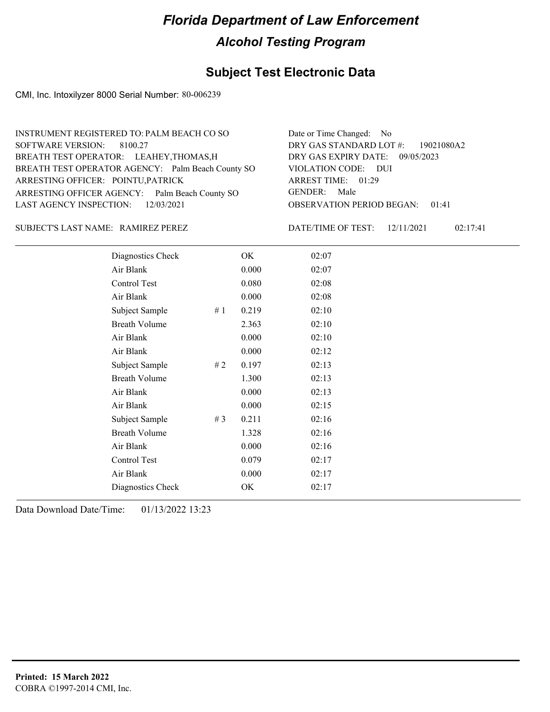### **Subject Test Electronic Data**

CMI, Inc. Intoxilyzer 8000 Serial Number: 80-006239

| INSTRUMENT REGISTERED TO: PALM BEACH CO SO        | Date or Time Changed: No               |
|---------------------------------------------------|----------------------------------------|
| SOFTWARE VERSION: 8100.27                         | DRY GAS STANDARD LOT $\#$ : 19021080A2 |
| BREATH TEST OPERATOR: LEAHEY, THOMAS, H           | DRY GAS EXPIRY DATE: 09/05/2023        |
| BREATH TEST OPERATOR AGENCY: Palm Beach County SO | VIOLATION CODE: DUI                    |
| ARRESTING OFFICER: POINTU, PATRICK                | ARREST TIME: 01:29                     |
| ARRESTING OFFICER AGENCY: Palm Beach County SO    | GENDER: Male                           |
| LAST AGENCY INSPECTION: 12/03/2021                | <b>OBSERVATION PERIOD BEGAN: 01:41</b> |
|                                                   |                                        |

#### SUBJECT'S LAST NAME: RAMIREZ PEREZ DERET: DATE/TIME OF TEST:

DATE/TIME OF TEST: 12/11/2021 02:17:41

| Diagnostics Check    |       | OK    | 02:07 |
|----------------------|-------|-------|-------|
| Air Blank            |       | 0.000 | 02:07 |
| Control Test         |       | 0.080 | 02:08 |
| Air Blank            |       | 0.000 | 02:08 |
| Subject Sample       | #1    | 0.219 | 02:10 |
| <b>Breath Volume</b> |       | 2.363 | 02:10 |
| Air Blank            |       | 0.000 | 02:10 |
| Air Blank            |       | 0.000 | 02:12 |
| Subject Sample       | # 2   | 0.197 | 02:13 |
| <b>Breath Volume</b> |       | 1.300 | 02:13 |
| Air Blank            |       | 0.000 | 02:13 |
| Air Blank            |       | 0.000 | 02:15 |
| Subject Sample       | # $3$ | 0.211 | 02:16 |
| <b>Breath Volume</b> |       | 1.328 | 02:16 |
| Air Blank            |       | 0.000 | 02:16 |
| Control Test         |       | 0.079 | 02:17 |
| Air Blank            |       | 0.000 | 02:17 |
| Diagnostics Check    |       | OK    | 02:17 |
|                      |       |       |       |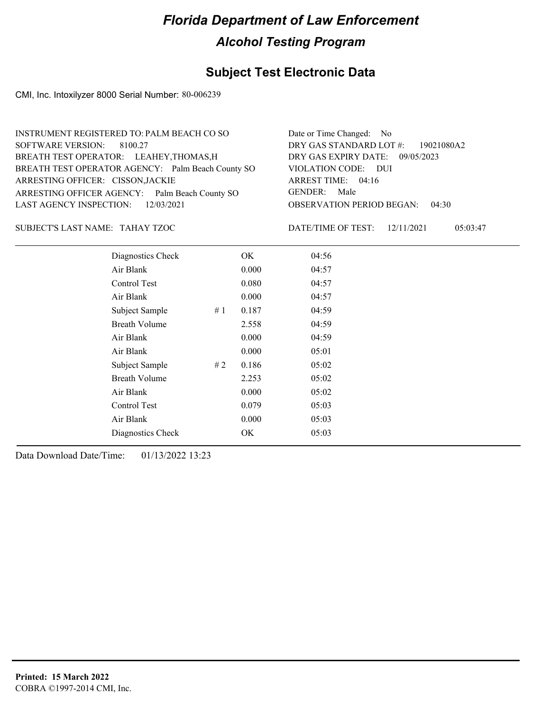## **Subject Test Electronic Data**

CMI, Inc. Intoxilyzer 8000 Serial Number: 80-006239

| INSTRUMENT REGISTERED TO: PALM BEACH CO SO        | Date or Time Changed: No               |
|---------------------------------------------------|----------------------------------------|
| SOFTWARE VERSION: 8100.27                         | DRY GAS STANDARD LOT $\#$ : 19021080A2 |
| BREATH TEST OPERATOR: LEAHEY, THOMAS, H           | DRY GAS EXPIRY DATE: 09/05/2023        |
| BREATH TEST OPERATOR AGENCY: Palm Beach County SO | VIOLATION CODE: DUI                    |
| ARRESTING OFFICER: CISSON, JACKIE                 | ARREST TIME: 04:16                     |
| ARRESTING OFFICER AGENCY: Palm Beach County SO    | GENDER: Male                           |
| LAST AGENCY INSPECTION: 12/03/2021                | <b>OBSERVATION PERIOD BEGAN: 04:30</b> |
|                                                   |                                        |

TAHAY TZOC SUBJECT'S LAST NAME: DATE/TIME OF TEST:

DATE/TIME OF TEST: 12/11/2021 05:03:47

| Diagnostics Check    |    | OK    | 04:56 |
|----------------------|----|-------|-------|
| Air Blank            |    | 0.000 | 04:57 |
| Control Test         |    | 0.080 | 04:57 |
| Air Blank            |    | 0.000 | 04:57 |
| Subject Sample       | #1 | 0.187 | 04:59 |
| <b>Breath Volume</b> |    | 2.558 | 04:59 |
| Air Blank            |    | 0.000 | 04:59 |
| Air Blank            |    | 0.000 | 05:01 |
| Subject Sample       | #2 | 0.186 | 05:02 |
| <b>Breath Volume</b> |    | 2.253 | 05:02 |
| Air Blank            |    | 0.000 | 05:02 |
| Control Test         |    | 0.079 | 05:03 |
| Air Blank            |    | 0.000 | 05:03 |
| Diagnostics Check    |    | OK    | 05:03 |
|                      |    |       |       |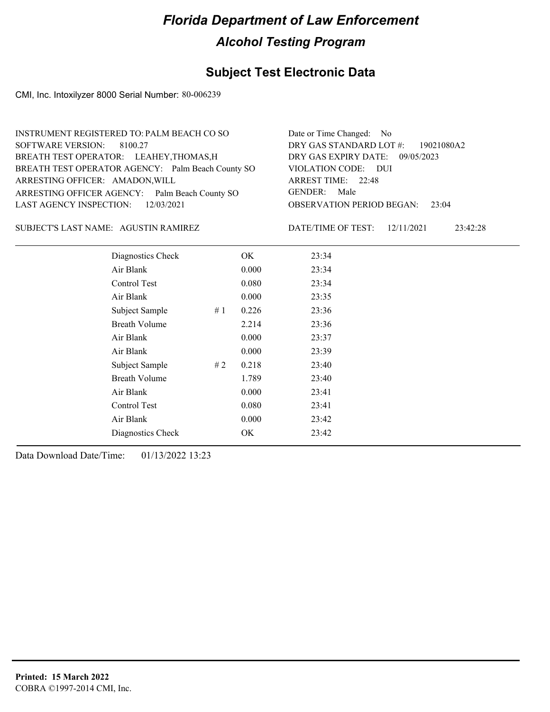### **Subject Test Electronic Data**

CMI, Inc. Intoxilyzer 8000 Serial Number: 80-006239

| INSTRUMENT REGISTERED TO: PALM BEACH CO SO        | Date or Time Changed: No               |
|---------------------------------------------------|----------------------------------------|
| SOFTWARE VERSION: 8100.27                         | DRY GAS STANDARD LOT #: 19021080A2     |
| BREATH TEST OPERATOR: LEAHEY, THOMAS, H           | DRY GAS EXPIRY DATE: 09/05/2023        |
| BREATH TEST OPERATOR AGENCY: Palm Beach County SO | VIOLATION CODE: DUI                    |
| ARRESTING OFFICER: AMADON, WILL                   | ARREST TIME: 22:48                     |
| ARRESTING OFFICER AGENCY: Palm Beach County SO    | GENDER: Male                           |
| LAST AGENCY INSPECTION: 12/03/2021                | <b>OBSERVATION PERIOD BEGAN: 23:04</b> |
|                                                   |                                        |

#### SUBJECT'S LAST NAME: AGUSTIN RAMIREZ DATE/TIME OF TEST:

DATE/TIME OF TEST: 12/11/2021 23:42:28

| Diagnostics Check    |       | OK    | 23:34 |  |
|----------------------|-------|-------|-------|--|
| Air Blank            |       | 0.000 | 23:34 |  |
| Control Test         |       | 0.080 | 23:34 |  |
| Air Blank            |       | 0.000 | 23:35 |  |
| Subject Sample       | #1    | 0.226 | 23:36 |  |
| <b>Breath Volume</b> |       | 2.214 | 23:36 |  |
| Air Blank            |       | 0.000 | 23:37 |  |
| Air Blank            |       | 0.000 | 23:39 |  |
| Subject Sample       | # $2$ | 0.218 | 23:40 |  |
| <b>Breath Volume</b> |       | 1.789 | 23:40 |  |
| Air Blank            |       | 0.000 | 23:41 |  |
| Control Test         |       | 0.080 | 23:41 |  |
| Air Blank            |       | 0.000 | 23:42 |  |
| Diagnostics Check    |       | OK    | 23:42 |  |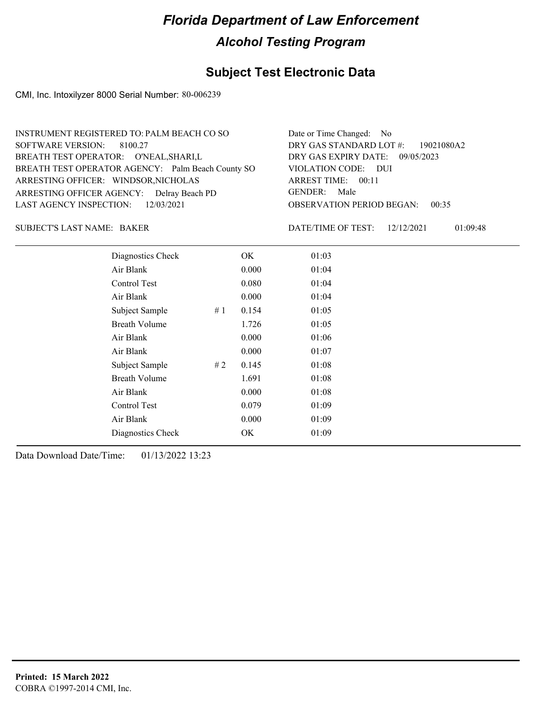### **Subject Test Electronic Data**

CMI, Inc. Intoxilyzer 8000 Serial Number: 80-006239

| INSTRUMENT REGISTERED TO: PALM BEACH CO SO        | Date or Time Changed: No               |
|---------------------------------------------------|----------------------------------------|
| SOFTWARE VERSION: 8100.27                         | DRY GAS STANDARD LOT #: 19021080A2     |
| BREATH TEST OPERATOR: O'NEAL, SHARI, L            | DRY GAS EXPIRY DATE: $09/05/2023$      |
| BREATH TEST OPERATOR AGENCY: Palm Beach County SO | VIOLATION CODE: DUI                    |
| ARRESTING OFFICER: WINDSOR, NICHOLAS              | ARREST TIME: 00:11                     |
| ARRESTING OFFICER AGENCY: Delray Beach PD         | GENDER: Male                           |
| LAST AGENCY INSPECTION: $12/03/2021$              | <b>OBSERVATION PERIOD BEGAN: 00:35</b> |
|                                                   |                                        |

BAKER SUBJECT'S LAST NAME: DATE/TIME OF TEST:

DATE/TIME OF TEST: 12/12/2021 01:09:48

| Diagnostics Check    |    | OK.   | 01:03 |
|----------------------|----|-------|-------|
| Air Blank            |    | 0.000 | 01:04 |
| Control Test         |    | 0.080 | 01:04 |
| Air Blank            |    | 0.000 | 01:04 |
| Subject Sample       | #1 | 0.154 | 01:05 |
| <b>Breath Volume</b> |    | 1.726 | 01:05 |
| Air Blank            |    | 0.000 | 01:06 |
| Air Blank            |    | 0.000 | 01:07 |
| Subject Sample       | #2 | 0.145 | 01:08 |
| <b>Breath Volume</b> |    | 1.691 | 01:08 |
| Air Blank            |    | 0.000 | 01:08 |
| Control Test         |    | 0.079 | 01:09 |
| Air Blank            |    | 0.000 | 01:09 |
| Diagnostics Check    |    | OK    | 01:09 |
|                      |    |       |       |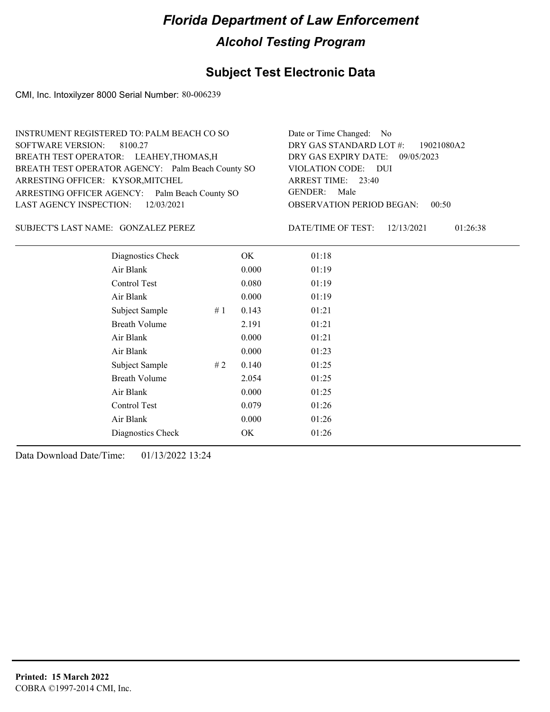## **Subject Test Electronic Data**

CMI, Inc. Intoxilyzer 8000 Serial Number: 80-006239

| INSTRUMENT REGISTERED TO: PALM BEACH CO SO        | Date or Time Changed: No               |
|---------------------------------------------------|----------------------------------------|
| SOFTWARE VERSION: 8100.27                         | DRY GAS STANDARD LOT #: 19021080A2     |
| BREATH TEST OPERATOR: LEAHEY, THOMAS, H           | DRY GAS EXPIRY DATE: 09/05/2023        |
| BREATH TEST OPERATOR AGENCY: Palm Beach County SO | VIOLATION CODE: DUI                    |
| ARRESTING OFFICER: KYSOR, MITCHEL                 | ARREST TIME: 23:40                     |
| ARRESTING OFFICER AGENCY: Palm Beach County SO    | GENDER: Male                           |
| LAST AGENCY INSPECTION: 12/03/2021                | <b>OBSERVATION PERIOD BEGAN: 00:50</b> |
|                                                   |                                        |

SUBJECT'S LAST NAME: GONZALEZ PEREZ DATE/TIME OF TEST:

DATE/TIME OF TEST: 12/13/2021 01:26:38

| Diagnostics Check     | OK    | 01:18 |
|-----------------------|-------|-------|
| Air Blank             | 0.000 | 01:19 |
| Control Test          | 0.080 | 01:19 |
| Air Blank             | 0.000 | 01:19 |
| Subject Sample<br>#1  | 0.143 | 01:21 |
| <b>Breath Volume</b>  | 2.191 | 01:21 |
| Air Blank             | 0.000 | 01:21 |
| Air Blank             | 0.000 | 01:23 |
| # 2<br>Subject Sample | 0.140 | 01:25 |
| <b>Breath Volume</b>  | 2.054 | 01:25 |
| Air Blank             | 0.000 | 01:25 |
| Control Test          | 0.079 | 01:26 |
| Air Blank             | 0.000 | 01:26 |
| Diagnostics Check     | OK    | 01:26 |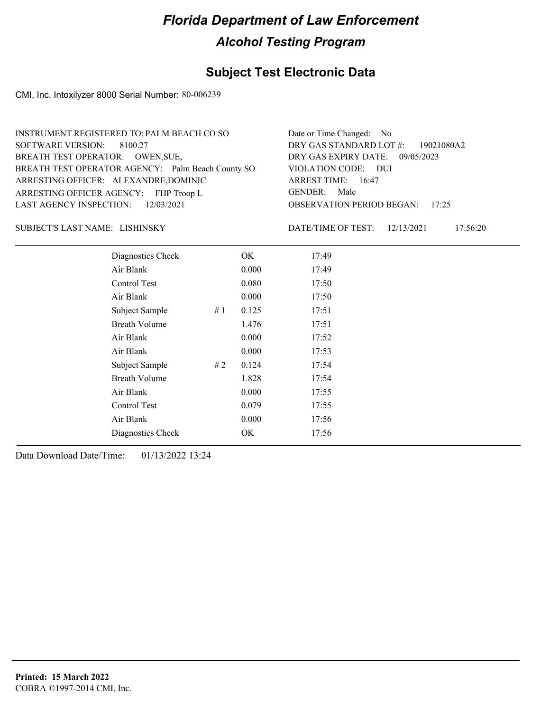## **Subject Test Electronic Data**

CMI, Inc. Intoxilyzer 8000 Serial Number: 80-006239

| INSTRUMENT REGISTERED TO: PALM BEACH CO SO        | Date or Time Changed: No               |
|---------------------------------------------------|----------------------------------------|
| SOFTWARE VERSION: 8100.27                         | DRY GAS STANDARD LOT #: 19021080A2     |
| BREATH TEST OPERATOR: OWEN, SUE,                  | DRY GAS EXPIRY DATE: 09/05/2023        |
| BREATH TEST OPERATOR AGENCY: Palm Beach County SO | VIOLATION CODE: DUI                    |
| ARRESTING OFFICER: ALEXANDRE, DOMINIC             | ARREST TIME: 16:47                     |
| ARRESTING OFFICER AGENCY: FHP Troop L             | GENDER: Male                           |
| LAST AGENCY INSPECTION: 12/03/2021                | <b>OBSERVATION PERIOD BEGAN: 17:25</b> |
|                                                   |                                        |

#### LISHINSKY SUBJECT'S LAST NAME: DATE/TIME OF TEST:

DATE/TIME OF TEST: 12/13/2021 17:56:20

| Diagnostics Check    |    | OK    | 17:49 |
|----------------------|----|-------|-------|
| Air Blank            |    | 0.000 | 17:49 |
| Control Test         |    | 0.080 | 17:50 |
| Air Blank            |    | 0.000 | 17:50 |
| Subject Sample       | #1 | 0.125 | 17:51 |
| <b>Breath Volume</b> |    | 1.476 | 17:51 |
| Air Blank            |    | 0.000 | 17:52 |
| Air Blank            |    | 0.000 | 17:53 |
| Subject Sample       | #2 | 0.124 | 17:54 |
| <b>Breath Volume</b> |    | 1.828 | 17:54 |
| Air Blank            |    | 0.000 | 17:55 |
| Control Test         |    | 0.079 | 17:55 |
| Air Blank            |    | 0.000 | 17:56 |
| Diagnostics Check    |    | OK    | 17:56 |
|                      |    |       |       |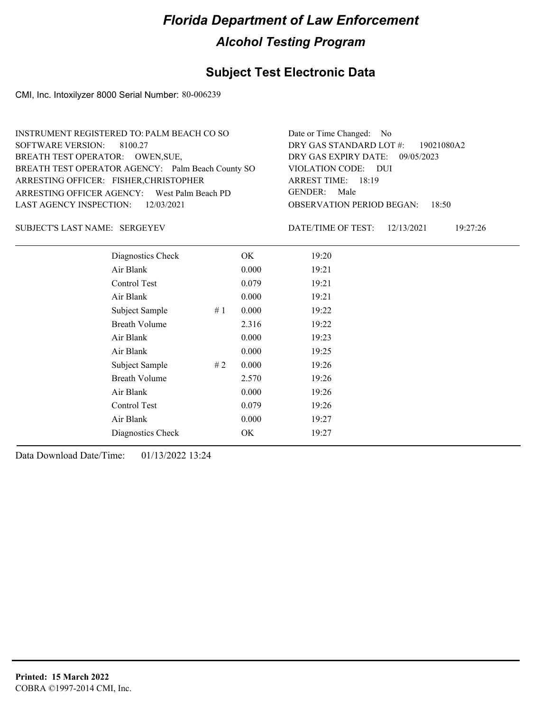### **Subject Test Electronic Data**

CMI, Inc. Intoxilyzer 8000 Serial Number: 80-006239

| INSTRUMENT REGISTERED TO: PALM BEACH CO SO        | Date or Time Changed: No               |
|---------------------------------------------------|----------------------------------------|
| SOFTWARE VERSION: 8100.27                         | DRY GAS STANDARD LOT #: 19021080A2     |
| BREATH TEST OPERATOR: OWEN, SUE,                  | DRY GAS EXPIRY DATE: $09/05/2023$      |
| BREATH TEST OPERATOR AGENCY: Palm Beach County SO | VIOLATION CODE: DUI                    |
| ARRESTING OFFICER: FISHER, CHRISTOPHER            | ARREST TIME: 18:19                     |
| ARRESTING OFFICER AGENCY: West Palm Beach PD      | GENDER: Male                           |
| LAST AGENCY INSPECTION: $12/03/2021$              | <b>OBSERVATION PERIOD BEGAN: 18:50</b> |
|                                                   |                                        |

#### SERGEYEV SUBJECT'S LAST NAME: DATE/TIME OF TEST:

DATE/TIME OF TEST: 12/13/2021 19:27:26

| Diagnostics Check    |    | OK    | 19:20 |
|----------------------|----|-------|-------|
| Air Blank            |    | 0.000 | 19:21 |
| Control Test         |    | 0.079 | 19:21 |
| Air Blank            |    | 0.000 | 19:21 |
| Subject Sample       | #1 | 0.000 | 19:22 |
| <b>Breath Volume</b> |    | 2.316 | 19:22 |
| Air Blank            |    | 0.000 | 19:23 |
| Air Blank            |    | 0.000 | 19:25 |
| Subject Sample       | #2 | 0.000 | 19:26 |
| <b>Breath Volume</b> |    | 2.570 | 19:26 |
| Air Blank            |    | 0.000 | 19:26 |
| Control Test         |    | 0.079 | 19:26 |
| Air Blank            |    | 0.000 | 19:27 |
| Diagnostics Check    |    | OK    | 19:27 |
|                      |    |       |       |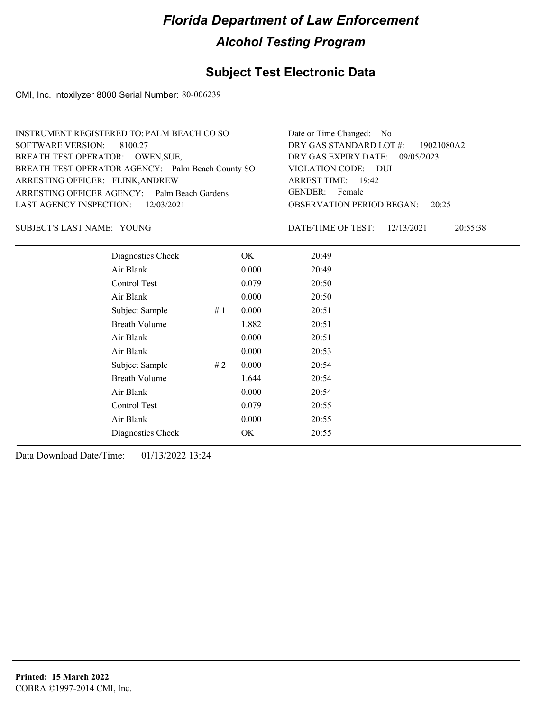### **Subject Test Electronic Data**

CMI, Inc. Intoxilyzer 8000 Serial Number: 80-006239

| INSTRUMENT REGISTERED TO: PALM BEACH CO SO        | Date or Time Changed: No               |
|---------------------------------------------------|----------------------------------------|
| SOFTWARE VERSION: 8100.27                         | DRY GAS STANDARD LOT $\#$ : 19021080A2 |
| BREATH TEST OPERATOR: OWEN, SUE,                  | DRY GAS EXPIRY DATE: 09/05/2023        |
| BREATH TEST OPERATOR AGENCY: Palm Beach County SO | VIOLATION CODE: DUI                    |
| ARRESTING OFFICER: FLINK, ANDREW                  | ARREST TIME: 19:42                     |
| ARRESTING OFFICER AGENCY: Palm Beach Gardens      | GENDER: Female                         |
| LAST AGENCY INSPECTION: 12/03/2021                | <b>OBSERVATION PERIOD BEGAN: 20:25</b> |
|                                                   |                                        |

SUBJECT'S LAST NAME: YOUNG DATE/TIME OF TEST:

DATE/TIME OF TEST: 12/13/2021 20:55:38

| Diagnostics Check    |    | OK    | 20:49 |
|----------------------|----|-------|-------|
| Air Blank            |    | 0.000 | 20:49 |
| Control Test         |    | 0.079 | 20:50 |
| Air Blank            |    | 0.000 | 20:50 |
| Subject Sample       | #1 | 0.000 | 20:51 |
| <b>Breath Volume</b> |    | 1.882 | 20:51 |
| Air Blank            |    | 0.000 | 20:51 |
| Air Blank            |    | 0.000 | 20:53 |
| Subject Sample       | #2 | 0.000 | 20:54 |
| <b>Breath Volume</b> |    | 1.644 | 20:54 |
| Air Blank            |    | 0.000 | 20:54 |
| Control Test         |    | 0.079 | 20:55 |
| Air Blank            |    | 0.000 | 20:55 |
| Diagnostics Check    |    | OK    | 20:55 |
|                      |    |       |       |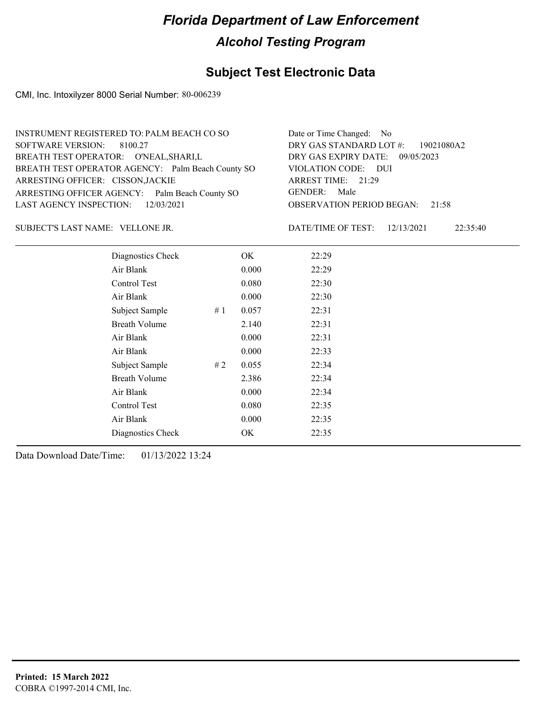### **Subject Test Electronic Data**

CMI, Inc. Intoxilyzer 8000 Serial Number: 80-006239

| INSTRUMENT REGISTERED TO: PALM BEACH CO SO        | Date or Time Changed: No               |
|---------------------------------------------------|----------------------------------------|
| SOFTWARE VERSION: 8100.27                         | DRY GAS STANDARD LOT #: 19021080A2     |
| BREATH TEST OPERATOR: O'NEAL, SHARI, L            | DRY GAS EXPIRY DATE: 09/05/2023        |
| BREATH TEST OPERATOR AGENCY: Palm Beach County SO | VIOLATION CODE: DUI                    |
| ARRESTING OFFICER: CISSON, JACKIE                 | ARREST TIME: 21:29                     |
| ARRESTING OFFICER AGENCY: Palm Beach County SO    | GENDER: Male                           |
| LAST AGENCY INSPECTION: $12/03/2021$              | <b>OBSERVATION PERIOD BEGAN: 21:58</b> |
|                                                   |                                        |

VELLONE JR. SUBJECT'S LAST NAME: DATE/TIME OF TEST:

DATE/TIME OF TEST: 12/13/2021 22:35:40

| Diagnostics Check    |    | OK    | 22:29 |
|----------------------|----|-------|-------|
| Air Blank            |    | 0.000 | 22:29 |
| Control Test         |    | 0.080 | 22:30 |
| Air Blank            |    | 0.000 | 22:30 |
| Subject Sample       | #1 | 0.057 | 22:31 |
| <b>Breath Volume</b> |    | 2.140 | 22:31 |
| Air Blank            |    | 0.000 | 22:31 |
| Air Blank            |    | 0.000 | 22:33 |
| Subject Sample       | #2 | 0.055 | 22:34 |
| <b>Breath Volume</b> |    | 2.386 | 22:34 |
| Air Blank            |    | 0.000 | 22:34 |
| Control Test         |    | 0.080 | 22:35 |
| Air Blank            |    | 0.000 | 22:35 |
| Diagnostics Check    |    | OK    | 22:35 |
|                      |    |       |       |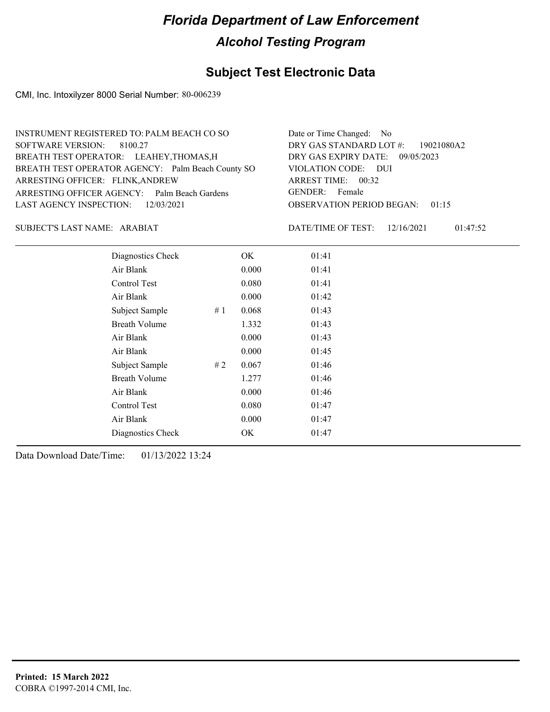## **Subject Test Electronic Data**

CMI, Inc. Intoxilyzer 8000 Serial Number: 80-006239

| INSTRUMENT REGISTERED TO: PALM BEACH CO SO        | Date or Time Changed: No               |
|---------------------------------------------------|----------------------------------------|
| SOFTWARE VERSION: 8100.27                         | DRY GAS STANDARD LOT #: 19021080A2     |
| BREATH TEST OPERATOR: LEAHEY, THOMAS, H           | DRY GAS EXPIRY DATE: 09/05/2023        |
| BREATH TEST OPERATOR AGENCY: Palm Beach County SO | VIOLATION CODE: DUI                    |
| ARRESTING OFFICER: FLINK, ANDREW                  | ARREST TIME: 00:32                     |
| ARRESTING OFFICER AGENCY: Palm Beach Gardens      | GENDER: Female                         |
| LAST AGENCY INSPECTION: 12/03/2021                | <b>OBSERVATION PERIOD BEGAN: 01:15</b> |
|                                                   |                                        |

SUBJECT'S LAST NAME: ARABIAT DATE/TIME OF TEST:

DATE/TIME OF TEST: 12/16/2021 01:47:52

| Diagnostics Check    |    | OK    | 01:41 |
|----------------------|----|-------|-------|
| Air Blank            |    | 0.000 | 01:41 |
| Control Test         |    | 0.080 | 01:41 |
| Air Blank            |    | 0.000 | 01:42 |
| Subject Sample       | #1 | 0.068 | 01:43 |
| <b>Breath Volume</b> |    | 1.332 | 01:43 |
| Air Blank            |    | 0.000 | 01:43 |
| Air Blank            |    | 0.000 | 01:45 |
| Subject Sample       | #2 | 0.067 | 01:46 |
| <b>Breath Volume</b> |    | 1.277 | 01:46 |
| Air Blank            |    | 0.000 | 01:46 |
| Control Test         |    | 0.080 | 01:47 |
| Air Blank            |    | 0.000 | 01:47 |
| Diagnostics Check    |    | OK    | 01:47 |
|                      |    |       |       |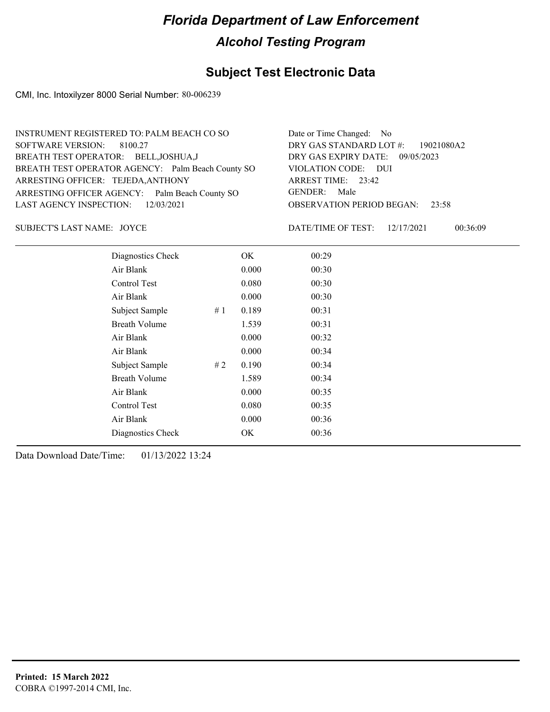## **Subject Test Electronic Data**

CMI, Inc. Intoxilyzer 8000 Serial Number: 80-006239

| INSTRUMENT REGISTERED TO: PALM BEACH CO SO        | Date or Time Changed: No               |
|---------------------------------------------------|----------------------------------------|
| SOFTWARE VERSION: 8100.27                         | DRY GAS STANDARD LOT #: 19021080A2     |
| BREATH TEST OPERATOR: BELL, JOSHUA, J             | DRY GAS EXPIRY DATE: 09/05/2023        |
| BREATH TEST OPERATOR AGENCY: Palm Beach County SO | VIOLATION CODE: DUI                    |
| ARRESTING OFFICER: TEJEDA, ANTHONY                | ARREST TIME: $23:42$                   |
| ARRESTING OFFICER AGENCY: Palm Beach County SO    | GENDER: Male                           |
| LAST AGENCY INSPECTION: 12/03/2021                | <b>OBSERVATION PERIOD BEGAN: 23:58</b> |
|                                                   |                                        |

SUBJECT'S LAST NAME: JOYCE DATE/TIME OF TEST:

DATE/TIME OF TEST: 12/17/2021 00:36:09

| Diagnostics Check    |    | OK    | 00:29 |
|----------------------|----|-------|-------|
| Air Blank            |    | 0.000 | 00:30 |
| Control Test         |    | 0.080 | 00:30 |
| Air Blank            |    | 0.000 | 00:30 |
| Subject Sample       | #1 | 0.189 | 00:31 |
| <b>Breath Volume</b> |    | 1.539 | 00:31 |
| Air Blank            |    | 0.000 | 00:32 |
| Air Blank            |    | 0.000 | 00:34 |
| Subject Sample       | #2 | 0.190 | 00:34 |
| <b>Breath Volume</b> |    | 1.589 | 00:34 |
| Air Blank            |    | 0.000 | 00:35 |
| Control Test         |    | 0.080 | 00:35 |
| Air Blank            |    | 0.000 | 00:36 |
| Diagnostics Check    |    | OK    | 00:36 |
|                      |    |       |       |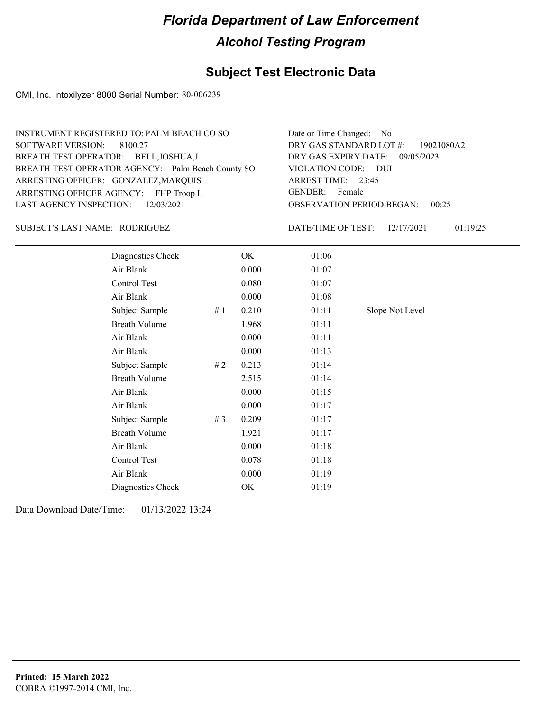## **Subject Test Electronic Data**

CMI, Inc. Intoxilyzer 8000 Serial Number: 80-006239

| INSTRUMENT REGISTERED TO: PALM BEACH CO SO        | Date or Time Changed: No               |
|---------------------------------------------------|----------------------------------------|
| SOFTWARE VERSION: 8100.27                         | DRY GAS STANDARD LOT #: 19021080A2     |
| BREATH TEST OPERATOR: BELL, JOSHUA, J             | DRY GAS EXPIRY DATE: 09/05/2023        |
| BREATH TEST OPERATOR AGENCY: Palm Beach County SO | VIOLATION CODE: DUI                    |
| ARRESTING OFFICER: GONZALEZ, MARQUIS              | ARREST TIME: 23:45                     |
| ARRESTING OFFICER AGENCY: FHP Troop L             | GENDER: Female                         |
| LAST AGENCY INSPECTION: 12/03/2021                | <b>OBSERVATION PERIOD BEGAN: 00:25</b> |
|                                                   |                                        |

#### RODRIGUEZ SUBJECT'S LAST NAME: DATE/TIME OF TEST:

DATE/TIME OF TEST: 12/17/2021 01:19:25

| Diagnostics Check    |       | OK    | 01:06 |                 |
|----------------------|-------|-------|-------|-----------------|
| Air Blank            |       | 0.000 | 01:07 |                 |
| Control Test         |       | 0.080 | 01:07 |                 |
| Air Blank            |       | 0.000 | 01:08 |                 |
| Subject Sample       | #1    | 0.210 | 01:11 | Slope Not Level |
| <b>Breath Volume</b> |       | 1.968 | 01:11 |                 |
| Air Blank            |       | 0.000 | 01:11 |                 |
| Air Blank            |       | 0.000 | 01:13 |                 |
| Subject Sample       | # 2   | 0.213 | 01:14 |                 |
| <b>Breath Volume</b> |       | 2.515 | 01:14 |                 |
| Air Blank            |       | 0.000 | 01:15 |                 |
| Air Blank            |       | 0.000 | 01:17 |                 |
| Subject Sample       | # $3$ | 0.209 | 01:17 |                 |
| <b>Breath Volume</b> |       | 1.921 | 01:17 |                 |
| Air Blank            |       | 0.000 | 01:18 |                 |
| Control Test         |       | 0.078 | 01:18 |                 |
| Air Blank            |       | 0.000 | 01:19 |                 |
| Diagnostics Check    |       | OK    | 01:19 |                 |
|                      |       |       |       |                 |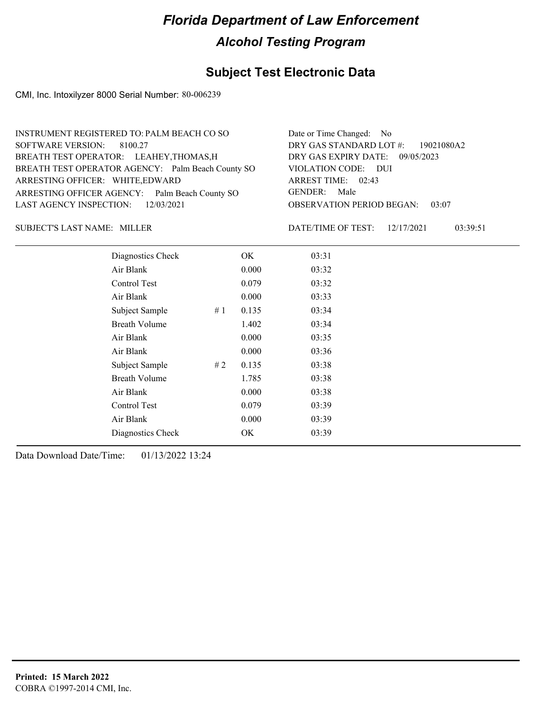## **Subject Test Electronic Data**

CMI, Inc. Intoxilyzer 8000 Serial Number: 80-006239

| INSTRUMENT REGISTERED TO: PALM BEACH CO SO        | Date or Time Changed: No               |
|---------------------------------------------------|----------------------------------------|
| SOFTWARE VERSION: 8100.27                         | DRY GAS STANDARD LOT #: 19021080A2     |
| BREATH TEST OPERATOR: LEAHEY, THOMAS, H           | DRY GAS EXPIRY DATE: 09/05/2023        |
| BREATH TEST OPERATOR AGENCY: Palm Beach County SO | VIOLATION CODE: DUI                    |
| ARRESTING OFFICER: WHITE, EDWARD                  | ARREST TIME: 02:43                     |
| ARRESTING OFFICER AGENCY: Palm Beach County SO    | GENDER: Male                           |
| LAST AGENCY INSPECTION: 12/03/2021                | <b>OBSERVATION PERIOD BEGAN: 03:07</b> |
|                                                   |                                        |

SUBJECT'S LAST NAME: MILLER DATE/TIME OF TEST:

DATE/TIME OF TEST: 12/17/2021 03:39:51

| Diagnostics Check    |    | OK    | 03:31 |
|----------------------|----|-------|-------|
| Air Blank            |    | 0.000 | 03:32 |
| Control Test         |    | 0.079 | 03:32 |
| Air Blank            |    | 0.000 | 03:33 |
| Subject Sample       | #1 | 0.135 | 03:34 |
| <b>Breath Volume</b> |    | 1.402 | 03:34 |
| Air Blank            |    | 0.000 | 03:35 |
| Air Blank            |    | 0.000 | 03:36 |
| Subject Sample       | #2 | 0.135 | 03:38 |
| <b>Breath Volume</b> |    | 1.785 | 03:38 |
| Air Blank            |    | 0.000 | 03:38 |
| <b>Control Test</b>  |    | 0.079 | 03:39 |
| Air Blank            |    | 0.000 | 03:39 |
| Diagnostics Check    |    | OK    | 03:39 |
|                      |    |       |       |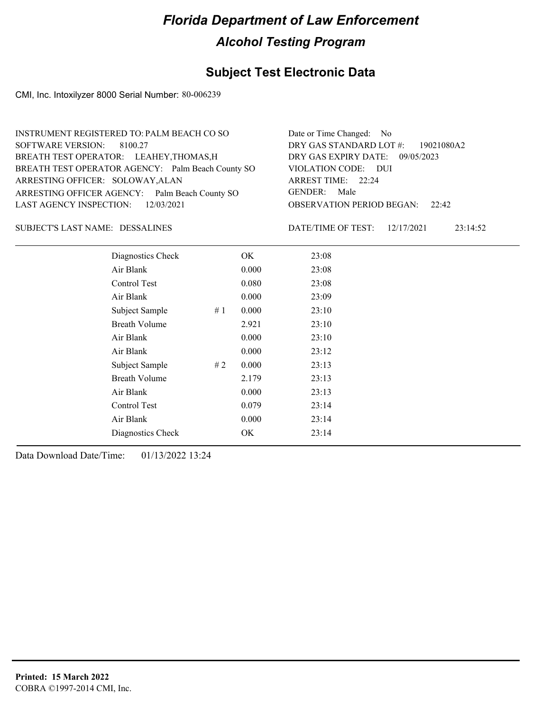## **Subject Test Electronic Data**

CMI, Inc. Intoxilyzer 8000 Serial Number: 80-006239

| INSTRUMENT REGISTERED TO: PALM BEACH CO SO        | Date or Time Changed: No               |
|---------------------------------------------------|----------------------------------------|
| SOFTWARE VERSION: 8100.27                         | DRY GAS STANDARD LOT #: 19021080A2     |
| BREATH TEST OPERATOR: LEAHEY, THOMAS, H           | DRY GAS EXPIRY DATE: 09/05/2023        |
| BREATH TEST OPERATOR AGENCY: Palm Beach County SO | VIOLATION CODE: DUI                    |
| ARRESTING OFFICER: SOLOWAY, ALAN                  | ARREST TIME: 22:24                     |
| ARRESTING OFFICER AGENCY: Palm Beach County SO    | GENDER: Male                           |
| LAST AGENCY INSPECTION: 12/03/2021                | <b>OBSERVATION PERIOD BEGAN:</b> 22:42 |
|                                                   |                                        |

#### DESSALINES SUBJECT'S LAST NAME: DATE/TIME OF TEST:

DATE/TIME OF TEST: 12/17/2021 23:14:52

| Diagnostics Check    |    | OK    | 23:08 |
|----------------------|----|-------|-------|
| Air Blank            |    | 0.000 | 23:08 |
| Control Test         |    | 0.080 | 23:08 |
| Air Blank            |    | 0.000 | 23:09 |
| Subject Sample       | #1 | 0.000 | 23:10 |
| <b>Breath Volume</b> |    | 2.921 | 23:10 |
| Air Blank            |    | 0.000 | 23:10 |
| Air Blank            |    | 0.000 | 23:12 |
| Subject Sample       | #2 | 0.000 | 23:13 |
| <b>Breath Volume</b> |    | 2.179 | 23:13 |
| Air Blank            |    | 0.000 | 23:13 |
| Control Test         |    | 0.079 | 23:14 |
| Air Blank            |    | 0.000 | 23:14 |
| Diagnostics Check    |    | OK    | 23:14 |
|                      |    |       |       |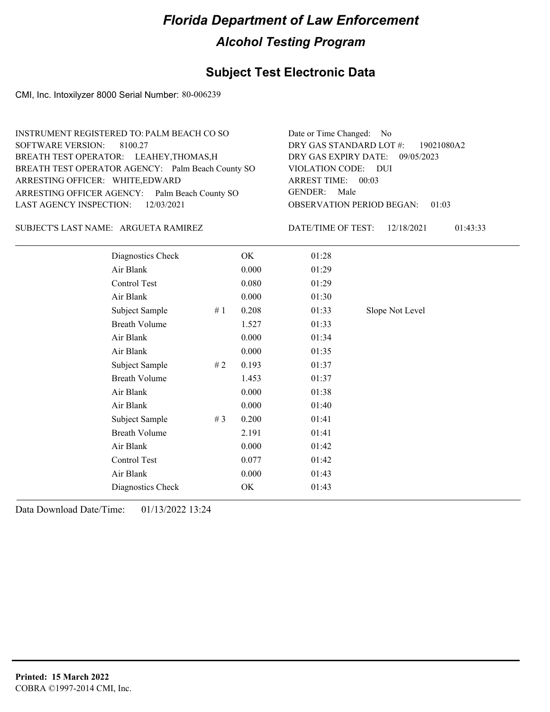## **Subject Test Electronic Data**

CMI, Inc. Intoxilyzer 8000 Serial Number: 80-006239

| INSTRUMENT REGISTERED TO: PALM BEACH CO SO        | Date or Time Changed: No               |
|---------------------------------------------------|----------------------------------------|
| SOFTWARE VERSION: 8100.27                         | DRY GAS STANDARD LOT $\#$ : 19021080A2 |
| BREATH TEST OPERATOR: LEAHEY, THOMAS, H           | DRY GAS EXPIRY DATE: 09/05/2023        |
| BREATH TEST OPERATOR AGENCY: Palm Beach County SO | VIOLATION CODE: DUI                    |
| ARRESTING OFFICER: WHITE, EDWARD                  | ARREST TIME: 00:03                     |
| ARRESTING OFFICER AGENCY: Palm Beach County SO    | GENDER: Male                           |
| LAST AGENCY INSPECTION: 12/03/2021                | <b>OBSERVATION PERIOD BEGAN: 01:03</b> |
|                                                   |                                        |

#### SUBJECT'S LAST NAME: ARGUETA RAMIREZ DATE/TIME OF TEST:

DATE/TIME OF TEST: 12/18/2021 01:43:33

| Diagnostics Check    |       | OK    | 01:28 |                 |
|----------------------|-------|-------|-------|-----------------|
| Air Blank            |       | 0.000 | 01:29 |                 |
| Control Test         |       | 0.080 | 01:29 |                 |
| Air Blank            |       | 0.000 | 01:30 |                 |
| Subject Sample       | #1    | 0.208 | 01:33 | Slope Not Level |
| <b>Breath Volume</b> |       | 1.527 | 01:33 |                 |
| Air Blank            |       | 0.000 | 01:34 |                 |
| Air Blank            |       | 0.000 | 01:35 |                 |
| Subject Sample       | #2    | 0.193 | 01:37 |                 |
| <b>Breath Volume</b> |       | 1.453 | 01:37 |                 |
| Air Blank            |       | 0.000 | 01:38 |                 |
| Air Blank            |       | 0.000 | 01:40 |                 |
| Subject Sample       | # $3$ | 0.200 | 01:41 |                 |
| <b>Breath Volume</b> |       | 2.191 | 01:41 |                 |
| Air Blank            |       | 0.000 | 01:42 |                 |
| Control Test         |       | 0.077 | 01:42 |                 |
| Air Blank            |       | 0.000 | 01:43 |                 |
| Diagnostics Check    |       | OK    | 01:43 |                 |
|                      |       |       |       |                 |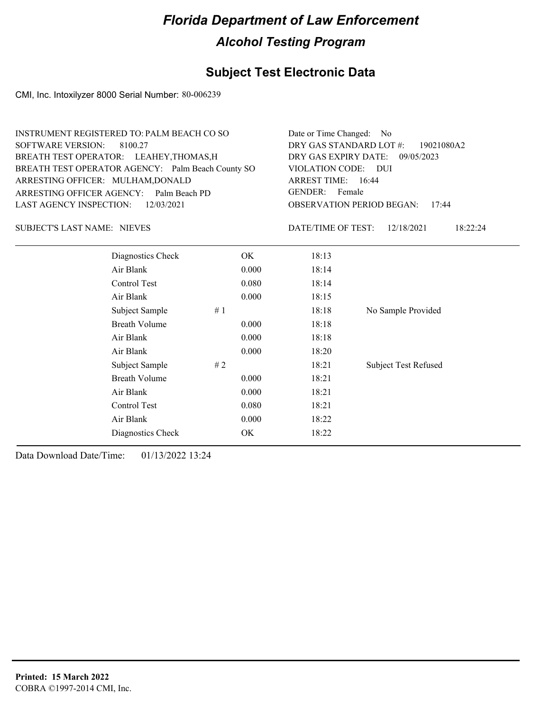#### **Subject Test Electronic Data**

CMI, Inc. Intoxilyzer 8000 Serial Number: 80-006239

|                                    | <b>INSTRUMENT REGISTERED TO: PALM BEACH CO SO</b> |       | Date or Time Changed: No                  |                        |  |
|------------------------------------|---------------------------------------------------|-------|-------------------------------------------|------------------------|--|
| SOFTWARE VERSION:<br>8100.27       |                                                   |       | DRY GAS STANDARD LOT #:<br>19021080A2     |                        |  |
|                                    | BREATH TEST OPERATOR: LEAHEY, THOMAS, H           |       | DRY GAS EXPIRY DATE:<br>09/05/2023        |                        |  |
|                                    | BREATH TEST OPERATOR AGENCY: Palm Beach County SO |       | VIOLATION CODE: DUI                       |                        |  |
| ARRESTING OFFICER: MULHAM, DONALD  |                                                   |       | ARREST TIME: 16:44                        |                        |  |
|                                    | ARRESTING OFFICER AGENCY: Palm Beach PD           |       | GENDER: Female                            |                        |  |
| LAST AGENCY INSPECTION:            | 12/03/2021                                        |       | <b>OBSERVATION PERIOD BEGAN:</b><br>17:44 |                        |  |
| <b>SUBJECT'S LAST NAME: NIEVES</b> |                                                   |       | DATE/TIME OF TEST:                        | 12/18/2021<br>18:22:24 |  |
|                                    | Diagnostics Check                                 | OK.   | 18:13                                     |                        |  |
|                                    | Air Blank                                         | 0.000 | 18:14                                     |                        |  |
|                                    | Control Test                                      | 0.080 | 18:14                                     |                        |  |
|                                    | Air Blank                                         | 0.000 | 18:15                                     |                        |  |
|                                    | Subject Sample                                    | #1    | 18:18                                     | No Sample Provided     |  |
|                                    | <b>Breath Volume</b>                              | 0.000 | 18:18                                     |                        |  |
| Air Blank<br>0.000                 |                                                   |       | 18:18                                     |                        |  |
|                                    | Air Blank                                         | 0.000 | 18:20                                     |                        |  |

Subject Sample # 2  $\qquad$  18:21 Subject Test Refused

Breath Volume 0.000 18:21 Air Blank 0.000 18:21 Control Test 0.080 18:21 Air Blank 0.000 18:22 Diagnostics Check OK 18:22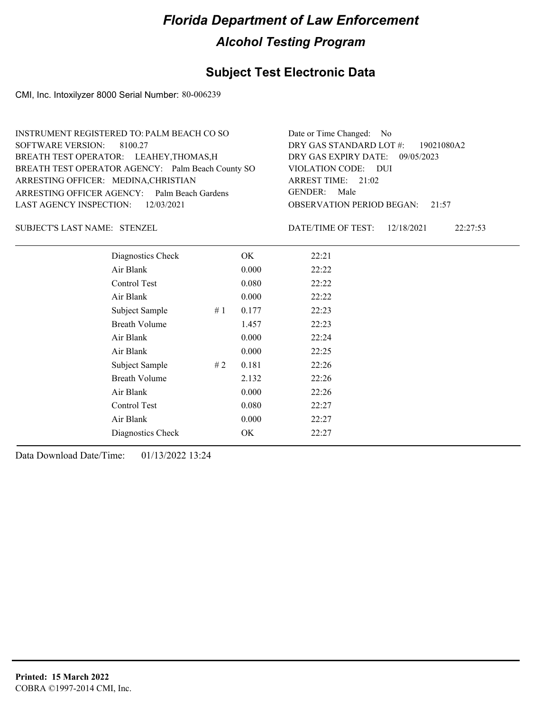## **Subject Test Electronic Data**

CMI, Inc. Intoxilyzer 8000 Serial Number: 80-006239

| INSTRUMENT REGISTERED TO: PALM BEACH CO SO        | Date or Time Changed: No               |
|---------------------------------------------------|----------------------------------------|
| SOFTWARE VERSION: 8100.27                         | DRY GAS STANDARD LOT #: 19021080A2     |
| BREATH TEST OPERATOR: LEAHEY, THOMAS, H           | DRY GAS EXPIRY DATE: 09/05/2023        |
| BREATH TEST OPERATOR AGENCY: Palm Beach County SO | VIOLATION CODE: DUI                    |
| ARRESTING OFFICER: MEDINA, CHRISTIAN              | ARREST TIME: $21:02$                   |
| ARRESTING OFFICER AGENCY: Palm Beach Gardens      | GENDER: Male                           |
| LAST AGENCY INSPECTION: 12/03/2021                | <b>OBSERVATION PERIOD BEGAN:</b> 21:57 |
|                                                   |                                        |

STENZEL SUBJECT'S LAST NAME: DATE/TIME OF TEST:

DATE/TIME OF TEST: 12/18/2021 22:27:53

| Diagnostics Check    |    | OK    | 22:21 |
|----------------------|----|-------|-------|
| Air Blank            |    | 0.000 | 22:22 |
| Control Test         |    | 0.080 | 22:22 |
| Air Blank            |    | 0.000 | 22:22 |
| Subject Sample       | #1 | 0.177 | 22:23 |
| <b>Breath Volume</b> |    | 1.457 | 22:23 |
| Air Blank            |    | 0.000 | 22:24 |
| Air Blank            |    | 0.000 | 22:25 |
| Subject Sample       | #2 | 0.181 | 22:26 |
| <b>Breath Volume</b> |    | 2.132 | 22:26 |
| Air Blank            |    | 0.000 | 22:26 |
| Control Test         |    | 0.080 | 22:27 |
| Air Blank            |    | 0.000 | 22:27 |
| Diagnostics Check    |    | OK    | 22:27 |
|                      |    |       |       |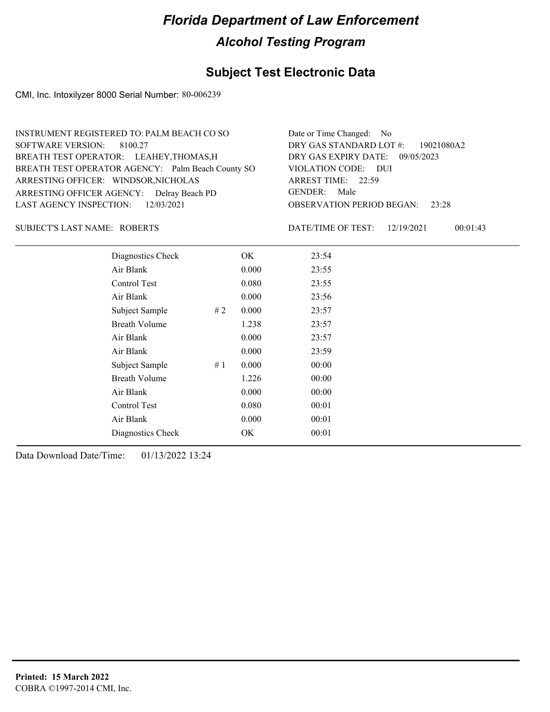## **Subject Test Electronic Data**

CMI, Inc. Intoxilyzer 8000 Serial Number: 80-006239

| INSTRUMENT REGISTERED TO: PALM BEACH CO SO        | Date or Time Changed: No               |
|---------------------------------------------------|----------------------------------------|
| SOFTWARE VERSION: 8100.27                         | DRY GAS STANDARD LOT #: 19021080A2     |
| BREATH TEST OPERATOR: LEAHEY, THOMAS, H           | DRY GAS EXPIRY DATE: 09/05/2023        |
| BREATH TEST OPERATOR AGENCY: Palm Beach County SO | VIOLATION CODE: DUI                    |
| ARRESTING OFFICER: WINDSOR, NICHOLAS              | ARREST TIME: 22:59                     |
| ARRESTING OFFICER AGENCY: Delray Beach PD         | GENDER: Male                           |
| LAST AGENCY INSPECTION: 12/03/2021                | <b>OBSERVATION PERIOD BEGAN: 23:28</b> |
|                                                   |                                        |

#### ROBERTS SUBJECT'S LAST NAME: DATE/TIME OF TEST:

DATE/TIME OF TEST: 12/19/2021 00:01:43

| Diagnostics Check    |       | OK    | 23:54 |
|----------------------|-------|-------|-------|
| Air Blank            |       | 0.000 | 23:55 |
| Control Test         |       | 0.080 | 23:55 |
| Air Blank            |       | 0.000 | 23:56 |
| Subject Sample       | #2    | 0.000 | 23:57 |
| <b>Breath Volume</b> |       | 1.238 | 23:57 |
| Air Blank            |       | 0.000 | 23:57 |
| Air Blank            |       | 0.000 | 23:59 |
| Subject Sample       | # $1$ | 0.000 | 00:00 |
| <b>Breath Volume</b> |       | 1.226 | 00:00 |
| Air Blank            |       | 0.000 | 00:00 |
| Control Test         |       | 0.080 | 00:01 |
| Air Blank            |       | 0.000 | 00:01 |
| Diagnostics Check    |       | OK    | 00:01 |
|                      |       |       |       |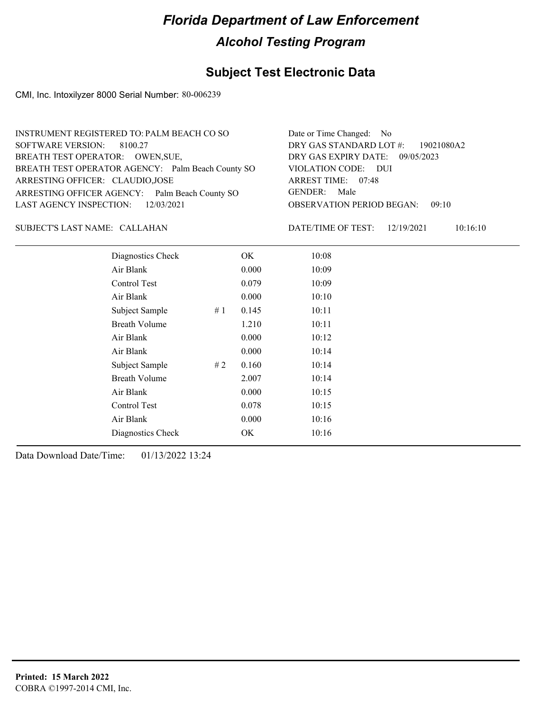## **Subject Test Electronic Data**

CMI, Inc. Intoxilyzer 8000 Serial Number: 80-006239

| INSTRUMENT REGISTERED TO: PALM BEACH CO SO        | Date or Time Changed: No               |
|---------------------------------------------------|----------------------------------------|
| SOFTWARE VERSION: 8100.27                         | DRY GAS STANDARD LOT $\#$ : 19021080A2 |
| BREATH TEST OPERATOR: OWEN, SUE,                  | DRY GAS EXPIRY DATE: 09/05/2023        |
| BREATH TEST OPERATOR AGENCY: Palm Beach County SO | VIOLATION CODE: DUI                    |
| ARRESTING OFFICER: CLAUDIO, JOSE                  | ARREST TIME: 07:48                     |
| ARRESTING OFFICER AGENCY: Palm Beach County SO    | GENDER: Male                           |
| LAST AGENCY INSPECTION: 12/03/2021                | <b>OBSERVATION PERIOD BEGAN: 09:10</b> |
|                                                   |                                        |

CALLAHAN SUBJECT'S LAST NAME: DATE/TIME OF TEST:

DATE/TIME OF TEST: 12/19/2021 10:16:10

| Diagnostics Check    |    | OK    | 10:08 |
|----------------------|----|-------|-------|
| Air Blank            |    | 0.000 | 10:09 |
| Control Test         |    | 0.079 | 10:09 |
| Air Blank            |    | 0.000 | 10:10 |
| Subject Sample       | #1 | 0.145 | 10:11 |
| <b>Breath Volume</b> |    | 1.210 | 10:11 |
| Air Blank            |    | 0.000 | 10:12 |
| Air Blank            |    | 0.000 | 10:14 |
| Subject Sample       | #2 | 0.160 | 10:14 |
| <b>Breath Volume</b> |    | 2.007 | 10:14 |
| Air Blank            |    | 0.000 | 10:15 |
| Control Test         |    | 0.078 | 10:15 |
| Air Blank            |    | 0.000 | 10:16 |
| Diagnostics Check    |    | OK    | 10:16 |
|                      |    |       |       |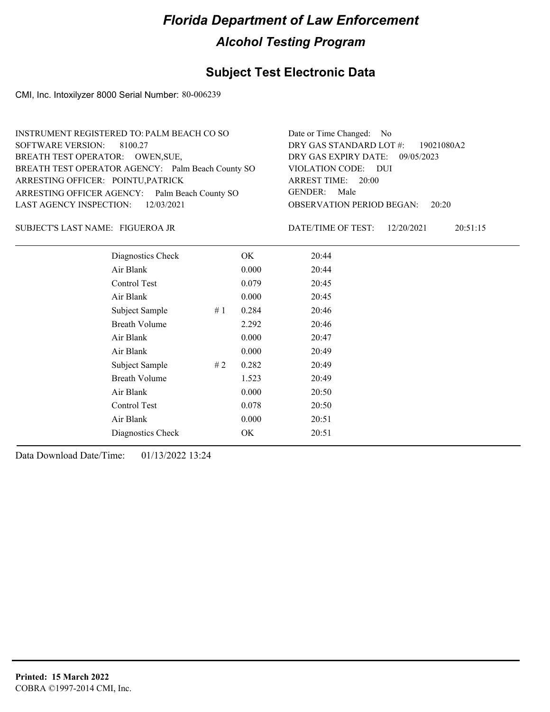## **Subject Test Electronic Data**

CMI, Inc. Intoxilyzer 8000 Serial Number: 80-006239

| INSTRUMENT REGISTERED TO: PALM BEACH CO SO        | Date or Time Changed: No               |
|---------------------------------------------------|----------------------------------------|
| SOFTWARE VERSION: 8100.27                         | DRY GAS STANDARD LOT #: 19021080A2     |
| BREATH TEST OPERATOR: OWEN, SUE,                  | DRY GAS EXPIRY DATE: $09/05/2023$      |
| BREATH TEST OPERATOR AGENCY: Palm Beach County SO | VIOLATION CODE: DUI                    |
| ARRESTING OFFICER: POINTU, PATRICK                | ARREST TIME: 20:00                     |
| ARRESTING OFFICER AGENCY: Palm Beach County SO    | GENDER: Male                           |
| LAST AGENCY INSPECTION: 12/03/2021                | <b>OBSERVATION PERIOD BEGAN: 20:20</b> |
|                                                   |                                        |

FIGUEROA JR SUBJECT'S LAST NAME: DATE/TIME OF TEST:

DATE/TIME OF TEST: 12/20/2021 20:51:15

| Diagnostics Check    |    | OK    | 20:44 |
|----------------------|----|-------|-------|
| Air Blank            |    | 0.000 | 20:44 |
| Control Test         |    | 0.079 | 20:45 |
| Air Blank            |    | 0.000 | 20:45 |
| Subject Sample       | #1 | 0.284 | 20:46 |
| <b>Breath Volume</b> |    | 2.292 | 20:46 |
| Air Blank            |    | 0.000 | 20:47 |
| Air Blank            |    | 0.000 | 20:49 |
| Subject Sample       | #2 | 0.282 | 20:49 |
| <b>Breath Volume</b> |    | 1.523 | 20:49 |
| Air Blank            |    | 0.000 | 20:50 |
| Control Test         |    | 0.078 | 20:50 |
| Air Blank            |    | 0.000 | 20:51 |
| Diagnostics Check    |    | OK    | 20:51 |
|                      |    |       |       |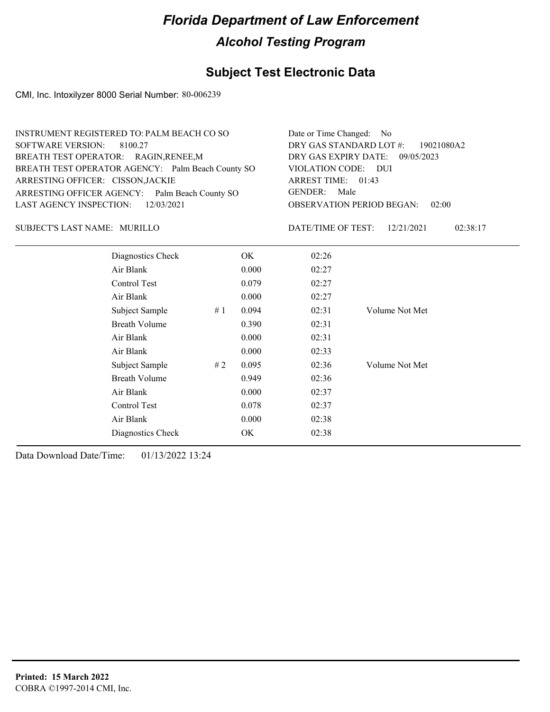## **Subject Test Electronic Data**

CMI, Inc. Intoxilyzer 8000 Serial Number: 80-006239

| INSTRUMENT REGISTERED TO: PALM BEACH CO SO        | Date or Time Changed: No               |
|---------------------------------------------------|----------------------------------------|
| SOFTWARE VERSION: 8100.27                         | DRY GAS STANDARD LOT #: 19021080A2     |
| BREATH TEST OPERATOR: RAGIN, RENEE, M             | DRY GAS EXPIRY DATE: 09/05/2023        |
| BREATH TEST OPERATOR AGENCY: Palm Beach County SO | VIOLATION CODE: DUI                    |
| ARRESTING OFFICER: CISSON, JACKIE                 | ARREST TIME: 01:43                     |
| ARRESTING OFFICER AGENCY: Palm Beach County SO    | GENDER: Male                           |
| LAST AGENCY INSPECTION: 12/03/2021                | <b>OBSERVATION PERIOD BEGAN: 02:00</b> |
|                                                   |                                        |

#### MURILLO SUBJECT'S LAST NAME: DATE/TIME OF TEST:

DATE/TIME OF TEST: 12/21/2021 02:38:17

| Diagnostics Check    |    | OK    | 02:26 |                |
|----------------------|----|-------|-------|----------------|
| Air Blank            |    | 0.000 | 02:27 |                |
| Control Test         |    | 0.079 | 02:27 |                |
| Air Blank            |    | 0.000 | 02:27 |                |
| Subject Sample       | #1 | 0.094 | 02:31 | Volume Not Met |
| <b>Breath Volume</b> |    | 0.390 | 02:31 |                |
| Air Blank            |    | 0.000 | 02:31 |                |
| Air Blank            |    | 0.000 | 02:33 |                |
| Subject Sample       | #2 | 0.095 | 02:36 | Volume Not Met |
| <b>Breath Volume</b> |    | 0.949 | 02:36 |                |
| Air Blank            |    | 0.000 | 02:37 |                |
| Control Test         |    | 0.078 | 02:37 |                |
| Air Blank            |    | 0.000 | 02:38 |                |
| Diagnostics Check    |    | OK    | 02:38 |                |
|                      |    |       |       |                |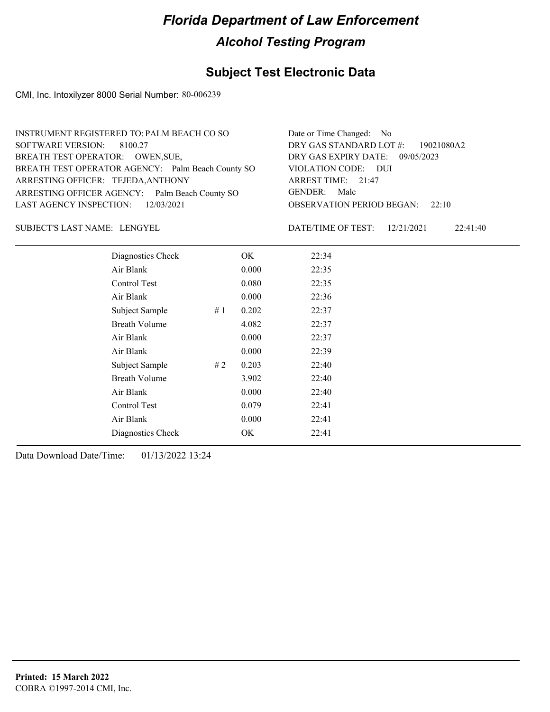## **Subject Test Electronic Data**

CMI, Inc. Intoxilyzer 8000 Serial Number: 80-006239

| INSTRUMENT REGISTERED TO: PALM BEACH CO SO        | Date or Time Changed: No               |
|---------------------------------------------------|----------------------------------------|
| SOFTWARE VERSION: 8100.27                         | DRY GAS STANDARD LOT #: 19021080A2     |
| BREATH TEST OPERATOR: OWEN, SUE,                  | DRY GAS EXPIRY DATE: 09/05/2023        |
| BREATH TEST OPERATOR AGENCY: Palm Beach County SO | VIOLATION CODE: DUI                    |
| ARRESTING OFFICER: TEJEDA, ANTHONY                | ARREST TIME: 21:47                     |
| ARRESTING OFFICER AGENCY: Palm Beach County SO    | GENDER: Male                           |
| LAST AGENCY INSPECTION: 12/03/2021                | <b>OBSERVATION PERIOD BEGAN:</b> 22:10 |
|                                                   |                                        |

LENGYEL SUBJECT'S LAST NAME: DATE/TIME OF TEST:

DATE/TIME OF TEST: 12/21/2021 22:41:40

| Diagnostics Check    |    | OK    | 22:34 |
|----------------------|----|-------|-------|
| Air Blank            |    | 0.000 | 22:35 |
| Control Test         |    | 0.080 | 22:35 |
| Air Blank            |    | 0.000 | 22:36 |
| Subject Sample       | #1 | 0.202 | 22:37 |
| <b>Breath Volume</b> |    | 4.082 | 22:37 |
| Air Blank            |    | 0.000 | 22:37 |
| Air Blank            |    | 0.000 | 22:39 |
| Subject Sample       | #2 | 0.203 | 22:40 |
| <b>Breath Volume</b> |    | 3.902 | 22:40 |
| Air Blank            |    | 0.000 | 22:40 |
| <b>Control Test</b>  |    | 0.079 | 22:41 |
| Air Blank            |    | 0.000 | 22:41 |
| Diagnostics Check    |    | OK    | 22:41 |
|                      |    |       |       |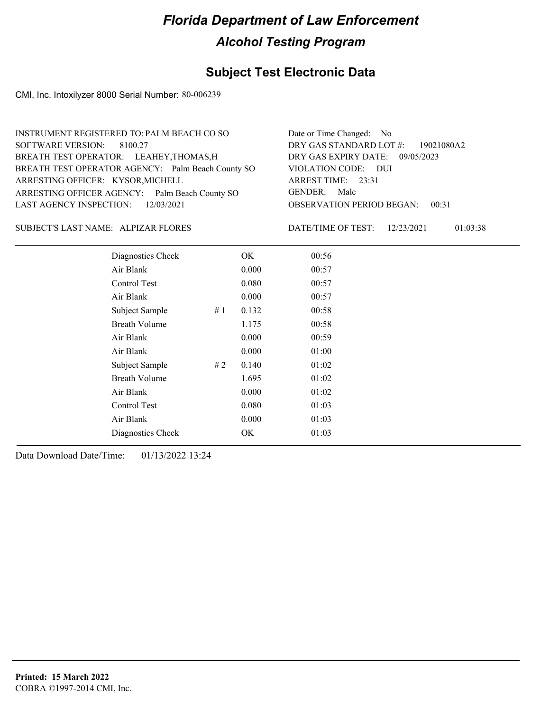## **Subject Test Electronic Data**

CMI, Inc. Intoxilyzer 8000 Serial Number: 80-006239

| INSTRUMENT REGISTERED TO: PALM BEACH CO SO        | Date or Time Changed: No               |
|---------------------------------------------------|----------------------------------------|
| SOFTWARE VERSION: 8100.27                         | DRY GAS STANDARD LOT $\#$ : 19021080A2 |
| BREATH TEST OPERATOR: LEAHEY, THOMAS, H           | DRY GAS EXPIRY DATE: 09/05/2023        |
| BREATH TEST OPERATOR AGENCY: Palm Beach County SO | VIOLATION CODE: DUI                    |
| ARRESTING OFFICER: KYSOR, MICHELL                 | ARREST TIME: 23:31                     |
| ARRESTING OFFICER AGENCY: Palm Beach County SO    | GENDER: Male                           |
| LAST AGENCY INSPECTION: 12/03/2021                | <b>OBSERVATION PERIOD BEGAN: 00:31</b> |
|                                                   |                                        |

SUBJECT'S LAST NAME: ALPIZAR FLORES DATE/TIME OF TEST:

DATE/TIME OF TEST: 12/23/2021 01:03:38

| Diagnostics Check    |       | OK    | 00:56 |  |
|----------------------|-------|-------|-------|--|
| Air Blank            |       | 0.000 | 00:57 |  |
| Control Test         |       | 0.080 | 00:57 |  |
| Air Blank            |       | 0.000 | 00:57 |  |
| Subject Sample       | #1    | 0.132 | 00:58 |  |
| <b>Breath Volume</b> |       | 1.175 | 00:58 |  |
| Air Blank            |       | 0.000 | 00:59 |  |
| Air Blank            |       | 0.000 | 01:00 |  |
| Subject Sample       | # $2$ | 0.140 | 01:02 |  |
| <b>Breath Volume</b> |       | 1.695 | 01:02 |  |
| Air Blank            |       | 0.000 | 01:02 |  |
| Control Test         |       | 0.080 | 01:03 |  |
| Air Blank            |       | 0.000 | 01:03 |  |
| Diagnostics Check    |       | OK    | 01:03 |  |
|                      |       |       |       |  |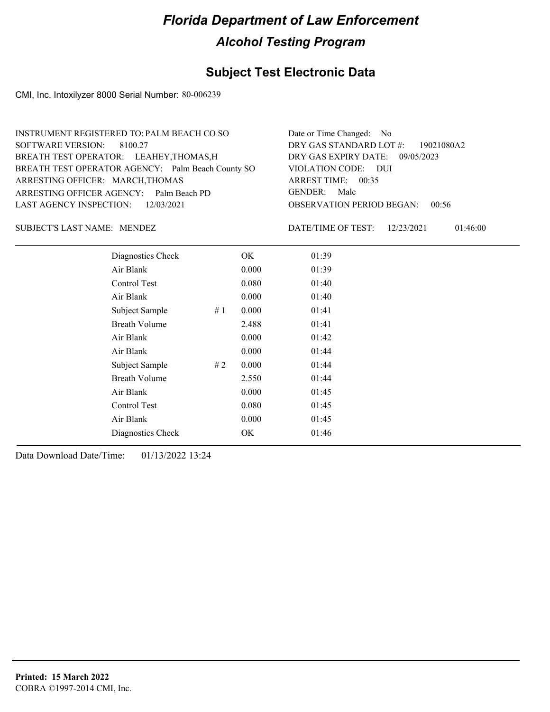## **Subject Test Electronic Data**

CMI, Inc. Intoxilyzer 8000 Serial Number: 80-006239

| INSTRUMENT REGISTERED TO: PALM BEACH CO SO        | Date or Time Changed: No               |
|---------------------------------------------------|----------------------------------------|
| SOFTWARE VERSION: 8100.27                         | DRY GAS STANDARD LOT #: 19021080A2     |
| BREATH TEST OPERATOR: LEAHEY, THOMAS, H           | DRY GAS EXPIRY DATE: 09/05/2023        |
| BREATH TEST OPERATOR AGENCY: Palm Beach County SO | VIOLATION CODE: DUI                    |
| ARRESTING OFFICER: MARCH, THOMAS                  | ARREST TIME: 00:35                     |
| ARRESTING OFFICER AGENCY: Palm Beach PD           | GENDER: Male                           |
| LAST AGENCY INSPECTION: 12/03/2021                | <b>OBSERVATION PERIOD BEGAN: 00:56</b> |
|                                                   |                                        |

SUBJECT'S LAST NAME: MENDEZ DATE/TIME OF TEST:

DATE/TIME OF TEST: 12/23/2021 01:46:00

| Diagnostics Check    |    | OK    | 01:39 |
|----------------------|----|-------|-------|
| Air Blank            |    | 0.000 | 01:39 |
| Control Test         |    | 0.080 | 01:40 |
| Air Blank            |    | 0.000 | 01:40 |
| Subject Sample       | #1 | 0.000 | 01:41 |
| <b>Breath Volume</b> |    | 2.488 | 01:41 |
| Air Blank            |    | 0.000 | 01:42 |
| Air Blank            |    | 0.000 | 01:44 |
| Subject Sample       | #2 | 0.000 | 01:44 |
| <b>Breath Volume</b> |    | 2.550 | 01:44 |
| Air Blank            |    | 0.000 | 01:45 |
| Control Test         |    | 0.080 | 01:45 |
| Air Blank            |    | 0.000 | 01:45 |
| Diagnostics Check    |    | OK    | 01:46 |
|                      |    |       |       |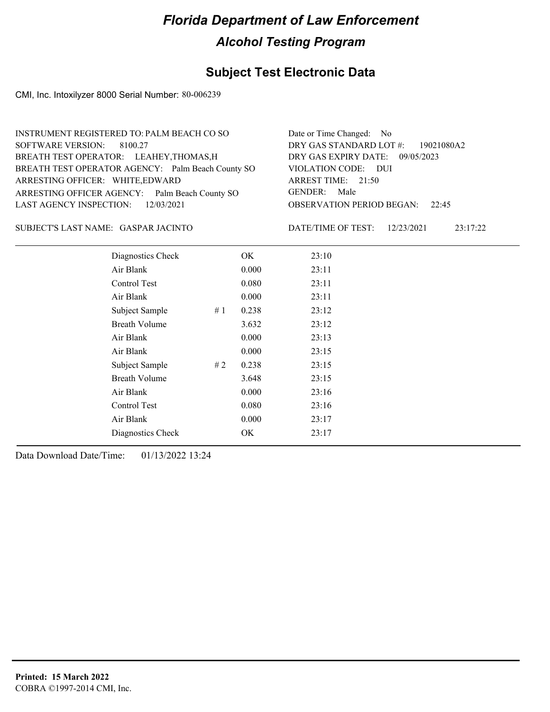## **Subject Test Electronic Data**

CMI, Inc. Intoxilyzer 8000 Serial Number: 80-006239

| INSTRUMENT REGISTERED TO: PALM BEACH CO SO        | Date or Time Changed: No               |
|---------------------------------------------------|----------------------------------------|
| SOFTWARE VERSION: 8100.27                         | DRY GAS STANDARD LOT #: 19021080A2     |
| BREATH TEST OPERATOR: LEAHEY, THOMAS, H           | DRY GAS EXPIRY DATE: 09/05/2023        |
| BREATH TEST OPERATOR AGENCY: Palm Beach County SO | VIOLATION CODE: DUI                    |
| ARRESTING OFFICER: WHITE, EDWARD                  | ARREST TIME: 21:50                     |
| ARRESTING OFFICER AGENCY: Palm Beach County SO    | GENDER: Male                           |
| LAST AGENCY INSPECTION: 12/03/2021                | <b>OBSERVATION PERIOD BEGAN: 22:45</b> |
|                                                   |                                        |

#### GASPAR JACINTO SUBJECT'S LAST NAME: DATE/TIME OF TEST:

DATE/TIME OF TEST: 12/23/2021 23:17:22

| Diagnostics Check    |    | OK    | 23:10 |
|----------------------|----|-------|-------|
| Air Blank            |    | 0.000 | 23:11 |
| Control Test         |    | 0.080 | 23:11 |
| Air Blank            |    | 0.000 | 23:11 |
| Subject Sample       | #1 | 0.238 | 23:12 |
| <b>Breath Volume</b> |    | 3.632 | 23:12 |
| Air Blank            |    | 0.000 | 23:13 |
| Air Blank            |    | 0.000 | 23:15 |
| Subject Sample       | #2 | 0.238 | 23:15 |
| <b>Breath Volume</b> |    | 3.648 | 23:15 |
| Air Blank            |    | 0.000 | 23:16 |
| Control Test         |    | 0.080 | 23:16 |
| Air Blank            |    | 0.000 | 23:17 |
| Diagnostics Check    |    | OK    | 23:17 |
|                      |    |       |       |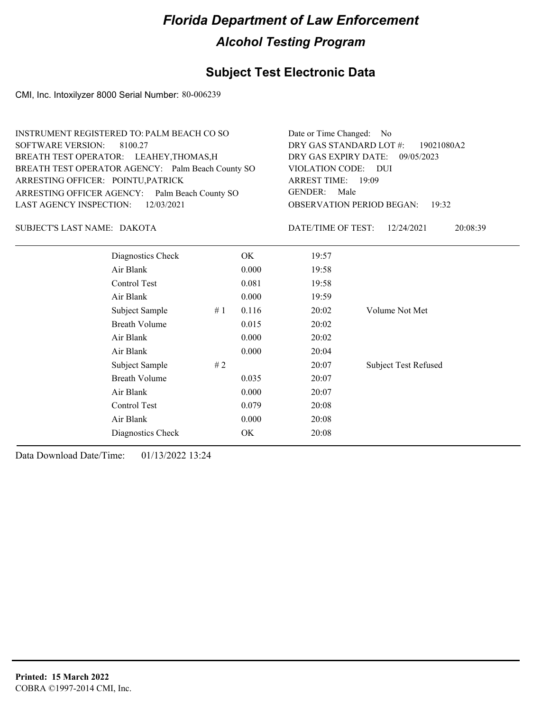## **Subject Test Electronic Data**

CMI, Inc. Intoxilyzer 8000 Serial Number: 80-006239

| INSTRUMENT REGISTERED TO: PALM BEACH CO SO        | Date or Time Changed: No                    |
|---------------------------------------------------|---------------------------------------------|
| SOFTWARE VERSION: 8100.27                         | DRY GAS STANDARD LOT #:<br>19021080A2       |
| BREATH TEST OPERATOR: LEAHEY, THOMAS, H           | DRY GAS EXPIRY DATE: 09/05/2023             |
| BREATH TEST OPERATOR AGENCY: Palm Beach County SO | VIOLATION CODE: DUI                         |
| ARRESTING OFFICER: POINTU, PATRICK                | ARREST TIME: 19:09                          |
| ARRESTING OFFICER AGENCY: Palm Beach County SO    | Male<br>GENDER:                             |
| LAST AGENCY INSPECTION: 12/03/2021                | <b>OBSERVATION PERIOD BEGAN: 19:32</b>      |
| SUBJECT'S LAST NAME: DAKOTA                       | DATE/TIME OF TEST: $12/24/2021$<br>20:08:39 |

| Diagnostics Check    |    | OK    | 19:57 |                             |
|----------------------|----|-------|-------|-----------------------------|
| Air Blank            |    | 0.000 | 19:58 |                             |
| Control Test         |    | 0.081 | 19:58 |                             |
| Air Blank            |    | 0.000 | 19:59 |                             |
| Subject Sample       | #1 | 0.116 | 20:02 | Volume Not Met              |
| <b>Breath Volume</b> |    | 0.015 | 20:02 |                             |
| Air Blank            |    | 0.000 | 20:02 |                             |
| Air Blank            |    | 0.000 | 20:04 |                             |
| Subject Sample       | #2 |       | 20:07 | <b>Subject Test Refused</b> |
| <b>Breath Volume</b> |    | 0.035 | 20:07 |                             |
| Air Blank            |    | 0.000 | 20:07 |                             |
| Control Test         |    | 0.079 | 20:08 |                             |
| Air Blank            |    | 0.000 | 20:08 |                             |
| Diagnostics Check    |    | OK.   | 20:08 |                             |
|                      |    |       |       |                             |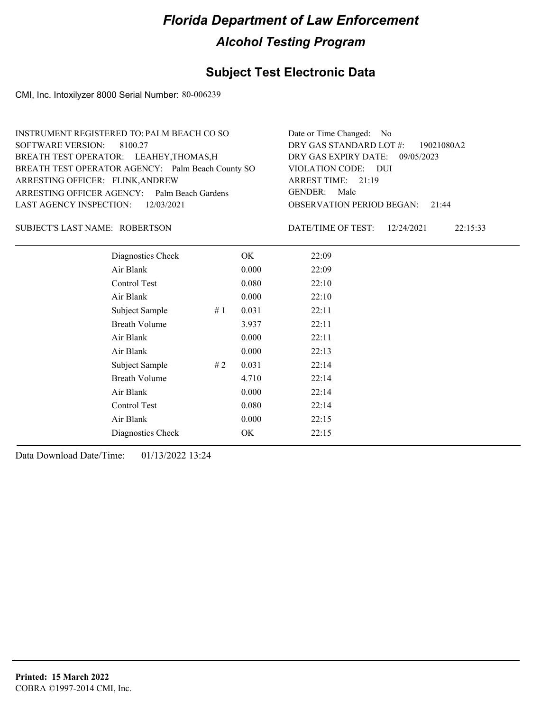## **Subject Test Electronic Data**

CMI, Inc. Intoxilyzer 8000 Serial Number: 80-006239

| INSTRUMENT REGISTERED TO: PALM BEACH CO SO        | Date or Time Changed: No               |
|---------------------------------------------------|----------------------------------------|
| SOFTWARE VERSION: 8100.27                         | DRY GAS STANDARD LOT #: 19021080A2     |
| BREATH TEST OPERATOR: LEAHEY, THOMAS, H           | DRY GAS EXPIRY DATE: 09/05/2023        |
| BREATH TEST OPERATOR AGENCY: Palm Beach County SO | VIOLATION CODE: DUI                    |
| ARRESTING OFFICER: FLINK, ANDREW                  | ARREST TIME: 21:19                     |
| ARRESTING OFFICER AGENCY: Palm Beach Gardens      | GENDER: Male                           |
| LAST AGENCY INSPECTION: 12/03/2021                | <b>OBSERVATION PERIOD BEGAN: 21:44</b> |
|                                                   |                                        |

#### ROBERTSON SUBJECT'S LAST NAME: DATE/TIME OF TEST:

DATE/TIME OF TEST: 12/24/2021 22:15:33

| Diagnostics Check    |    | OK    | 22:09 |  |
|----------------------|----|-------|-------|--|
| Air Blank            |    | 0.000 | 22:09 |  |
| Control Test         |    | 0.080 | 22:10 |  |
| Air Blank            |    | 0.000 | 22:10 |  |
| Subject Sample       | #1 | 0.031 | 22:11 |  |
| <b>Breath Volume</b> |    | 3.937 | 22:11 |  |
| Air Blank            |    | 0.000 | 22:11 |  |
| Air Blank            |    | 0.000 | 22:13 |  |
| Subject Sample       | #2 | 0.031 | 22:14 |  |
| <b>Breath Volume</b> |    | 4.710 | 22:14 |  |
| Air Blank            |    | 0.000 | 22:14 |  |
| Control Test         |    | 0.080 | 22:14 |  |
| Air Blank            |    | 0.000 | 22:15 |  |
| Diagnostics Check    |    | OK    | 22:15 |  |
|                      |    |       |       |  |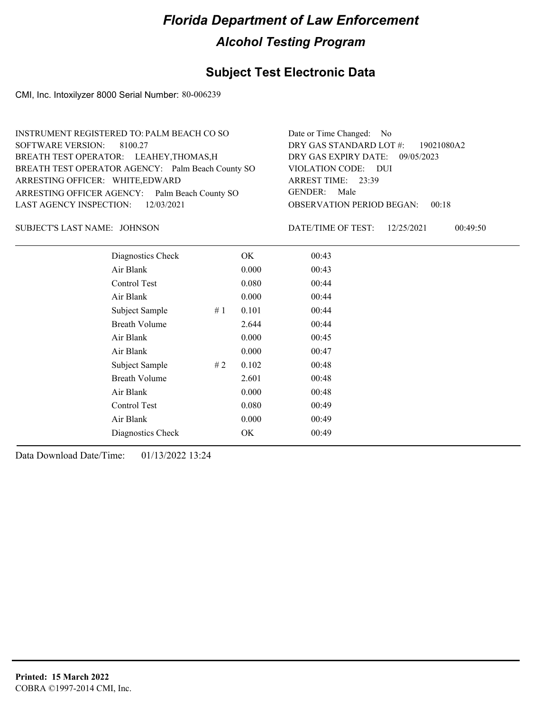## **Subject Test Electronic Data**

CMI, Inc. Intoxilyzer 8000 Serial Number: 80-006239

| INSTRUMENT REGISTERED TO: PALM BEACH CO SO        | Date or Time Changed: No               |
|---------------------------------------------------|----------------------------------------|
| SOFTWARE VERSION: 8100.27                         | DRY GAS STANDARD LOT $\#$ : 19021080A2 |
| BREATH TEST OPERATOR: LEAHEY, THOMAS, H           | DRY GAS EXPIRY DATE: 09/05/2023        |
| BREATH TEST OPERATOR AGENCY: Palm Beach County SO | VIOLATION CODE: DUI                    |
| ARRESTING OFFICER: WHITE, EDWARD                  | ARREST TIME: 23:39                     |
| ARRESTING OFFICER AGENCY: Palm Beach County SO    | GENDER: Male                           |
| LAST AGENCY INSPECTION: 12/03/2021                | <b>OBSERVATION PERIOD BEGAN: 00:18</b> |
|                                                   |                                        |

JOHNSON SUBJECT'S LAST NAME: DATE/TIME OF TEST:

DATE/TIME OF TEST: 12/25/2021 00:49:50

| Diagnostics Check    |       | OK    | 00:43 |
|----------------------|-------|-------|-------|
| Air Blank            |       | 0.000 | 00:43 |
| Control Test         |       | 0.080 | 00:44 |
| Air Blank            |       | 0.000 | 00:44 |
| Subject Sample       | #1    | 0.101 | 00:44 |
| <b>Breath Volume</b> |       | 2.644 | 00:44 |
| Air Blank            |       | 0.000 | 00:45 |
| Air Blank            |       | 0.000 | 00:47 |
| Subject Sample       | # $2$ | 0.102 | 00:48 |
| <b>Breath Volume</b> |       | 2.601 | 00:48 |
| Air Blank            |       | 0.000 | 00:48 |
| Control Test         |       | 0.080 | 00:49 |
| Air Blank            |       | 0.000 | 00:49 |
| Diagnostics Check    |       | OK    | 00:49 |
|                      |       |       |       |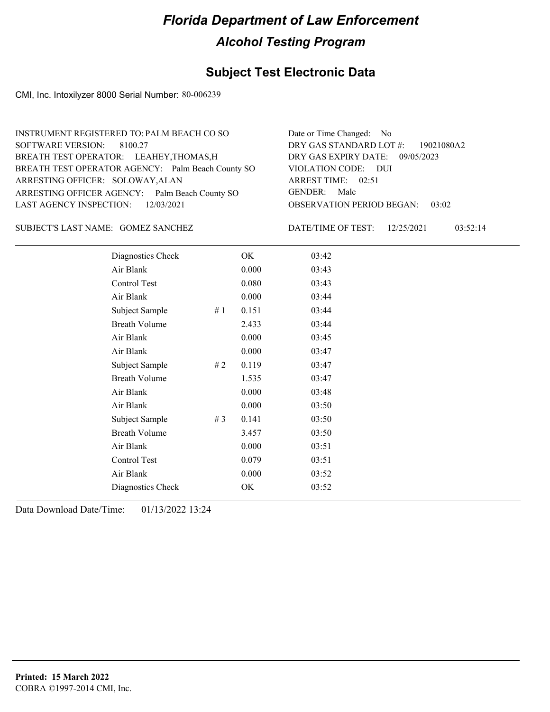## **Subject Test Electronic Data**

CMI, Inc. Intoxilyzer 8000 Serial Number: 80-006239

| INSTRUMENT REGISTERED TO: PALM BEACH CO SO        | Date or Time Changed: No               |
|---------------------------------------------------|----------------------------------------|
| SOFTWARE VERSION: 8100.27                         | DRY GAS STANDARD LOT $\#$ : 19021080A2 |
| BREATH TEST OPERATOR: LEAHEY, THOMAS, H           | DRY GAS EXPIRY DATE: 09/05/2023        |
| BREATH TEST OPERATOR AGENCY: Palm Beach County SO | VIOLATION CODE: DUI                    |
| ARRESTING OFFICER: SOLOWAY, ALAN                  | ARREST TIME: 02:51                     |
| ARRESTING OFFICER AGENCY: Palm Beach County SO    | GENDER: Male                           |
| LAST AGENCY INSPECTION: 12/03/2021                | <b>OBSERVATION PERIOD BEGAN: 03:02</b> |
|                                                   |                                        |

SUBJECT'S LAST NAME: GOMEZ SANCHEZ DATE/TIME OF TEST:

DATE/TIME OF TEST: 12/25/2021 03:52:14

| Diagnostics Check    |       | OK    | 03:42 |
|----------------------|-------|-------|-------|
| Air Blank            |       | 0.000 | 03:43 |
| Control Test         |       | 0.080 | 03:43 |
| Air Blank            |       | 0.000 | 03:44 |
| Subject Sample       | #1    | 0.151 | 03:44 |
| <b>Breath Volume</b> |       | 2.433 | 03:44 |
| Air Blank            |       | 0.000 | 03:45 |
| Air Blank            |       | 0.000 | 03:47 |
| Subject Sample       | # 2   | 0.119 | 03:47 |
| <b>Breath Volume</b> |       | 1.535 | 03:47 |
| Air Blank            |       | 0.000 | 03:48 |
| Air Blank            |       | 0.000 | 03:50 |
| Subject Sample       | # $3$ | 0.141 | 03:50 |
| <b>Breath Volume</b> |       | 3.457 | 03:50 |
| Air Blank            |       | 0.000 | 03:51 |
| Control Test         |       | 0.079 | 03:51 |
| Air Blank            |       | 0.000 | 03:52 |
| Diagnostics Check    |       | OK    | 03:52 |
|                      |       |       |       |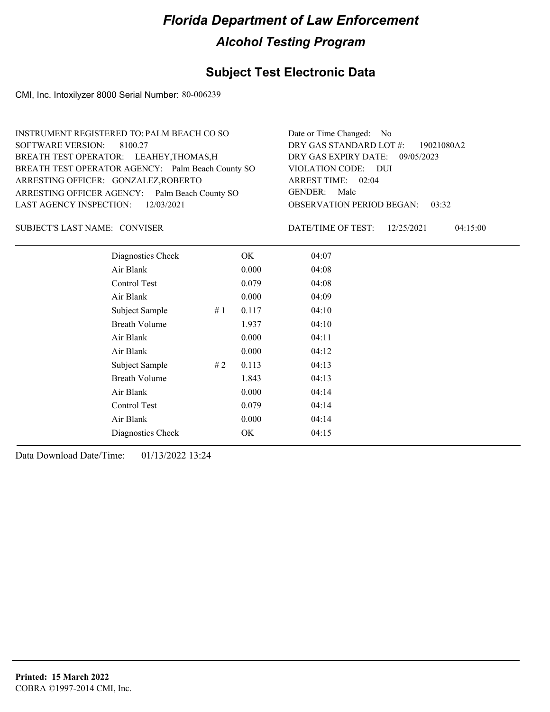## **Subject Test Electronic Data**

CMI, Inc. Intoxilyzer 8000 Serial Number: 80-006239

| INSTRUMENT REGISTERED TO: PALM BEACH CO SO        | Date or Time Changed: No               |
|---------------------------------------------------|----------------------------------------|
| SOFTWARE VERSION: 8100.27                         | DRY GAS STANDARD LOT #: 19021080A2     |
| BREATH TEST OPERATOR: LEAHEY, THOMAS, H           | DRY GAS EXPIRY DATE: 09/05/2023        |
| BREATH TEST OPERATOR AGENCY: Palm Beach County SO | VIOLATION CODE: DUI                    |
| ARRESTING OFFICER: GONZALEZ, ROBERTO              | ARREST TIME: 02:04                     |
| ARRESTING OFFICER AGENCY: Palm Beach County SO    | GENDER: Male                           |
| LAST AGENCY INSPECTION: $12/03/2021$              | <b>OBSERVATION PERIOD BEGAN: 03:32</b> |
|                                                   |                                        |

SUBJECT'S LAST NAME: CONVISER DATE/TIME OF TEST:

DATE/TIME OF TEST: 12/25/2021 04:15:00

| Diagnostics Check    |    | OK    | 04:07 |
|----------------------|----|-------|-------|
| Air Blank            |    | 0.000 | 04:08 |
| Control Test         |    | 0.079 | 04:08 |
| Air Blank            |    | 0.000 | 04:09 |
| Subject Sample       | #1 | 0.117 | 04:10 |
| <b>Breath Volume</b> |    | 1.937 | 04:10 |
| Air Blank            |    | 0.000 | 04:11 |
| Air Blank            |    | 0.000 | 04:12 |
| Subject Sample       | #2 | 0.113 | 04:13 |
| <b>Breath Volume</b> |    | 1.843 | 04:13 |
| Air Blank            |    | 0.000 | 04:14 |
| <b>Control Test</b>  |    | 0.079 | 04:14 |
| Air Blank            |    | 0.000 | 04:14 |
| Diagnostics Check    |    | OK    | 04:15 |
|                      |    |       |       |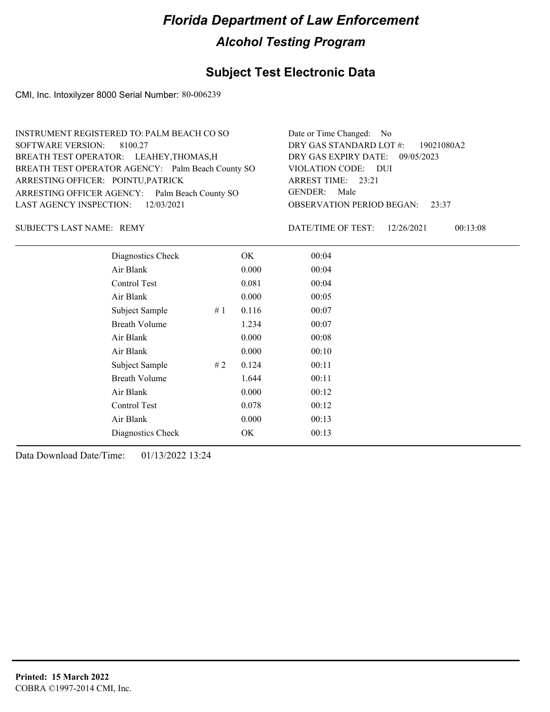## **Subject Test Electronic Data**

CMI, Inc. Intoxilyzer 8000 Serial Number: 80-006239

| INSTRUMENT REGISTERED TO: PALM BEACH CO SO        | Date or Time Changed: No               |
|---------------------------------------------------|----------------------------------------|
| SOFTWARE VERSION: 8100.27                         | DRY GAS STANDARD LOT $\#$ : 19021080A2 |
| BREATH TEST OPERATOR: LEAHEY, THOMAS, H           | DRY GAS EXPIRY DATE: 09/05/2023        |
| BREATH TEST OPERATOR AGENCY: Palm Beach County SO | VIOLATION CODE: DUI                    |
| ARRESTING OFFICER: POINTU, PATRICK                | ARREST TIME: 23:21                     |
| ARRESTING OFFICER AGENCY: Palm Beach County SO    | GENDER: Male                           |
| LAST AGENCY INSPECTION: 12/03/2021                | <b>OBSERVATION PERIOD BEGAN: 23:37</b> |
|                                                   |                                        |

SUBJECT'S LAST NAME: REMY NAME OF TEST:

DATE/TIME OF TEST: 12/26/2021 00:13:08

| Diagnostics Check    | OK    | 00:04 |
|----------------------|-------|-------|
| Air Blank            | 0.000 | 00:04 |
| Control Test         | 0.081 | 00:04 |
| Air Blank            | 0.000 | 00:05 |
| Subject Sample<br>#1 | 0.116 | 00:07 |
| <b>Breath Volume</b> | 1.234 | 00:07 |
| Air Blank            | 0.000 | 00:08 |
| Air Blank            | 0.000 | 00:10 |
| Subject Sample<br>#2 | 0.124 | 00:11 |
| <b>Breath Volume</b> | 1.644 | 00:11 |
| Air Blank            | 0.000 | 00:12 |
| Control Test         | 0.078 | 00:12 |
| Air Blank            | 0.000 | 00:13 |
| Diagnostics Check    | OK    | 00:13 |
|                      |       |       |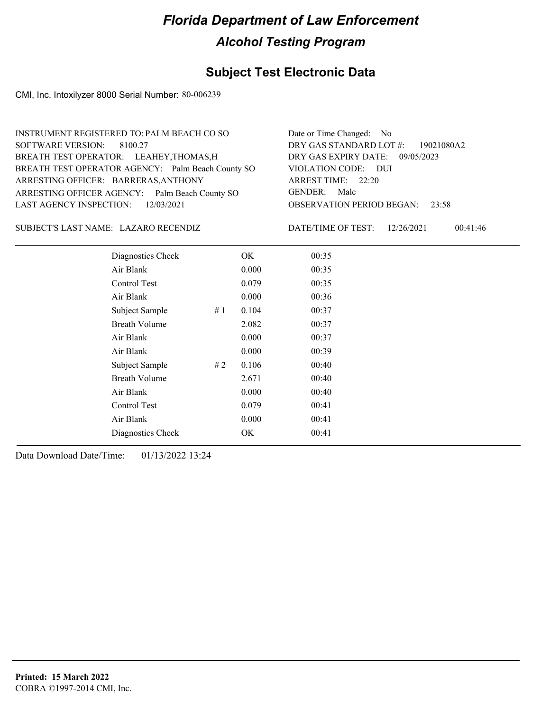## **Subject Test Electronic Data**

CMI, Inc. Intoxilyzer 8000 Serial Number: 80-006239

| INSTRUMENT REGISTERED TO: PALM BEACH CO SO        | Date or Time Changed: No               |
|---------------------------------------------------|----------------------------------------|
| SOFTWARE VERSION: 8100.27                         | DRY GAS STANDARD LOT $\#$ : 19021080A2 |
| BREATH TEST OPERATOR: LEAHEY, THOMAS, H           | DRY GAS EXPIRY DATE: 09/05/2023        |
| BREATH TEST OPERATOR AGENCY: Palm Beach County SO | VIOLATION CODE: DUI                    |
| ARRESTING OFFICER: BARRERAS, ANTHONY              | ARREST TIME: 22:20                     |
| ARRESTING OFFICER AGENCY: Palm Beach County SO    | GENDER: Male                           |
| LAST AGENCY INSPECTION: 12/03/2021                | <b>OBSERVATION PERIOD BEGAN: 23:58</b> |
|                                                   |                                        |

LAZARO RECENDIZ SUBJECT'S LAST NAME: DATE/TIME OF TEST:

DATE/TIME OF TEST: 12/26/2021 00:41:46

| Diagnostics Check    |    | OK    | 00:35 |
|----------------------|----|-------|-------|
| Air Blank            |    | 0.000 | 00:35 |
| Control Test         |    | 0.079 | 00:35 |
| Air Blank            |    | 0.000 | 00:36 |
| Subject Sample       | #1 | 0.104 | 00:37 |
| <b>Breath Volume</b> |    | 2.082 | 00:37 |
| Air Blank            |    | 0.000 | 00:37 |
| Air Blank            |    | 0.000 | 00:39 |
| Subject Sample       | #2 | 0.106 | 00:40 |
| <b>Breath Volume</b> |    | 2.671 | 00:40 |
| Air Blank            |    | 0.000 | 00:40 |
| Control Test         |    | 0.079 | 00:41 |
| Air Blank            |    | 0.000 | 00:41 |
| Diagnostics Check    |    | OK    | 00:41 |
|                      |    |       |       |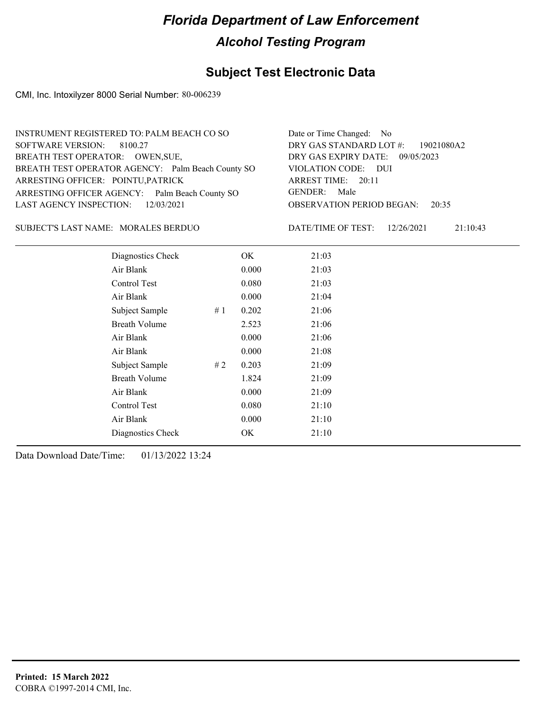## **Subject Test Electronic Data**

CMI, Inc. Intoxilyzer 8000 Serial Number: 80-006239

| INSTRUMENT REGISTERED TO: PALM BEACH CO SO        | Date or Time Changed: No               |
|---------------------------------------------------|----------------------------------------|
| SOFTWARE VERSION: 8100.27                         | DRY GAS STANDARD LOT $\#$ : 19021080A2 |
| BREATH TEST OPERATOR: OWEN, SUE,                  | DRY GAS EXPIRY DATE: 09/05/2023        |
| BREATH TEST OPERATOR AGENCY: Palm Beach County SO | VIOLATION CODE: DUI                    |
| ARRESTING OFFICER: POINTU, PATRICK                | ARREST TIME: 20:11                     |
| ARRESTING OFFICER AGENCY: Palm Beach County SO    | GENDER: Male                           |
| LAST AGENCY INSPECTION: 12/03/2021                | <b>OBSERVATION PERIOD BEGAN: 20:35</b> |
|                                                   |                                        |

SUBJECT'S LAST NAME: MORALES BERDUO DATE/TIME OF TEST:

DATE/TIME OF TEST: 12/26/2021 21:10:43

| Diagnostics Check    |    | OK    | 21:03 |
|----------------------|----|-------|-------|
| Air Blank            |    | 0.000 | 21:03 |
| Control Test         |    | 0.080 | 21:03 |
| Air Blank            |    | 0.000 | 21:04 |
| Subject Sample       | #1 | 0.202 | 21:06 |
| <b>Breath Volume</b> |    | 2.523 | 21:06 |
| Air Blank            |    | 0.000 | 21:06 |
| Air Blank            |    | 0.000 | 21:08 |
| Subject Sample       | #2 | 0.203 | 21:09 |
| <b>Breath Volume</b> |    | 1.824 | 21:09 |
| Air Blank            |    | 0.000 | 21:09 |
| Control Test         |    | 0.080 | 21:10 |
| Air Blank            |    | 0.000 | 21:10 |
| Diagnostics Check    |    | OK    | 21:10 |
|                      |    |       |       |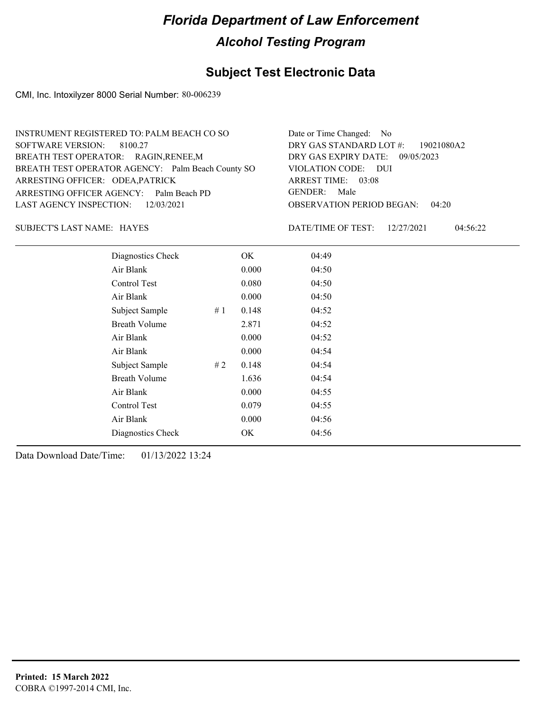## **Subject Test Electronic Data**

CMI, Inc. Intoxilyzer 8000 Serial Number: 80-006239

| INSTRUMENT REGISTERED TO: PALM BEACH CO SO        | Date or Time Changed: No               |
|---------------------------------------------------|----------------------------------------|
| SOFTWARE VERSION: 8100.27                         | DRY GAS STANDARD LOT $\#$ : 19021080A2 |
| BREATH TEST OPERATOR: RAGIN, RENEE, M             | DRY GAS EXPIRY DATE: 09/05/2023        |
| BREATH TEST OPERATOR AGENCY: Palm Beach County SO | VIOLATION CODE: DUI                    |
| ARRESTING OFFICER: ODEA, PATRICK                  | ARREST TIME: 03:08                     |
| ARRESTING OFFICER AGENCY: Palm Beach PD           | GENDER: Male                           |
| LAST AGENCY INSPECTION: $12/03/2021$              | <b>OBSERVATION PERIOD BEGAN: 04:20</b> |
|                                                   |                                        |

HAYES SUBJECT'S LAST NAME: DATE/TIME OF TEST:

DATE/TIME OF TEST: 12/27/2021 04:56:22

| Diagnostics Check    |    | OK    | 04:49 |
|----------------------|----|-------|-------|
| Air Blank            |    | 0.000 | 04:50 |
| Control Test         |    | 0.080 | 04:50 |
| Air Blank            |    | 0.000 | 04:50 |
| Subject Sample       | #1 | 0.148 | 04:52 |
| <b>Breath Volume</b> |    | 2.871 | 04:52 |
| Air Blank            |    | 0.000 | 04:52 |
| Air Blank            |    | 0.000 | 04:54 |
| Subject Sample       | #2 | 0.148 | 04:54 |
| <b>Breath Volume</b> |    | 1.636 | 04:54 |
| Air Blank            |    | 0.000 | 04:55 |
| <b>Control Test</b>  |    | 0.079 | 04:55 |
| Air Blank            |    | 0.000 | 04:56 |
| Diagnostics Check    |    | OK    | 04:56 |
|                      |    |       |       |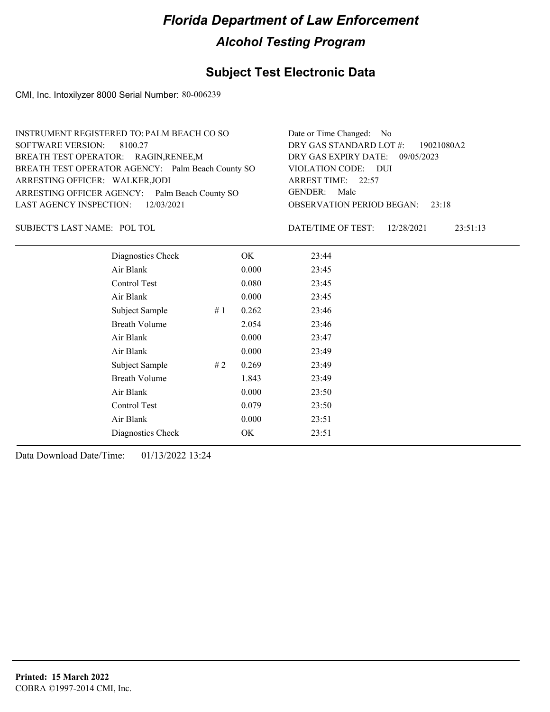## **Subject Test Electronic Data**

CMI, Inc. Intoxilyzer 8000 Serial Number: 80-006239

| INSTRUMENT REGISTERED TO: PALM BEACH CO SO        | Date or Time Changed: No               |
|---------------------------------------------------|----------------------------------------|
| SOFTWARE VERSION: 8100.27                         | DRY GAS STANDARD LOT #: 19021080A2     |
| BREATH TEST OPERATOR: RAGIN, RENEE, M             | DRY GAS EXPIRY DATE: 09/05/2023        |
| BREATH TEST OPERATOR AGENCY: Palm Beach County SO | VIOLATION CODE: DUI                    |
| ARRESTING OFFICER: WALKER, JODI                   | ARREST TIME: 22:57                     |
| ARRESTING OFFICER AGENCY: Palm Beach County SO    | GENDER: Male                           |
| LAST AGENCY INSPECTION: 12/03/2021                | <b>OBSERVATION PERIOD BEGAN:</b> 23:18 |
|                                                   |                                        |

SUBJECT'S LAST NAME: POL TOL **Example 20 SUBJECT'S LAST NAME:** POL TOL

DATE/TIME OF TEST: 12/28/2021 23:51:13

| Diagnostics Check    |    | OK    | 23:44 |
|----------------------|----|-------|-------|
| Air Blank            |    | 0.000 | 23:45 |
| Control Test         |    | 0.080 | 23:45 |
| Air Blank            |    | 0.000 | 23:45 |
| Subject Sample       | #1 | 0.262 | 23:46 |
| <b>Breath Volume</b> |    | 2.054 | 23:46 |
| Air Blank            |    | 0.000 | 23:47 |
| Air Blank            |    | 0.000 | 23:49 |
| Subject Sample       | #2 | 0.269 | 23:49 |
| <b>Breath Volume</b> |    | 1.843 | 23:49 |
| Air Blank            |    | 0.000 | 23:50 |
| Control Test         |    | 0.079 | 23:50 |
| Air Blank            |    | 0.000 | 23:51 |
| Diagnostics Check    |    | OK    | 23:51 |
|                      |    |       |       |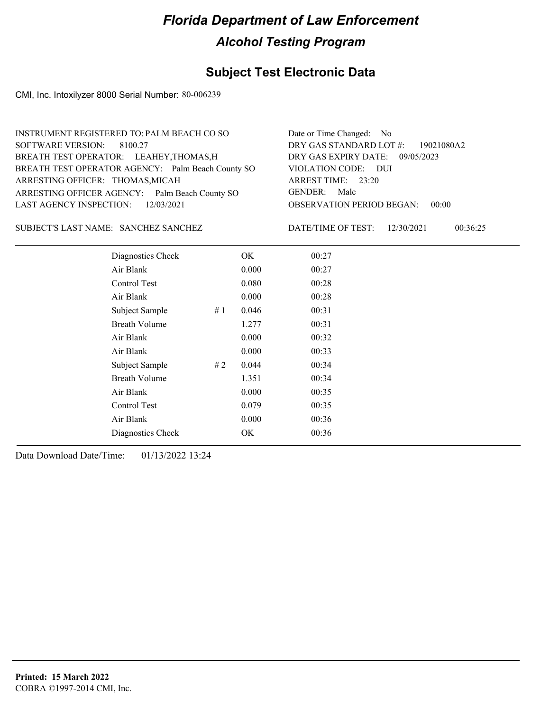## **Subject Test Electronic Data**

CMI, Inc. Intoxilyzer 8000 Serial Number: 80-006239

| INSTRUMENT REGISTERED TO: PALM BEACH CO SO        | Date or Time Changed: No               |
|---------------------------------------------------|----------------------------------------|
| SOFTWARE VERSION: 8100.27                         | DRY GAS STANDARD LOT #: 19021080A2     |
| BREATH TEST OPERATOR: LEAHEY, THOMAS, H           | DRY GAS EXPIRY DATE: 09/05/2023        |
| BREATH TEST OPERATOR AGENCY: Palm Beach County SO | VIOLATION CODE: DUI                    |
| ARRESTING OFFICER: THOMAS, MICAH                  | ARREST TIME: 23:20                     |
| ARRESTING OFFICER AGENCY: Palm Beach County SO    | GENDER: Male                           |
| LAST AGENCY INSPECTION: $12/03/2021$              | <b>OBSERVATION PERIOD BEGAN: 00:00</b> |
|                                                   |                                        |

#### SUBJECT'S LAST NAME: SANCHEZ SANCHEZ DATE/TIME OF TEST:

DATE/TIME OF TEST: 12/30/2021 00:36:25

| Diagnostics Check    | OK    | 00:27 |  |
|----------------------|-------|-------|--|
| Air Blank            | 0.000 | 00:27 |  |
| Control Test         | 0.080 | 00:28 |  |
| Air Blank            | 0.000 | 00:28 |  |
| Subject Sample<br>#1 | 0.046 | 00:31 |  |
| <b>Breath Volume</b> | 1.277 | 00:31 |  |
| Air Blank            | 0.000 | 00:32 |  |
| Air Blank            | 0.000 | 00:33 |  |
| Subject Sample<br>#2 | 0.044 | 00:34 |  |
| <b>Breath Volume</b> | 1.351 | 00:34 |  |
| Air Blank            | 0.000 | 00:35 |  |
| Control Test         | 0.079 | 00:35 |  |
| Air Blank            | 0.000 | 00:36 |  |
| Diagnostics Check    | OK    | 00:36 |  |
|                      |       |       |  |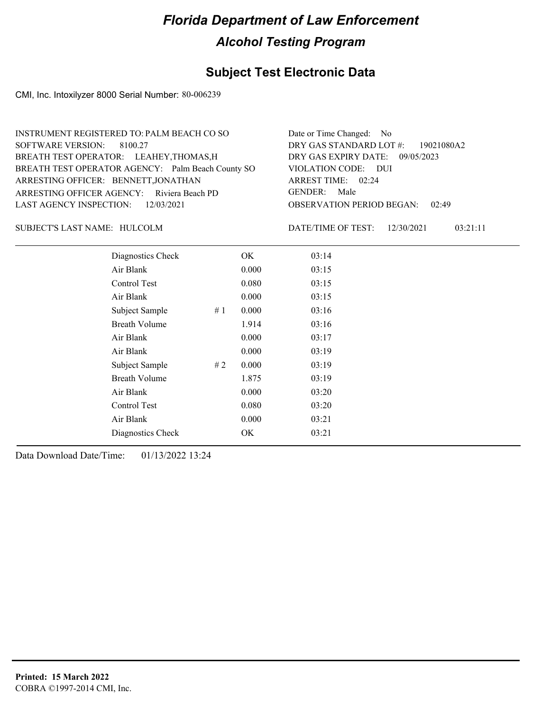## **Subject Test Electronic Data**

CMI, Inc. Intoxilyzer 8000 Serial Number: 80-006239

| INSTRUMENT REGISTERED TO: PALM BEACH CO SO        | Date or Time Changed: No               |
|---------------------------------------------------|----------------------------------------|
| SOFTWARE VERSION: 8100.27                         | DRY GAS STANDARD LOT #: 19021080A2     |
| BREATH TEST OPERATOR: LEAHEY, THOMAS, H           | DRY GAS EXPIRY DATE: 09/05/2023        |
| BREATH TEST OPERATOR AGENCY: Palm Beach County SO | VIOLATION CODE: DUI                    |
| ARRESTING OFFICER: BENNETT, JONATHAN              | ARREST TIME: 02:24                     |
| ARRESTING OFFICER AGENCY: Riviera Beach PD        | GENDER: Male                           |
| LAST AGENCY INSPECTION: 12/03/2021                | <b>OBSERVATION PERIOD BEGAN: 02:49</b> |
|                                                   |                                        |

#### SUBJECT'S LAST NAME: HULCOLM DATE/TIME OF TEST:

DATE/TIME OF TEST: 12/30/2021 03:21:11

| Diagnostics Check    |    | OK    | 03:14 |
|----------------------|----|-------|-------|
| Air Blank            |    | 0.000 | 03:15 |
| Control Test         |    | 0.080 | 03:15 |
| Air Blank            |    | 0.000 | 03:15 |
| Subject Sample       | #1 | 0.000 | 03:16 |
| <b>Breath Volume</b> |    | 1.914 | 03:16 |
| Air Blank            |    | 0.000 | 03:17 |
| Air Blank            |    | 0.000 | 03:19 |
| Subject Sample       | #2 | 0.000 | 03:19 |
| <b>Breath Volume</b> |    | 1.875 | 03:19 |
| Air Blank            |    | 0.000 | 03:20 |
| Control Test         |    | 0.080 | 03:20 |
| Air Blank            |    | 0.000 | 03:21 |
| Diagnostics Check    |    | OK    | 03:21 |
|                      |    |       |       |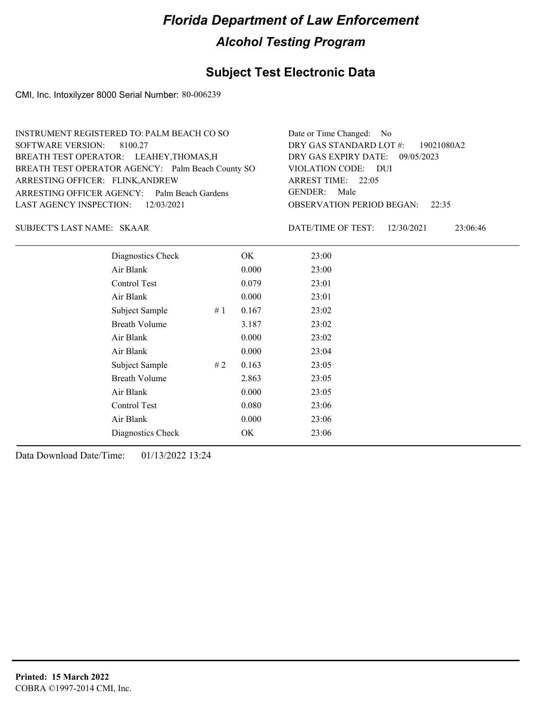## **Subject Test Electronic Data**

CMI, Inc. Intoxilyzer 8000 Serial Number: 80-006239

| INSTRUMENT REGISTERED TO: PALM BEACH CO SO        | Date or Time Changed: No               |
|---------------------------------------------------|----------------------------------------|
| SOFTWARE VERSION: 8100.27                         | DRY GAS STANDARD LOT #: 19021080A2     |
| BREATH TEST OPERATOR: LEAHEY, THOMAS, H           | DRY GAS EXPIRY DATE: 09/05/2023        |
| BREATH TEST OPERATOR AGENCY: Palm Beach County SO | VIOLATION CODE: DUI                    |
| ARRESTING OFFICER: FLINK, ANDREW                  | ARREST TIME: 22:05                     |
| ARRESTING OFFICER AGENCY: Palm Beach Gardens      | GENDER: Male                           |
| LAST AGENCY INSPECTION: 12/03/2021                | <b>OBSERVATION PERIOD BEGAN:</b> 22:35 |
|                                                   |                                        |

SKAAR SUBJECT'S LAST NAME: DATE/TIME OF TEST:

DATE/TIME OF TEST: 12/30/2021 23:06:46

| Diagnostics Check    |    | OK    | 23:00 |
|----------------------|----|-------|-------|
| Air Blank            |    | 0.000 | 23:00 |
| Control Test         |    | 0.079 | 23:01 |
| Air Blank            |    | 0.000 | 23:01 |
| Subject Sample       | #1 | 0.167 | 23:02 |
| <b>Breath Volume</b> |    | 3.187 | 23:02 |
| Air Blank            |    | 0.000 | 23:02 |
| Air Blank            |    | 0.000 | 23:04 |
| Subject Sample       | #2 | 0.163 | 23:05 |
| <b>Breath Volume</b> |    | 2.863 | 23:05 |
| Air Blank            |    | 0.000 | 23:05 |
| <b>Control Test</b>  |    | 0.080 | 23:06 |
| Air Blank            |    | 0.000 | 23:06 |
| Diagnostics Check    |    | OK    | 23:06 |
|                      |    |       |       |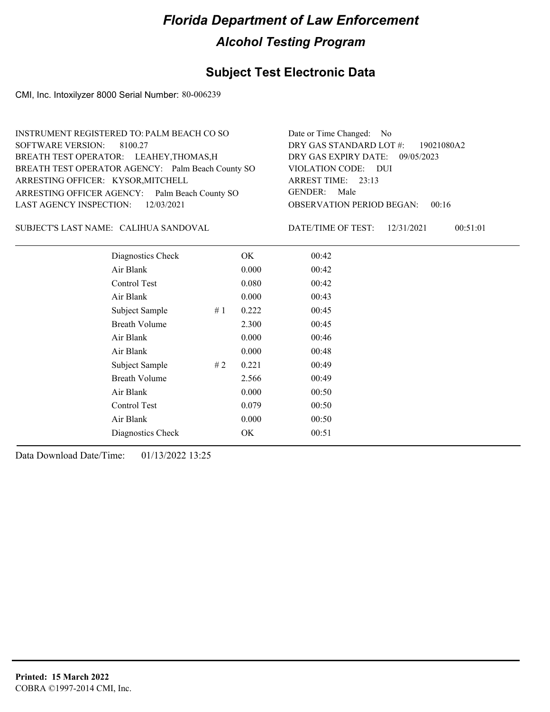## **Subject Test Electronic Data**

CMI, Inc. Intoxilyzer 8000 Serial Number: 80-006239

| INSTRUMENT REGISTERED TO: PALM BEACH CO SO        | Date or Time Changed: No               |
|---------------------------------------------------|----------------------------------------|
| SOFTWARE VERSION: 8100.27                         | DRY GAS STANDARD LOT $\#$ : 19021080A2 |
| BREATH TEST OPERATOR: LEAHEY, THOMAS, H           | DRY GAS EXPIRY DATE: 09/05/2023        |
| BREATH TEST OPERATOR AGENCY: Palm Beach County SO | VIOLATION CODE: DUI                    |
| ARRESTING OFFICER: KYSOR, MITCHELL                | ARREST TIME: 23:13                     |
| ARRESTING OFFICER AGENCY: Palm Beach County SO    | GENDER: Male                           |
| LAST AGENCY INSPECTION: $12/03/2021$              | <b>OBSERVATION PERIOD BEGAN: 00:16</b> |
|                                                   |                                        |

CALIHUA SANDOVAL SUBJECT'S LAST NAME: DATE/TIME OF TEST:

DATE/TIME OF TEST: 12/31/2021 00:51:01

| Diagnostics Check    |    | OK    | 00:42 |  |
|----------------------|----|-------|-------|--|
| Air Blank            |    | 0.000 | 00:42 |  |
| Control Test         |    | 0.080 | 00:42 |  |
| Air Blank            |    | 0.000 | 00:43 |  |
| Subject Sample       | #1 | 0.222 | 00:45 |  |
| <b>Breath Volume</b> |    | 2.300 | 00:45 |  |
| Air Blank            |    | 0.000 | 00:46 |  |
| Air Blank            |    | 0.000 | 00:48 |  |
| Subject Sample       | #2 | 0.221 | 00:49 |  |
| <b>Breath Volume</b> |    | 2.566 | 00:49 |  |
| Air Blank            |    | 0.000 | 00:50 |  |
| Control Test         |    | 0.079 | 00:50 |  |
| Air Blank            |    | 0.000 | 00:50 |  |
| Diagnostics Check    |    | OK    | 00:51 |  |
|                      |    |       |       |  |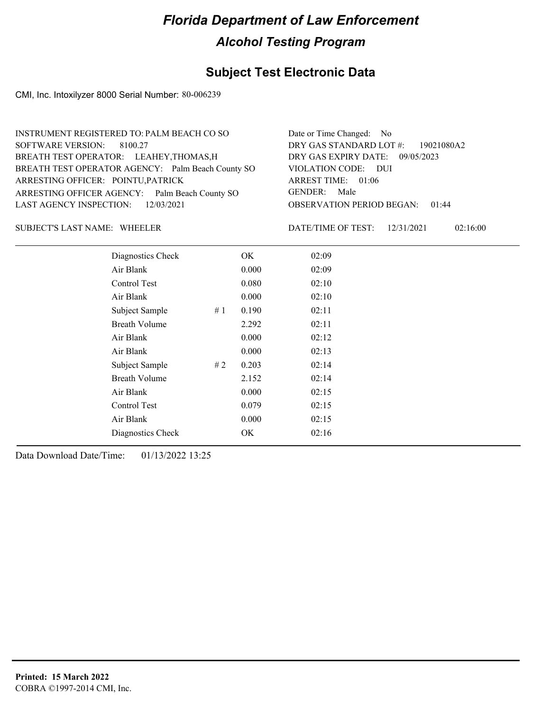## **Subject Test Electronic Data**

CMI, Inc. Intoxilyzer 8000 Serial Number: 80-006239

| INSTRUMENT REGISTERED TO: PALM BEACH CO SO        | Date or Time Changed: No               |
|---------------------------------------------------|----------------------------------------|
| SOFTWARE VERSION: 8100.27                         | DRY GAS STANDARD LOT #: 19021080A2     |
| BREATH TEST OPERATOR: LEAHEY, THOMAS, H           | DRY GAS EXPIRY DATE: 09/05/2023        |
| BREATH TEST OPERATOR AGENCY: Palm Beach County SO | VIOLATION CODE: DUI                    |
| ARRESTING OFFICER: POINTU, PATRICK                | ARREST TIME: 01:06                     |
| ARRESTING OFFICER AGENCY: Palm Beach County SO    | GENDER: Male                           |
| LAST AGENCY INSPECTION: $12/03/2021$              | <b>OBSERVATION PERIOD BEGAN: 01:44</b> |
|                                                   |                                        |

#### SUBJECT'S LAST NAME: WHEELER DATE/TIME OF TEST:

DATE/TIME OF TEST: 12/31/2021 02:16:00

| Diagnostics Check    |    | OK    | 02:09 |
|----------------------|----|-------|-------|
| Air Blank            |    | 0.000 | 02:09 |
| Control Test         |    | 0.080 | 02:10 |
| Air Blank            |    | 0.000 | 02:10 |
| Subject Sample       | #1 | 0.190 | 02:11 |
| <b>Breath Volume</b> |    | 2.292 | 02:11 |
| Air Blank            |    | 0.000 | 02:12 |
| Air Blank            |    | 0.000 | 02:13 |
| Subject Sample       | #2 | 0.203 | 02:14 |
| <b>Breath Volume</b> |    | 2.152 | 02:14 |
| Air Blank            |    | 0.000 | 02:15 |
| Control Test         |    | 0.079 | 02:15 |
| Air Blank            |    | 0.000 | 02:15 |
| Diagnostics Check    |    | OK    | 02:16 |
|                      |    |       |       |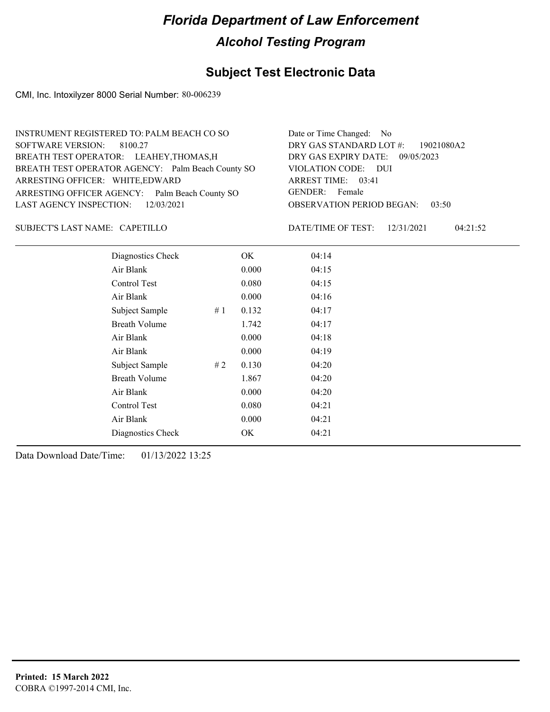## **Subject Test Electronic Data**

CMI, Inc. Intoxilyzer 8000 Serial Number: 80-006239

| INSTRUMENT REGISTERED TO: PALM BEACH CO SO        | Date or Time Changed: No               |
|---------------------------------------------------|----------------------------------------|
| SOFTWARE VERSION: 8100.27                         | DRY GAS STANDARD LOT #: 19021080A2     |
| BREATH TEST OPERATOR: LEAHEY, THOMAS, H           | DRY GAS EXPIRY DATE: 09/05/2023        |
| BREATH TEST OPERATOR AGENCY: Palm Beach County SO | VIOLATION CODE: DUI                    |
| ARRESTING OFFICER: WHITE, EDWARD                  | ARREST TIME: 03:41                     |
| ARRESTING OFFICER AGENCY: Palm Beach County SO    | GENDER: Female                         |
| LAST AGENCY INSPECTION: $12/03/2021$              | <b>OBSERVATION PERIOD BEGAN: 03:50</b> |
|                                                   |                                        |

#### CAPETILLO SUBJECT'S LAST NAME: DATE/TIME OF TEST:

DATE/TIME OF TEST: 12/31/2021 04:21:52

| Diagnostics Check    |    | OK    | 04:14 |
|----------------------|----|-------|-------|
| Air Blank            |    | 0.000 | 04:15 |
| Control Test         |    | 0.080 | 04:15 |
| Air Blank            |    | 0.000 | 04:16 |
| Subject Sample       | #1 | 0.132 | 04:17 |
| <b>Breath Volume</b> |    | 1.742 | 04:17 |
| Air Blank            |    | 0.000 | 04:18 |
| Air Blank            |    | 0.000 | 04:19 |
| Subject Sample       | #2 | 0.130 | 04:20 |
| <b>Breath Volume</b> |    | 1.867 | 04:20 |
| Air Blank            |    | 0.000 | 04:20 |
| Control Test         |    | 0.080 | 04:21 |
| Air Blank            |    | 0.000 | 04:21 |
| Diagnostics Check    |    | OK    | 04:21 |
|                      |    |       |       |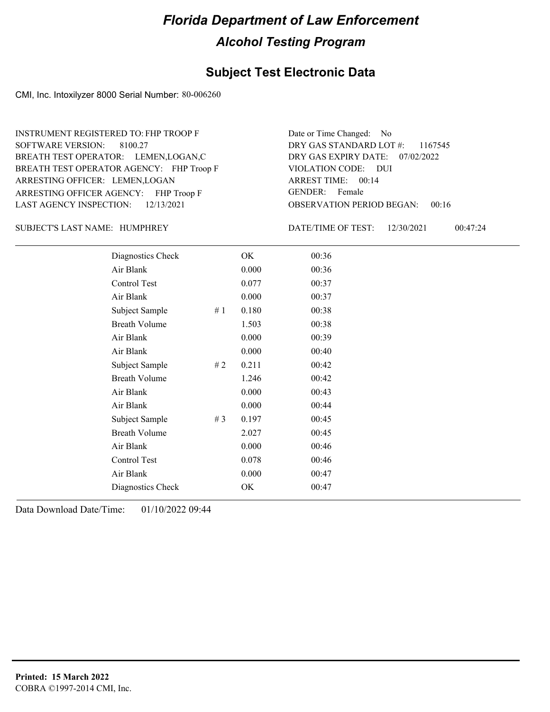#### **Subject Test Electronic Data**

CMI, Inc. Intoxilyzer 8000 Serial Number: 80-006260

ARRESTING OFFICER AGENCY: FHP Troop F GENDER: BREATH TEST OPERATOR AGENCY: FHP Troop F VIOLATION CODE: SOFTWARE VERSION: ARRESTING OFFICER: LEMEN,LOGAN BREATH TEST OPERATOR: LEMEN,LOGAN,C LAST AGENCY INSPECTION: 12/13/2021 8100.27 INSTRUMENT REGISTERED TO: FHP TROOP F

OBSERVATION PERIOD BEGAN: 00:16 VIOLATION CODE: DUI ARREST TIME: 00:14 DRY GAS EXPIRY DATE: 07/02/2022 DRY GAS STANDARD LOT #: 1167545 Date or Time Changed: No GENDER: Female

SUBJECT'S LAST NAME: HUMPHREY DATE/TIME OF TEST:

DATE/TIME OF TEST: 12/30/2021 00:47:24

| Diagnostics Check    |       | OK    | 00:36 |
|----------------------|-------|-------|-------|
| Air Blank            |       | 0.000 | 00:36 |
| Control Test         |       | 0.077 | 00:37 |
| Air Blank            |       | 0.000 | 00:37 |
| Subject Sample       | #1    | 0.180 | 00:38 |
| <b>Breath Volume</b> |       | 1.503 | 00:38 |
| Air Blank            |       | 0.000 | 00:39 |
| Air Blank            |       | 0.000 | 00:40 |
| Subject Sample       | #2    | 0.211 | 00:42 |
| <b>Breath Volume</b> |       | 1.246 | 00:42 |
| Air Blank            |       | 0.000 | 00:43 |
| Air Blank            |       | 0.000 | 00:44 |
| Subject Sample       | # $3$ | 0.197 | 00:45 |
| <b>Breath Volume</b> |       | 2.027 | 00:45 |
| Air Blank            |       | 0.000 | 00:46 |
| Control Test         |       | 0.078 | 00:46 |
| Air Blank            |       | 0.000 | 00:47 |
| Diagnostics Check    |       | OK    | 00:47 |
|                      |       |       |       |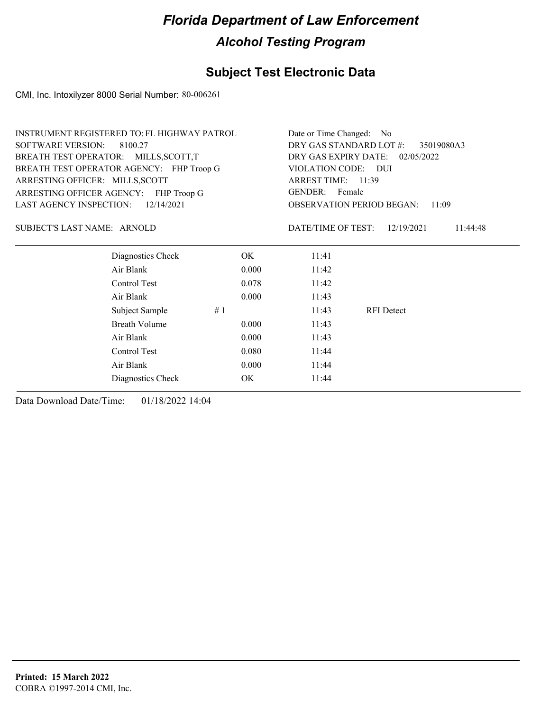## **Subject Test Electronic Data**

CMI, Inc. Intoxilyzer 8000 Serial Number: 80-006261

| <b>SOFTWARE VERSION:</b><br>DRY GAS STANDARD LOT #:<br>8100.27<br>35019080A3<br>DRY GAS EXPIRY DATE: 02/05/2022<br>BREATH TEST OPERATOR: MILLS, SCOTT, T<br>BREATH TEST OPERATOR AGENCY: FHP Troop G<br>VIOLATION CODE: DUI<br>ARREST TIME: 11:39<br>ARRESTING OFFICER: MILLS, SCOTT<br>GENDER: Female<br>ARRESTING OFFICER AGENCY: FHP Troop G<br><b>LAST AGENCY INSPECTION:</b><br>12/14/2021<br><b>OBSERVATION PERIOD BEGAN:</b><br>11:09<br>SUBJECT'S LAST NAME: ARNOLD<br>DATE/TIME OF TEST:<br>12/19/2021<br>11:44:48<br>Diagnostics Check<br>OK.<br>11:41<br>Air Blank<br>0.000<br>11:42<br>Control Test<br>0.078<br>11:42<br>Air Blank<br>0.000<br>11:43<br>Subject Sample<br>#1<br>11:43<br><b>RFI</b> Detect<br><b>Breath Volume</b><br>0.000<br>11:43<br>Air Blank<br>0.000<br>11:43<br>Control Test<br>0.080<br>11:44<br>Air Blank<br>0.000<br>11:44<br><b>OK</b><br>Diagnostics Check<br>11:44 | <b>INSTRUMENT REGISTERED TO: FL HIGHWAY PATROL</b> | Date or Time Changed: No |  |  |  |
|-------------------------------------------------------------------------------------------------------------------------------------------------------------------------------------------------------------------------------------------------------------------------------------------------------------------------------------------------------------------------------------------------------------------------------------------------------------------------------------------------------------------------------------------------------------------------------------------------------------------------------------------------------------------------------------------------------------------------------------------------------------------------------------------------------------------------------------------------------------------------------------------------------------|----------------------------------------------------|--------------------------|--|--|--|
|                                                                                                                                                                                                                                                                                                                                                                                                                                                                                                                                                                                                                                                                                                                                                                                                                                                                                                             |                                                    |                          |  |  |  |
|                                                                                                                                                                                                                                                                                                                                                                                                                                                                                                                                                                                                                                                                                                                                                                                                                                                                                                             |                                                    |                          |  |  |  |
|                                                                                                                                                                                                                                                                                                                                                                                                                                                                                                                                                                                                                                                                                                                                                                                                                                                                                                             |                                                    |                          |  |  |  |
|                                                                                                                                                                                                                                                                                                                                                                                                                                                                                                                                                                                                                                                                                                                                                                                                                                                                                                             |                                                    |                          |  |  |  |
|                                                                                                                                                                                                                                                                                                                                                                                                                                                                                                                                                                                                                                                                                                                                                                                                                                                                                                             |                                                    |                          |  |  |  |
|                                                                                                                                                                                                                                                                                                                                                                                                                                                                                                                                                                                                                                                                                                                                                                                                                                                                                                             |                                                    |                          |  |  |  |
|                                                                                                                                                                                                                                                                                                                                                                                                                                                                                                                                                                                                                                                                                                                                                                                                                                                                                                             |                                                    |                          |  |  |  |
|                                                                                                                                                                                                                                                                                                                                                                                                                                                                                                                                                                                                                                                                                                                                                                                                                                                                                                             |                                                    |                          |  |  |  |
|                                                                                                                                                                                                                                                                                                                                                                                                                                                                                                                                                                                                                                                                                                                                                                                                                                                                                                             |                                                    |                          |  |  |  |
|                                                                                                                                                                                                                                                                                                                                                                                                                                                                                                                                                                                                                                                                                                                                                                                                                                                                                                             |                                                    |                          |  |  |  |
|                                                                                                                                                                                                                                                                                                                                                                                                                                                                                                                                                                                                                                                                                                                                                                                                                                                                                                             |                                                    |                          |  |  |  |
|                                                                                                                                                                                                                                                                                                                                                                                                                                                                                                                                                                                                                                                                                                                                                                                                                                                                                                             |                                                    |                          |  |  |  |
|                                                                                                                                                                                                                                                                                                                                                                                                                                                                                                                                                                                                                                                                                                                                                                                                                                                                                                             |                                                    |                          |  |  |  |
|                                                                                                                                                                                                                                                                                                                                                                                                                                                                                                                                                                                                                                                                                                                                                                                                                                                                                                             |                                                    |                          |  |  |  |
|                                                                                                                                                                                                                                                                                                                                                                                                                                                                                                                                                                                                                                                                                                                                                                                                                                                                                                             |                                                    |                          |  |  |  |
|                                                                                                                                                                                                                                                                                                                                                                                                                                                                                                                                                                                                                                                                                                                                                                                                                                                                                                             |                                                    |                          |  |  |  |
|                                                                                                                                                                                                                                                                                                                                                                                                                                                                                                                                                                                                                                                                                                                                                                                                                                                                                                             |                                                    |                          |  |  |  |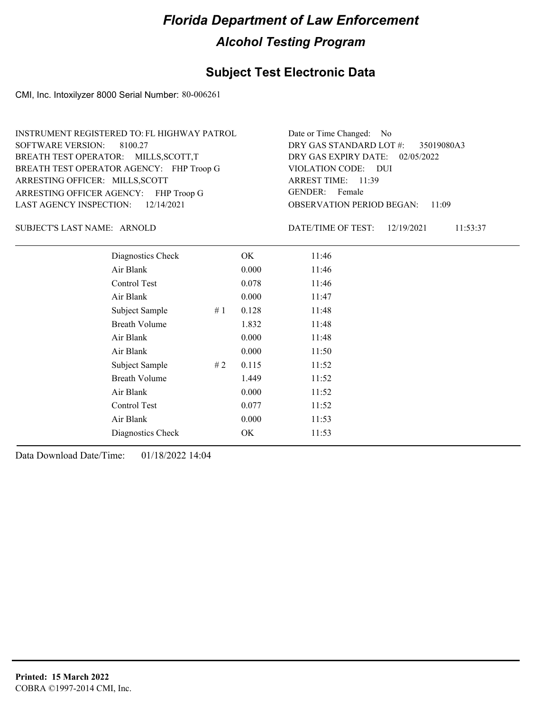## **Subject Test Electronic Data**

CMI, Inc. Intoxilyzer 8000 Serial Number: 80-006261

| INSTRUMENT REGISTERED TO: FL HIGHWAY PATROL | Date or Time Changed: No               |
|---------------------------------------------|----------------------------------------|
| SOFTWARE VERSION: 8100.27                   | DRY GAS STANDARD LOT #: 35019080A3     |
| BREATH TEST OPERATOR: MILLS, SCOTT, T       | DRY GAS EXPIRY DATE: 02/05/2022        |
| BREATH TEST OPERATOR AGENCY: FHP Troop G    | VIOLATION CODE: DUI                    |
| ARRESTING OFFICER: MILLS, SCOTT             | ARREST TIME: 11:39                     |
| ARRESTING OFFICER AGENCY: FHP Troop G       | GENDER: Female                         |
| LAST AGENCY INSPECTION: 12/14/2021          | <b>OBSERVATION PERIOD BEGAN: 11:09</b> |

SUBJECT'S LAST NAME: ARNOLD DATE/TIME OF TEST:

DATE/TIME OF TEST: 12/19/2021 11:53:37

| Diagnostics Check    |    | OK    | 11:46 |
|----------------------|----|-------|-------|
| Air Blank            |    | 0.000 | 11:46 |
| Control Test         |    | 0.078 | 11:46 |
| Air Blank            |    | 0.000 | 11:47 |
| Subject Sample       | #1 | 0.128 | 11:48 |
| <b>Breath Volume</b> |    | 1.832 | 11:48 |
| Air Blank            |    | 0.000 | 11:48 |
| Air Blank            |    | 0.000 | 11:50 |
| Subject Sample       | #2 | 0.115 | 11:52 |
| <b>Breath Volume</b> |    | 1.449 | 11:52 |
| Air Blank            |    | 0.000 | 11:52 |
| Control Test         |    | 0.077 | 11:52 |
| Air Blank            |    | 0.000 | 11:53 |
| Diagnostics Check    |    | OK    | 11:53 |
|                      |    |       |       |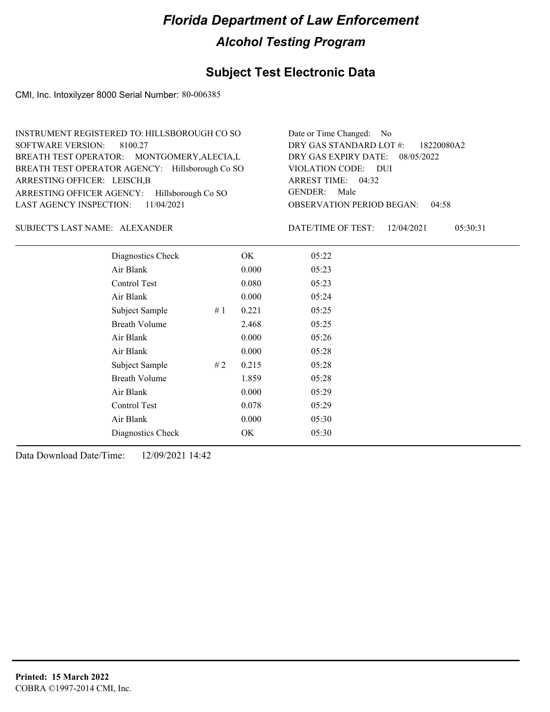## **Subject Test Electronic Data**

CMI, Inc. Intoxilyzer 8000 Serial Number: 80-006385

| INSTRUMENT REGISTERED TO: HILLSBOROUGH CO SO    | Date or Time Changed: No               |
|-------------------------------------------------|----------------------------------------|
| SOFTWARE VERSION: 8100.27                       | DRY GAS STANDARD LOT #: 18220080A2     |
| BREATH TEST OPERATOR: MONTGOMERY, ALECIA, L     | DRY GAS EXPIRY DATE: 08/05/2022        |
| BREATH TEST OPERATOR AGENCY: Hillsborough Co SO | VIOLATION CODE: DUI                    |
| ARRESTING OFFICER: LEISCH, B                    | ARREST TIME: 04:32                     |
| ARRESTING OFFICER AGENCY: Hillsborough Co SO    | GENDER: Male                           |
| LAST AGENCY INSPECTION: $11/04/2021$            | <b>OBSERVATION PERIOD BEGAN: 04:58</b> |

#### SUBJECT'S LAST NAME: ALEXANDER DATE/TIME OF TEST:

DATE/TIME OF TEST: 12/04/2021 05:30:31

| Diagnostics Check    |    | OK    | 05:22 |
|----------------------|----|-------|-------|
| Air Blank            |    | 0.000 | 05:23 |
| Control Test         |    | 0.080 | 05:23 |
| Air Blank            |    | 0.000 | 05:24 |
| Subject Sample       | #1 | 0.221 | 05:25 |
| <b>Breath Volume</b> |    | 2.468 | 05:25 |
| Air Blank            |    | 0.000 | 05:26 |
| Air Blank            |    | 0.000 | 05:28 |
| Subject Sample       | #2 | 0.215 | 05:28 |
| <b>Breath Volume</b> |    | 1.859 | 05:28 |
| Air Blank            |    | 0.000 | 05:29 |
| Control Test         |    | 0.078 | 05:29 |
| Air Blank            |    | 0.000 | 05:30 |
| Diagnostics Check    |    | OK    | 05:30 |
|                      |    |       |       |

Data Download Date/Time: 12/09/2021 14:42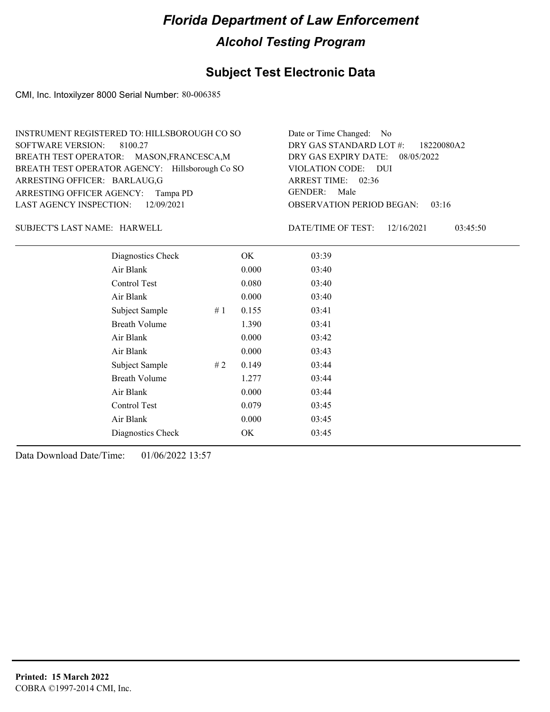### **Subject Test Electronic Data**

CMI, Inc. Intoxilyzer 8000 Serial Number: 80-006385

| INSTRUMENT REGISTERED TO: HILLSBOROUGH CO SO    | Date or Time Changed: No               |
|-------------------------------------------------|----------------------------------------|
| SOFTWARE VERSION: 8100.27                       | DRY GAS STANDARD LOT #: 18220080A2     |
| BREATH TEST OPERATOR: MASON, FRANCESCA, M       | DRY GAS EXPIRY DATE: 08/05/2022        |
| BREATH TEST OPERATOR AGENCY: Hillsborough Co SO | VIOLATION CODE: DUI                    |
| ARRESTING OFFICER: BARLAUG,G                    | ARREST TIME: 02:36                     |
| ARRESTING OFFICER AGENCY: Tampa PD              | GENDER: Male                           |
| LAST AGENCY INSPECTION: 12/09/2021              | <b>OBSERVATION PERIOD BEGAN: 03:16</b> |

SUBJECT'S LAST NAME: HARWELL DATE/TIME OF TEST:

DATE/TIME OF TEST: 12/16/2021 03:45:50

| Diagnostics Check    | OK    | 03:39 |
|----------------------|-------|-------|
| Air Blank            | 0.000 | 03:40 |
| Control Test         | 0.080 | 03:40 |
| Air Blank            | 0.000 | 03:40 |
| Subject Sample<br>#1 | 0.155 | 03:41 |
| <b>Breath Volume</b> | 1.390 | 03:41 |
| Air Blank            | 0.000 | 03:42 |
| Air Blank            | 0.000 | 03:43 |
| Subject Sample<br>#2 | 0.149 | 03:44 |
| <b>Breath Volume</b> | 1.277 | 03:44 |
| Air Blank            | 0.000 | 03:44 |
| Control Test         | 0.079 | 03:45 |
| Air Blank            | 0.000 | 03:45 |
| Diagnostics Check    | OK    | 03:45 |
|                      |       |       |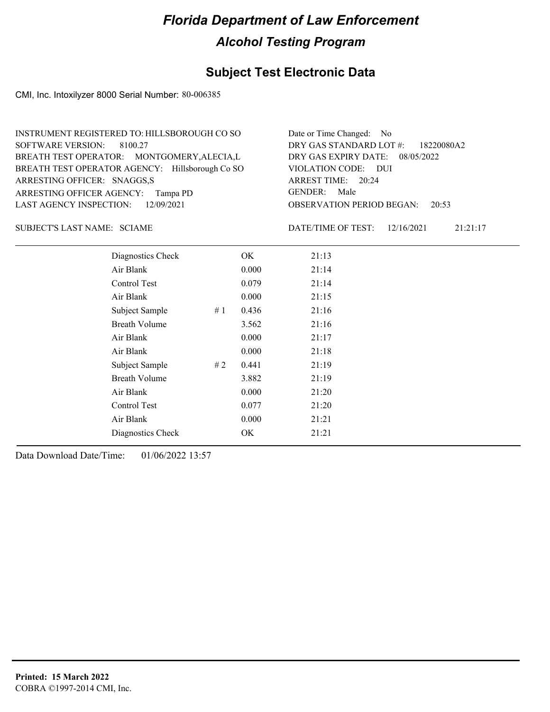### **Subject Test Electronic Data**

CMI, Inc. Intoxilyzer 8000 Serial Number: 80-006385

| INSTRUMENT REGISTERED TO: HILLSBOROUGH CO SO    | Date or Time Changed: No               |
|-------------------------------------------------|----------------------------------------|
| SOFTWARE VERSION: 8100.27                       | DRY GAS STANDARD LOT #: 18220080A2     |
| BREATH TEST OPERATOR: MONTGOMERY, ALECIA, L     | DRY GAS EXPIRY DATE: 08/05/2022        |
| BREATH TEST OPERATOR AGENCY: Hillsborough Co SO | VIOLATION CODE: DUI                    |
| ARRESTING OFFICER: SNAGGS,S                     | ARREST TIME: 20:24                     |
| ARRESTING OFFICER AGENCY: Tampa PD              | GENDER: Male                           |
| LAST AGENCY INSPECTION: 12/09/2021              | <b>OBSERVATION PERIOD BEGAN: 20:53</b> |

SUBJECT'S LAST NAME: SCIAME  $\blacksquare$ 

DATE/TIME OF TEST: 12/16/2021 21:21:17

| Diagnostics Check    | OK    | 21:13 |
|----------------------|-------|-------|
| Air Blank            | 0.000 | 21:14 |
| Control Test         | 0.079 | 21:14 |
| Air Blank            | 0.000 | 21:15 |
| Subject Sample<br>#1 | 0.436 | 21:16 |
| <b>Breath Volume</b> | 3.562 | 21:16 |
| Air Blank            | 0.000 | 21:17 |
| Air Blank            | 0.000 | 21:18 |
| Subject Sample<br>#2 | 0.441 | 21:19 |
| <b>Breath Volume</b> | 3.882 | 21:19 |
| Air Blank            | 0.000 | 21:20 |
| Control Test         | 0.077 | 21:20 |
| Air Blank            | 0.000 | 21:21 |
| Diagnostics Check    | OK    | 21:21 |
|                      |       |       |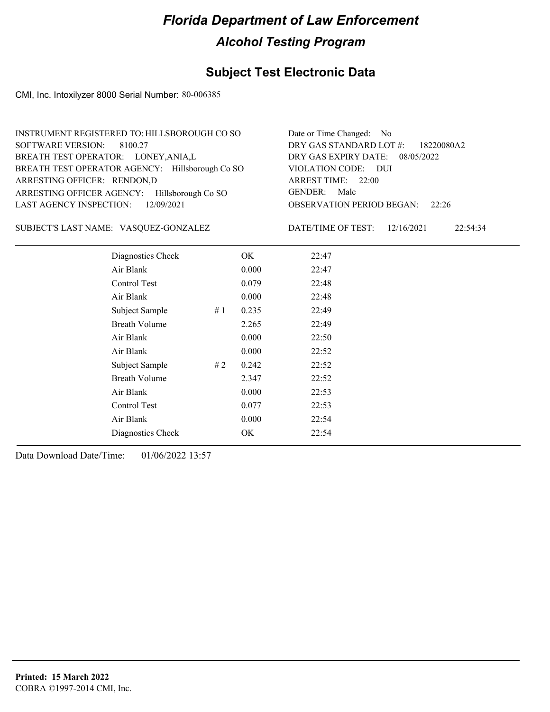### **Subject Test Electronic Data**

CMI, Inc. Intoxilyzer 8000 Serial Number: 80-006385

| INSTRUMENT REGISTERED TO: HILLSBOROUGH CO SO    | Date or Time Changed: No               |
|-------------------------------------------------|----------------------------------------|
| SOFTWARE VERSION: 8100.27                       | DRY GAS STANDARD LOT #: 18220080A2     |
| BREATH TEST OPERATOR: LONEY, ANIA, L            | DRY GAS EXPIRY DATE: 08/05/2022        |
| BREATH TEST OPERATOR AGENCY: Hillsborough Co SO | VIOLATION CODE: DUI                    |
| ARRESTING OFFICER: RENDON,D                     | ARREST TIME: 22:00                     |
| ARRESTING OFFICER AGENCY: Hillsborough Co SO    | GENDER: Male                           |
| LAST AGENCY INSPECTION: $12/09/2021$            | <b>OBSERVATION PERIOD BEGAN: 22:26</b> |

VASQUEZ-GONZALEZ SUBJECT'S LAST NAME: DATE/TIME OF TEST:

DATE/TIME OF TEST: 12/16/2021 22:54:34

| Diagnostics Check    |    | OK    | 22:47 |
|----------------------|----|-------|-------|
| Air Blank            |    | 0.000 | 22:47 |
| Control Test         |    | 0.079 | 22:48 |
| Air Blank            |    | 0.000 | 22:48 |
| Subject Sample       | #1 | 0.235 | 22:49 |
| <b>Breath Volume</b> |    | 2.265 | 22:49 |
| Air Blank            |    | 0.000 | 22:50 |
| Air Blank            |    | 0.000 | 22:52 |
| Subject Sample       | #2 | 0.242 | 22:52 |
| <b>Breath Volume</b> |    | 2.347 | 22:52 |
| Air Blank            |    | 0.000 | 22:53 |
| Control Test         |    | 0.077 | 22:53 |
| Air Blank            |    | 0.000 | 22:54 |
| Diagnostics Check    |    | OK    | 22:54 |
|                      |    |       |       |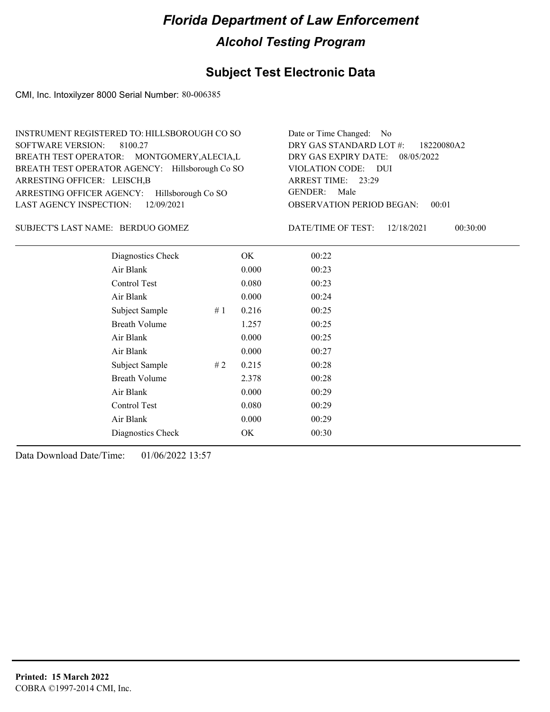### **Subject Test Electronic Data**

CMI, Inc. Intoxilyzer 8000 Serial Number: 80-006385

| INSTRUMENT REGISTERED TO: HILLSBOROUGH CO SO    | Date or Time Changed: No               |
|-------------------------------------------------|----------------------------------------|
| SOFTWARE VERSION: 8100.27                       | DRY GAS STANDARD LOT #: 18220080A2     |
| BREATH TEST OPERATOR: MONTGOMERY, ALECIA, L     | DRY GAS EXPIRY DATE: $08/05/2022$      |
| BREATH TEST OPERATOR AGENCY: Hillsborough Co SO | VIOLATION CODE: DUI                    |
| ARRESTING OFFICER: LEISCH, B                    | ARREST TIME: 23:29                     |
| ARRESTING OFFICER AGENCY: Hillsborough Co SO    | GENDER: Male                           |
| LAST AGENCY INSPECTION: $12/09/2021$            | <b>OBSERVATION PERIOD BEGAN: 00:01</b> |

BERDUO GOMEZ SUBJECT'S LAST NAME: DATE/TIME OF TEST:

DATE/TIME OF TEST: 12/18/2021 00:30:00

| Diagnostics Check    |    | OK    | 00:22 |  |
|----------------------|----|-------|-------|--|
| Air Blank            |    | 0.000 | 00:23 |  |
| Control Test         |    | 0.080 | 00:23 |  |
| Air Blank            |    | 0.000 | 00:24 |  |
| Subject Sample       | #1 | 0.216 | 00:25 |  |
| <b>Breath Volume</b> |    | 1.257 | 00:25 |  |
| Air Blank            |    | 0.000 | 00:25 |  |
| Air Blank            |    | 0.000 | 00:27 |  |
| Subject Sample       | #2 | 0.215 | 00:28 |  |
| <b>Breath Volume</b> |    | 2.378 | 00:28 |  |
| Air Blank            |    | 0.000 | 00:29 |  |
| Control Test         |    | 0.080 | 00:29 |  |
| Air Blank            |    | 0.000 | 00:29 |  |
| Diagnostics Check    |    | OK    | 00:30 |  |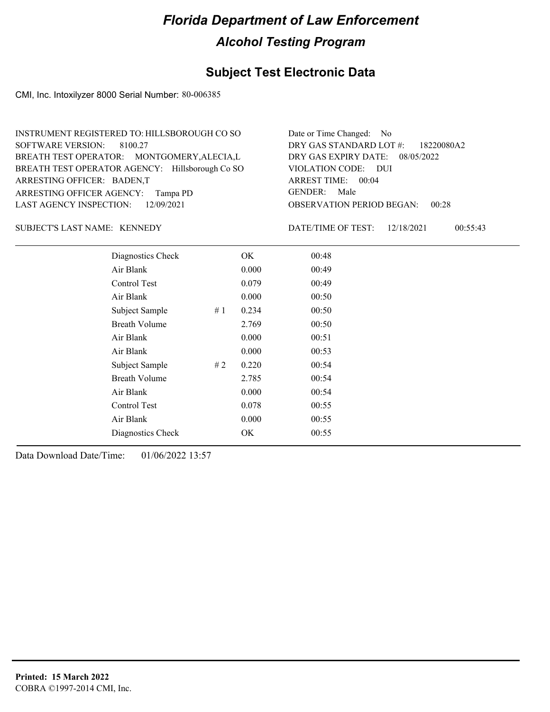### **Subject Test Electronic Data**

CMI, Inc. Intoxilyzer 8000 Serial Number: 80-006385

| INSTRUMENT REGISTERED TO: HILLSBOROUGH CO SO    | Date or Time Changed: No               |
|-------------------------------------------------|----------------------------------------|
| SOFTWARE VERSION: 8100.27                       | DRY GAS STANDARD LOT #: 18220080A2     |
| BREATH TEST OPERATOR: MONTGOMERY, ALECIA, L     | DRY GAS EXPIRY DATE: 08/05/2022        |
| BREATH TEST OPERATOR AGENCY: Hillsborough Co SO | VIOLATION CODE: DUI                    |
| ARRESTING OFFICER: BADEN,T                      | ARREST TIME: 00:04                     |
| ARRESTING OFFICER AGENCY: Tampa PD              | GENDER: Male                           |
| LAST AGENCY INSPECTION: 12/09/2021              | <b>OBSERVATION PERIOD BEGAN: 00:28</b> |

#### SUBJECT'S LAST NAME: KENNEDY DATE/TIME OF TEST:

DATE/TIME OF TEST: 12/18/2021 00:55:43

| Diagnostics Check    |    | OK    | 00:48 |
|----------------------|----|-------|-------|
| Air Blank            |    | 0.000 | 00:49 |
| Control Test         |    | 0.079 | 00:49 |
| Air Blank            |    | 0.000 | 00:50 |
| Subject Sample       | #1 | 0.234 | 00:50 |
| <b>Breath Volume</b> |    | 2.769 | 00:50 |
| Air Blank            |    | 0.000 | 00:51 |
| Air Blank            |    | 0.000 | 00:53 |
| Subject Sample       | #2 | 0.220 | 00:54 |
| <b>Breath Volume</b> |    | 2.785 | 00:54 |
| Air Blank            |    | 0.000 | 00:54 |
| Control Test         |    | 0.078 | 00:55 |
| Air Blank            |    | 0.000 | 00:55 |
| Diagnostics Check    |    | OK    | 00:55 |
|                      |    |       |       |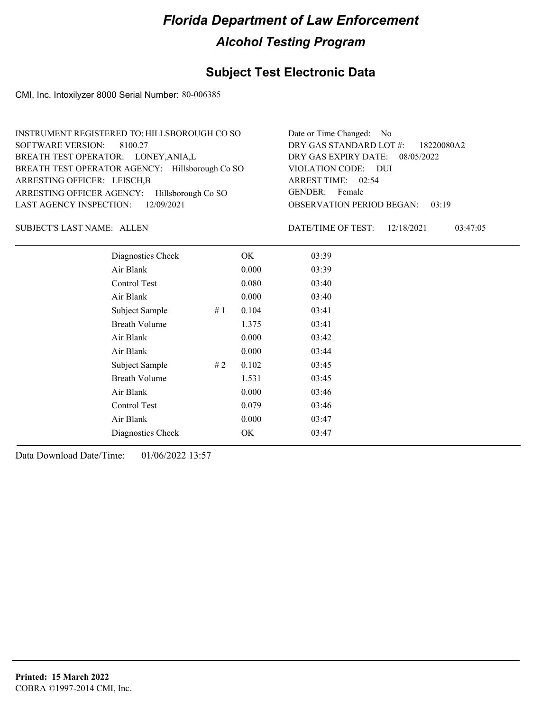### **Subject Test Electronic Data**

CMI, Inc. Intoxilyzer 8000 Serial Number: 80-006385

| INSTRUMENT REGISTERED TO: HILLSBOROUGH CO SO    | Date or Time Changed: No               |
|-------------------------------------------------|----------------------------------------|
| SOFTWARE VERSION: 8100.27                       | DRY GAS STANDARD LOT #: 18220080A2     |
| BREATH TEST OPERATOR: LONEY, ANIA, L            | DRY GAS EXPIRY DATE: 08/05/2022        |
| BREATH TEST OPERATOR AGENCY: Hillsborough Co SO | VIOLATION CODE: DUI                    |
| ARRESTING OFFICER: LEISCH, B                    | ARREST TIME: 02:54                     |
| ARRESTING OFFICER AGENCY: Hillsborough Co SO    | GENDER: Female                         |
| LAST AGENCY INSPECTION: 12/09/2021              | <b>OBSERVATION PERIOD BEGAN: 03:19</b> |

SUBJECT'S LAST NAME: ALLEN DATE/TIME OF TEST:

DATE/TIME OF TEST: 12/18/2021 03:47:05

| Diagnostics Check    | OK    | 03:39 |
|----------------------|-------|-------|
| Air Blank            | 0.000 | 03:39 |
| <b>Control Test</b>  | 0.080 | 03:40 |
| Air Blank            | 0.000 | 03:40 |
| Subject Sample<br>#1 | 0.104 | 03:41 |
| <b>Breath Volume</b> | 1.375 | 03:41 |
| Air Blank            | 0.000 | 03:42 |
| Air Blank            | 0.000 | 03:44 |
| Subject Sample<br>#2 | 0.102 | 03:45 |
| <b>Breath Volume</b> | 1.531 | 03:45 |
| Air Blank            | 0.000 | 03:46 |
| Control Test         | 0.079 | 03:46 |
| Air Blank            | 0.000 | 03:47 |
| Diagnostics Check    | OK    | 03:47 |
|                      |       |       |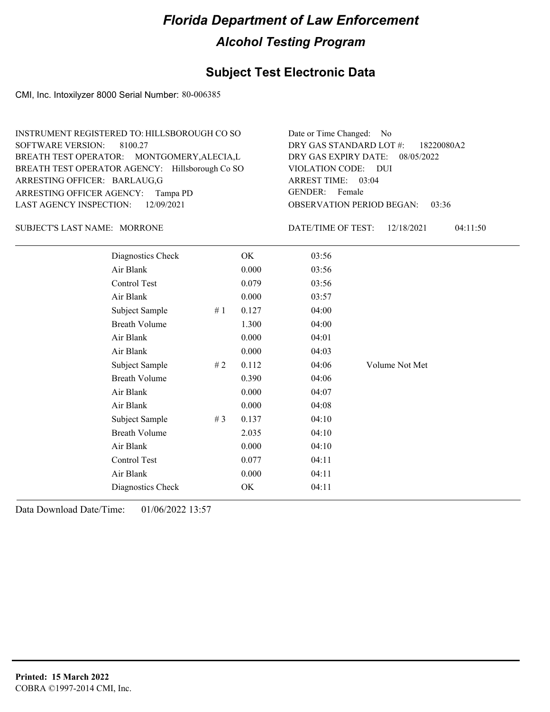### **Subject Test Electronic Data**

CMI, Inc. Intoxilyzer 8000 Serial Number: 80-006385

| INSTRUMENT REGISTERED TO: HILLSBOROUGH CO SO    | Date or Time Changed: No               |
|-------------------------------------------------|----------------------------------------|
| SOFTWARE VERSION: 8100.27                       | DRY GAS STANDARD LOT #: 18220080A2     |
| BREATH TEST OPERATOR: MONTGOMERY, ALECIA, L     | DRY GAS EXPIRY DATE: 08/05/2022        |
| BREATH TEST OPERATOR AGENCY: Hillsborough Co SO | VIOLATION CODE: DUI                    |
| ARRESTING OFFICER: BARLAUG,G                    | ARREST TIME: 03:04                     |
| ARRESTING OFFICER AGENCY: Tampa PD              | GENDER: Female                         |
| LAST AGENCY INSPECTION: 12/09/2021              | <b>OBSERVATION PERIOD BEGAN: 03:36</b> |

#### MORRONE SUBJECT'S LAST NAME: DATE/TIME OF TEST:

DATE/TIME OF TEST: 12/18/2021 04:11:50

| Diagnostics Check    |    | OK    | 03:56 |                |
|----------------------|----|-------|-------|----------------|
| Air Blank            |    | 0.000 | 03:56 |                |
| Control Test         |    | 0.079 | 03:56 |                |
| Air Blank            |    | 0.000 | 03:57 |                |
| Subject Sample       | #1 | 0.127 | 04:00 |                |
| <b>Breath Volume</b> |    | 1.300 | 04:00 |                |
| Air Blank            |    | 0.000 | 04:01 |                |
| Air Blank            |    | 0.000 | 04:03 |                |
| Subject Sample       | #2 | 0.112 | 04:06 | Volume Not Met |
| <b>Breath Volume</b> |    | 0.390 | 04:06 |                |
| Air Blank            |    | 0.000 | 04:07 |                |
| Air Blank            |    | 0.000 | 04:08 |                |
| Subject Sample       | #3 | 0.137 | 04:10 |                |
| <b>Breath Volume</b> |    | 2.035 | 04:10 |                |
| Air Blank            |    | 0.000 | 04:10 |                |
| Control Test         |    | 0.077 | 04:11 |                |
| Air Blank            |    | 0.000 | 04:11 |                |
| Diagnostics Check    |    | OK    | 04:11 |                |
|                      |    |       |       |                |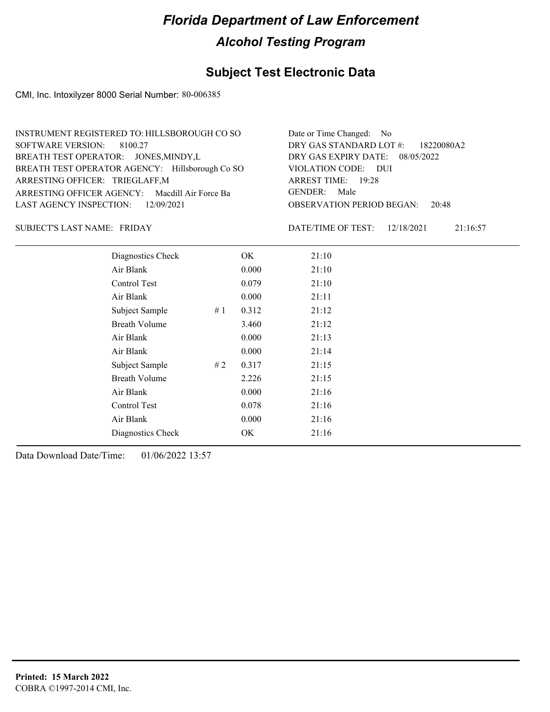### **Subject Test Electronic Data**

CMI, Inc. Intoxilyzer 8000 Serial Number: 80-006385

| INSTRUMENT REGISTERED TO: HILLSBOROUGH CO SO    | Date or Time Changed: No               |
|-------------------------------------------------|----------------------------------------|
| SOFTWARE VERSION: 8100.27                       | DRY GAS STANDARD LOT $\#$ : 18220080A2 |
| BREATH TEST OPERATOR: JONES, MINDY, L           | DRY GAS EXPIRY DATE: 08/05/2022        |
| BREATH TEST OPERATOR AGENCY: Hillsborough Co SO | VIOLATION CODE: DUI                    |
| ARRESTING OFFICER: TRIEGLAFF,M                  | ARREST TIME: 19:28                     |
| ARRESTING OFFICER AGENCY: Macdill Air Force Ba  | GENDER: Male                           |
| LAST AGENCY INSPECTION: 12/09/2021              | <b>OBSERVATION PERIOD BEGAN: 20:48</b> |

SUBJECT'S LAST NAME: FRIDAY DATE/TIME OF TEST:

DATE/TIME OF TEST: 12/18/2021 21:16:57

| Diagnostics Check    |    | OK    | 21:10 |
|----------------------|----|-------|-------|
| Air Blank            |    | 0.000 | 21:10 |
| Control Test         |    | 0.079 | 21:10 |
| Air Blank            |    | 0.000 | 21:11 |
| Subject Sample       | #1 | 0.312 | 21:12 |
| <b>Breath Volume</b> |    | 3.460 | 21:12 |
| Air Blank            |    | 0.000 | 21:13 |
| Air Blank            |    | 0.000 | 21:14 |
| Subject Sample       | #2 | 0.317 | 21:15 |
| <b>Breath Volume</b> |    | 2.226 | 21:15 |
| Air Blank            |    | 0.000 | 21:16 |
| Control Test         |    | 0.078 | 21:16 |
| Air Blank            |    | 0.000 | 21:16 |
| Diagnostics Check    |    | OK    | 21:16 |
|                      |    |       |       |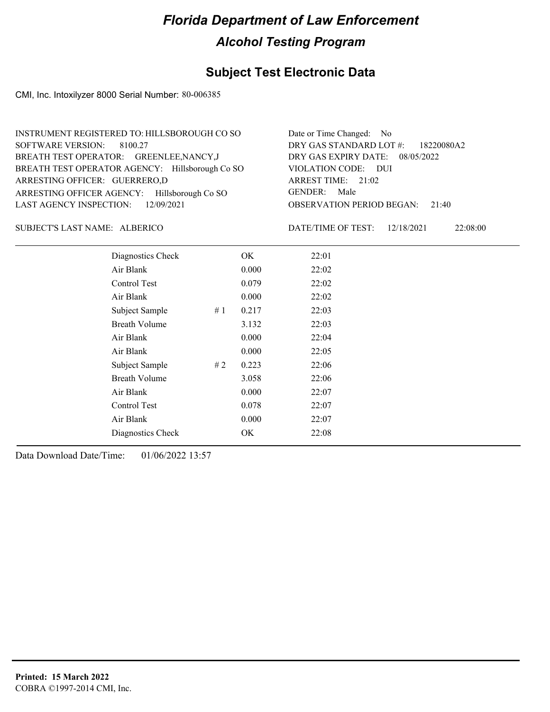### **Subject Test Electronic Data**

CMI, Inc. Intoxilyzer 8000 Serial Number: 80-006385

| INSTRUMENT REGISTERED TO: HILLSBOROUGH CO SO    | Date or Time Changed: No               |
|-------------------------------------------------|----------------------------------------|
| SOFTWARE VERSION: 8100.27                       | DRY GAS STANDARD LOT #: 18220080A2     |
| BREATH TEST OPERATOR: GREENLEE, NANCY, J        | DRY GAS EXPIRY DATE: 08/05/2022        |
| BREATH TEST OPERATOR AGENCY: Hillsborough Co SO | VIOLATION CODE: DUI                    |
| ARRESTING OFFICER: GUERRERO,D                   | ARREST TIME: 21:02                     |
| ARRESTING OFFICER AGENCY: Hillsborough Co SO    | GENDER: Male                           |
| LAST AGENCY INSPECTION: $12/09/2021$            | <b>OBSERVATION PERIOD BEGAN: 21:40</b> |

#### SUBJECT'S LAST NAME: ALBERICO DATE/TIME OF TEST:

DATE/TIME OF TEST: 12/18/2021 22:08:00

| Diagnostics Check    |    | OK    | 22:01 |
|----------------------|----|-------|-------|
| Air Blank            |    | 0.000 | 22:02 |
| Control Test         |    | 0.079 | 22:02 |
| Air Blank            |    | 0.000 | 22:02 |
| Subject Sample       | #1 | 0.217 | 22:03 |
| <b>Breath Volume</b> |    | 3.132 | 22:03 |
| Air Blank            |    | 0.000 | 22:04 |
| Air Blank            |    | 0.000 | 22:05 |
| Subject Sample       | #2 | 0.223 | 22:06 |
| <b>Breath Volume</b> |    | 3.058 | 22:06 |
| Air Blank            |    | 0.000 | 22:07 |
| Control Test         |    | 0.078 | 22:07 |
| Air Blank            |    | 0.000 | 22:07 |
| Diagnostics Check    |    | OK    | 22:08 |
|                      |    |       |       |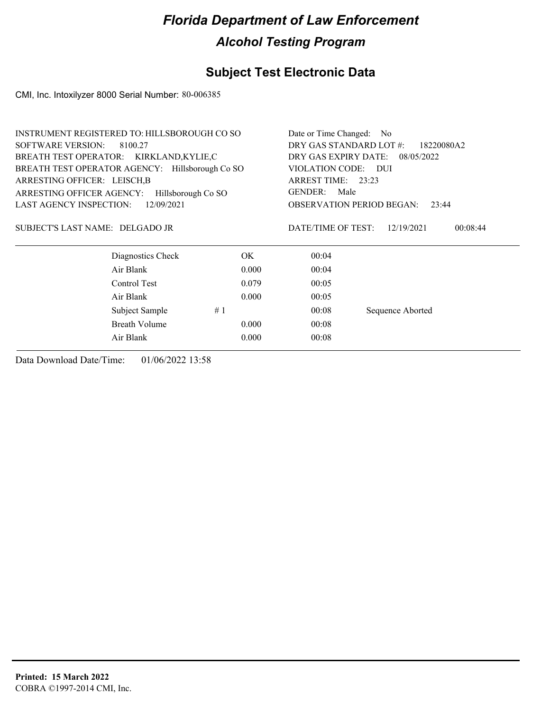## **Subject Test Electronic Data**

CMI, Inc. Intoxilyzer 8000 Serial Number: 80-006385

|                                     | <b>INSTRUMENT REGISTERED TO: HILLSBOROUGH CO SO</b> |       |                                       | Date or Time Changed: No                  |  |  |
|-------------------------------------|-----------------------------------------------------|-------|---------------------------------------|-------------------------------------------|--|--|
| <b>SOFTWARE VERSION:</b><br>8100.27 |                                                     |       | DRY GAS STANDARD LOT #:<br>18220080A2 |                                           |  |  |
|                                     | BREATH TEST OPERATOR: KIRKLAND, KYLIE, C            |       | DRY GAS EXPIRY DATE:                  | 08/05/2022                                |  |  |
|                                     | BREATH TEST OPERATOR AGENCY: Hillsborough Co SO     |       | VIOLATION CODE:                       | - DUI                                     |  |  |
| ARRESTING OFFICER: LEISCH, B        |                                                     |       | ARREST TIME: 23:23                    |                                           |  |  |
| ARRESTING OFFICER AGENCY:           | Hillsborough Co SO                                  |       | <b>GENDER:</b><br>Male                |                                           |  |  |
| <b>LAST AGENCY INSPECTION:</b>      | 12/09/2021                                          |       |                                       | <b>OBSERVATION PERIOD BEGAN:</b><br>23:44 |  |  |
| SUBJECT'S LAST NAME: DELGADO JR     |                                                     |       | DATE/TIME OF TEST:                    | 12/19/2021<br>00:08:44                    |  |  |
|                                     | Diagnostics Check                                   | OK.   | 00:04                                 |                                           |  |  |
|                                     | Air Blank                                           | 0.000 | 00:04                                 |                                           |  |  |
|                                     | Control Test                                        | 0.079 | 00:05                                 |                                           |  |  |
|                                     | Air Blank                                           | 0.000 | 00:05                                 |                                           |  |  |
|                                     | Subject Sample                                      | #1    | 00:08                                 | Sequence Aborted                          |  |  |
|                                     | <b>Breath Volume</b>                                | 0.000 | 00:08                                 |                                           |  |  |
|                                     | Air Blank                                           | 0.000 | 00:08                                 |                                           |  |  |
|                                     |                                                     |       |                                       |                                           |  |  |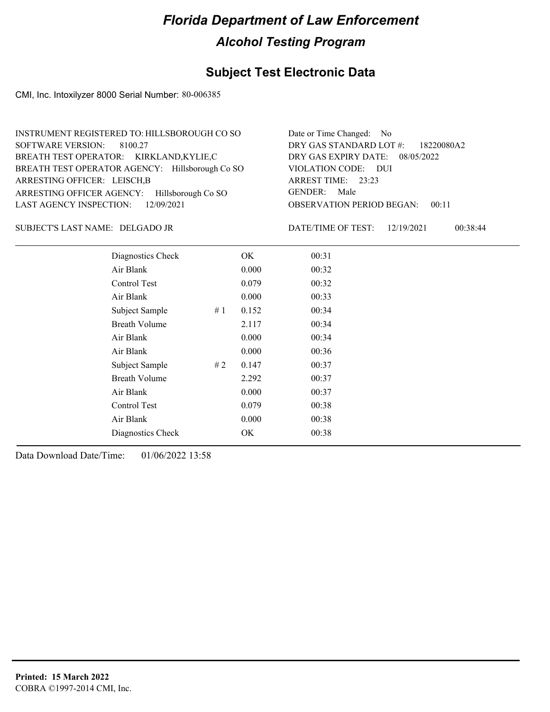### **Subject Test Electronic Data**

CMI, Inc. Intoxilyzer 8000 Serial Number: 80-006385

| INSTRUMENT REGISTERED TO: HILLSBOROUGH CO SO    | Date or Time Changed: No               |
|-------------------------------------------------|----------------------------------------|
| SOFTWARE VERSION: 8100.27                       | DRY GAS STANDARD LOT #: 18220080A2     |
| BREATH TEST OPERATOR: KIRKLAND,KYLIE,C          | DRY GAS EXPIRY DATE: $08/05/2022$      |
| BREATH TEST OPERATOR AGENCY: Hillsborough Co SO | VIOLATION CODE: DUI                    |
| ARRESTING OFFICER: LEISCH, B                    | ARREST TIME: 23:23                     |
| ARRESTING OFFICER AGENCY: Hillsborough Co SO    | GENDER: Male                           |
| LAST AGENCY INSPECTION: $12/09/2021$            | <b>OBSERVATION PERIOD BEGAN: 00:11</b> |

#### DELGADO JR SUBJECT'S LAST NAME: DATE/TIME OF TEST:

DATE/TIME OF TEST: 12/19/2021 00:38:44

| Diagnostics Check    |    | OK    | 00:31 |
|----------------------|----|-------|-------|
| Air Blank            |    | 0.000 | 00:32 |
| Control Test         |    | 0.079 | 00:32 |
| Air Blank            |    | 0.000 | 00:33 |
| Subject Sample       | #1 | 0.152 | 00:34 |
| <b>Breath Volume</b> |    | 2.117 | 00:34 |
| Air Blank            |    | 0.000 | 00:34 |
| Air Blank            |    | 0.000 | 00:36 |
| Subject Sample       | #2 | 0.147 | 00:37 |
| <b>Breath Volume</b> |    | 2.292 | 00:37 |
| Air Blank            |    | 0.000 | 00:37 |
| Control Test         |    | 0.079 | 00:38 |
| Air Blank            |    | 0.000 | 00:38 |
| Diagnostics Check    |    | OK    | 00:38 |
|                      |    |       |       |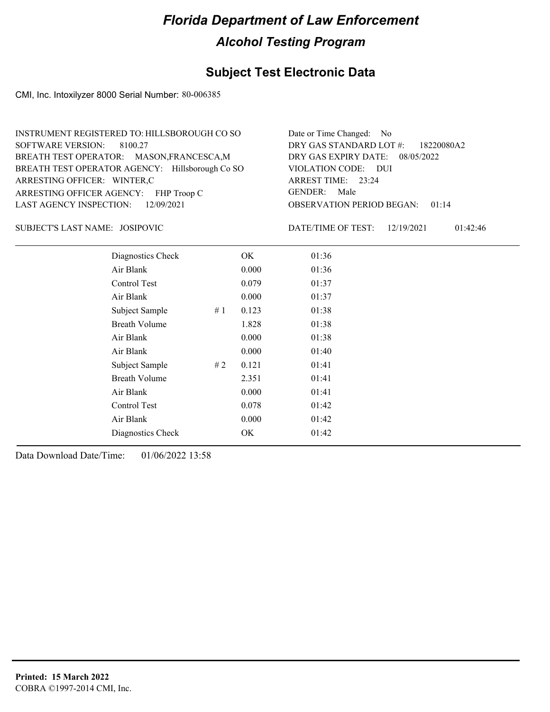### **Subject Test Electronic Data**

CMI, Inc. Intoxilyzer 8000 Serial Number: 80-006385

| INSTRUMENT REGISTERED TO: HILLSBOROUGH CO SO    | Date or Time Changed: No               |
|-------------------------------------------------|----------------------------------------|
| SOFTWARE VERSION: 8100.27                       | DRY GAS STANDARD LOT #: 18220080A2     |
| BREATH TEST OPERATOR: MASON, FRANCESCA, M       | DRY GAS EXPIRY DATE: 08/05/2022        |
| BREATH TEST OPERATOR AGENCY: Hillsborough Co SO | VIOLATION CODE: DUI                    |
| ARRESTING OFFICER: WINTER,C                     | ARREST TIME: 23:24                     |
| ARRESTING OFFICER AGENCY: FHP Troop C           | GENDER: Male                           |
| LAST AGENCY INSPECTION: 12/09/2021              | <b>OBSERVATION PERIOD BEGAN: 01:14</b> |

JOSIPOVIC SUBJECT'S LAST NAME: DATE/TIME OF TEST:

DATE/TIME OF TEST: 12/19/2021 01:42:46

| Diagnostics Check    |    | OK    | 01:36 |  |
|----------------------|----|-------|-------|--|
| Air Blank            |    | 0.000 | 01:36 |  |
| Control Test         |    | 0.079 | 01:37 |  |
| Air Blank            |    | 0.000 | 01:37 |  |
| Subject Sample       | #1 | 0.123 | 01:38 |  |
| <b>Breath Volume</b> |    | 1.828 | 01:38 |  |
| Air Blank            |    | 0.000 | 01:38 |  |
| Air Blank            |    | 0.000 | 01:40 |  |
| Subject Sample       | #2 | 0.121 | 01:41 |  |
| <b>Breath Volume</b> |    | 2.351 | 01:41 |  |
| Air Blank            |    | 0.000 | 01:41 |  |
| Control Test         |    | 0.078 | 01:42 |  |
| Air Blank            |    | 0.000 | 01:42 |  |
| Diagnostics Check    |    | OK    | 01:42 |  |
|                      |    |       |       |  |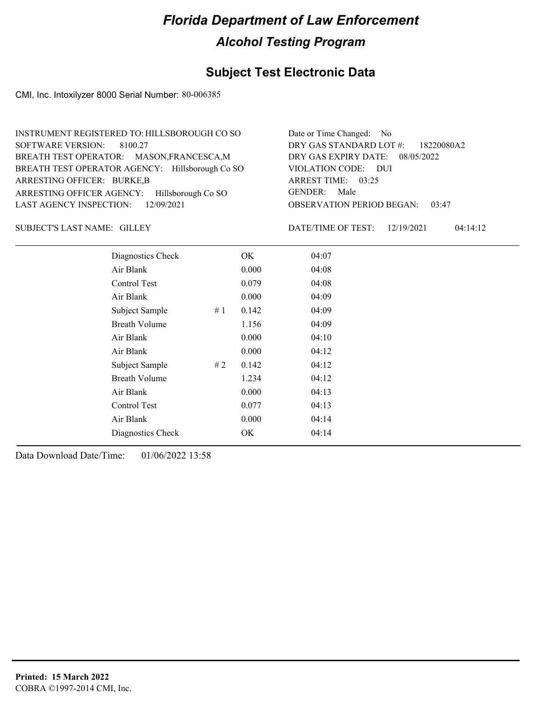### **Subject Test Electronic Data**

CMI, Inc. Intoxilyzer 8000 Serial Number: 80-006385

| INSTRUMENT REGISTERED TO: HILLSBOROUGH CO SO    | Date or Time Changed: No               |
|-------------------------------------------------|----------------------------------------|
| SOFTWARE VERSION: 8100.27                       | DRY GAS STANDARD LOT #: 18220080A2     |
| BREATH TEST OPERATOR: MASON, FRANCESCA, M       | DRY GAS EXPIRY DATE: 08/05/2022        |
| BREATH TEST OPERATOR AGENCY: Hillsborough Co SO | VIOLATION CODE: DUI                    |
| ARRESTING OFFICER: BURKE,B                      | ARREST TIME: 03:25                     |
| ARRESTING OFFICER AGENCY: Hillsborough Co SO    | GENDER: Male                           |
| LAST AGENCY INSPECTION: $12/09/2021$            | <b>OBSERVATION PERIOD BEGAN: 03:47</b> |

SUBJECT'S LAST NAME: GILLEY DATE/TIME OF TEST:

DATE/TIME OF TEST: 12/19/2021 04:14:12

| Diagnostics Check    |    | OK    | 04:07 |  |  |
|----------------------|----|-------|-------|--|--|
| Air Blank            |    | 0.000 | 04:08 |  |  |
| Control Test         |    | 0.079 | 04:08 |  |  |
| Air Blank            |    | 0.000 | 04:09 |  |  |
| Subject Sample       | #1 | 0.142 | 04:09 |  |  |
| <b>Breath Volume</b> |    | 1.156 | 04:09 |  |  |
| Air Blank            |    | 0.000 | 04:10 |  |  |
| Air Blank            |    | 0.000 | 04:12 |  |  |
| Subject Sample       | #2 | 0.142 | 04:12 |  |  |
| <b>Breath Volume</b> |    | 1.234 | 04:12 |  |  |
| Air Blank            |    | 0.000 | 04:13 |  |  |
| Control Test         |    | 0.077 | 04:13 |  |  |
| Air Blank            |    | 0.000 | 04:14 |  |  |
| Diagnostics Check    |    | OK    | 04:14 |  |  |
|                      |    |       |       |  |  |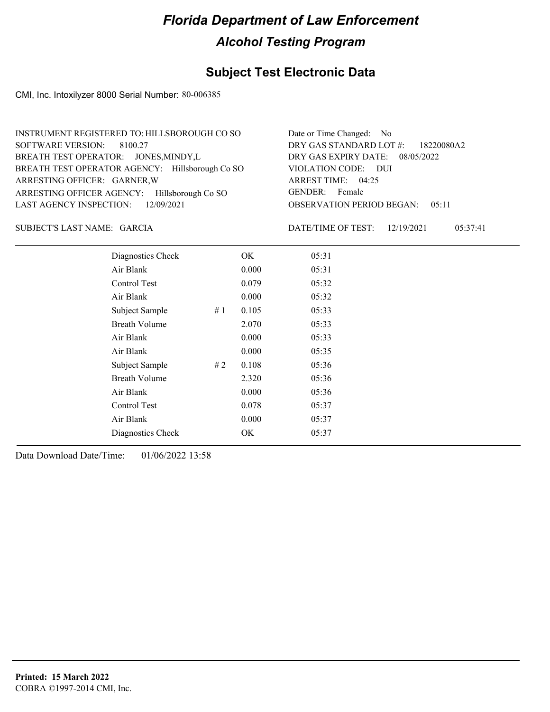### **Subject Test Electronic Data**

CMI, Inc. Intoxilyzer 8000 Serial Number: 80-006385

| INSTRUMENT REGISTERED TO: HILLSBOROUGH CO SO    | Date or Time Changed: No               |
|-------------------------------------------------|----------------------------------------|
| SOFTWARE VERSION: 8100.27                       | DRY GAS STANDARD LOT #: 18220080A2     |
| BREATH TEST OPERATOR: JONES, MINDY, L           | DRY GAS EXPIRY DATE: 08/05/2022        |
| BREATH TEST OPERATOR AGENCY: Hillsborough Co SO | VIOLATION CODE: DUI                    |
| ARRESTING OFFICER: GARNER, W                    | ARREST TIME: 04:25                     |
| ARRESTING OFFICER AGENCY: Hillsborough Co SO    | GENDER: Female                         |
| LAST AGENCY INSPECTION: 12/09/2021              | <b>OBSERVATION PERIOD BEGAN: 05:11</b> |

GARCIA SUBJECT'S LAST NAME: DATE/TIME OF TEST:

DATE/TIME OF TEST: 12/19/2021 05:37:41

| Diagnostics Check    |    | OK    | 05:31 |
|----------------------|----|-------|-------|
| Air Blank            |    | 0.000 | 05:31 |
| Control Test         |    | 0.079 | 05:32 |
| Air Blank            |    | 0.000 | 05:32 |
| Subject Sample       | #1 | 0.105 | 05:33 |
| <b>Breath Volume</b> |    | 2.070 | 05:33 |
| Air Blank            |    | 0.000 | 05:33 |
| Air Blank            |    | 0.000 | 05:35 |
| Subject Sample       | #2 | 0.108 | 05:36 |
| <b>Breath Volume</b> |    | 2.320 | 05:36 |
| Air Blank            |    | 0.000 | 05:36 |
| Control Test         |    | 0.078 | 05:37 |
| Air Blank            |    | 0.000 | 05:37 |
| Diagnostics Check    |    | OK    | 05:37 |
|                      |    |       |       |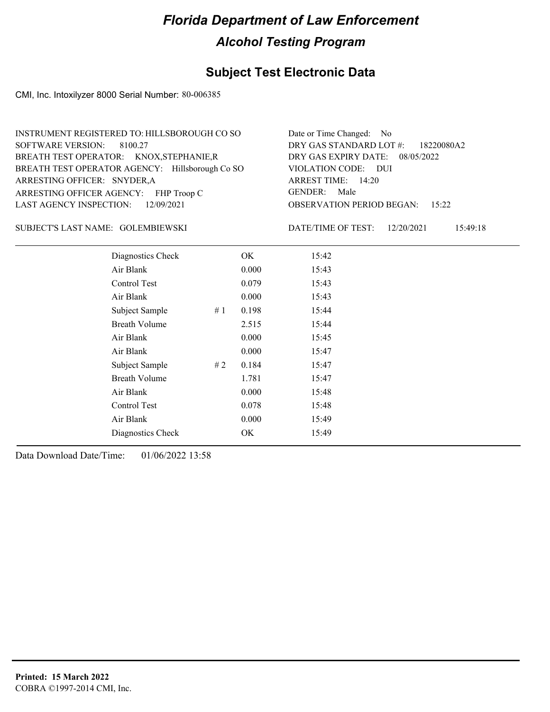### **Subject Test Electronic Data**

CMI, Inc. Intoxilyzer 8000 Serial Number: 80-006385

| INSTRUMENT REGISTERED TO: HILLSBOROUGH CO SO    | Date or Time Changed: No               |
|-------------------------------------------------|----------------------------------------|
| SOFTWARE VERSION: 8100.27                       | DRY GAS STANDARD LOT $\#$ : 18220080A2 |
| BREATH TEST OPERATOR: KNOX, STEPHANIE, R        | DRY GAS EXPIRY DATE: 08/05/2022        |
| BREATH TEST OPERATOR AGENCY: Hillsborough Co SO | VIOLATION CODE: DUI                    |
| ARRESTING OFFICER: SNYDER,A                     | ARREST TIME: 14:20                     |
| ARRESTING OFFICER AGENCY: FHP Troop C           | GENDER: Male                           |
| LAST AGENCY INSPECTION: 12/09/2021              | <b>OBSERVATION PERIOD BEGAN: 15:22</b> |

GOLEMBIEWSKI SUBJECT'S LAST NAME: DATE/TIME OF TEST:

DATE/TIME OF TEST: 12/20/2021 15:49:18

| Diagnostics Check    |    | OK    | 15:42 |
|----------------------|----|-------|-------|
| Air Blank            |    | 0.000 | 15:43 |
| Control Test         |    | 0.079 | 15:43 |
| Air Blank            |    | 0.000 | 15:43 |
| Subject Sample       | #1 | 0.198 | 15:44 |
| <b>Breath Volume</b> |    | 2.515 | 15:44 |
| Air Blank            |    | 0.000 | 15:45 |
| Air Blank            |    | 0.000 | 15:47 |
| Subject Sample       | #2 | 0.184 | 15:47 |
| <b>Breath Volume</b> |    | 1.781 | 15:47 |
| Air Blank            |    | 0.000 | 15:48 |
| Control Test         |    | 0.078 | 15:48 |
| Air Blank            |    | 0.000 | 15:49 |
| Diagnostics Check    |    | OK    | 15:49 |
|                      |    |       |       |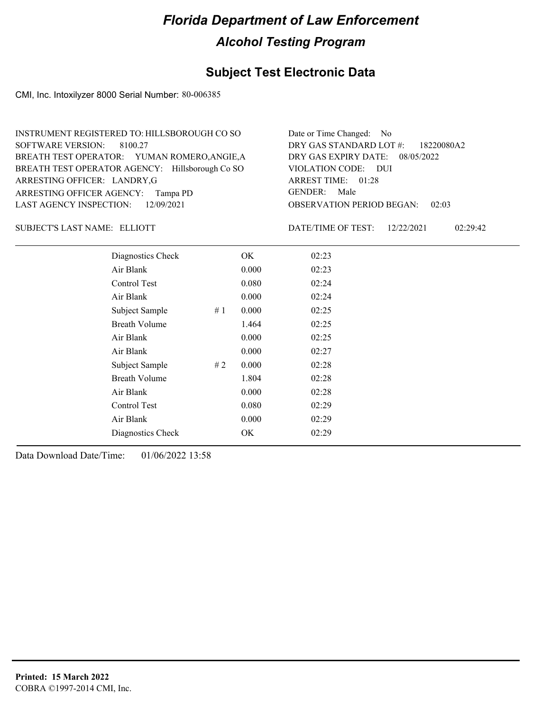### **Subject Test Electronic Data**

CMI, Inc. Intoxilyzer 8000 Serial Number: 80-006385

| INSTRUMENT REGISTERED TO: HILLSBOROUGH CO SO    | Date or Time Changed: No               |
|-------------------------------------------------|----------------------------------------|
| SOFTWARE VERSION: 8100.27                       | DRY GAS STANDARD LOT #: 18220080A2     |
| BREATH TEST OPERATOR: YUMAN ROMERO, ANGIE, A    | DRY GAS EXPIRY DATE: 08/05/2022        |
| BREATH TEST OPERATOR AGENCY: Hillsborough Co SO | VIOLATION CODE: DUI                    |
| ARRESTING OFFICER: LANDRY, G                    | ARREST TIME: 01:28                     |
| ARRESTING OFFICER AGENCY: Tampa PD              | GENDER: Male                           |
| LAST AGENCY INSPECTION: 12/09/2021              | <b>OBSERVATION PERIOD BEGAN: 02:03</b> |

#### SUBJECT'S LAST NAME: ELLIOTT DATE/TIME OF TEST:

DATE/TIME OF TEST: 12/22/2021 02:29:42

| Diagnostics Check    |    | OK    | 02:23 |
|----------------------|----|-------|-------|
| Air Blank            |    | 0.000 | 02:23 |
| Control Test         |    | 0.080 | 02:24 |
| Air Blank            |    | 0.000 | 02:24 |
| Subject Sample       | #1 | 0.000 | 02:25 |
| <b>Breath Volume</b> |    | 1.464 | 02:25 |
| Air Blank            |    | 0.000 | 02:25 |
| Air Blank            |    | 0.000 | 02:27 |
| Subject Sample       | #2 | 0.000 | 02:28 |
| <b>Breath Volume</b> |    | 1.804 | 02:28 |
| Air Blank            |    | 0.000 | 02:28 |
| <b>Control Test</b>  |    | 0.080 | 02:29 |
| Air Blank            |    | 0.000 | 02:29 |
| Diagnostics Check    |    | OK    | 02:29 |
|                      |    |       |       |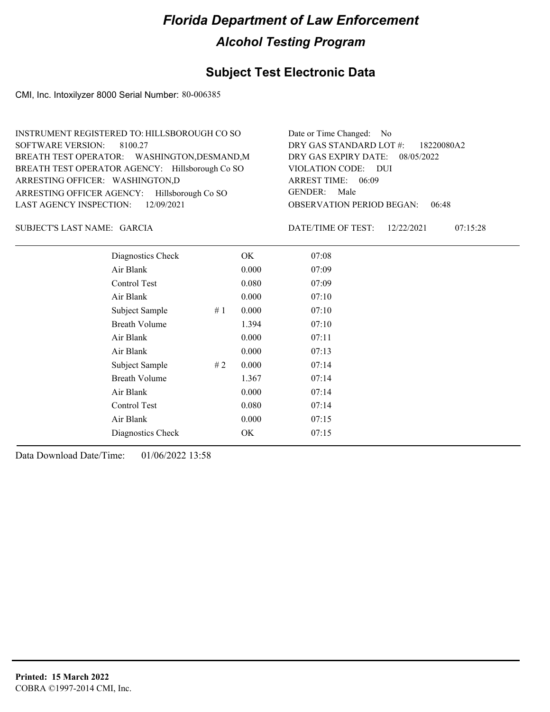### **Subject Test Electronic Data**

CMI, Inc. Intoxilyzer 8000 Serial Number: 80-006385

| INSTRUMENT REGISTERED TO: HILLSBOROUGH CO SO    | Date or Time Changed: No               |
|-------------------------------------------------|----------------------------------------|
| SOFTWARE VERSION: 8100.27                       | DRY GAS STANDARD LOT #: 18220080A2     |
| BREATH TEST OPERATOR: WASHINGTON, DESMAND, M    | DRY GAS EXPIRY DATE: 08/05/2022        |
| BREATH TEST OPERATOR AGENCY: Hillsborough Co SO | VIOLATION CODE: DUI                    |
| ARRESTING OFFICER: WASHINGTON,D                 | ARREST TIME: 06:09                     |
| ARRESTING OFFICER AGENCY: Hillsborough Co SO    | GENDER: Male                           |
| LAST AGENCY INSPECTION: $12/09/2021$            | <b>OBSERVATION PERIOD BEGAN: 06:48</b> |

GARCIA SUBJECT'S LAST NAME: DATE/TIME OF TEST:

DATE/TIME OF TEST: 12/22/2021 07:15:28

| Diagnostics Check    |    | OK    | 07:08 |
|----------------------|----|-------|-------|
| Air Blank            |    | 0.000 | 07:09 |
| Control Test         |    | 0.080 | 07:09 |
| Air Blank            |    | 0.000 | 07:10 |
| Subject Sample       | #1 | 0.000 | 07:10 |
| <b>Breath Volume</b> |    | 1.394 | 07:10 |
| Air Blank            |    | 0.000 | 07:11 |
| Air Blank            |    | 0.000 | 07:13 |
| Subject Sample       | #2 | 0.000 | 07:14 |
| <b>Breath Volume</b> |    | 1.367 | 07:14 |
| Air Blank            |    | 0.000 | 07:14 |
| Control Test         |    | 0.080 | 07:14 |
| Air Blank            |    | 0.000 | 07:15 |
| Diagnostics Check    |    | OK    | 07:15 |
|                      |    |       |       |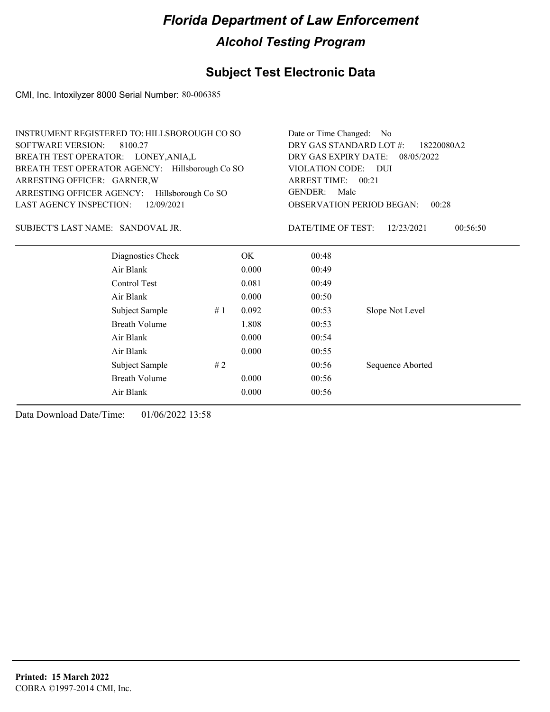## **Subject Test Electronic Data**

CMI, Inc. Intoxilyzer 8000 Serial Number: 80-006385

|                                       | INSTRUMENT REGISTERED TO: HILLSBOROUGH CO SO    | Date or Time Changed:<br>No.                                 |                                           |                    |                        |
|---------------------------------------|-------------------------------------------------|--------------------------------------------------------------|-------------------------------------------|--------------------|------------------------|
| <b>SOFTWARE VERSION:</b>              | 8100.27                                         | DRY GAS STANDARD LOT #:<br>18220080A2                        |                                           |                    |                        |
| BREATH TEST OPERATOR: LONEY, ANIA, L  |                                                 | DRY GAS EXPIRY DATE:<br>08/05/2022<br>VIOLATION CODE:<br>DUI |                                           |                    |                        |
|                                       | BREATH TEST OPERATOR AGENCY: Hillsborough Co SO |                                                              |                                           |                    |                        |
| ARRESTING OFFICER: GARNER, W          |                                                 | ARREST TIME:<br>00:21<br><b>GENDER:</b><br>Male              |                                           |                    |                        |
| ARRESTING OFFICER AGENCY:             | Hillsborough Co SO                              |                                                              |                                           |                    |                        |
| LAST AGENCY INSPECTION:<br>12/09/2021 |                                                 |                                                              | <b>OBSERVATION PERIOD BEGAN:</b><br>00:28 |                    |                        |
| SUBJECT'S LAST NAME: SANDOVAL JR.     |                                                 |                                                              |                                           | DATE/TIME OF TEST: | 00:56:50<br>12/23/2021 |
|                                       | Diagnostics Check                               |                                                              | OK.                                       | 00:48              |                        |
|                                       | Air Blank                                       |                                                              | 0.000                                     | 00:49              |                        |
|                                       | Control Test                                    |                                                              | 0.081                                     | 00:49              |                        |
|                                       | Air Blank                                       |                                                              | 0.000                                     | 00:50              |                        |
|                                       | Subject Sample                                  | #1                                                           | 0.092                                     | 00:53              | Slope Not Level        |
|                                       | <b>Breath Volume</b>                            |                                                              | 1.808                                     | 00:53              |                        |
|                                       | Air Blank                                       |                                                              | 0.000                                     | 00:54              |                        |
|                                       | Air Blank                                       |                                                              | 0.000                                     | 00:55              |                        |
|                                       | Subject Sample                                  | #2                                                           |                                           | 00:56              | Sequence Aborted       |
|                                       | <b>Breath Volume</b>                            |                                                              | 0.000                                     | 00:56              |                        |
|                                       | Air Blank                                       |                                                              | 0.000                                     | 00:56              |                        |
|                                       |                                                 |                                                              |                                           |                    |                        |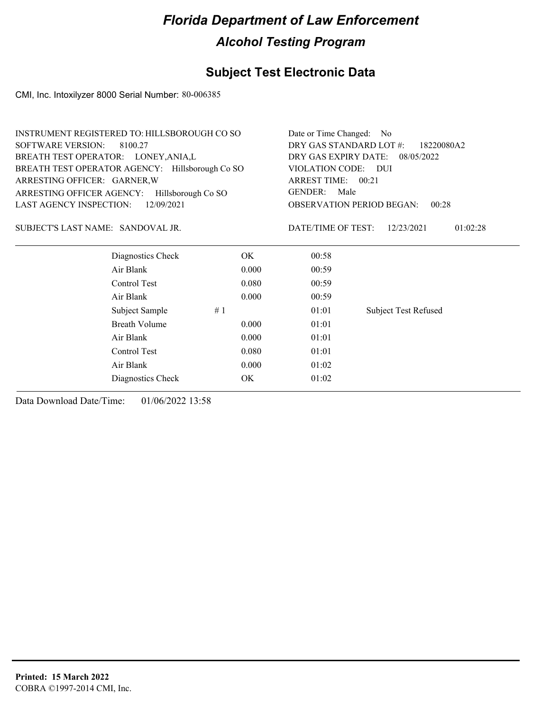### **Subject Test Electronic Data**

CMI, Inc. Intoxilyzer 8000 Serial Number: 80-006385

| INSTRUMENT REGISTERED TO: HILLSBOROUGH CO SO    |                    |                    | Date or Time Changed: No                  |  |  |
|-------------------------------------------------|--------------------|--------------------|-------------------------------------------|--|--|
| <b>SOFTWARE VERSION:</b><br>8100.27             |                    |                    | DRY GAS STANDARD LOT #:<br>18220080A2     |  |  |
| BREATH TEST OPERATOR: LONEY, ANIA, L            |                    |                    | DRY GAS EXPIRY DATE:<br>08/05/2022        |  |  |
| BREATH TEST OPERATOR AGENCY: Hillsborough Co SO |                    |                    | VIOLATION CODE:<br>DUI                    |  |  |
| ARRESTING OFFICER: GARNER, W                    |                    | ARREST TIME: 00:21 |                                           |  |  |
| ARRESTING OFFICER AGENCY:                       | Hillsborough Co SO | GENDER:            | Male                                      |  |  |
| <b>LAST AGENCY INSPECTION:</b>                  | 12/09/2021         |                    | <b>OBSERVATION PERIOD BEGAN:</b><br>00:28 |  |  |
| SUBJECT'S LAST NAME: SANDOVAL JR.               |                    | DATE/TIME OF TEST: | 12/23/2021<br>01:02:28                    |  |  |
| Diagnostics Check                               | OK.                | 00:58              |                                           |  |  |
| Air Blank                                       | 0.000              | 00:59              |                                           |  |  |
| Control Test                                    | 0.080              | 00:59              |                                           |  |  |
| Air Blank                                       | 0.000              | 00:59              |                                           |  |  |
| Subject Sample                                  | #1                 | 01:01              | Subject Test Refused                      |  |  |
| Breath Volume                                   | 0.000              | 01:01              |                                           |  |  |
| Air Blank                                       | 0.000              | 01:01              |                                           |  |  |
| Control Test                                    | 0.080              | 01:01              |                                           |  |  |

Air Blank 0.000 01:02 Diagnostics Check OK 01:02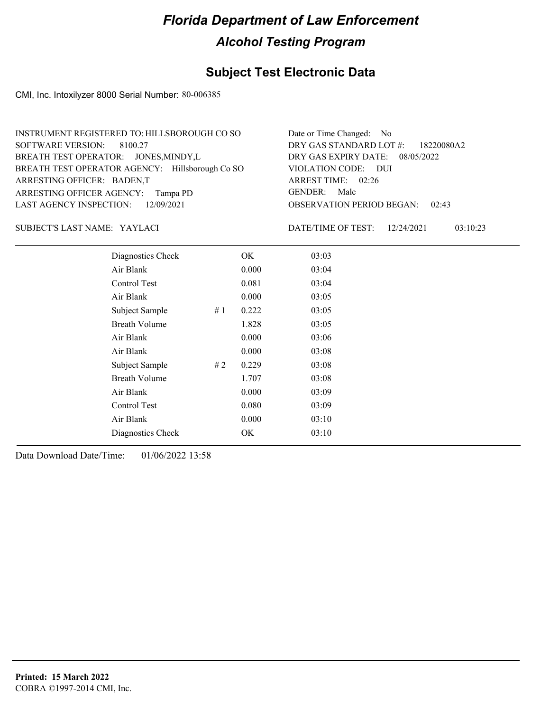### **Subject Test Electronic Data**

CMI, Inc. Intoxilyzer 8000 Serial Number: 80-006385

| INSTRUMENT REGISTERED TO: HILLSBOROUGH CO SO    | Date or Time Changed: No               |
|-------------------------------------------------|----------------------------------------|
| SOFTWARE VERSION: 8100.27                       | DRY GAS STANDARD LOT #: 18220080A2     |
| BREATH TEST OPERATOR: JONES, MINDY, L           | DRY GAS EXPIRY DATE: 08/05/2022        |
| BREATH TEST OPERATOR AGENCY: Hillsborough Co SO | VIOLATION CODE: DUI                    |
| ARRESTING OFFICER: BADEN,T                      | ARREST TIME: 02:26                     |
| ARRESTING OFFICER AGENCY: Tampa PD              | GENDER: Male                           |
| LAST AGENCY INSPECTION: 12/09/2021              | <b>OBSERVATION PERIOD BEGAN: 02:43</b> |

#### YAYLACI SUBJECT'S LAST NAME: DATE/TIME OF TEST:

DATE/TIME OF TEST: 12/24/2021 03:10:23

| Diagnostics Check    |    | OK    | 03:03 |
|----------------------|----|-------|-------|
| Air Blank            |    | 0.000 | 03:04 |
| Control Test         |    | 0.081 | 03:04 |
| Air Blank            |    | 0.000 | 03:05 |
| Subject Sample       | #1 | 0.222 | 03:05 |
| <b>Breath Volume</b> |    | 1.828 | 03:05 |
| Air Blank            |    | 0.000 | 03:06 |
| Air Blank            |    | 0.000 | 03:08 |
| Subject Sample       | #2 | 0.229 | 03:08 |
| <b>Breath Volume</b> |    | 1.707 | 03:08 |
| Air Blank            |    | 0.000 | 03:09 |
| Control Test         |    | 0.080 | 03:09 |
| Air Blank            |    | 0.000 | 03:10 |
| Diagnostics Check    |    | OK    | 03:10 |
|                      |    |       |       |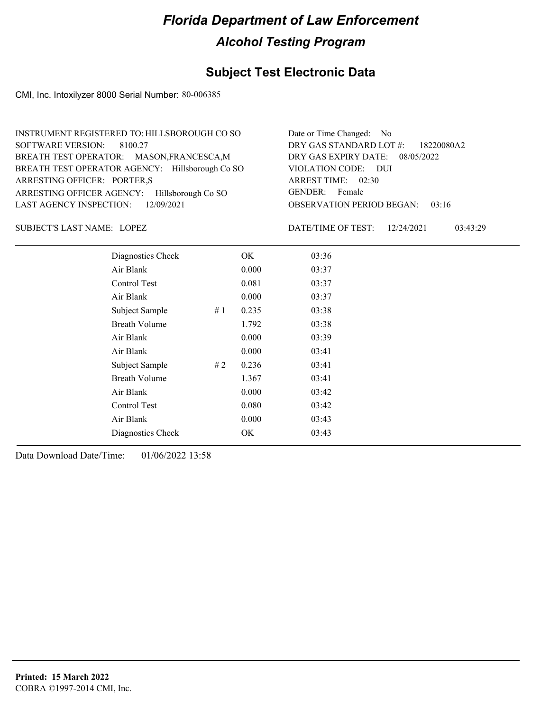### **Subject Test Electronic Data**

CMI, Inc. Intoxilyzer 8000 Serial Number: 80-006385

| INSTRUMENT REGISTERED TO: HILLSBOROUGH CO SO    | Date or Time Changed: No               |
|-------------------------------------------------|----------------------------------------|
| SOFTWARE VERSION: 8100.27                       | DRY GAS STANDARD LOT #: 18220080A2     |
| BREATH TEST OPERATOR: MASON, FRANCESCA, M       | DRY GAS EXPIRY DATE: 08/05/2022        |
| BREATH TEST OPERATOR AGENCY: Hillsborough Co SO | VIOLATION CODE: DUI                    |
| ARRESTING OFFICER: PORTER,S                     | ARREST TIME: 02:30                     |
| ARRESTING OFFICER AGENCY: Hillsborough Co SO    | GENDER: Female                         |
| LAST AGENCY INSPECTION: $12/09/2021$            | <b>OBSERVATION PERIOD BEGAN: 03:16</b> |

LOPEZ SUBJECT'S LAST NAME: DATE/TIME OF TEST:

DATE/TIME OF TEST: 12/24/2021 03:43:29

| Diagnostics Check     | OK    | 03:36 |
|-----------------------|-------|-------|
| Air Blank             | 0.000 | 03:37 |
| Control Test          | 0.081 | 03:37 |
| Air Blank             | 0.000 | 03:37 |
| Subject Sample<br>#1  | 0.235 | 03:38 |
| <b>Breath Volume</b>  | 1.792 | 03:38 |
| Air Blank             | 0.000 | 03:39 |
| Air Blank             | 0.000 | 03:41 |
| Subject Sample<br># 2 | 0.236 | 03:41 |
| <b>Breath Volume</b>  | 1.367 | 03:41 |
| Air Blank             | 0.000 | 03:42 |
| Control Test          | 0.080 | 03:42 |
| Air Blank             | 0.000 | 03:43 |
| Diagnostics Check     | OK    | 03:43 |
|                       |       |       |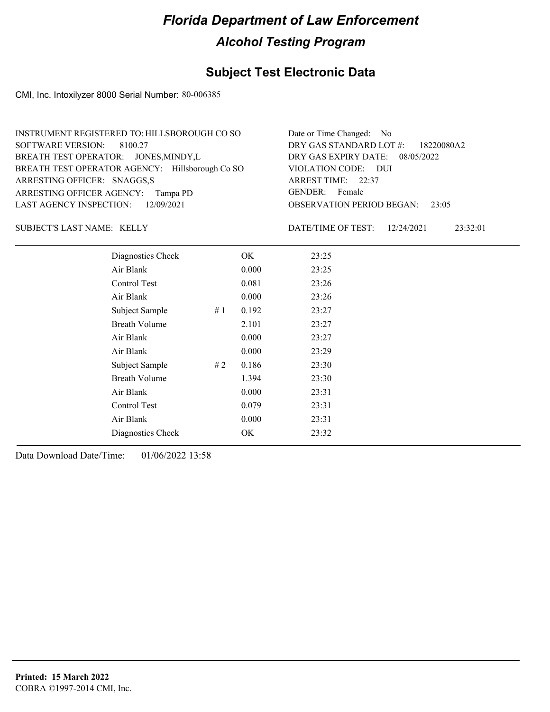### **Subject Test Electronic Data**

CMI, Inc. Intoxilyzer 8000 Serial Number: 80-006385

| INSTRUMENT REGISTERED TO: HILLSBOROUGH CO SO    | Date or Time Changed: No               |
|-------------------------------------------------|----------------------------------------|
| SOFTWARE VERSION: 8100.27                       | DRY GAS STANDARD LOT #: 18220080A2     |
| BREATH TEST OPERATOR: JONES, MINDY, L           | DRY GAS EXPIRY DATE: 08/05/2022        |
| BREATH TEST OPERATOR AGENCY: Hillsborough Co SO | VIOLATION CODE: DUI                    |
| ARRESTING OFFICER: SNAGGS,S                     | ARREST TIME: 22:37                     |
| ARRESTING OFFICER AGENCY: Tampa PD              | GENDER: Female                         |
| LAST AGENCY INSPECTION: 12/09/2021              | <b>OBSERVATION PERIOD BEGAN: 23:05</b> |

SUBJECT'S LAST NAME: KELLY DATE/TIME OF TEST:

DATE/TIME OF TEST: 12/24/2021 23:32:01

| Diagnostics Check    |    | OK    | 23:25 |
|----------------------|----|-------|-------|
| Air Blank            |    | 0.000 | 23:25 |
| Control Test         |    | 0.081 | 23:26 |
| Air Blank            |    | 0.000 | 23:26 |
| Subject Sample       | #1 | 0.192 | 23:27 |
| <b>Breath Volume</b> |    | 2.101 | 23:27 |
| Air Blank            |    | 0.000 | 23:27 |
| Air Blank            |    | 0.000 | 23:29 |
| Subject Sample       | #2 | 0.186 | 23:30 |
| <b>Breath Volume</b> |    | 1.394 | 23:30 |
| Air Blank            |    | 0.000 | 23:31 |
| <b>Control Test</b>  |    | 0.079 | 23:31 |
| Air Blank            |    | 0.000 | 23:31 |
| Diagnostics Check    |    | OK    | 23:32 |
|                      |    |       |       |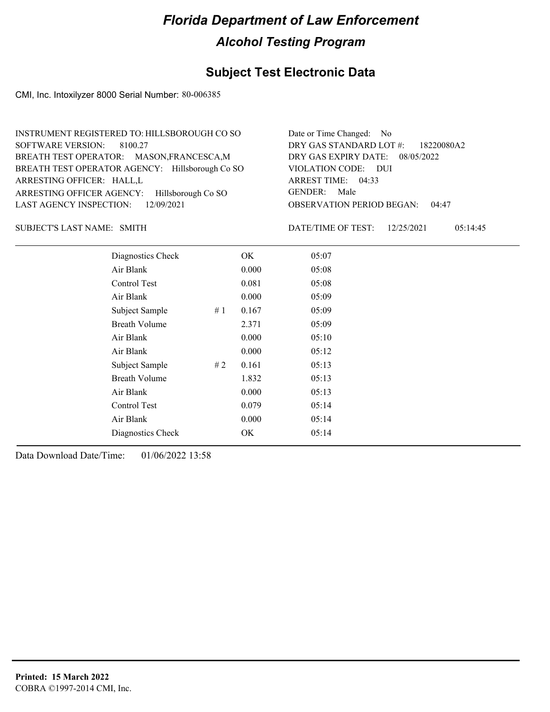### **Subject Test Electronic Data**

CMI, Inc. Intoxilyzer 8000 Serial Number: 80-006385

| INSTRUMENT REGISTERED TO: HILLSBOROUGH CO SO    | Date or Time Changed: No               |
|-------------------------------------------------|----------------------------------------|
| SOFTWARE VERSION: 8100.27                       | DRY GAS STANDARD LOT #: 18220080A2     |
| BREATH TEST OPERATOR: MASON, FRANCESCA, M       | DRY GAS EXPIRY DATE: 08/05/2022        |
| BREATH TEST OPERATOR AGENCY: Hillsborough Co SO | VIOLATION CODE: DUI                    |
| ARRESTING OFFICER: HALL,L                       | ARREST TIME: 04:33                     |
| ARRESTING OFFICER AGENCY: Hillsborough Co SO    | GENDER: Male                           |
| LAST AGENCY INSPECTION: 12/09/2021              | <b>OBSERVATION PERIOD BEGAN: 04:47</b> |

SUBJECT'S LAST NAME: SMITH **Example 2018** DATE/TIME OF TEST:

DATE/TIME OF TEST: 12/25/2021 05:14:45

| Diagnostics Check    |    | OK    | 05:07 |
|----------------------|----|-------|-------|
| Air Blank            |    | 0.000 | 05:08 |
| Control Test         |    | 0.081 | 05:08 |
| Air Blank            |    | 0.000 | 05:09 |
| Subject Sample       | #1 | 0.167 | 05:09 |
| <b>Breath Volume</b> |    | 2.371 | 05:09 |
| Air Blank            |    | 0.000 | 05:10 |
| Air Blank            |    | 0.000 | 05:12 |
| Subject Sample       | #2 | 0.161 | 05:13 |
| <b>Breath Volume</b> |    | 1.832 | 05:13 |
| Air Blank            |    | 0.000 | 05:13 |
| Control Test         |    | 0.079 | 05:14 |
| Air Blank            |    | 0.000 | 05:14 |
| Diagnostics Check    |    | OK    | 05:14 |
|                      |    |       |       |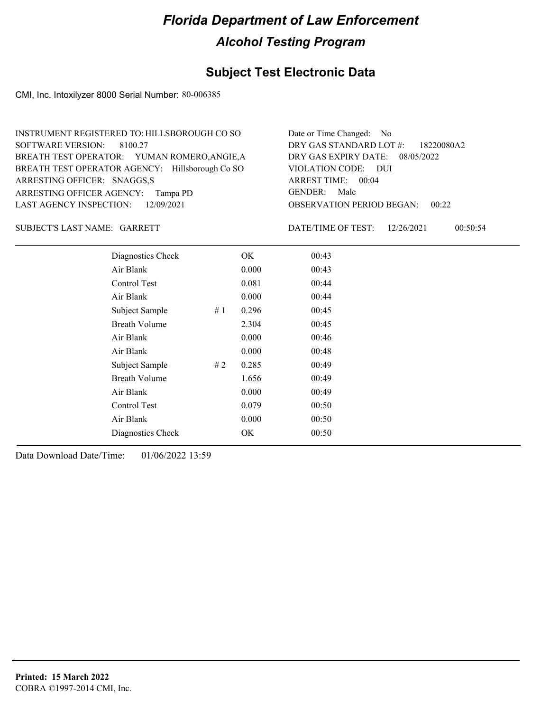### **Subject Test Electronic Data**

CMI, Inc. Intoxilyzer 8000 Serial Number: 80-006385

| INSTRUMENT REGISTERED TO: HILLSBOROUGH CO SO    | Date or Time Changed: No               |
|-------------------------------------------------|----------------------------------------|
| SOFTWARE VERSION: 8100.27                       | DRY GAS STANDARD LOT #: 18220080A2     |
| BREATH TEST OPERATOR: YUMAN ROMERO, ANGIE, A    | DRY GAS EXPIRY DATE: 08/05/2022        |
| BREATH TEST OPERATOR AGENCY: Hillsborough Co SO | VIOLATION CODE: DUI                    |
| ARRESTING OFFICER: SNAGGS,S                     | ARREST TIME: 00:04                     |
| ARRESTING OFFICER AGENCY: Tampa PD              | GENDER: Male                           |
| LAST AGENCY INSPECTION: 12/09/2021              | <b>OBSERVATION PERIOD BEGAN: 00:22</b> |

#### SUBJECT'S LAST NAME: GARRETT DATE/TIME OF TEST:

DATE/TIME OF TEST: 12/26/2021 00:50:54

| Diagnostics Check    |    | OK    | 00:43 |
|----------------------|----|-------|-------|
| Air Blank            |    | 0.000 | 00:43 |
| Control Test         |    | 0.081 | 00:44 |
| Air Blank            |    | 0.000 | 00:44 |
| Subject Sample       | #1 | 0.296 | 00:45 |
| <b>Breath Volume</b> |    | 2.304 | 00:45 |
| Air Blank            |    | 0.000 | 00:46 |
| Air Blank            |    | 0.000 | 00:48 |
| Subject Sample       | #2 | 0.285 | 00:49 |
| <b>Breath Volume</b> |    | 1.656 | 00:49 |
| Air Blank            |    | 0.000 | 00:49 |
| Control Test         |    | 0.079 | 00:50 |
| Air Blank            |    | 0.000 | 00:50 |
| Diagnostics Check    |    | OK    | 00:50 |
|                      |    |       |       |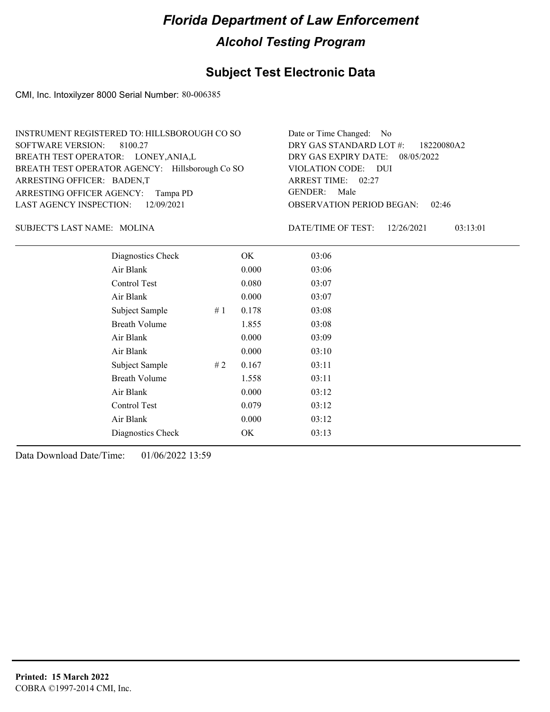### **Subject Test Electronic Data**

CMI, Inc. Intoxilyzer 8000 Serial Number: 80-006385

| INSTRUMENT REGISTERED TO: HILLSBOROUGH CO SO    | Date or Time Changed: No               |
|-------------------------------------------------|----------------------------------------|
| SOFTWARE VERSION: 8100.27                       | DRY GAS STANDARD LOT #: 18220080A2     |
| BREATH TEST OPERATOR: LONEY, ANIA, L            | DRY GAS EXPIRY DATE: 08/05/2022        |
| BREATH TEST OPERATOR AGENCY: Hillsborough Co SO | VIOLATION CODE: DUI                    |
| ARRESTING OFFICER: BADEN,T                      | ARREST TIME: 02:27                     |
| ARRESTING OFFICER AGENCY: Tampa PD              | GENDER: Male                           |
| LAST AGENCY INSPECTION: 12/09/2021              | <b>OBSERVATION PERIOD BEGAN: 02:46</b> |

MOLINA SUBJECT'S LAST NAME: DATE/TIME OF TEST:

DATE/TIME OF TEST: 12/26/2021 03:13:01

| Diagnostics Check    |    | OK.   | 03:06 |
|----------------------|----|-------|-------|
| Air Blank            |    | 0.000 | 03:06 |
| Control Test         |    | 0.080 | 03:07 |
| Air Blank            |    | 0.000 | 03:07 |
| Subject Sample       | #1 | 0.178 | 03:08 |
| <b>Breath Volume</b> |    | 1.855 | 03:08 |
| Air Blank            |    | 0.000 | 03:09 |
| Air Blank            |    | 0.000 | 03:10 |
| Subject Sample       | #2 | 0.167 | 03:11 |
| <b>Breath Volume</b> |    | 1.558 | 03:11 |
| Air Blank            |    | 0.000 | 03:12 |
| Control Test         |    | 0.079 | 03:12 |
| Air Blank            |    | 0.000 | 03:12 |
| Diagnostics Check    |    | OK    | 03:13 |
|                      |    |       |       |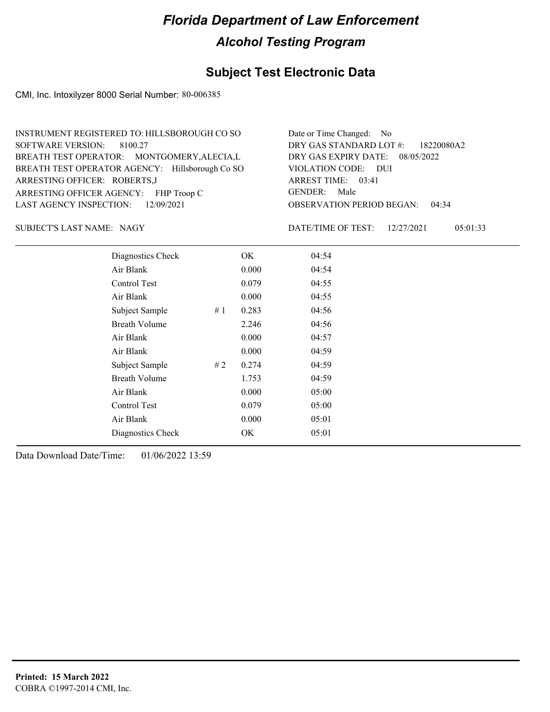### **Subject Test Electronic Data**

CMI, Inc. Intoxilyzer 8000 Serial Number: 80-006385

| INSTRUMENT REGISTERED TO: HILLSBOROUGH CO SO    | Date or Time Changed: No               |
|-------------------------------------------------|----------------------------------------|
| SOFTWARE VERSION: 8100.27                       | DRY GAS STANDARD LOT #: 18220080A2     |
| BREATH TEST OPERATOR: MONTGOMERY, ALECIA, L     | DRY GAS EXPIRY DATE: 08/05/2022        |
| BREATH TEST OPERATOR AGENCY: Hillsborough Co SO | VIOLATION CODE: DUI                    |
| ARRESTING OFFICER: ROBERTS, J                   | ARREST TIME: 03:41                     |
| ARRESTING OFFICER AGENCY: FHP Troop C           | GENDER: Male                           |
| LAST AGENCY INSPECTION: 12/09/2021              | <b>OBSERVATION PERIOD BEGAN: 04:34</b> |

SUBJECT'S LAST NAME: NAGY **Example 20** DATE/TIME OF TEST:

DATE/TIME OF TEST: 12/27/2021 05:01:33

| Diagnostics Check    |    | OK    | 04:54 |
|----------------------|----|-------|-------|
| Air Blank            |    | 0.000 | 04:54 |
| Control Test         |    | 0.079 | 04:55 |
| Air Blank            |    | 0.000 | 04:55 |
| Subject Sample       | #1 | 0.283 | 04:56 |
| <b>Breath Volume</b> |    | 2.246 | 04:56 |
| Air Blank            |    | 0.000 | 04:57 |
| Air Blank            |    | 0.000 | 04:59 |
| Subject Sample       | #2 | 0.274 | 04:59 |
| <b>Breath Volume</b> |    | 1.753 | 04:59 |
| Air Blank            |    | 0.000 | 05:00 |
| <b>Control Test</b>  |    | 0.079 | 05:00 |
| Air Blank            |    | 0.000 | 05:01 |
| Diagnostics Check    |    | OK    | 05:01 |
|                      |    |       |       |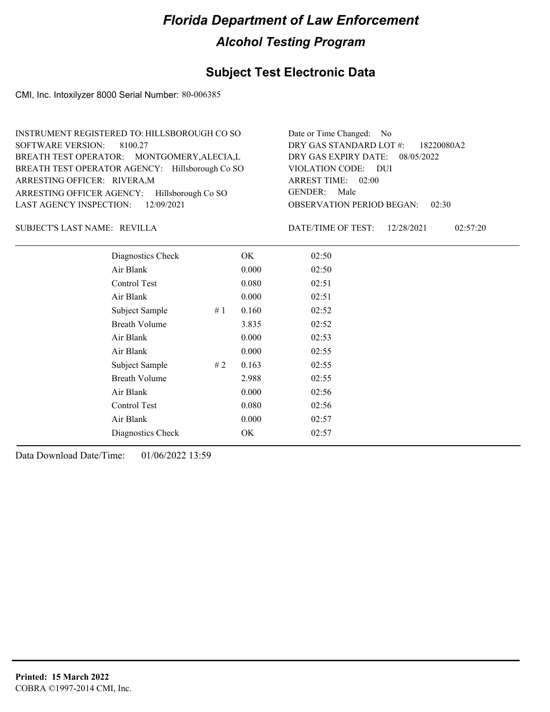### **Subject Test Electronic Data**

CMI, Inc. Intoxilyzer 8000 Serial Number: 80-006385

| INSTRUMENT REGISTERED TO: HILLSBOROUGH CO SO    | Date or Time Changed: No               |
|-------------------------------------------------|----------------------------------------|
| SOFTWARE VERSION: 8100.27                       | DRY GAS STANDARD LOT #: 18220080A2     |
| BREATH TEST OPERATOR: MONTGOMERY, ALECIA, L     | DRY GAS EXPIRY DATE: $08/05/2022$      |
| BREATH TEST OPERATOR AGENCY: Hillsborough Co SO | VIOLATION CODE: DUI                    |
| ARRESTING OFFICER: RIVERA, M                    | ARREST TIME: 02:00                     |
| ARRESTING OFFICER AGENCY: Hillsborough Co SO    | GENDER: Male                           |
| LAST AGENCY INSPECTION: $12/09/2021$            | <b>OBSERVATION PERIOD BEGAN: 02:30</b> |

#### REVILLA SUBJECT'S LAST NAME: DATE/TIME OF TEST:

DATE/TIME OF TEST: 12/28/2021 02:57:20

| Diagnostics Check    |    | OK    | 02:50 |  |
|----------------------|----|-------|-------|--|
| Air Blank            |    | 0.000 | 02:50 |  |
| Control Test         |    | 0.080 | 02:51 |  |
| Air Blank            |    | 0.000 | 02:51 |  |
| Subject Sample       | #1 | 0.160 | 02:52 |  |
| <b>Breath Volume</b> |    | 3.835 | 02:52 |  |
| Air Blank            |    | 0.000 | 02:53 |  |
| Air Blank            |    | 0.000 | 02:55 |  |
| Subject Sample       | #2 | 0.163 | 02:55 |  |
| <b>Breath Volume</b> |    | 2.988 | 02:55 |  |
| Air Blank            |    | 0.000 | 02:56 |  |
| Control Test         |    | 0.080 | 02:56 |  |
| Air Blank            |    | 0.000 | 02:57 |  |
| Diagnostics Check    |    | OK    | 02:57 |  |
|                      |    |       |       |  |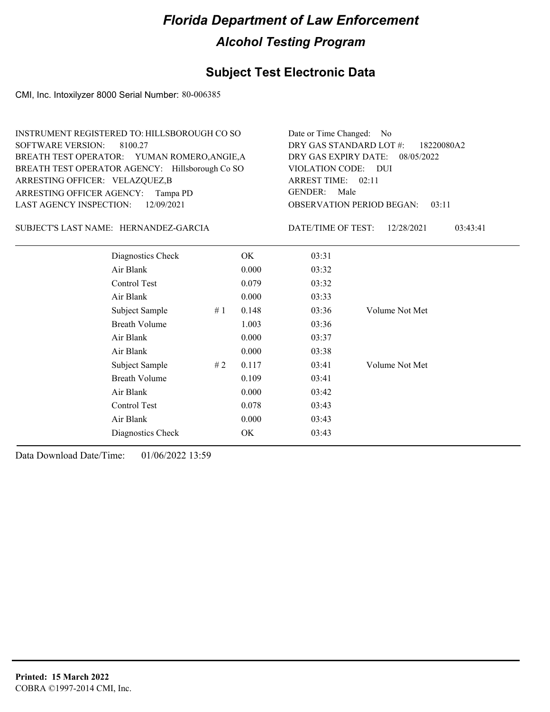## **Subject Test Electronic Data**

CMI, Inc. Intoxilyzer 8000 Serial Number: 80-006385

| <b>SOFTWARE VERSION:</b><br>ARRESTING OFFICER: VELAZQUEZ,B<br>ARRESTING OFFICER AGENCY: Tampa PD<br>LAST AGENCY INSPECTION: | INSTRUMENT REGISTERED TO: HILLSBOROUGH CO SO<br>8100.27<br>BREATH TEST OPERATOR: YUMAN ROMERO, ANGIE, A<br>BREATH TEST OPERATOR AGENCY: Hillsborough Co SO<br>12/09/2021 |    | Date or Time Changed:<br>DRY GAS STANDARD LOT #:<br>DRY GAS EXPIRY DATE:<br><b>VIOLATION CODE:</b><br>ARREST TIME: 02:11<br><b>GENDER:</b><br>Male<br><b>OBSERVATION PERIOD BEGAN:</b> | No.<br>18220080A2<br>08/05/2022<br>- DUI<br>03:11 |                |          |
|-----------------------------------------------------------------------------------------------------------------------------|--------------------------------------------------------------------------------------------------------------------------------------------------------------------------|----|----------------------------------------------------------------------------------------------------------------------------------------------------------------------------------------|---------------------------------------------------|----------------|----------|
|                                                                                                                             | SUBJECT'S LAST NAME: HERNANDEZ-GARCIA                                                                                                                                    |    |                                                                                                                                                                                        | DATE/TIME OF TEST:                                | 12/28/2021     | 03:43:41 |
|                                                                                                                             | Diagnostics Check                                                                                                                                                        |    | OK                                                                                                                                                                                     | 03:31                                             |                |          |
|                                                                                                                             | Air Blank                                                                                                                                                                |    | 0.000                                                                                                                                                                                  | 03:32                                             |                |          |
|                                                                                                                             | Control Test                                                                                                                                                             |    | 0.079                                                                                                                                                                                  | 03:32                                             |                |          |
|                                                                                                                             | Air Blank                                                                                                                                                                |    | 0.000                                                                                                                                                                                  | 03:33                                             |                |          |
|                                                                                                                             | Subject Sample                                                                                                                                                           | #1 | 0.148                                                                                                                                                                                  | 03:36                                             | Volume Not Met |          |
|                                                                                                                             | <b>Breath Volume</b>                                                                                                                                                     |    | 1.003                                                                                                                                                                                  | 03:36                                             |                |          |
|                                                                                                                             | Air Blank                                                                                                                                                                |    | 0.000                                                                                                                                                                                  | 03:37                                             |                |          |
|                                                                                                                             | Air Blank                                                                                                                                                                |    | 0.000                                                                                                                                                                                  | 03:38                                             |                |          |
|                                                                                                                             | Subject Sample                                                                                                                                                           | #2 | 0.117                                                                                                                                                                                  | 03:41                                             | Volume Not Met |          |
|                                                                                                                             | <b>Breath Volume</b>                                                                                                                                                     |    | 0.109                                                                                                                                                                                  | 03:41                                             |                |          |
|                                                                                                                             | Air Blank                                                                                                                                                                |    | 0.000                                                                                                                                                                                  | 03:42                                             |                |          |
|                                                                                                                             | Control Test                                                                                                                                                             |    | 0.078                                                                                                                                                                                  | 03:43                                             |                |          |
|                                                                                                                             | Air Blank                                                                                                                                                                |    | 0.000                                                                                                                                                                                  | 03:43                                             |                |          |
|                                                                                                                             | Diagnostics Check                                                                                                                                                        |    | <b>OK</b>                                                                                                                                                                              | 03:43                                             |                |          |
|                                                                                                                             |                                                                                                                                                                          |    |                                                                                                                                                                                        |                                                   |                |          |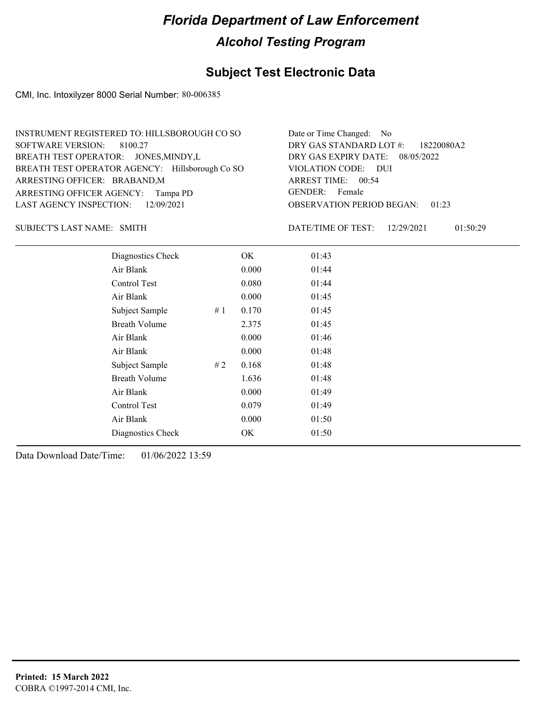### **Subject Test Electronic Data**

CMI, Inc. Intoxilyzer 8000 Serial Number: 80-006385

| INSTRUMENT REGISTERED TO: HILLSBOROUGH CO SO    | Date or Time Changed: No               |
|-------------------------------------------------|----------------------------------------|
| SOFTWARE VERSION: 8100.27                       | DRY GAS STANDARD LOT #: 18220080A2     |
| BREATH TEST OPERATOR: JONES, MINDY, L           | DRY GAS EXPIRY DATE: 08/05/2022        |
| BREATH TEST OPERATOR AGENCY: Hillsborough Co SO | VIOLATION CODE: DUI                    |
| ARRESTING OFFICER: BRABAND, M                   | ARREST TIME: 00:54                     |
| ARRESTING OFFICER AGENCY: Tampa PD              | GENDER: Female                         |
| LAST AGENCY INSPECTION: 12/09/2021              | <b>OBSERVATION PERIOD BEGAN: 01:23</b> |

SUBJECT'S LAST NAME: SMITH **Example 2018** DATE/TIME OF TEST:

DATE/TIME OF TEST: 12/29/2021 01:50:29

| Diagnostics Check    | OK    | 01:43 |
|----------------------|-------|-------|
| Air Blank            | 0.000 | 01:44 |
| Control Test         | 0.080 | 01:44 |
| Air Blank            | 0.000 | 01:45 |
| Subject Sample<br>#1 | 0.170 | 01:45 |
| <b>Breath Volume</b> | 2.375 | 01:45 |
| Air Blank            | 0.000 | 01:46 |
| Air Blank            | 0.000 | 01:48 |
| Subject Sample<br>#2 | 0.168 | 01:48 |
| <b>Breath Volume</b> | 1.636 | 01:48 |
| Air Blank            | 0.000 | 01:49 |
| Control Test         | 0.079 | 01:49 |
| Air Blank            | 0.000 | 01:50 |
| Diagnostics Check    | OK    | 01:50 |
|                      |       |       |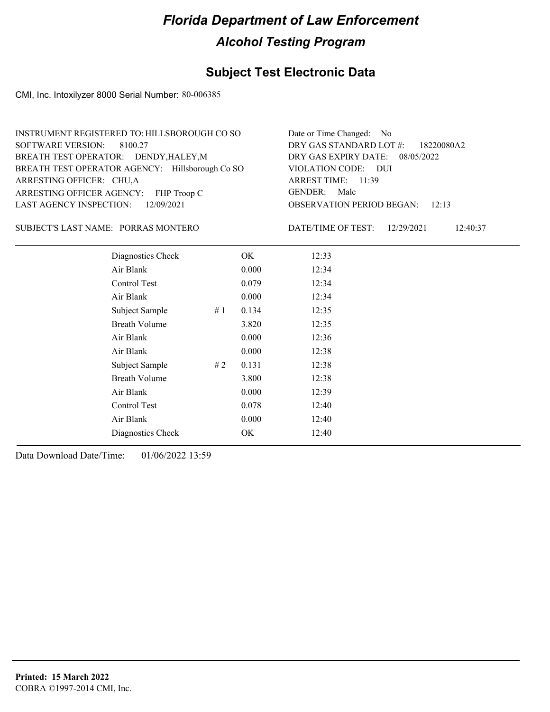### **Subject Test Electronic Data**

CMI, Inc. Intoxilyzer 8000 Serial Number: 80-006385

| INSTRUMENT REGISTERED TO: HILLSBOROUGH CO SO    | Date or Time Changed: No               |
|-------------------------------------------------|----------------------------------------|
| SOFTWARE VERSION: 8100.27                       | DRY GAS STANDARD LOT $\#$ : 18220080A2 |
| BREATH TEST OPERATOR: DENDY, HALEY, M           | DRY GAS EXPIRY DATE: 08/05/2022        |
| BREATH TEST OPERATOR AGENCY: Hillsborough Co SO | VIOLATION CODE: DUI                    |
| ARRESTING OFFICER: CHU,A                        | ARREST TIME: 11:39                     |
| ARRESTING OFFICER AGENCY: FHP Troop C           | GENDER: Male                           |
| LAST AGENCY INSPECTION: 12/09/2021              | <b>OBSERVATION PERIOD BEGAN:</b> 12:13 |

#### SUBJECT'S LAST NAME: PORRAS MONTERO DATE/TIME OF TEST:

DATE/TIME OF TEST: 12/29/2021 12:40:37

| Diagnostics Check    |    | OK    | 12:33 |
|----------------------|----|-------|-------|
| Air Blank            |    | 0.000 | 12:34 |
| Control Test         |    | 0.079 | 12:34 |
| Air Blank            |    | 0.000 | 12:34 |
| Subject Sample       | #1 | 0.134 | 12:35 |
| <b>Breath Volume</b> |    | 3.820 | 12:35 |
| Air Blank            |    | 0.000 | 12:36 |
| Air Blank            |    | 0.000 | 12:38 |
| Subject Sample       | #2 | 0.131 | 12:38 |
| <b>Breath Volume</b> |    | 3.800 | 12:38 |
| Air Blank            |    | 0.000 | 12:39 |
| Control Test         |    | 0.078 | 12:40 |
| Air Blank            |    | 0.000 | 12:40 |
| Diagnostics Check    |    | OK    | 12:40 |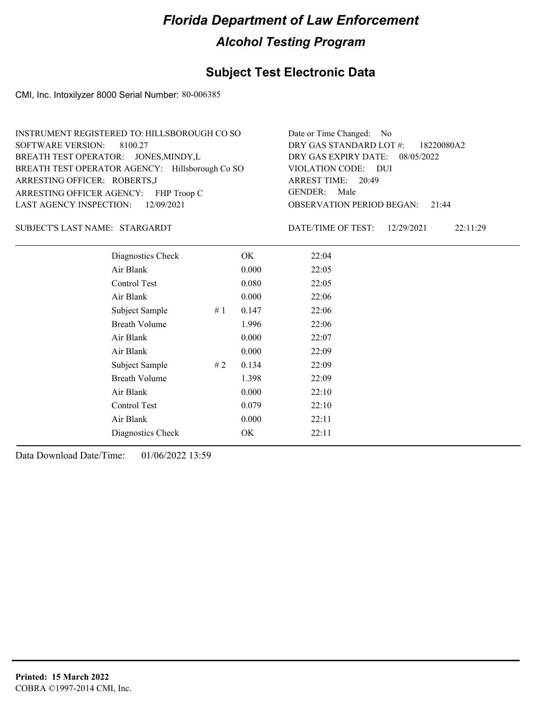### **Subject Test Electronic Data**

CMI, Inc. Intoxilyzer 8000 Serial Number: 80-006385

| INSTRUMENT REGISTERED TO: HILLSBOROUGH CO SO    | Date or Time Changed: No               |
|-------------------------------------------------|----------------------------------------|
| SOFTWARE VERSION: 8100.27                       | DRY GAS STANDARD LOT #: 18220080A2     |
| BREATH TEST OPERATOR: JONES, MINDY, L           | DRY GAS EXPIRY DATE: 08/05/2022        |
| BREATH TEST OPERATOR AGENCY: Hillsborough Co SO | VIOLATION CODE: DUI                    |
| ARRESTING OFFICER: ROBERTS, J                   | ARREST TIME: 20:49                     |
| ARRESTING OFFICER AGENCY: FHP Troop C           | GENDER: Male                           |
| LAST AGENCY INSPECTION: 12/09/2021              | <b>OBSERVATION PERIOD BEGAN: 21:44</b> |

#### STARGARDT SUBJECT'S LAST NAME: DATE/TIME OF TEST:

DATE/TIME OF TEST: 12/29/2021 22:11:29

| Diagnostics Check    |    | OK    | 22:04 |
|----------------------|----|-------|-------|
| Air Blank            |    | 0.000 | 22:05 |
| Control Test         |    | 0.080 | 22:05 |
| Air Blank            |    | 0.000 | 22:06 |
| Subject Sample       | #1 | 0.147 | 22:06 |
| <b>Breath Volume</b> |    | 1.996 | 22:06 |
| Air Blank            |    | 0.000 | 22:07 |
| Air Blank            |    | 0.000 | 22:09 |
| Subject Sample       | #2 | 0.134 | 22:09 |
| <b>Breath Volume</b> |    | 1.398 | 22:09 |
| Air Blank            |    | 0.000 | 22:10 |
| Control Test         |    | 0.079 | 22:10 |
| Air Blank            |    | 0.000 | 22:11 |
| Diagnostics Check    |    | OK    | 22:11 |
|                      |    |       |       |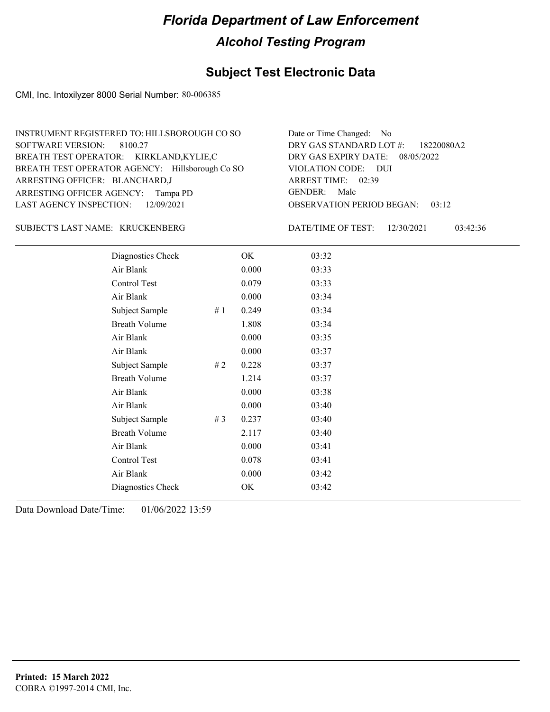### **Subject Test Electronic Data**

CMI, Inc. Intoxilyzer 8000 Serial Number: 80-006385

| INSTRUMENT REGISTERED TO: HILLSBOROUGH CO SO    | Date or Time Changed: No               |
|-------------------------------------------------|----------------------------------------|
| SOFTWARE VERSION: 8100.27                       | DRY GAS STANDARD LOT #: 18220080A2     |
| BREATH TEST OPERATOR: KIRKLAND,KYLIE,C          | DRY GAS EXPIRY DATE: 08/05/2022        |
| BREATH TEST OPERATOR AGENCY: Hillsborough Co SO | VIOLATION CODE: DUI                    |
| ARRESTING OFFICER: BLANCHARD,J                  | ARREST TIME: 02:39                     |
| ARRESTING OFFICER AGENCY: Tampa PD              | GENDER: Male                           |
| LAST AGENCY INSPECTION: 12/09/2021              | <b>OBSERVATION PERIOD BEGAN: 03:12</b> |

#### KRUCKENBERG SUBJECT'S LAST NAME: DATE/TIME OF TEST:

DATE/TIME OF TEST: 12/30/2021 03:42:36

| Diagnostics Check    |       | OK    | 03:32 |
|----------------------|-------|-------|-------|
| Air Blank            |       | 0.000 | 03:33 |
| Control Test         |       | 0.079 | 03:33 |
| Air Blank            |       | 0.000 | 03:34 |
| Subject Sample       | #1    | 0.249 | 03:34 |
| <b>Breath Volume</b> |       | 1.808 | 03:34 |
| Air Blank            |       | 0.000 | 03:35 |
| Air Blank            |       | 0.000 | 03:37 |
| Subject Sample       | #2    | 0.228 | 03:37 |
| <b>Breath Volume</b> |       | 1.214 | 03:37 |
| Air Blank            |       | 0.000 | 03:38 |
| Air Blank            |       | 0.000 | 03:40 |
| Subject Sample       | # $3$ | 0.237 | 03:40 |
| <b>Breath Volume</b> |       | 2.117 | 03:40 |
| Air Blank            |       | 0.000 | 03:41 |
| Control Test         |       | 0.078 | 03:41 |
| Air Blank            |       | 0.000 | 03:42 |
| Diagnostics Check    |       | OK    | 03:42 |
|                      |       |       |       |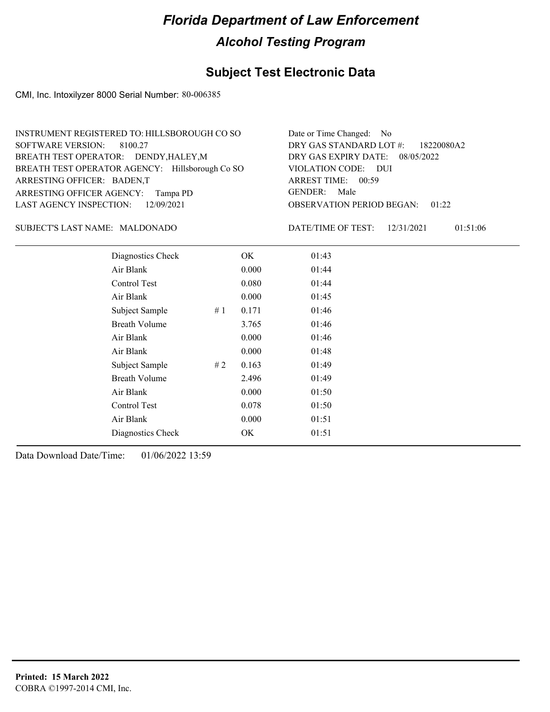### **Subject Test Electronic Data**

CMI, Inc. Intoxilyzer 8000 Serial Number: 80-006385

| INSTRUMENT REGISTERED TO: HILLSBOROUGH CO SO    | Date or Time Changed: No               |
|-------------------------------------------------|----------------------------------------|
| SOFTWARE VERSION: 8100.27                       | DRY GAS STANDARD LOT $\#$ : 18220080A2 |
| BREATH TEST OPERATOR: DENDY, HALEY, M           | DRY GAS EXPIRY DATE: 08/05/2022        |
| BREATH TEST OPERATOR AGENCY: Hillsborough Co SO | VIOLATION CODE: DUI                    |
| ARRESTING OFFICER: BADEN,T                      | ARREST TIME: 00:59                     |
| ARRESTING OFFICER AGENCY: Tampa PD              | GENDER: Male                           |
| LAST AGENCY INSPECTION: 12/09/2021              | <b>OBSERVATION PERIOD BEGAN: 01:22</b> |

#### MALDONADO SUBJECT'S LAST NAME: DATE/TIME OF TEST:

DATE/TIME OF TEST: 12/31/2021 01:51:06

| Diagnostics Check    |    | OK    | 01:43 |
|----------------------|----|-------|-------|
| Air Blank            |    | 0.000 | 01:44 |
| Control Test         |    | 0.080 | 01:44 |
| Air Blank            |    | 0.000 | 01:45 |
| Subject Sample       | #1 | 0.171 | 01:46 |
| <b>Breath Volume</b> |    | 3.765 | 01:46 |
| Air Blank            |    | 0.000 | 01:46 |
| Air Blank            |    | 0.000 | 01:48 |
| Subject Sample       | #2 | 0.163 | 01:49 |
| <b>Breath Volume</b> |    | 2.496 | 01:49 |
| Air Blank            |    | 0.000 | 01:50 |
| <b>Control Test</b>  |    | 0.078 | 01:50 |
| Air Blank            |    | 0.000 | 01:51 |
| Diagnostics Check    |    | OK    | 01:51 |
|                      |    |       |       |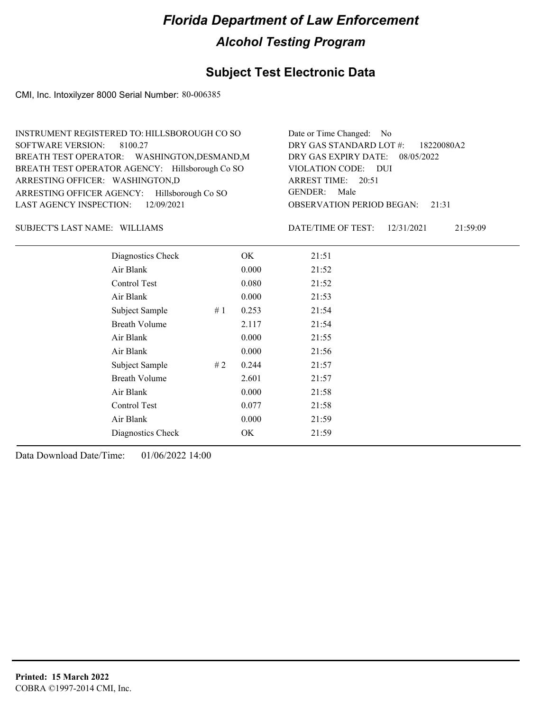### **Subject Test Electronic Data**

CMI, Inc. Intoxilyzer 8000 Serial Number: 80-006385

| INSTRUMENT REGISTERED TO: HILLSBOROUGH CO SO    | Date or Time Changed: No               |
|-------------------------------------------------|----------------------------------------|
| SOFTWARE VERSION: 8100.27                       | DRY GAS STANDARD LOT $\#$ : 18220080A2 |
| BREATH TEST OPERATOR: WASHINGTON, DESMAND, M    | DRY GAS EXPIRY DATE: 08/05/2022        |
| BREATH TEST OPERATOR AGENCY: Hillsborough Co SO | VIOLATION CODE: DUI                    |
| ARRESTING OFFICER: WASHINGTON,D                 | ARREST TIME: 20:51                     |
| ARRESTING OFFICER AGENCY: Hillsborough Co SO    | GENDER: Male                           |
| LAST AGENCY INSPECTION: $12/09/2021$            | <b>OBSERVATION PERIOD BEGAN:</b> 21:31 |

#### SUBJECT'S LAST NAME: WILLIAMS DATE/TIME OF TEST:

DATE/TIME OF TEST: 12/31/2021 21:59:09

| Diagnostics Check    |    | OK    | 21:51 |
|----------------------|----|-------|-------|
| Air Blank            |    | 0.000 | 21:52 |
| Control Test         |    | 0.080 | 21:52 |
| Air Blank            |    | 0.000 | 21:53 |
| Subject Sample       | #1 | 0.253 | 21:54 |
| <b>Breath Volume</b> |    | 2.117 | 21:54 |
| Air Blank            |    | 0.000 | 21:55 |
| Air Blank            |    | 0.000 | 21:56 |
| Subject Sample       | #2 | 0.244 | 21:57 |
| <b>Breath Volume</b> |    | 2.601 | 21:57 |
| Air Blank            |    | 0.000 | 21:58 |
| Control Test         |    | 0.077 | 21:58 |
| Air Blank            |    | 0.000 | 21:59 |
| Diagnostics Check    |    | OK    | 21:59 |
|                      |    |       |       |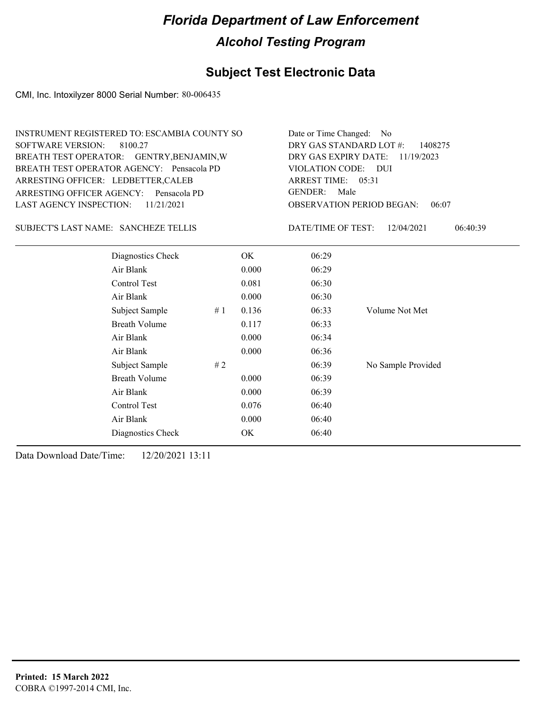## **Subject Test Electronic Data**

CMI, Inc. Intoxilyzer 8000 Serial Number: 80-006435

| <b>SOFTWARE VERSION:</b>       | INSTRUMENT REGISTERED TO: ESCAMBIA COUNTY SO<br>8100.27<br>BREATH TEST OPERATOR: GENTRY, BENJAMIN, W<br>BREATH TEST OPERATOR AGENCY: Pensacola PD<br>ARRESTING OFFICER: LEDBETTER, CALEB<br>ARRESTING OFFICER AGENCY:<br>Pensacola PD |    | Date or Time Changed: No<br>DRY GAS STANDARD LOT #:<br>1408275<br>DRY GAS EXPIRY DATE:<br>11/19/2023<br>VIOLATION CODE: DUI<br><b>ARREST TIME:</b><br>05:31<br><b>GENDER:</b><br>Male |                                  |                        |
|--------------------------------|---------------------------------------------------------------------------------------------------------------------------------------------------------------------------------------------------------------------------------------|----|---------------------------------------------------------------------------------------------------------------------------------------------------------------------------------------|----------------------------------|------------------------|
| <b>LAST AGENCY INSPECTION:</b> | 11/21/2021                                                                                                                                                                                                                            |    |                                                                                                                                                                                       | <b>OBSERVATION PERIOD BEGAN:</b> | 06:07                  |
|                                | SUBJECT'S LAST NAME: SANCHEZE TELLIS                                                                                                                                                                                                  |    |                                                                                                                                                                                       | DATE/TIME OF TEST:               | 12/04/2021<br>06:40:39 |
|                                | Diagnostics Check                                                                                                                                                                                                                     |    | OK                                                                                                                                                                                    | 06:29                            |                        |
|                                | Air Blank                                                                                                                                                                                                                             |    | 0.000                                                                                                                                                                                 | 06:29                            |                        |
|                                | Control Test                                                                                                                                                                                                                          |    | 0.081                                                                                                                                                                                 | 06:30                            |                        |
|                                | Air Blank                                                                                                                                                                                                                             |    | 0.000                                                                                                                                                                                 | 06:30                            |                        |
|                                | Subject Sample                                                                                                                                                                                                                        | #1 | 0.136                                                                                                                                                                                 | 06:33                            | Volume Not Met         |
|                                | <b>Breath Volume</b>                                                                                                                                                                                                                  |    | 0.117                                                                                                                                                                                 | 06:33                            |                        |
|                                | Air Blank                                                                                                                                                                                                                             |    | 0.000                                                                                                                                                                                 | 06:34                            |                        |
|                                | Air Blank                                                                                                                                                                                                                             |    | 0.000                                                                                                                                                                                 | 06:36                            |                        |
|                                | Subject Sample                                                                                                                                                                                                                        | #2 |                                                                                                                                                                                       | 06:39                            | No Sample Provided     |
|                                | <b>Breath Volume</b>                                                                                                                                                                                                                  |    | 0.000                                                                                                                                                                                 | 06:39                            |                        |
|                                | Air Blank                                                                                                                                                                                                                             |    | 0.000                                                                                                                                                                                 | 06:39                            |                        |
|                                | Control Test                                                                                                                                                                                                                          |    | 0.076                                                                                                                                                                                 | 06:40                            |                        |
|                                | Air Blank                                                                                                                                                                                                                             |    | 0.000                                                                                                                                                                                 | 06:40                            |                        |
|                                | Diagnostics Check                                                                                                                                                                                                                     |    | <b>OK</b>                                                                                                                                                                             | 06:40                            |                        |
|                                |                                                                                                                                                                                                                                       |    |                                                                                                                                                                                       |                                  |                        |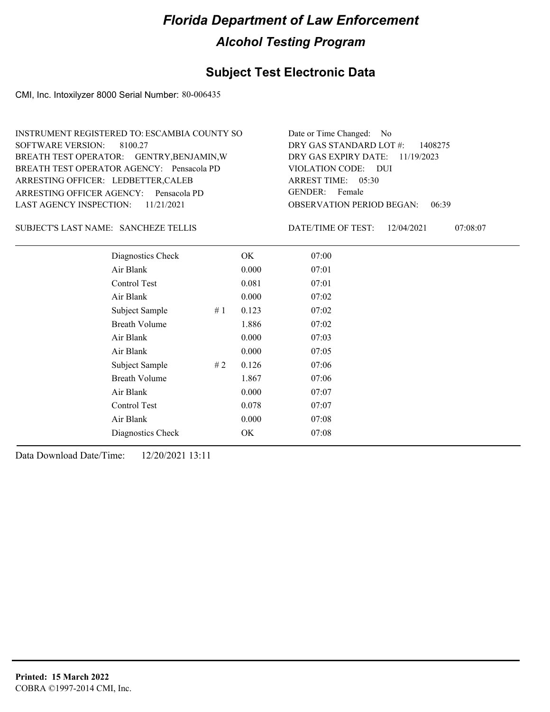### **Subject Test Electronic Data**

CMI, Inc. Intoxilyzer 8000 Serial Number: 80-006435

| INSTRUMENT REGISTERED TO: ESCAMBIA COUNTY SO | Date or Time Changed: No               |
|----------------------------------------------|----------------------------------------|
| SOFTWARE VERSION: 8100.27                    | DRY GAS STANDARD LOT $\#$ : 1408275    |
| BREATH TEST OPERATOR: GENTRY, BENJAMIN, W    | DRY GAS EXPIRY DATE: 11/19/2023        |
| BREATH TEST OPERATOR AGENCY: Pensacola PD    | VIOLATION CODE: DUI                    |
| ARRESTING OFFICER: LEDBETTER, CALEB          | ARREST TIME: $05:30$                   |
| ARRESTING OFFICER AGENCY: Pensacola PD       | GENDER: Female                         |
| LAST AGENCY INSPECTION: $11/21/2021$         | <b>OBSERVATION PERIOD BEGAN: 06:39</b> |
|                                              |                                        |

#### SANCHEZE TELLIS SUBJECT'S LAST NAME: DATE/TIME OF TEST:

DATE/TIME OF TEST: 12/04/2021 07:08:07

| Diagnostics Check    | OK    | 07:00 |
|----------------------|-------|-------|
| Air Blank            | 0.000 | 07:01 |
| Control Test         | 0.081 | 07:01 |
| Air Blank            | 0.000 | 07:02 |
| Subject Sample<br>#1 | 0.123 | 07:02 |
| <b>Breath Volume</b> | 1.886 | 07:02 |
| Air Blank            | 0.000 | 07:03 |
| Air Blank            | 0.000 | 07:05 |
| Subject Sample<br>#2 | 0.126 | 07:06 |
| <b>Breath Volume</b> | 1.867 | 07:06 |
| Air Blank            | 0.000 | 07:07 |
| Control Test         | 0.078 | 07:07 |
| Air Blank            | 0.000 | 07:08 |
| Diagnostics Check    | OK    | 07:08 |
|                      |       |       |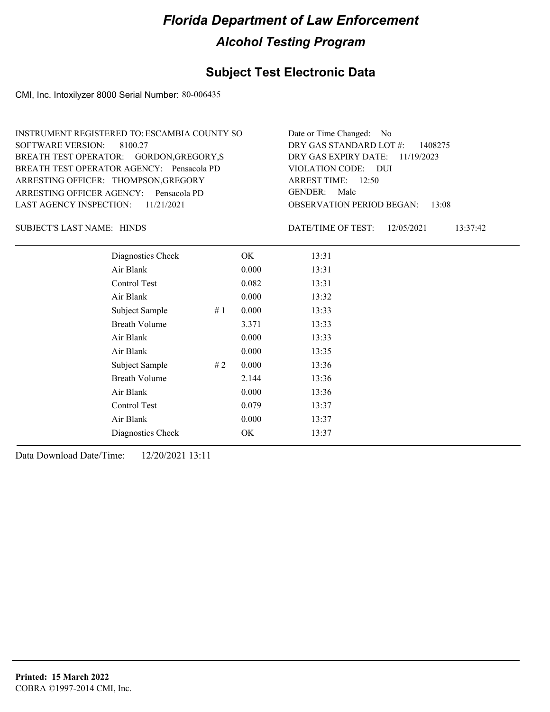### **Subject Test Electronic Data**

CMI, Inc. Intoxilyzer 8000 Serial Number: 80-006435

| Date or Time Changed: No               |
|----------------------------------------|
| DRY GAS STANDARD LOT $\#$ : 1408275    |
| DRY GAS EXPIRY DATE: 11/19/2023        |
| VIOLATION CODE: DUI                    |
| ARREST TIME: $12:50$                   |
| GENDER: Male                           |
| <b>OBSERVATION PERIOD BEGAN: 13:08</b> |
|                                        |

SUBJECT'S LAST NAME: HINDS DATE/TIME OF TEST:

DATE/TIME OF TEST: 12/05/2021 13:37:42

| Diagnostics Check    |    | OK    | 13:31 |
|----------------------|----|-------|-------|
| Air Blank            |    | 0.000 | 13:31 |
| Control Test         |    | 0.082 | 13:31 |
| Air Blank            |    | 0.000 | 13:32 |
| Subject Sample       | #1 | 0.000 | 13:33 |
| <b>Breath Volume</b> |    | 3.371 | 13:33 |
| Air Blank            |    | 0.000 | 13:33 |
| Air Blank            |    | 0.000 | 13:35 |
| Subject Sample       | #2 | 0.000 | 13:36 |
| <b>Breath Volume</b> |    | 2.144 | 13:36 |
| Air Blank            |    | 0.000 | 13:36 |
| Control Test         |    | 0.079 | 13:37 |
| Air Blank            |    | 0.000 | 13:37 |
| Diagnostics Check    |    | OK    | 13:37 |
|                      |    |       |       |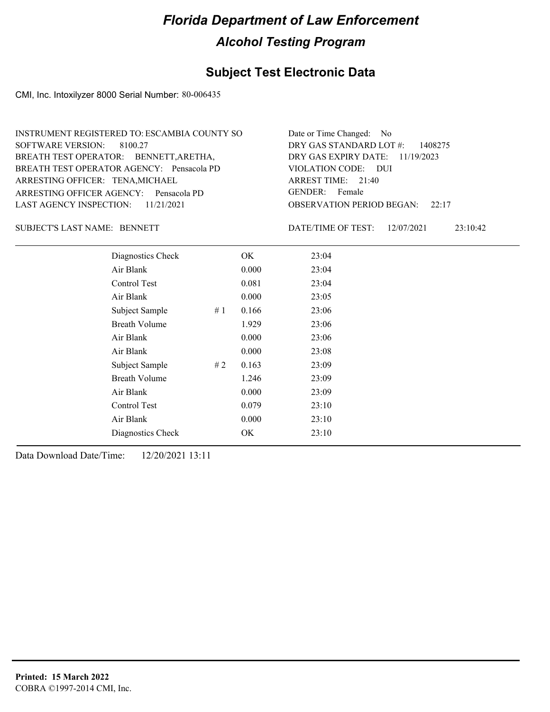### **Subject Test Electronic Data**

CMI, Inc. Intoxilyzer 8000 Serial Number: 80-006435

| INSTRUMENT REGISTERED TO: ESCAMBIA COUNTY SO | Date or Time Changed: No               |
|----------------------------------------------|----------------------------------------|
| SOFTWARE VERSION: 8100.27                    | DRY GAS STANDARD LOT $\#$ : 1408275    |
| BREATH TEST OPERATOR: BENNETT, ARETHA,       | DRY GAS EXPIRY DATE: $11/19/2023$      |
| BREATH TEST OPERATOR AGENCY: Pensacola PD    | VIOLATION CODE: DUI                    |
| ARRESTING OFFICER: TENA, MICHAEL             | ARREST TIME: 21:40                     |
| ARRESTING OFFICER AGENCY: Pensacola PD       | GENDER: Female                         |
| LAST AGENCY INSPECTION: $11/21/2021$         | <b>OBSERVATION PERIOD BEGAN: 22:17</b> |

### SUBJECT'S LAST NAME: BENNETT DATE/TIME OF TEST:

DATE/TIME OF TEST: 12/07/2021 23:10:42

| Diagnostics Check    | OK    | 23:04 |
|----------------------|-------|-------|
| Air Blank            | 0.000 | 23:04 |
| Control Test         | 0.081 | 23:04 |
| Air Blank            | 0.000 | 23:05 |
| Subject Sample<br>#1 | 0.166 | 23:06 |
| <b>Breath Volume</b> | 1.929 | 23:06 |
| Air Blank            | 0.000 | 23:06 |
| Air Blank            | 0.000 | 23:08 |
| Subject Sample<br>#2 | 0.163 | 23:09 |
| <b>Breath Volume</b> | 1.246 | 23:09 |
| Air Blank            | 0.000 | 23:09 |
| Control Test         | 0.079 | 23:10 |
| Air Blank            | 0.000 | 23:10 |
| Diagnostics Check    | OK    | 23:10 |
|                      |       |       |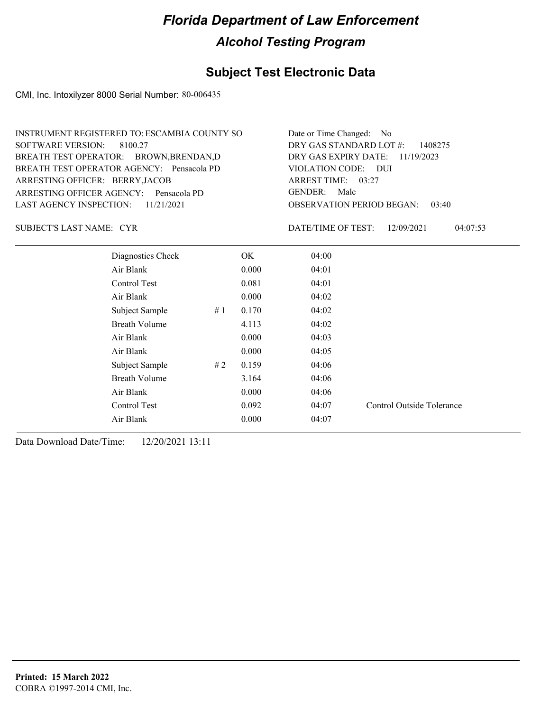### **Subject Test Electronic Data**

CMI, Inc. Intoxilyzer 8000 Serial Number: 80-006435

| INSTRUMENT REGISTERED TO: ESCAMBIA COUNTY SO | Date or Time Changed: No               |
|----------------------------------------------|----------------------------------------|
| SOFTWARE VERSION: 8100.27                    | DRY GAS STANDARD LOT $\#$ : 1408275    |
| BREATH TEST OPERATOR: BROWN, BRENDAN, D      | DRY GAS EXPIRY DATE: $11/19/2023$      |
| BREATH TEST OPERATOR AGENCY: Pensacola PD    | VIOLATION CODE: DUI                    |
| ARRESTING OFFICER: BERRY, JACOB              | ARREST TIME: 03:27                     |
| ARRESTING OFFICER AGENCY: Pensacola PD       | GENDER: Male                           |
| LAST AGENCY INSPECTION: $11/21/2021$         | <b>OBSERVATION PERIOD BEGAN: 03:40</b> |

CYR SUBJECT'S LAST NAME: DATE/TIME OF TEST:

DATE/TIME OF TEST: 12/09/2021 04:07:53

| Diagnostics Check    |    | OK.   | 04:00 |                           |
|----------------------|----|-------|-------|---------------------------|
| Air Blank            |    | 0.000 | 04:01 |                           |
| Control Test         |    | 0.081 | 04:01 |                           |
| Air Blank            |    | 0.000 | 04:02 |                           |
| Subject Sample       | #1 | 0.170 | 04:02 |                           |
| <b>Breath Volume</b> |    | 4.113 | 04:02 |                           |
| Air Blank            |    | 0.000 | 04:03 |                           |
| Air Blank            |    | 0.000 | 04:05 |                           |
| Subject Sample       | #2 | 0.159 | 04:06 |                           |
| <b>Breath Volume</b> |    | 3.164 | 04:06 |                           |
| Air Blank            |    | 0.000 | 04:06 |                           |
| Control Test         |    | 0.092 | 04:07 | Control Outside Tolerance |
| Air Blank            |    | 0.000 | 04:07 |                           |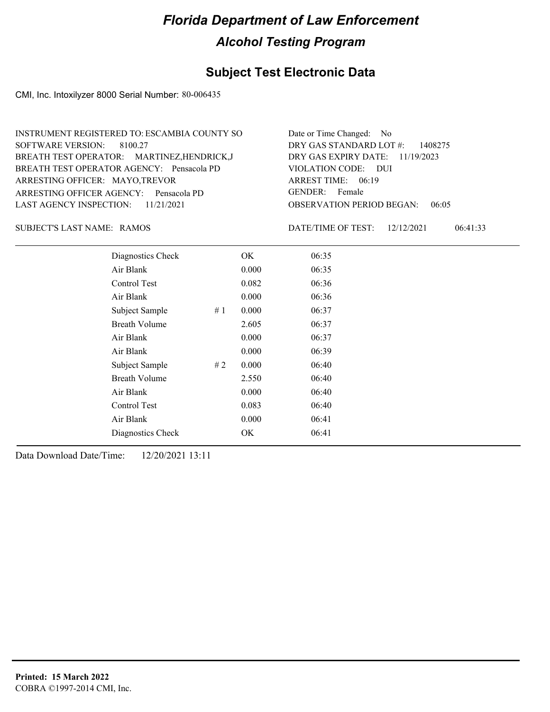### **Subject Test Electronic Data**

CMI, Inc. Intoxilyzer 8000 Serial Number: 80-006435

| INSTRUMENT REGISTERED TO: ESCAMBIA COUNTY SO | Date or Time Changed: No            |
|----------------------------------------------|-------------------------------------|
| SOFTWARE VERSION: 8100.27                    | DRY GAS STANDARD LOT $\#$ : 1408275 |
| BREATH TEST OPERATOR: MARTINEZ, HENDRICK, J  | DRY GAS EXPIRY DATE: $11/19/2023$   |
| BREATH TEST OPERATOR AGENCY: Pensacola PD    | VIOLATION CODE: DUI                 |
| ARRESTING OFFICER: MAYO,TREVOR               | ARREST TIME: $06:19$                |
| ARRESTING OFFICER AGENCY: Pensacola PD       | GENDER: Female                      |
| LAST AGENCY INSPECTION: $11/21/2021$         | OBSERVATION PERIOD BEGAN:<br>06:05  |

SUBJECT'S LAST NAME: RAMOS DATE/TIME OF TEST:

DATE/TIME OF TEST: 12/12/2021 06:41:33

| Diagnostics Check    |       | OK    | 06:35 |  |
|----------------------|-------|-------|-------|--|
| Air Blank            |       | 0.000 | 06:35 |  |
| Control Test         |       | 0.082 | 06:36 |  |
| Air Blank            |       | 0.000 | 06:36 |  |
| Subject Sample       | # $1$ | 0.000 | 06:37 |  |
| <b>Breath Volume</b> |       | 2.605 | 06:37 |  |
| Air Blank            |       | 0.000 | 06:37 |  |
| Air Blank            |       | 0.000 | 06:39 |  |
| Subject Sample       | #2    | 0.000 | 06:40 |  |
| <b>Breath Volume</b> |       | 2.550 | 06:40 |  |
| Air Blank            |       | 0.000 | 06:40 |  |
| <b>Control Test</b>  |       | 0.083 | 06:40 |  |
| Air Blank            |       | 0.000 | 06:41 |  |
| Diagnostics Check    |       | OK    | 06:41 |  |
|                      |       |       |       |  |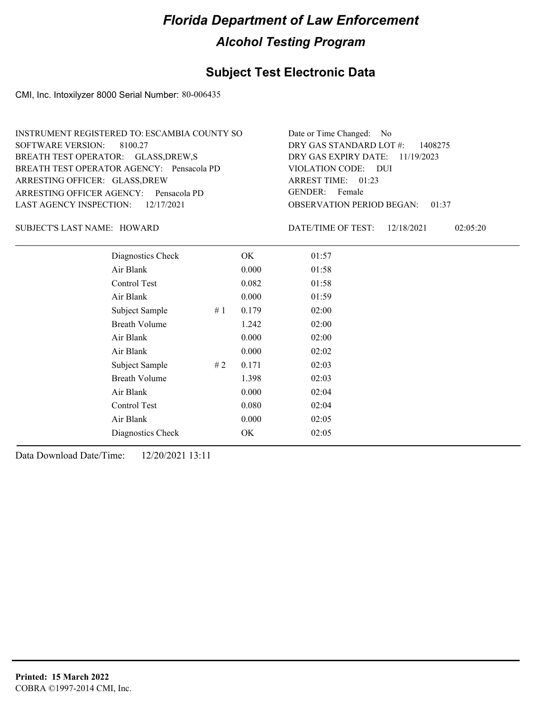### **Subject Test Electronic Data**

CMI, Inc. Intoxilyzer 8000 Serial Number: 80-006435

| INSTRUMENT REGISTERED TO: ESCAMBIA COUNTY SO | Date or Time Changed: No               |
|----------------------------------------------|----------------------------------------|
| SOFTWARE VERSION: 8100.27                    | DRY GAS STANDARD LOT $\#$ : 1408275    |
| BREATH TEST OPERATOR: GLASS, DREW, S         | DRY GAS EXPIRY DATE: $11/19/2023$      |
| BREATH TEST OPERATOR AGENCY: Pensacola PD    | VIOLATION CODE: DUI                    |
| ARRESTING OFFICER: GLASS, DREW               | ARREST TIME: $01:23$                   |
| ARRESTING OFFICER AGENCY: Pensacola PD       | GENDER: Female                         |
| LAST AGENCY INSPECTION: $12/17/2021$         | <b>OBSERVATION PERIOD BEGAN: 01:37</b> |

### SUBJECT'S LAST NAME: HOWARD DATE/TIME OF TEST:

DATE/TIME OF TEST: 12/18/2021 02:05:20

| Diagnostics Check    |    | OK    | 01:57 |
|----------------------|----|-------|-------|
| Air Blank            |    | 0.000 | 01:58 |
| Control Test         |    | 0.082 | 01:58 |
| Air Blank            |    | 0.000 | 01:59 |
| Subject Sample       | #1 | 0.179 | 02:00 |
| <b>Breath Volume</b> |    | 1.242 | 02:00 |
| Air Blank            |    | 0.000 | 02:00 |
| Air Blank            |    | 0.000 | 02:02 |
| Subject Sample       | #2 | 0.171 | 02:03 |
| <b>Breath Volume</b> |    | 1.398 | 02:03 |
| Air Blank            |    | 0.000 | 02:04 |
| Control Test         |    | 0.080 | 02:04 |
| Air Blank            |    | 0.000 | 02:05 |
| Diagnostics Check    |    | OK    | 02:05 |
|                      |    |       |       |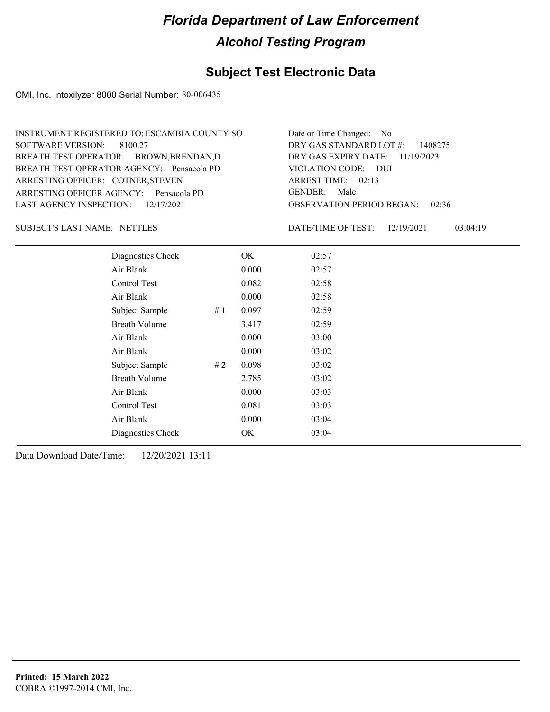### **Subject Test Electronic Data**

CMI, Inc. Intoxilyzer 8000 Serial Number: 80-006435

| INSTRUMENT REGISTERED TO: ESCAMBIA COUNTY SO | Date or Time Changed: No               |
|----------------------------------------------|----------------------------------------|
| SOFTWARE VERSION: 8100.27                    | DRY GAS STANDARD LOT $\#$ : 1408275    |
| BREATH TEST OPERATOR: BROWN, BRENDAN, D      | DRY GAS EXPIRY DATE: $11/19/2023$      |
| BREATH TEST OPERATOR AGENCY: Pensacola PD    | VIOLATION CODE: DUI                    |
| ARRESTING OFFICER: COTNER, STEVEN            | ARREST TIME: 02:13                     |
| ARRESTING OFFICER AGENCY: Pensacola PD       | GENDER: Male                           |
| LAST AGENCY INSPECTION: 12/17/2021           | <b>OBSERVATION PERIOD BEGAN: 02:36</b> |

### SUBJECT'S LAST NAME: NETTLES DATE/TIME OF TEST:

DATE/TIME OF TEST: 12/19/2021 03:04:19

| Diagnostics Check    |    | OK    | 02:57 |
|----------------------|----|-------|-------|
| Air Blank            |    | 0.000 | 02:57 |
| Control Test         |    | 0.082 | 02:58 |
| Air Blank            |    | 0.000 | 02:58 |
| Subject Sample       | #1 | 0.097 | 02:59 |
| <b>Breath Volume</b> |    | 3.417 | 02:59 |
| Air Blank            |    | 0.000 | 03:00 |
| Air Blank            |    | 0.000 | 03:02 |
| Subject Sample       | #2 | 0.098 | 03:02 |
| <b>Breath Volume</b> |    | 2.785 | 03:02 |
| Air Blank            |    | 0.000 | 03:03 |
| Control Test         |    | 0.081 | 03:03 |
| Air Blank            |    | 0.000 | 03:04 |
| Diagnostics Check    |    | OK    | 03:04 |
|                      |    |       |       |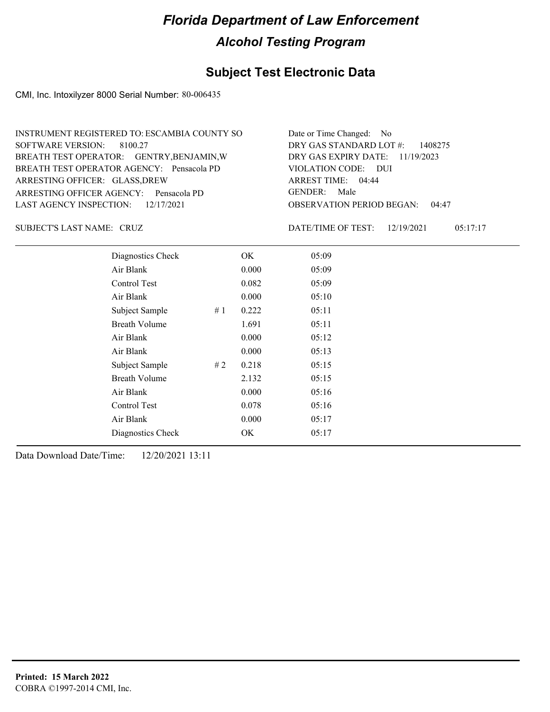### **Subject Test Electronic Data**

CMI, Inc. Intoxilyzer 8000 Serial Number: 80-006435

| INSTRUMENT REGISTERED TO: ESCAMBIA COUNTY SO | Date or Time Changed: No               |
|----------------------------------------------|----------------------------------------|
| SOFTWARE VERSION: 8100.27                    | DRY GAS STANDARD LOT $\#$ : 1408275    |
| BREATH TEST OPERATOR: GENTRY, BENJAMIN, W    | DRY GAS EXPIRY DATE: $11/19/2023$      |
| BREATH TEST OPERATOR AGENCY: Pensacola PD    | VIOLATION CODE: DUI                    |
| ARRESTING OFFICER: GLASS, DREW               | ARREST TIME: $04:44$                   |
| ARRESTING OFFICER AGENCY: Pensacola PD       | GENDER: Male                           |
| LAST AGENCY INSPECTION: $12/17/2021$         | <b>OBSERVATION PERIOD BEGAN: 04:47</b> |

CRUZ SUBJECT'S LAST NAME: DATE/TIME OF TEST:

DATE/TIME OF TEST: 12/19/2021 05:17:17

| Diagnostics Check    |    | OK    | 05:09 |
|----------------------|----|-------|-------|
| Air Blank            |    | 0.000 | 05:09 |
| Control Test         |    | 0.082 | 05:09 |
| Air Blank            |    | 0.000 | 05:10 |
| Subject Sample       | #1 | 0.222 | 05:11 |
| <b>Breath Volume</b> |    | 1.691 | 05:11 |
| Air Blank            |    | 0.000 | 05:12 |
| Air Blank            |    | 0.000 | 05:13 |
| Subject Sample       | #2 | 0.218 | 05:15 |
| <b>Breath Volume</b> |    | 2.132 | 05:15 |
| Air Blank            |    | 0.000 | 05:16 |
| Control Test         |    | 0.078 | 05:16 |
| Air Blank            |    | 0.000 | 05:17 |
| Diagnostics Check    |    | OK    | 05:17 |
|                      |    |       |       |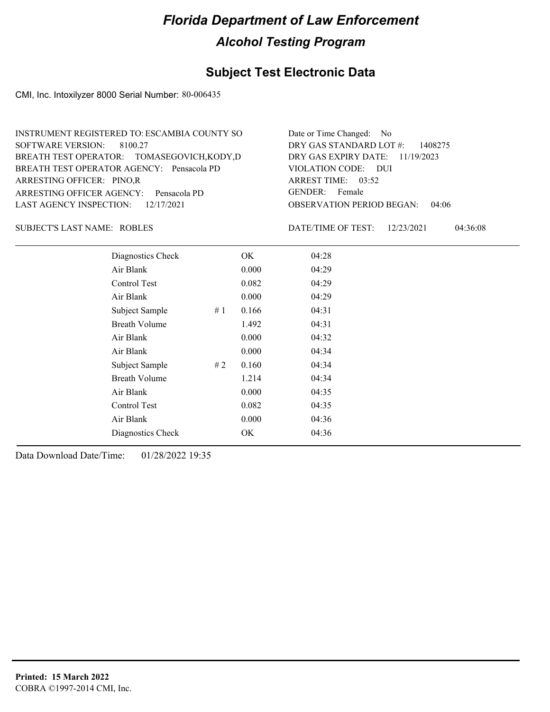### **Subject Test Electronic Data**

CMI, Inc. Intoxilyzer 8000 Serial Number: 80-006435

| INSTRUMENT REGISTERED TO: ESCAMBIA COUNTY SO | Date or Time Changed: No               |
|----------------------------------------------|----------------------------------------|
| SOFTWARE VERSION: 8100.27                    | DRY GAS STANDARD LOT $\#$ : 1408275    |
| BREATH TEST OPERATOR: TOMASEGOVICH, KODY, D  | DRY GAS EXPIRY DATE: $11/19/2023$      |
| BREATH TEST OPERATOR AGENCY: Pensacola PD    | VIOLATION CODE: DUI                    |
| ARRESTING OFFICER: PINO.R                    | ARREST TIME: 03:52                     |
| ARRESTING OFFICER AGENCY: Pensacola PD       | GENDER: Female                         |
| LAST AGENCY INSPECTION: $12/17/2021$         | <b>OBSERVATION PERIOD BEGAN: 04:06</b> |

### SUBJECT'S LAST NAME: ROBLES DATE/TIME OF TEST:

DATE/TIME OF TEST: 12/23/2021 04:36:08

| Diagnostics Check    |    | OK    | 04:28 |
|----------------------|----|-------|-------|
| Air Blank            |    | 0.000 | 04:29 |
| Control Test         |    | 0.082 | 04:29 |
| Air Blank            |    | 0.000 | 04:29 |
| Subject Sample       | #1 | 0.166 | 04:31 |
| <b>Breath Volume</b> |    | 1.492 | 04:31 |
| Air Blank            |    | 0.000 | 04:32 |
| Air Blank            |    | 0.000 | 04:34 |
| Subject Sample       | #2 | 0.160 | 04:34 |
| <b>Breath Volume</b> |    | 1.214 | 04:34 |
| Air Blank            |    | 0.000 | 04:35 |
| Control Test         |    | 0.082 | 04:35 |
| Air Blank            |    | 0.000 | 04:36 |
| Diagnostics Check    |    | OK    | 04:36 |
|                      |    |       |       |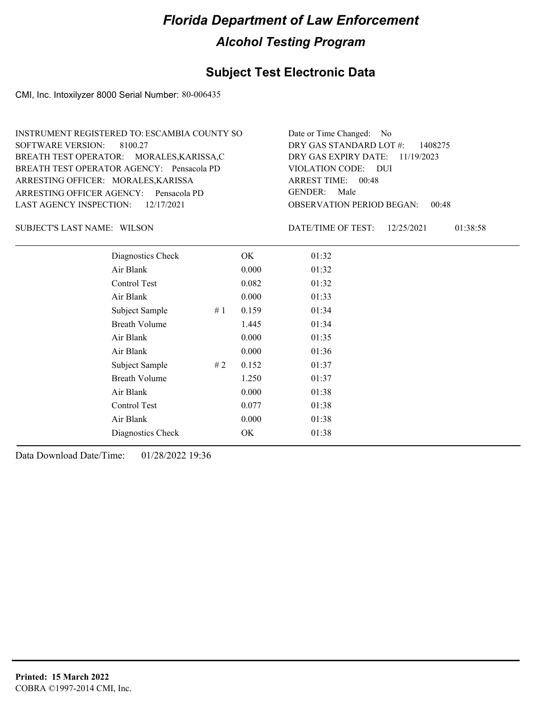### **Subject Test Electronic Data**

CMI, Inc. Intoxilyzer 8000 Serial Number: 80-006435

| INSTRUMENT REGISTERED TO: ESCAMBIA COUNTY SO | Date or Time Changed: No               |
|----------------------------------------------|----------------------------------------|
| SOFTWARE VERSION: 8100.27                    | DRY GAS STANDARD LOT $\#$ : 1408275    |
| BREATH TEST OPERATOR: MORALES, KARISSA, C    | DRY GAS EXPIRY DATE: $11/19/2023$      |
| BREATH TEST OPERATOR AGENCY: Pensacola PD    | VIOLATION CODE: DUI                    |
| ARRESTING OFFICER: MORALES, KARISSA          | ARREST TIME: $00:48$                   |
| ARRESTING OFFICER AGENCY: Pensacola PD       | GENDER: Male                           |
| LAST AGENCY INSPECTION: 12/17/2021           | <b>OBSERVATION PERIOD BEGAN: 00:48</b> |

SUBJECT'S LAST NAME: WILSON **Example 20 SUBJECT'S LAST NAME:** WILSON

DATE/TIME OF TEST: 12/25/2021 01:38:58

| Diagnostics Check    |    | OK    | 01:32 |
|----------------------|----|-------|-------|
| Air Blank            |    | 0.000 | 01:32 |
| Control Test         |    | 0.082 | 01:32 |
| Air Blank            |    | 0.000 | 01:33 |
| Subject Sample       | #1 | 0.159 | 01:34 |
| <b>Breath Volume</b> |    | 1.445 | 01:34 |
| Air Blank            |    | 0.000 | 01:35 |
| Air Blank            |    | 0.000 | 01:36 |
| Subject Sample       | #2 | 0.152 | 01:37 |
| <b>Breath Volume</b> |    | 1.250 | 01:37 |
| Air Blank            |    | 0.000 | 01:38 |
| Control Test         |    | 0.077 | 01:38 |
| Air Blank            |    | 0.000 | 01:38 |
| Diagnostics Check    |    | OK    | 01:38 |
|                      |    |       |       |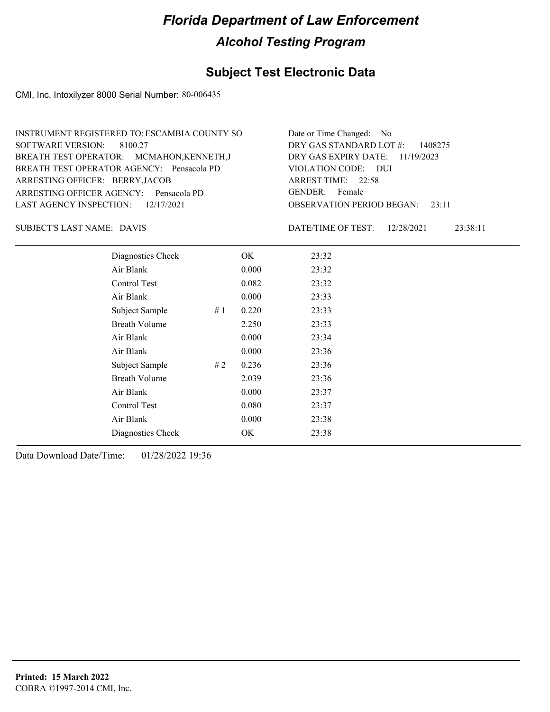### **Subject Test Electronic Data**

CMI, Inc. Intoxilyzer 8000 Serial Number: 80-006435

| Date or Time Changed: No               |
|----------------------------------------|
| DRY GAS STANDARD LOT $\#$ : 1408275    |
| DRY GAS EXPIRY DATE: $11/19/2023$      |
| VIOLATION CODE: DUI                    |
| ARREST TIME: 22:58                     |
| GENDER: Female                         |
| <b>OBSERVATION PERIOD BEGAN: 23:11</b> |
|                                        |

DAVIS SUBJECT'S LAST NAME: DATE/TIME OF TEST:

DATE/TIME OF TEST: 12/28/2021 23:38:11

| Diagnostics Check    |    | OK    | 23:32 |
|----------------------|----|-------|-------|
| Air Blank            |    | 0.000 | 23:32 |
| Control Test         |    | 0.082 | 23:32 |
| Air Blank            |    | 0.000 | 23:33 |
| Subject Sample       | #1 | 0.220 | 23:33 |
| <b>Breath Volume</b> |    | 2.250 | 23:33 |
| Air Blank            |    | 0.000 | 23:34 |
| Air Blank            |    | 0.000 | 23:36 |
| Subject Sample       | #2 | 0.236 | 23:36 |
| <b>Breath Volume</b> |    | 2.039 | 23:36 |
| Air Blank            |    | 0.000 | 23:37 |
| Control Test         |    | 0.080 | 23:37 |
| Air Blank            |    | 0.000 | 23:38 |
| Diagnostics Check    |    | OK    | 23:38 |
|                      |    |       |       |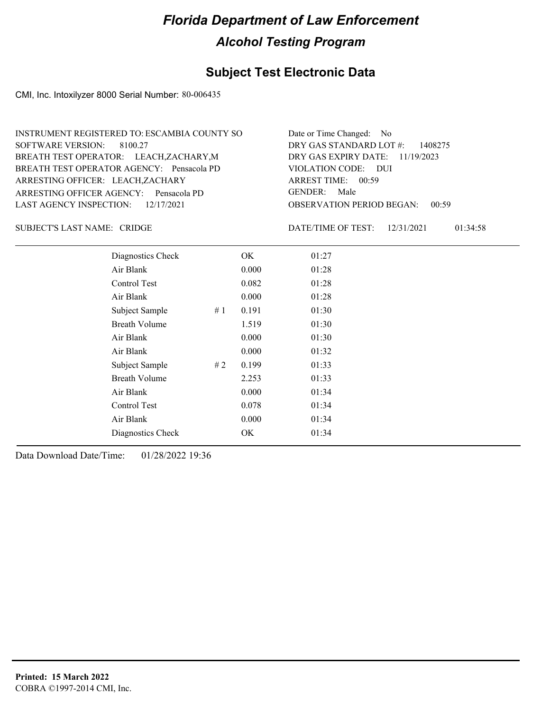### **Subject Test Electronic Data**

CMI, Inc. Intoxilyzer 8000 Serial Number: 80-006435

| INSTRUMENT REGISTERED TO: ESCAMBIA COUNTY SO | Date or Time Changed: No               |
|----------------------------------------------|----------------------------------------|
| SOFTWARE VERSION: 8100.27                    | DRY GAS STANDARD LOT #: 1408275        |
| BREATH TEST OPERATOR: LEACH, ZACHARY, M      | DRY GAS EXPIRY DATE: $11/19/2023$      |
| BREATH TEST OPERATOR AGENCY: Pensacola PD    | VIOLATION CODE: DUI                    |
| ARRESTING OFFICER: LEACH, ZACHARY            | ARREST TIME: 00:59                     |
| ARRESTING OFFICER AGENCY: Pensacola PD       | GENDER: Male                           |
| LAST AGENCY INSPECTION: $12/17/2021$         | <b>OBSERVATION PERIOD BEGAN: 00:59</b> |

SUBJECT'S LAST NAME: CRIDGE  $\overline{D}$  DATE/TIME OF TEST:

DATE/TIME OF TEST: 12/31/2021 01:34:58

| Diagnostics Check    |    | OK    | 01:27 |
|----------------------|----|-------|-------|
| Air Blank            |    | 0.000 | 01:28 |
| Control Test         |    | 0.082 | 01:28 |
| Air Blank            |    | 0.000 | 01:28 |
| Subject Sample       | #1 | 0.191 | 01:30 |
| <b>Breath Volume</b> |    | 1.519 | 01:30 |
| Air Blank            |    | 0.000 | 01:30 |
| Air Blank            |    | 0.000 | 01:32 |
| Subject Sample       | #2 | 0.199 | 01:33 |
| <b>Breath Volume</b> |    | 2.253 | 01:33 |
| Air Blank            |    | 0.000 | 01:34 |
| Control Test         |    | 0.078 | 01:34 |
| Air Blank            |    | 0.000 | 01:34 |
| Diagnostics Check    |    | OK    | 01:34 |
|                      |    |       |       |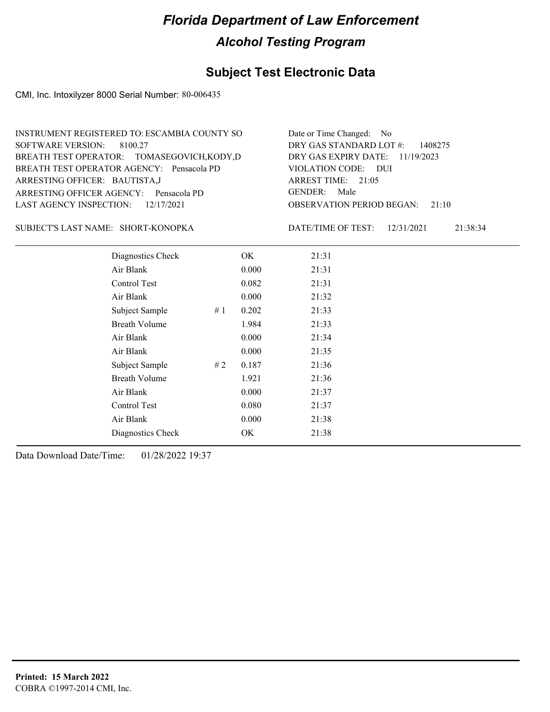### **Subject Test Electronic Data**

CMI, Inc. Intoxilyzer 8000 Serial Number: 80-006435

| INSTRUMENT REGISTERED TO: ESCAMBIA COUNTY SO | Date or Time Changed: No               |
|----------------------------------------------|----------------------------------------|
| SOFTWARE VERSION: 8100.27                    | DRY GAS STANDARD LOT $\#$ : 1408275    |
| BREATH TEST OPERATOR: TOMASEGOVICH, KODY, D  | DRY GAS EXPIRY DATE: $11/19/2023$      |
| BREATH TEST OPERATOR AGENCY: Pensacola PD    | VIOLATION CODE: DUI                    |
| ARRESTING OFFICER: BAUTISTA,J                | ARREST TIME: $21:05$                   |
| ARRESTING OFFICER AGENCY: Pensacola PD       | GENDER: Male                           |
| LAST AGENCY INSPECTION: $12/17/2021$         | <b>OBSERVATION PERIOD BEGAN:</b> 21:10 |

### SHORT-KONOPKA SUBJECT'S LAST NAME: DATE/TIME OF TEST:

DATE/TIME OF TEST: 12/31/2021 21:38:34

| Diagnostics Check    |    | OK    | 21:31 |
|----------------------|----|-------|-------|
| Air Blank            |    | 0.000 | 21:31 |
| Control Test         |    | 0.082 | 21:31 |
| Air Blank            |    | 0.000 | 21:32 |
| Subject Sample       | #1 | 0.202 | 21:33 |
| <b>Breath Volume</b> |    | 1.984 | 21:33 |
| Air Blank            |    | 0.000 | 21:34 |
| Air Blank            |    | 0.000 | 21:35 |
| Subject Sample       | #2 | 0.187 | 21:36 |
| <b>Breath Volume</b> |    | 1.921 | 21:36 |
| Air Blank            |    | 0.000 | 21:37 |
| Control Test         |    | 0.080 | 21:37 |
| Air Blank            |    | 0.000 | 21:38 |
| Diagnostics Check    |    | OK    | 21:38 |
|                      |    |       |       |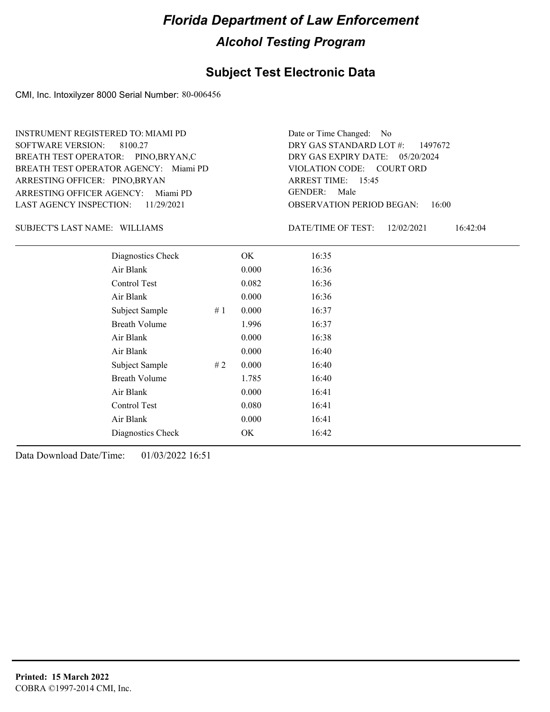### **Subject Test Electronic Data**

CMI, Inc. Intoxilyzer 8000 Serial Number: 80-006456

ARRESTING OFFICER AGENCY: Miami PD GENDER: BREATH TEST OPERATOR AGENCY: Miami PD VIOLATION CODE: SOFTWARE VERSION: 8100.27 ARRESTING OFFICER: PINO,BRYAN BREATH TEST OPERATOR: PINO,BRYAN,C LAST AGENCY INSPECTION: 11/29/2021 INSTRUMENT REGISTERED TO: MIAMI PD

OBSERVATION PERIOD BEGAN: 16:00 VIOLATION CODE: COURT ORD ARREST TIME: 15:45 DRY GAS EXPIRY DATE: 05/20/2024 DRY GAS STANDARD LOT #: 1497672 Date or Time Changed: No GENDER: Male

SUBJECT'S LAST NAME: WILLIAMS DATE/TIME OF TEST:

DATE/TIME OF TEST: 12/02/2021 16:42:04

| Diagnostics Check    |    | OK    | 16:35 |  |
|----------------------|----|-------|-------|--|
| Air Blank            |    | 0.000 | 16:36 |  |
| Control Test         |    | 0.082 | 16:36 |  |
| Air Blank            |    | 0.000 | 16:36 |  |
| Subject Sample       | #1 | 0.000 | 16:37 |  |
| <b>Breath Volume</b> |    | 1.996 | 16:37 |  |
| Air Blank            |    | 0.000 | 16:38 |  |
| Air Blank            |    | 0.000 | 16:40 |  |
| Subject Sample       | #2 | 0.000 | 16:40 |  |
| <b>Breath Volume</b> |    | 1.785 | 16:40 |  |
| Air Blank            |    | 0.000 | 16:41 |  |
| Control Test         |    | 0.080 | 16:41 |  |
| Air Blank            |    | 0.000 | 16:41 |  |
| Diagnostics Check    |    | OK    | 16:42 |  |
|                      |    |       |       |  |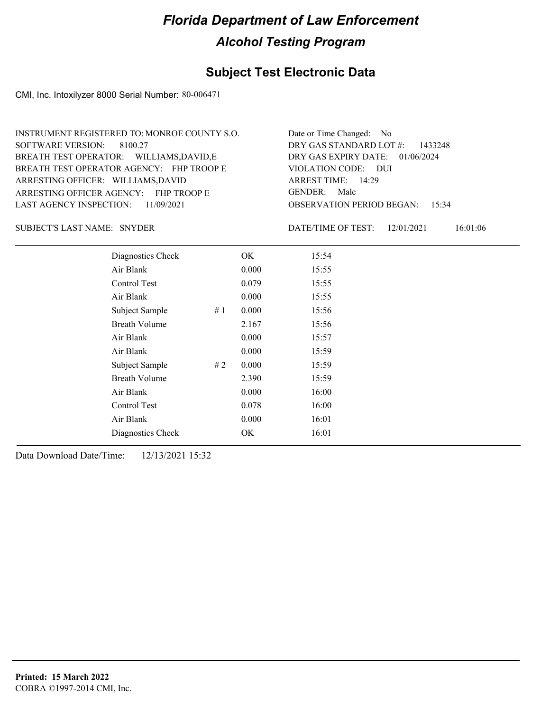### **Subject Test Electronic Data**

CMI, Inc. Intoxilyzer 8000 Serial Number: 80-006471

| INSTRUMENT REGISTERED TO: MONROE COUNTY S.O. | Date or Time Changed: No               |
|----------------------------------------------|----------------------------------------|
| SOFTWARE VERSION: 8100.27                    | DRY GAS STANDARD LOT $#$ : 1433248     |
| BREATH TEST OPERATOR: WILLIAMS, DAVID, E     | DRY GAS EXPIRY DATE: $01/06/2024$      |
| BREATH TEST OPERATOR AGENCY: FHP TROOP E     | VIOLATION CODE: DUI                    |
| ARRESTING OFFICER: WILLIAMS, DAVID           | ARREST TIME: 14:29                     |
| ARRESTING OFFICER AGENCY: FHP TROOP E        | GENDER: Male                           |
| LAST AGENCY INSPECTION: 11/09/2021           | <b>OBSERVATION PERIOD BEGAN: 15:34</b> |

SNYDER SUBJECT'S LAST NAME: DATE/TIME OF TEST:

DATE/TIME OF TEST: 12/01/2021 16:01:06

| Diagnostics Check    |    | OK    | 15:54 |
|----------------------|----|-------|-------|
| Air Blank            |    | 0.000 | 15:55 |
| Control Test         |    | 0.079 | 15:55 |
| Air Blank            |    | 0.000 | 15:55 |
| Subject Sample       | #1 | 0.000 | 15:56 |
| <b>Breath Volume</b> |    | 2.167 | 15:56 |
| Air Blank            |    | 0.000 | 15:57 |
| Air Blank            |    | 0.000 | 15:59 |
| Subject Sample       | #2 | 0.000 | 15:59 |
| <b>Breath Volume</b> |    | 2.390 | 15:59 |
| Air Blank            |    | 0.000 | 16:00 |
| Control Test         |    | 0.078 | 16:00 |
| Air Blank            |    | 0.000 | 16:01 |
| Diagnostics Check    |    | OK    | 16:01 |
|                      |    |       |       |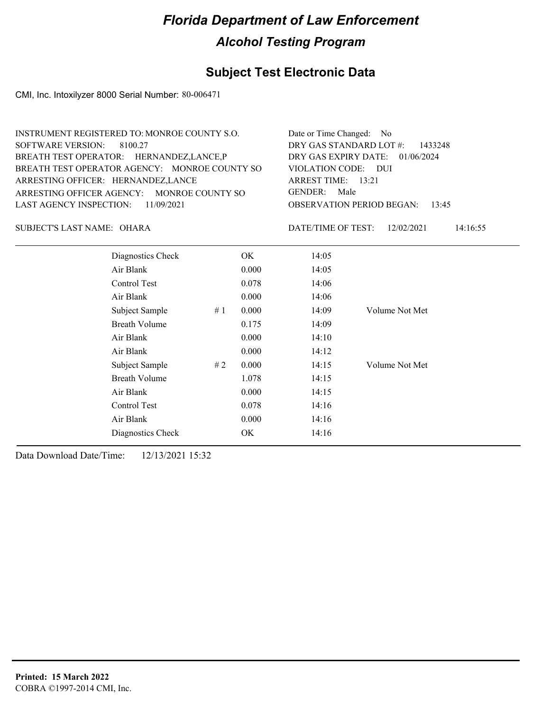### **Subject Test Electronic Data**

CMI, Inc. Intoxilyzer 8000 Serial Number: 80-006471

| INSTRUMENT REGISTERED TO: MONROE COUNTY S.O.  | Date or Time Changed: No               |
|-----------------------------------------------|----------------------------------------|
| SOFTWARE VERSION: 8100.27                     | DRY GAS STANDARD LOT #: 1433248        |
| BREATH TEST OPERATOR: HERNANDEZ, LANCE, P     | DRY GAS EXPIRY DATE: 01/06/2024        |
| BREATH TEST OPERATOR AGENCY: MONROE COUNTY SO | VIOLATION CODE: DUI                    |
| ARRESTING OFFICER: HERNANDEZ, LANCE           | ARREST TIME: $13:21$                   |
| ARRESTING OFFICER AGENCY: MONROE COUNTY SO    | GENDER: Male                           |
| LAST AGENCY INSPECTION: 11/09/2021            | <b>OBSERVATION PERIOD BEGAN: 13:45</b> |
|                                               |                                        |

OHARA SUBJECT'S LAST NAME: DATE/TIME OF TEST:

DATE/TIME OF TEST: 12/02/2021 14:16:55

| Diagnostics Check    |    | OK    | 14:05 |                |
|----------------------|----|-------|-------|----------------|
| Air Blank            |    | 0.000 | 14:05 |                |
| Control Test         |    | 0.078 | 14:06 |                |
| Air Blank            |    | 0.000 | 14:06 |                |
| Subject Sample       | #1 | 0.000 | 14:09 | Volume Not Met |
| <b>Breath Volume</b> |    | 0.175 | 14:09 |                |
| Air Blank            |    | 0.000 | 14:10 |                |
| Air Blank            |    | 0.000 | 14:12 |                |
| Subject Sample       | #2 | 0.000 | 14:15 | Volume Not Met |
| <b>Breath Volume</b> |    | 1.078 | 14:15 |                |
| Air Blank            |    | 0.000 | 14:15 |                |
| Control Test         |    | 0.078 | 14:16 |                |
| Air Blank            |    | 0.000 | 14:16 |                |
| Diagnostics Check    |    | OK    | 14:16 |                |
|                      |    |       |       |                |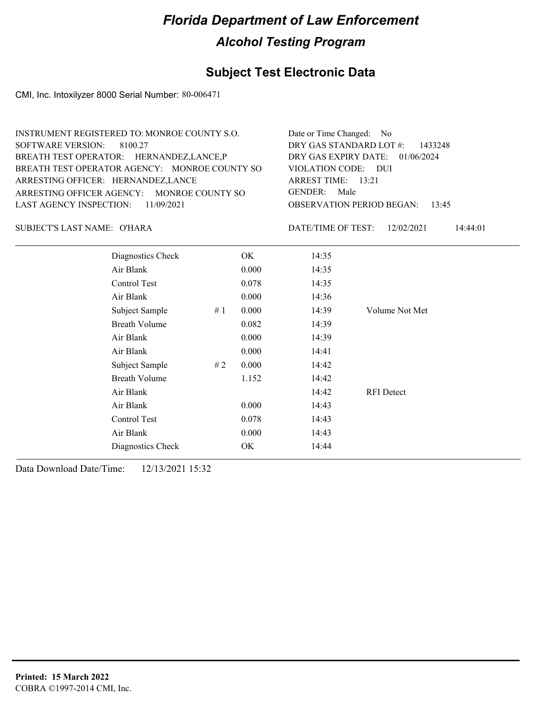### **Subject Test Electronic Data**

CMI, Inc. Intoxilyzer 8000 Serial Number: 80-006471

| INSTRUMENT REGISTERED TO: MONROE COUNTY S.O.  | Date or Time Changed: No               |
|-----------------------------------------------|----------------------------------------|
| SOFTWARE VERSION: 8100.27                     | DRY GAS STANDARD LOT #: 1433248        |
| BREATH TEST OPERATOR: HERNANDEZ, LANCE, P     | DRY GAS EXPIRY DATE: 01/06/2024        |
| BREATH TEST OPERATOR AGENCY: MONROE COUNTY SO | VIOLATION CODE: DUI                    |
| ARRESTING OFFICER: HERNANDEZ, LANCE           | ARREST TIME: $13:21$                   |
| ARRESTING OFFICER AGENCY: MONROE COUNTY SO    | GENDER: Male                           |
| LAST AGENCY INSPECTION: 11/09/2021            | <b>OBSERVATION PERIOD BEGAN:</b> 13:45 |
|                                               |                                        |

O'HARA SUBJECT'S LAST NAME: DATE/TIME OF TEST:

DATE/TIME OF TEST: 12/02/2021 14:44:01

| Diagnostics Check    |    | OK    | 14:35 |                   |
|----------------------|----|-------|-------|-------------------|
| Air Blank            |    | 0.000 | 14:35 |                   |
| Control Test         |    | 0.078 | 14:35 |                   |
| Air Blank            |    | 0.000 | 14:36 |                   |
| Subject Sample<br>#1 |    | 0.000 | 14:39 | Volume Not Met    |
| <b>Breath Volume</b> |    | 0.082 | 14:39 |                   |
| Air Blank            |    | 0.000 | 14:39 |                   |
| Air Blank            |    | 0.000 | 14:41 |                   |
| Subject Sample       | #2 | 0.000 | 14:42 |                   |
| <b>Breath Volume</b> |    | 1.152 | 14:42 |                   |
| Air Blank            |    |       | 14:42 | <b>RFI</b> Detect |
| Air Blank            |    | 0.000 | 14:43 |                   |
| Control Test         |    | 0.078 | 14:43 |                   |
| Air Blank            |    | 0.000 | 14:43 |                   |
| Diagnostics Check    |    | OK    | 14:44 |                   |
|                      |    |       |       |                   |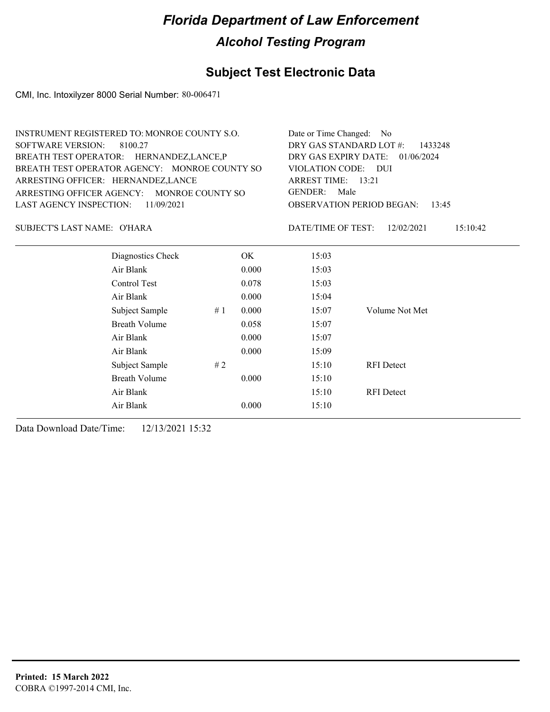## **Subject Test Electronic Data**

CMI, Inc. Intoxilyzer 8000 Serial Number: 80-006471

| INSTRUMENT REGISTERED TO: MONROE COUNTY S.O.<br><b>SOFTWARE VERSION:</b><br>8100.27<br>BREATH TEST OPERATOR: HERNANDEZ, LANCE, P<br>BREATH TEST OPERATOR AGENCY: MONROE COUNTY SO<br>ARRESTING OFFICER: HERNANDEZ,LANCE<br>ARRESTING OFFICER AGENCY: MONROE COUNTY SO<br><b>LAST AGENCY INSPECTION:</b> | 11/09/2021 | Date or Time Changed: No<br>DRY GAS STANDARD LOT #:<br>1433248<br>DRY GAS EXPIRY DATE:<br>01/06/2024<br>VIOLATION CODE: DUI<br>ARREST TIME: 13:21<br><b>GENDER:</b><br>Male<br><b>OBSERVATION PERIOD BEGAN:</b><br>13:45 |                    |                        |
|---------------------------------------------------------------------------------------------------------------------------------------------------------------------------------------------------------------------------------------------------------------------------------------------------------|------------|--------------------------------------------------------------------------------------------------------------------------------------------------------------------------------------------------------------------------|--------------------|------------------------|
| SUBJECT'S LAST NAME: O'HARA                                                                                                                                                                                                                                                                             |            |                                                                                                                                                                                                                          | DATE/TIME OF TEST: | 12/02/2021<br>15:10:42 |
| Diagnostics Check                                                                                                                                                                                                                                                                                       |            | <b>OK</b>                                                                                                                                                                                                                | 15:03              |                        |
| Air Blank                                                                                                                                                                                                                                                                                               |            | 0.000                                                                                                                                                                                                                    | 15:03              |                        |
| Control Test                                                                                                                                                                                                                                                                                            |            | 0.078                                                                                                                                                                                                                    | 15:03              |                        |
| Air Blank                                                                                                                                                                                                                                                                                               |            | 0.000                                                                                                                                                                                                                    | 15:04              |                        |
| Subject Sample                                                                                                                                                                                                                                                                                          | #1         | 0.000                                                                                                                                                                                                                    | 15:07              | Volume Not Met         |
| <b>Breath Volume</b>                                                                                                                                                                                                                                                                                    |            | 0.058                                                                                                                                                                                                                    | 15:07              |                        |
| Air Blank                                                                                                                                                                                                                                                                                               |            | 0.000                                                                                                                                                                                                                    | 15:07              |                        |
| Air Blank                                                                                                                                                                                                                                                                                               |            | 0.000                                                                                                                                                                                                                    | 15:09              |                        |
| Subject Sample                                                                                                                                                                                                                                                                                          | #2         |                                                                                                                                                                                                                          | 15:10              | <b>RFI</b> Detect      |
| <b>Breath Volume</b>                                                                                                                                                                                                                                                                                    |            | 0.000                                                                                                                                                                                                                    | 15:10              |                        |
| Air Blank                                                                                                                                                                                                                                                                                               |            |                                                                                                                                                                                                                          | 15:10              | <b>RFI</b> Detect      |
| Air Blank                                                                                                                                                                                                                                                                                               |            | 0.000                                                                                                                                                                                                                    | 15:10              |                        |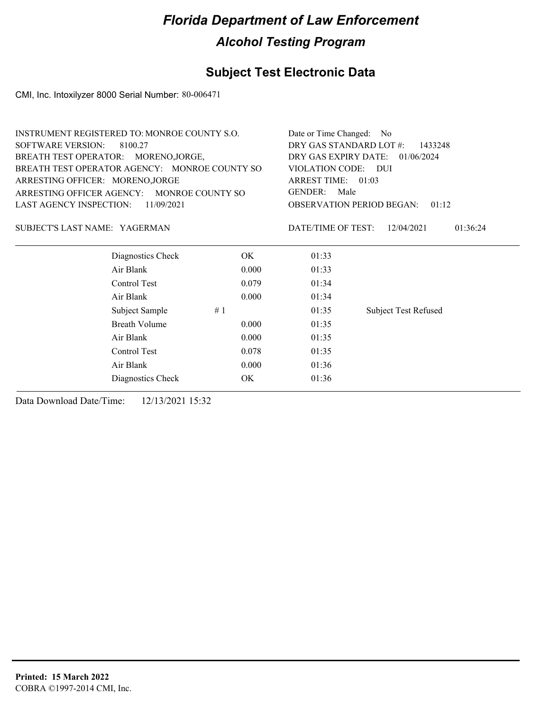### **Subject Test Electronic Data**

CMI, Inc. Intoxilyzer 8000 Serial Number: 80-006471

| <b>INSTRUMENT REGISTERED TO: MONROE COUNTY S.O.</b> |       | Date or Time Changed: No                                     |                             |  |  |
|-----------------------------------------------------|-------|--------------------------------------------------------------|-----------------------------|--|--|
| <b>SOFTWARE VERSION:</b><br>8100.27                 |       | DRY GAS STANDARD LOT #:<br>1433248                           |                             |  |  |
| BREATH TEST OPERATOR: MORENO, JORGE,                |       | DRY GAS EXPIRY DATE:<br>01/06/2024                           |                             |  |  |
| BREATH TEST OPERATOR AGENCY: MONROE COUNTY SO       |       | VIOLATION CODE: DUI<br>ARREST TIME: 01:03<br>GENDER:<br>Male |                             |  |  |
| ARRESTING OFFICER: MORENO, JORGE                    |       |                                                              |                             |  |  |
| ARRESTING OFFICER AGENCY: MONROE COUNTY SO          |       |                                                              |                             |  |  |
| LAST AGENCY INSPECTION:<br>11/09/2021               |       | <b>OBSERVATION PERIOD BEGAN:</b><br>01:12                    |                             |  |  |
| SUBJECT'S LAST NAME: YAGERMAN                       |       | DATE/TIME OF TEST:                                           | 12/04/2021<br>01:36:24      |  |  |
| Diagnostics Check                                   | OK.   | 01:33                                                        |                             |  |  |
| Air Blank                                           | 0.000 | 01:33                                                        |                             |  |  |
| Control Test                                        | 0.079 | 01:34                                                        |                             |  |  |
| Air Blank                                           | 0.000 | 01:34                                                        |                             |  |  |
| Subject Sample                                      | #1    | 01:35                                                        | <b>Subject Test Refused</b> |  |  |
| <b>Breath Volume</b>                                | 0.000 | 01:35                                                        |                             |  |  |

Air Blank 0.000 01:35 Control Test 0.078 01:35 Air Blank 0.000 01:36 Diagnostics Check OK 01:36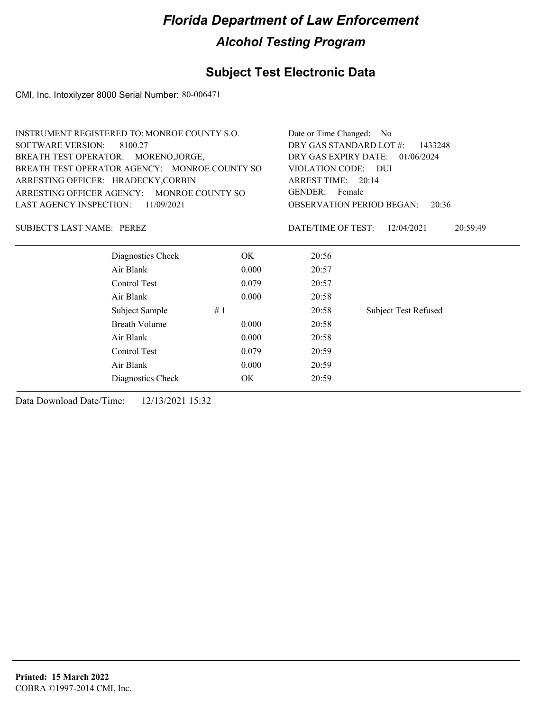### **Subject Test Electronic Data**

CMI, Inc. Intoxilyzer 8000 Serial Number: 80-006471

| <b>INSTRUMENT REGISTERED TO: MONROE COUNTY S.O.</b> | Date or Time Changed: No           |                                              |  |  |  |  |
|-----------------------------------------------------|------------------------------------|----------------------------------------------|--|--|--|--|
| SOFTWARE VERSION: 8100.27                           | DRY GAS STANDARD LOT #:<br>1433248 |                                              |  |  |  |  |
| BREATH TEST OPERATOR: MORENOJORGE.                  |                                    | DRY GAS EXPIRY DATE: $01/06/2024$            |  |  |  |  |
| BREATH TEST OPERATOR AGENCY: MONROE COUNTY SO       |                                    | VIOLATION CODE: DUI                          |  |  |  |  |
| ARRESTING OFFICER: HRADECKY,CORBIN                  |                                    | ARREST TIME: 20:14                           |  |  |  |  |
| ARRESTING OFFICER AGENCY: MONROE COUNTY SO          |                                    | GENDER: Female                               |  |  |  |  |
| LAST AGENCY INSPECTION: 11/09/2021                  |                                    | <b>OBSERVATION PERIOD BEGAN:</b><br>20:36    |  |  |  |  |
| <b>SUBJECT'S LAST NAME: PEREZ</b>                   |                                    | 20:59:49<br>DATE/TIME OF TEST:<br>12/04/2021 |  |  |  |  |
| Diagnostics Check                                   | OK.                                | 20:56                                        |  |  |  |  |
| Air Blank                                           | 20:57                              |                                              |  |  |  |  |
| Control Test                                        | 0.079                              | 20:57                                        |  |  |  |  |

Subject Sample # 1  $20:58$  Subject Test Refused

Air Blank 0.000 20:58

Breath Volume 0.000 20:58 Air Blank 0.000 20:58

| Control Test      | 0.079 | 20:59 |
|-------------------|-------|-------|
| Air Blank         | 0.000 | 20:59 |
| Diagnostics Check | OK    | 20:59 |
|                   |       |       |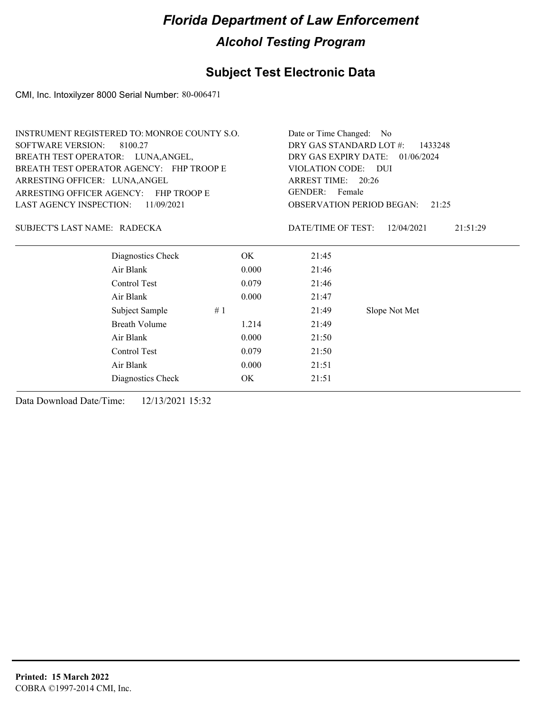### **Subject Test Electronic Data**

CMI, Inc. Intoxilyzer 8000 Serial Number: 80-006471

| <b>INSTRUMENT REGISTERED TO: MONROE COUNTY S.O.</b> |       | Date or Time Changed: No                     |
|-----------------------------------------------------|-------|----------------------------------------------|
| SOFTWARE VERSION: 8100.27                           |       | DRY GAS STANDARD LOT #:<br>1433248           |
| BREATH TEST OPERATOR: LUNA, ANGEL,                  |       | DRY GAS EXPIRY DATE: 01/06/2024              |
| BREATH TEST OPERATOR AGENCY: FHP TROOP E            |       | VIOLATION CODE: DUI                          |
| ARRESTING OFFICER: LUNA, ANGEL                      |       | ARREST TIME: 20:26                           |
| ARRESTING OFFICER AGENCY: FHP TROOP E               |       | GENDER: Female                               |
| LAST AGENCY INSPECTION: $11/09/2021$                |       | OBSERVATION PERIOD BEGAN:<br>21:25           |
| SUBJECT'S LAST NAME: RADECKA                        |       | DATE/TIME OF TEST:<br>21:51:29<br>12/04/2021 |
| Diagnostics Check                                   | OK.   | 21:45                                        |
| Air Blank                                           | 0.000 | 21:46                                        |

Subject Sample # 1 21:49 Slope Not Met

Control Test 0.079 21:46 Air Blank 0.000 21:47

Breath Volume 1.214 21:49 Air Blank 0.000 21:50 Control Test 0.079 21:50 Air Blank 0.000 21:51

| Diagnostics Check |  |
|-------------------|--|
|                   |  |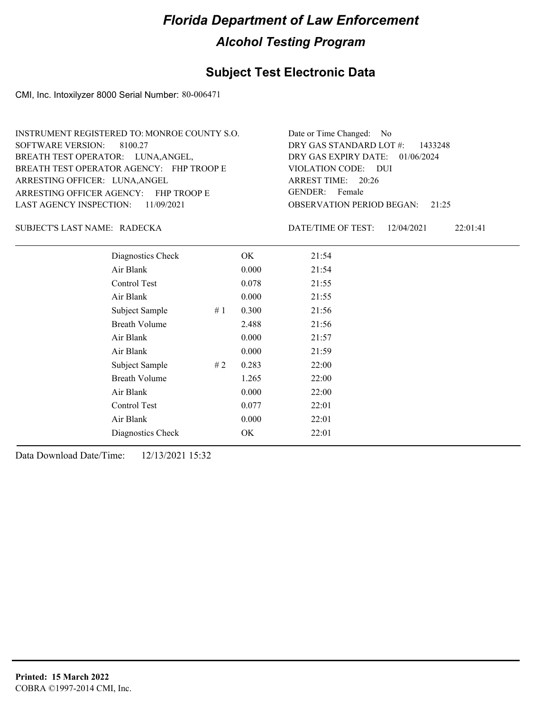### **Subject Test Electronic Data**

CMI, Inc. Intoxilyzer 8000 Serial Number: 80-006471

| INSTRUMENT REGISTERED TO: MONROE COUNTY S.O. | Date or Time Changed: No               |
|----------------------------------------------|----------------------------------------|
| SOFTWARE VERSION: 8100.27                    | DRY GAS STANDARD LOT $#$ : 1433248     |
| BREATH TEST OPERATOR: LUNA, ANGEL,           | DRY GAS EXPIRY DATE: 01/06/2024        |
| BREATH TEST OPERATOR AGENCY: FHP TROOP E     | VIOLATION CODE: DUI                    |
| ARRESTING OFFICER: LUNA, ANGEL               | ARREST TIME: 20:26                     |
| ARRESTING OFFICER AGENCY: FHP TROOP E        | GENDER: Female                         |
| LAST AGENCY INSPECTION: $11/09/2021$         | <b>OBSERVATION PERIOD BEGAN: 21:25</b> |

### RADECKA SUBJECT'S LAST NAME: DATE/TIME OF TEST:

DATE/TIME OF TEST: 12/04/2021 22:01:41

| Diagnostics Check    |       | OK    | 21:54 |
|----------------------|-------|-------|-------|
| Air Blank            |       | 0.000 | 21:54 |
| Control Test         |       | 0.078 | 21:55 |
| Air Blank            |       | 0.000 | 21:55 |
| Subject Sample       | #1    | 0.300 | 21:56 |
| <b>Breath Volume</b> |       | 2.488 | 21:56 |
| Air Blank            |       | 0.000 | 21:57 |
| Air Blank            |       | 0.000 | 21:59 |
| Subject Sample       | # $2$ | 0.283 | 22:00 |
| <b>Breath Volume</b> |       | 1.265 | 22:00 |
| Air Blank            |       | 0.000 | 22:00 |
| Control Test         |       | 0.077 | 22:01 |
| Air Blank            |       | 0.000 | 22:01 |
| Diagnostics Check    |       | OK    | 22:01 |
|                      |       |       |       |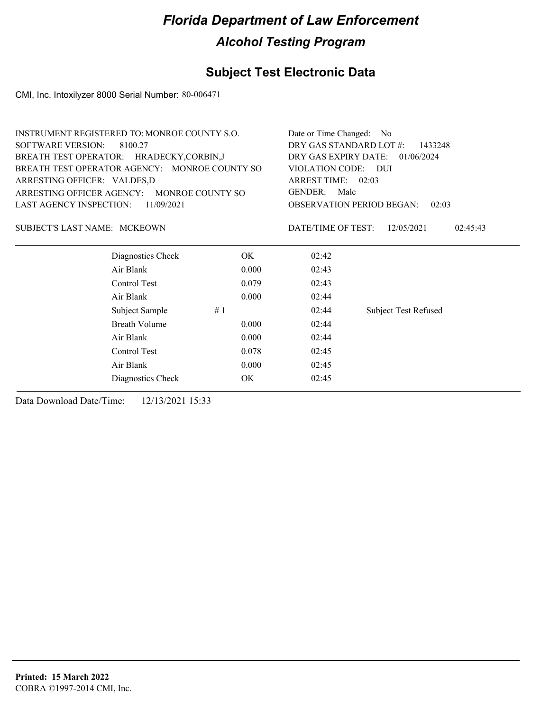### **Subject Test Electronic Data**

CMI, Inc. Intoxilyzer 8000 Serial Number: 80-006471

| <b>INSTRUMENT REGISTERED TO: MONROE COUNTY S.O.</b> |       | Date or Time Changed: No |                                           |
|-----------------------------------------------------|-------|--------------------------|-------------------------------------------|
| <b>SOFTWARE VERSION:</b><br>8100.27                 |       | DRY GAS STANDARD LOT #:  | 1433248                                   |
| BREATH TEST OPERATOR: HRADECKY,CORBIN,J             |       | DRY GAS EXPIRY DATE:     | 01/06/2024                                |
| BREATH TEST OPERATOR AGENCY: MONROE COUNTY SO       |       | VIOLATION CODE: DUI      |                                           |
| ARRESTING OFFICER: VALDES,D                         |       | ARREST TIME: 02:03       |                                           |
| ARRESTING OFFICER AGENCY: MONROE COUNTY SO          |       | Male<br>GENDER:          |                                           |
| <b>LAST AGENCY INSPECTION:</b><br>11/09/2021        |       |                          | <b>OBSERVATION PERIOD BEGAN:</b><br>02:03 |
| SUBJECT'S LAST NAME: MCKEOWN                        |       | DATE/TIME OF TEST:       | 12/05/2021<br>02:45:43                    |
| Diagnostics Check                                   | OK.   | 02:42                    |                                           |
| Air Blank                                           | 0.000 | 02:43                    |                                           |
| Control Test                                        | 0.079 | 02:43                    |                                           |
| Air Blank                                           | 0.000 | 02:44                    |                                           |
| Subject Sample                                      | #1    | 02:44                    | <b>Subject Test Refused</b>               |

Breath Volume 0.000 02:44 Air Blank 0.000 02:44 Control Test 0.078 02:45 Air Blank 0.000 02:45

Diagnostics Check OK 02:45 Data Download Date/Time: 12/13/2021 15:33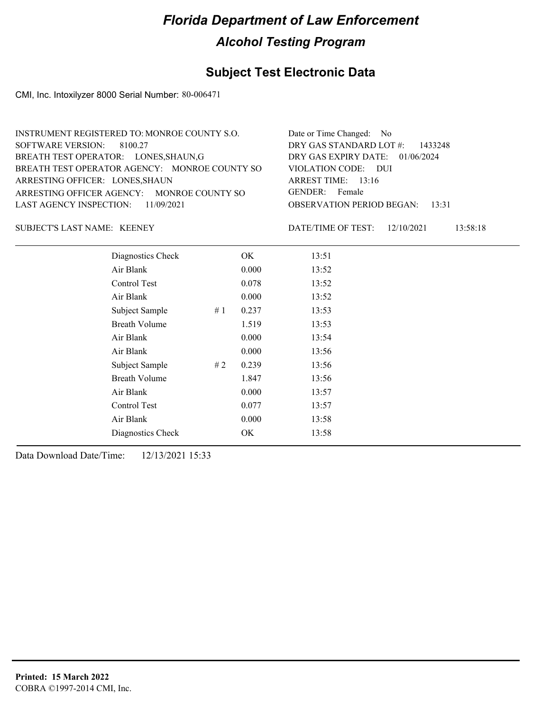### **Subject Test Electronic Data**

CMI, Inc. Intoxilyzer 8000 Serial Number: 80-006471

| INSTRUMENT REGISTERED TO: MONROE COUNTY S.O.  | Date or Time Changed: No               |
|-----------------------------------------------|----------------------------------------|
| SOFTWARE VERSION: 8100.27                     | DRY GAS STANDARD LOT $#$ : 1433248     |
| BREATH TEST OPERATOR: LONES, SHAUN, G         | DRY GAS EXPIRY DATE: 01/06/2024        |
| BREATH TEST OPERATOR AGENCY: MONROE COUNTY SO | VIOLATION CODE: DUI                    |
| ARRESTING OFFICER: LONES, SHAUN               | ARREST TIME: 13:16                     |
| ARRESTING OFFICER AGENCY: MONROE COUNTY SO    | GENDER: Female                         |
| LAST AGENCY INSPECTION: $11/09/2021$          | <b>OBSERVATION PERIOD BEGAN:</b> 13:31 |
|                                               |                                        |

SUBJECT'S LAST NAME: KEENEY DATE/TIME OF TEST:

DATE/TIME OF TEST: 12/10/2021 13:58:18

| Diagnostics Check    |    | OK    | 13:51 |
|----------------------|----|-------|-------|
| Air Blank            |    | 0.000 | 13:52 |
| Control Test         |    | 0.078 | 13:52 |
| Air Blank            |    | 0.000 | 13:52 |
| Subject Sample       | #1 | 0.237 | 13:53 |
| <b>Breath Volume</b> |    | 1.519 | 13:53 |
| Air Blank            |    | 0.000 | 13:54 |
| Air Blank            |    | 0.000 | 13:56 |
| Subject Sample       | #2 | 0.239 | 13:56 |
| <b>Breath Volume</b> |    | 1.847 | 13:56 |
| Air Blank            |    | 0.000 | 13:57 |
| Control Test         |    | 0.077 | 13:57 |
| Air Blank            |    | 0.000 | 13:58 |
| Diagnostics Check    |    | OK    | 13:58 |
|                      |    |       |       |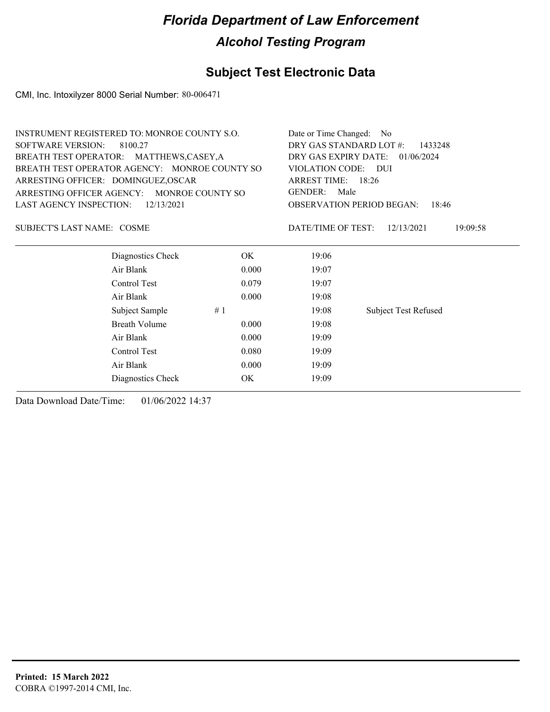### **Subject Test Electronic Data**

CMI, Inc. Intoxilyzer 8000 Serial Number: 80-006471

| <b>INSTRUMENT REGISTERED TO: MONROE COUNTY S.O.</b> |                                            |           | Date or Time Changed:                        | N <sub>0</sub>              |  |
|-----------------------------------------------------|--------------------------------------------|-----------|----------------------------------------------|-----------------------------|--|
| <b>SOFTWARE VERSION:</b><br>8100.27                 |                                            |           | DRY GAS STANDARD LOT #:                      | 1433248                     |  |
|                                                     | BREATH TEST OPERATOR: MATTHEWS,CASEY,A     |           | DRY GAS EXPIRY DATE:                         | 01/06/2024                  |  |
| BREATH TEST OPERATOR AGENCY: MONROE COUNTY SO       |                                            |           | <b>VIOLATION CODE:</b><br>- DUI              |                             |  |
|                                                     | ARRESTING OFFICER: DOMINGUEZ, OSCAR        |           | ARREST TIME: 18:26<br><b>GENDER:</b><br>Male |                             |  |
|                                                     | ARRESTING OFFICER AGENCY: MONROE COUNTY SO |           |                                              |                             |  |
| LAST AGENCY INSPECTION:                             | 12/13/2021                                 |           | <b>OBSERVATION PERIOD BEGAN:</b><br>18:46    |                             |  |
| SUBJECT'S LAST NAME: COSME                          |                                            |           | DATE/TIME OF TEST:                           | 12/13/2021<br>19:09:58      |  |
|                                                     | Diagnostics Check                          | OK.       | 19:06                                        |                             |  |
|                                                     | Air Blank                                  | 0.000     | 19:07                                        |                             |  |
|                                                     | Control Test                               | 0.079     | 19:07                                        |                             |  |
|                                                     | Air Blank                                  | 0.000     | 19:08                                        |                             |  |
|                                                     | Subject Sample                             | #1        | 19:08                                        | <b>Subject Test Refused</b> |  |
|                                                     | <b>Breath Volume</b>                       | 0.000     | 19:08                                        |                             |  |
|                                                     | Air Blank                                  | 0.000     | 19:09                                        |                             |  |
|                                                     | Control Test                               | 0.080     | 19:09                                        |                             |  |
|                                                     | Air Blank                                  | 0.000     | 19:09                                        |                             |  |
|                                                     | Diagnostics Check                          | <b>OK</b> | 19:09                                        |                             |  |
|                                                     |                                            |           |                                              |                             |  |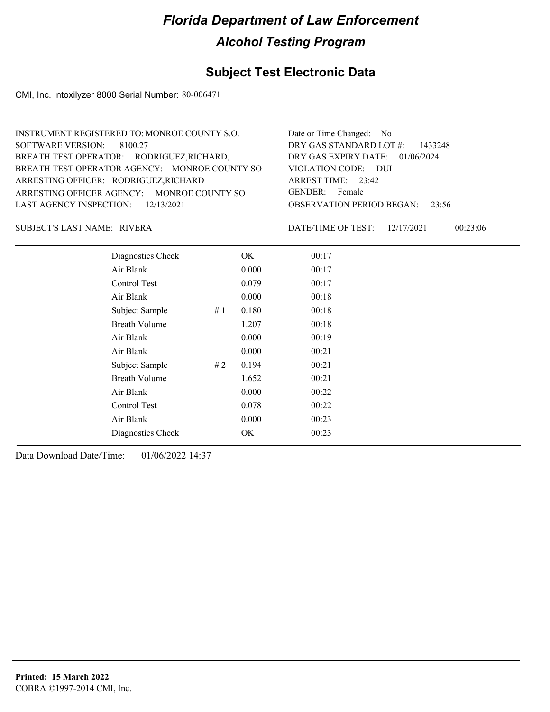### **Subject Test Electronic Data**

CMI, Inc. Intoxilyzer 8000 Serial Number: 80-006471

| INSTRUMENT REGISTERED TO: MONROE COUNTY S.O.  | Date or Time Changed: No               |
|-----------------------------------------------|----------------------------------------|
| SOFTWARE VERSION: 8100.27                     | DRY GAS STANDARD LOT $\#$ : 1433248    |
| BREATH TEST OPERATOR: RODRIGUEZ, RICHARD,     | DRY GAS EXPIRY DATE: 01/06/2024        |
| BREATH TEST OPERATOR AGENCY: MONROE COUNTY SO | VIOLATION CODE: DUI                    |
| ARRESTING OFFICER: RODRIGUEZ, RICHARD         | ARREST TIME: $23:42$                   |
| ARRESTING OFFICER AGENCY: MONROE COUNTY SO    | GENDER: Female                         |
| LAST AGENCY INSPECTION: $12/13/2021$          | <b>OBSERVATION PERIOD BEGAN: 23:56</b> |
|                                               |                                        |

RIVERA SUBJECT'S LAST NAME: DATE/TIME OF TEST:

DATE/TIME OF TEST: 12/17/2021 00:23:06

| Diagnostics Check    |    | OK    | 00:17 |
|----------------------|----|-------|-------|
| Air Blank            |    | 0.000 | 00:17 |
| Control Test         |    | 0.079 | 00:17 |
| Air Blank            |    | 0.000 | 00:18 |
| Subject Sample       | #1 | 0.180 | 00:18 |
| <b>Breath Volume</b> |    | 1.207 | 00:18 |
| Air Blank            |    | 0.000 | 00:19 |
| Air Blank            |    | 0.000 | 00:21 |
| Subject Sample       | #2 | 0.194 | 00:21 |
| <b>Breath Volume</b> |    | 1.652 | 00:21 |
| Air Blank            |    | 0.000 | 00:22 |
| Control Test         |    | 0.078 | 00:22 |
| Air Blank            |    | 0.000 | 00:23 |
| Diagnostics Check    |    | OK    | 00:23 |
|                      |    |       |       |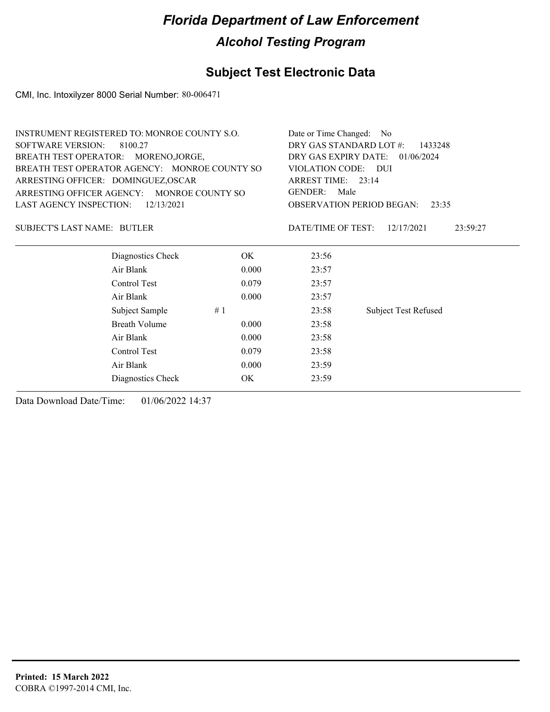### **Subject Test Electronic Data**

CMI, Inc. Intoxilyzer 8000 Serial Number: 80-006471

| <b>INSTRUMENT REGISTERED TO: MONROE COUNTY S.O.</b> |                      | Date or Time Changed: No           |                    |                                           |
|-----------------------------------------------------|----------------------|------------------------------------|--------------------|-------------------------------------------|
| <b>SOFTWARE VERSION:</b>                            | 8100.27              | DRY GAS STANDARD LOT #:            | 1433248            |                                           |
| BREATH TEST OPERATOR: MORENO, JORGE,                |                      | DRY GAS EXPIRY DATE:<br>01/06/2024 |                    |                                           |
| BREATH TEST OPERATOR AGENCY: MONROE COUNTY SO       |                      | VIOLATION CODE: DUI                |                    |                                           |
| ARRESTING OFFICER: DOMINGUEZ, OSCAR                 |                      |                                    | ARREST TIME: 23:14 |                                           |
| ARRESTING OFFICER AGENCY: MONROE COUNTY SO          |                      | GENDER:<br>Male                    |                    |                                           |
| LAST AGENCY INSPECTION:                             | 12/13/2021           |                                    |                    | <b>OBSERVATION PERIOD BEGAN:</b><br>23:35 |
| <b>SUBJECT'S LAST NAME: BUTLER</b>                  |                      |                                    | DATE/TIME OF TEST: | 12/17/2021<br>23:59:27                    |
|                                                     | Diagnostics Check    | OK.                                | 23:56              |                                           |
|                                                     | Air Blank            | 0.000                              | 23:57              |                                           |
|                                                     | Control Test         | 0.079                              | 23:57              |                                           |
|                                                     | Air Blank            | 0.000                              | 23:57              |                                           |
|                                                     | #1<br>Subject Sample |                                    | 23:58              | <b>Subject Test Refused</b>               |
|                                                     | <b>Breath Volume</b> | 0.000                              | 23:58              |                                           |
|                                                     | Air Blank            | 0.000                              | 23:58              |                                           |
|                                                     | Control Test         | 0.079                              | 23:58              |                                           |
|                                                     | Air Blank            | 0.000                              | 23:59              |                                           |

Diagnostics Check OK 23:59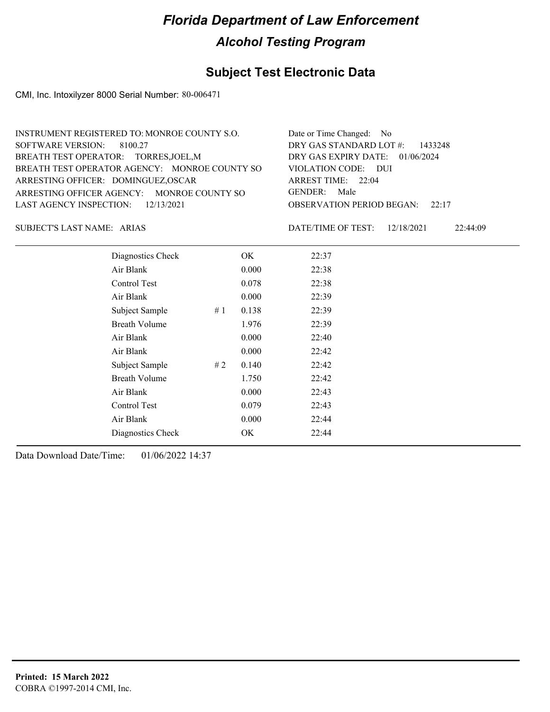### **Subject Test Electronic Data**

CMI, Inc. Intoxilyzer 8000 Serial Number: 80-006471

| INSTRUMENT REGISTERED TO: MONROE COUNTY S.O.  | Date or Time Changed: No               |
|-----------------------------------------------|----------------------------------------|
| SOFTWARE VERSION: 8100.27                     | DRY GAS STANDARD LOT $\#$ : 1433248    |
| BREATH TEST OPERATOR: TORRES, JOEL, M         | DRY GAS EXPIRY DATE: $01/06/2024$      |
| BREATH TEST OPERATOR AGENCY: MONROE COUNTY SO | VIOLATION CODE: DUI                    |
| ARRESTING OFFICER: DOMINGUEZ, OSCAR           | ARREST TIME: $22:04$                   |
| ARRESTING OFFICER AGENCY: MONROE COUNTY SO    | GENDER: Male                           |
| LAST AGENCY INSPECTION: $12/13/2021$          | <b>OBSERVATION PERIOD BEGAN:</b> 22:17 |
|                                               |                                        |

ARIAS SUBJECT'S LAST NAME: DATE/TIME OF TEST:

DATE/TIME OF TEST: 12/18/2021 22:44:09

| Diagnostics Check    |    | OK    | 22:37 |
|----------------------|----|-------|-------|
| Air Blank            |    | 0.000 | 22:38 |
| Control Test         |    | 0.078 | 22:38 |
| Air Blank            |    | 0.000 | 22:39 |
| Subject Sample       | #1 | 0.138 | 22:39 |
| <b>Breath Volume</b> |    | 1.976 | 22:39 |
| Air Blank            |    | 0.000 | 22:40 |
| Air Blank            |    | 0.000 | 22:42 |
| Subject Sample       | #2 | 0.140 | 22:42 |
| <b>Breath Volume</b> |    | 1.750 | 22:42 |
| Air Blank            |    | 0.000 | 22:43 |
| Control Test         |    | 0.079 | 22:43 |
| Air Blank            |    | 0.000 | 22:44 |
| Diagnostics Check    |    | OK    | 22:44 |
|                      |    |       |       |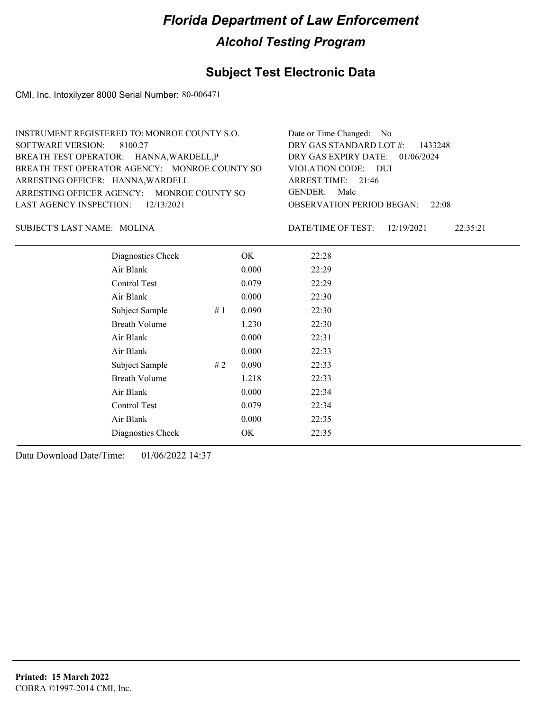### **Subject Test Electronic Data**

CMI, Inc. Intoxilyzer 8000 Serial Number: 80-006471

| INSTRUMENT REGISTERED TO: MONROE COUNTY S.O.  | Date or Time Changed: No               |
|-----------------------------------------------|----------------------------------------|
| SOFTWARE VERSION: 8100.27                     | DRY GAS STANDARD LOT $#$ : 1433248     |
| BREATH TEST OPERATOR: HANNA, WARDELL, P       | DRY GAS EXPIRY DATE: $01/06/2024$      |
| BREATH TEST OPERATOR AGENCY: MONROE COUNTY SO | VIOLATION CODE: DUI                    |
| ARRESTING OFFICER: HANNA, WARDELL             | ARREST TIME: $21:46$                   |
| ARRESTING OFFICER AGENCY: MONROE COUNTY SO    | GENDER: Male                           |
| LAST AGENCY INSPECTION: $12/13/2021$          | <b>OBSERVATION PERIOD BEGAN: 22:08</b> |
|                                               |                                        |

MOLINA SUBJECT'S LAST NAME: DATE/TIME OF TEST:

DATE/TIME OF TEST: 12/19/2021 22:35:21

| Diagnostics Check    |    | OK    | 22:28 |
|----------------------|----|-------|-------|
| Air Blank            |    | 0.000 | 22:29 |
| Control Test         |    | 0.079 | 22:29 |
| Air Blank            |    | 0.000 | 22:30 |
| Subject Sample       | #1 | 0.090 | 22:30 |
| <b>Breath Volume</b> |    | 1.230 | 22:30 |
| Air Blank            |    | 0.000 | 22:31 |
| Air Blank            |    | 0.000 | 22:33 |
| Subject Sample       | #2 | 0.090 | 22:33 |
| <b>Breath Volume</b> |    | 1.218 | 22:33 |
| Air Blank            |    | 0.000 | 22:34 |
| <b>Control Test</b>  |    | 0.079 | 22:34 |
| Air Blank            |    | 0.000 | 22:35 |
| Diagnostics Check    |    | OK    | 22:35 |
|                      |    |       |       |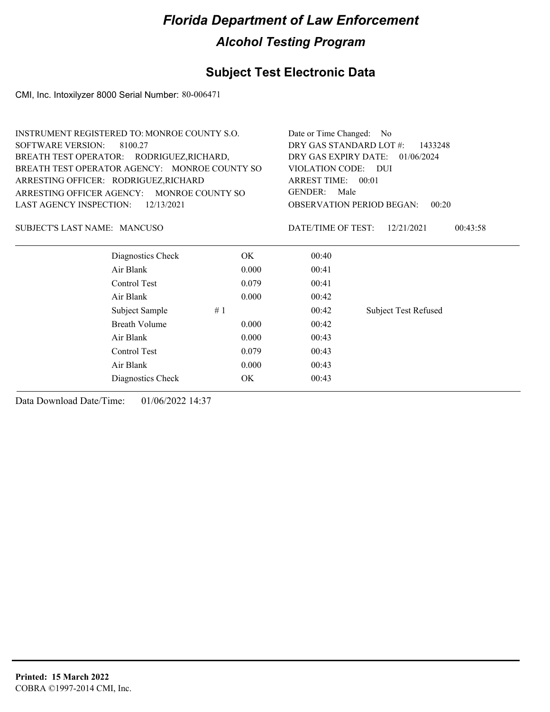### **Subject Test Electronic Data**

CMI, Inc. Intoxilyzer 8000 Serial Number: 80-006471

| INSTRUMENT REGISTERED TO: MONROE COUNTY S.O. |                                               |       | Date or Time Changed:                        | N <sub>0</sub>                            |  |
|----------------------------------------------|-----------------------------------------------|-------|----------------------------------------------|-------------------------------------------|--|
| <b>SOFTWARE VERSION:</b><br>8100.27          |                                               |       | DRY GAS STANDARD LOT #:<br>1433248           |                                           |  |
|                                              | BREATH TEST OPERATOR: RODRIGUEZ, RICHARD,     |       |                                              | DRY GAS EXPIRY DATE:<br>01/06/2024        |  |
|                                              | BREATH TEST OPERATOR AGENCY: MONROE COUNTY SO |       | VIOLATION CODE: DUI                          |                                           |  |
|                                              | ARRESTING OFFICER: RODRIGUEZ, RICHARD         |       | ARREST TIME: 00:01<br><b>GENDER:</b><br>Male |                                           |  |
|                                              | ARRESTING OFFICER AGENCY: MONROE COUNTY SO    |       |                                              |                                           |  |
| LAST AGENCY INSPECTION:                      | 12/13/2021                                    |       |                                              | <b>OBSERVATION PERIOD BEGAN:</b><br>00:20 |  |
| SUBJECT'S LAST NAME: MANCUSO                 |                                               |       | DATE/TIME OF TEST:                           | 12/21/2021<br>00:43:58                    |  |
|                                              | Diagnostics Check                             | OK.   | 00:40                                        |                                           |  |
|                                              | Air Blank                                     | 0.000 | 00:41                                        |                                           |  |
|                                              | Control Test                                  | 0.079 | 00:41                                        |                                           |  |
|                                              | Air Blank                                     | 0.000 | 00:42                                        |                                           |  |
|                                              | Subject Sample                                | #1    | 00:42                                        | <b>Subject Test Refused</b>               |  |
|                                              | <b>Breath Volume</b>                          | 0.000 | 00:42                                        |                                           |  |
|                                              | Air Blank                                     | 0.000 | 00:43                                        |                                           |  |
|                                              | Control Test                                  | 0.079 | 00:43                                        |                                           |  |
|                                              | Air Blank                                     | 0.000 | 00:43                                        |                                           |  |
|                                              | Diagnostics Check                             | OK.   | 00:43                                        |                                           |  |
|                                              |                                               |       |                                              |                                           |  |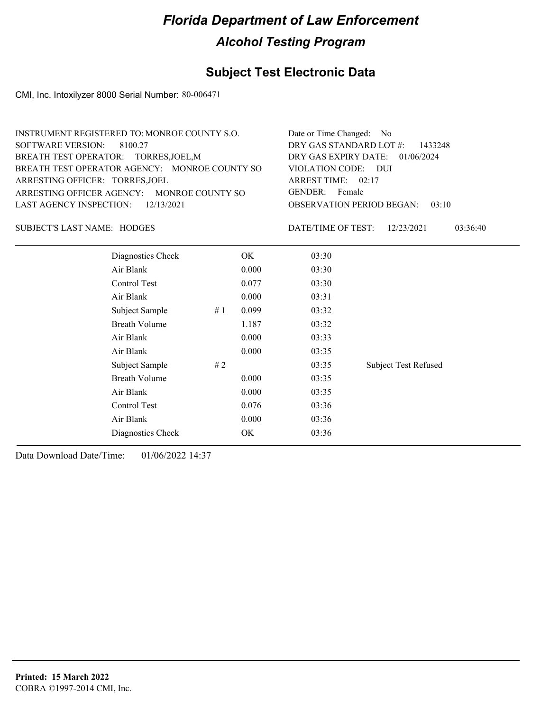### **Subject Test Electronic Data**

CMI, Inc. Intoxilyzer 8000 Serial Number: 80-006471

| INSTRUMENT REGISTERED TO: MONROE COUNTY S.O.  | Date or Time Changed: No               |
|-----------------------------------------------|----------------------------------------|
| SOFTWARE VERSION: 8100.27                     | DRY GAS STANDARD LOT #: 1433248        |
| BREATH TEST OPERATOR: TORRES, JOEL, M         | DRY GAS EXPIRY DATE: 01/06/2024        |
| BREATH TEST OPERATOR AGENCY: MONROE COUNTY SO | VIOLATION CODE: DUI                    |
| ARRESTING OFFICER: TORRES, JOEL               | ARREST TIME: 02:17                     |
| ARRESTING OFFICER AGENCY: MONROE COUNTY SO    | GENDER: Female                         |
| LAST AGENCY INSPECTION: 12/13/2021            | <b>OBSERVATION PERIOD BEGAN: 03:10</b> |
|                                               |                                        |

SUBJECT'S LAST NAME: HODGES DATE/TIME OF TEST:

DATE/TIME OF TEST: 12/23/2021 03:36:40

| Diagnostics Check    |    | OK    | 03:30 |                             |
|----------------------|----|-------|-------|-----------------------------|
| Air Blank            |    | 0.000 | 03:30 |                             |
| Control Test         |    | 0.077 | 03:30 |                             |
| Air Blank            |    | 0.000 | 03:31 |                             |
| Subject Sample       | #1 | 0.099 | 03:32 |                             |
| <b>Breath Volume</b> |    | 1.187 | 03:32 |                             |
| Air Blank            |    | 0.000 | 03:33 |                             |
| Air Blank            |    | 0.000 | 03:35 |                             |
| Subject Sample       | #2 |       | 03:35 | <b>Subject Test Refused</b> |
| <b>Breath Volume</b> |    | 0.000 | 03:35 |                             |
| Air Blank            |    | 0.000 | 03:35 |                             |
| Control Test         |    | 0.076 | 03:36 |                             |
| Air Blank            |    | 0.000 | 03:36 |                             |
| Diagnostics Check    |    | OK    | 03:36 |                             |
|                      |    |       |       |                             |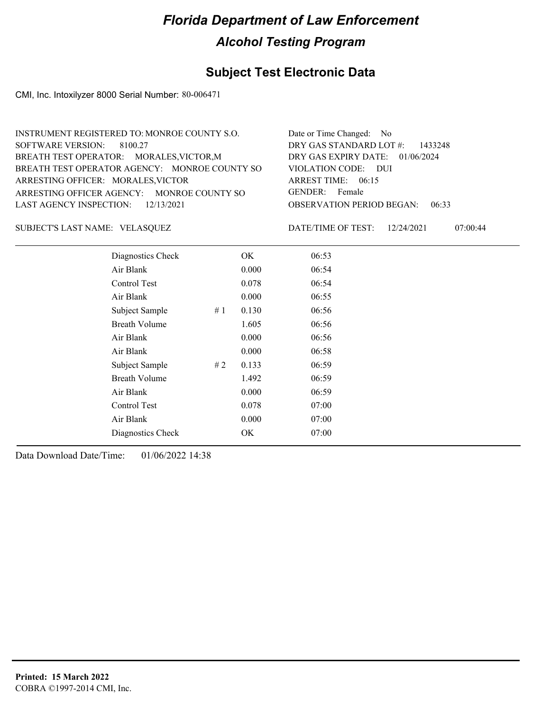### **Subject Test Electronic Data**

CMI, Inc. Intoxilyzer 8000 Serial Number: 80-006471

| INSTRUMENT REGISTERED TO: MONROE COUNTY S.O.  | Date or Time Changed: No               |
|-----------------------------------------------|----------------------------------------|
| SOFTWARE VERSION: 8100.27                     | DRY GAS STANDARD LOT $\#$ : 1433248    |
| BREATH TEST OPERATOR: MORALES, VICTOR, M      | DRY GAS EXPIRY DATE: 01/06/2024        |
| BREATH TEST OPERATOR AGENCY: MONROE COUNTY SO | VIOLATION CODE: DUI                    |
| ARRESTING OFFICER: MORALES, VICTOR            | ARREST TIME: $06:15$                   |
| ARRESTING OFFICER AGENCY: MONROE COUNTY SO    | GENDER: Female                         |
| LAST AGENCY INSPECTION: $12/13/2021$          | <b>OBSERVATION PERIOD BEGAN: 06:33</b> |
|                                               |                                        |

VELASQUEZ SUBJECT'S LAST NAME: DATE/TIME OF TEST:

DATE/TIME OF TEST: 12/24/2021 07:00:44

| Diagnostics Check    |    | OK    | 06:53 |
|----------------------|----|-------|-------|
| Air Blank            |    | 0.000 | 06:54 |
| Control Test         |    | 0.078 | 06:54 |
| Air Blank            |    | 0.000 | 06:55 |
| Subject Sample       | #1 | 0.130 | 06:56 |
| <b>Breath Volume</b> |    | 1.605 | 06:56 |
| Air Blank            |    | 0.000 | 06:56 |
| Air Blank            |    | 0.000 | 06:58 |
| Subject Sample       | #2 | 0.133 | 06:59 |
| <b>Breath Volume</b> |    | 1.492 | 06:59 |
| Air Blank            |    | 0.000 | 06:59 |
| Control Test         |    | 0.078 | 07:00 |
| Air Blank            |    | 0.000 | 07:00 |
| Diagnostics Check    |    | OK    | 07:00 |
|                      |    |       |       |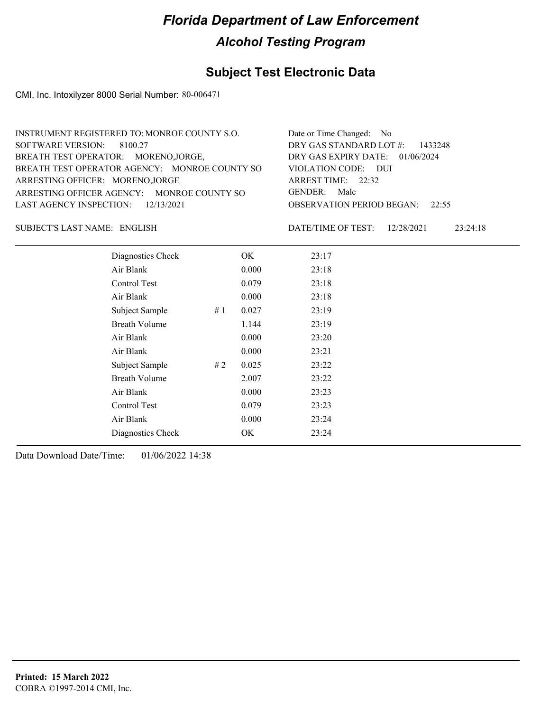### **Subject Test Electronic Data**

CMI, Inc. Intoxilyzer 8000 Serial Number: 80-006471

| INSTRUMENT REGISTERED TO: MONROE COUNTY S.O.  | Date or Time Changed: No               |
|-----------------------------------------------|----------------------------------------|
| SOFTWARE VERSION: 8100.27                     | DRY GAS STANDARD LOT $#$ : 1433248     |
| BREATH TEST OPERATOR: MORENO, JORGE,          | DRY GAS EXPIRY DATE: 01/06/2024        |
| BREATH TEST OPERATOR AGENCY: MONROE COUNTY SO | VIOLATION CODE: DUI                    |
| ARRESTING OFFICER: MORENO, JORGE              | ARREST TIME: $22:32$                   |
| ARRESTING OFFICER AGENCY: MONROE COUNTY SO    | GENDER: Male                           |
| LAST AGENCY INSPECTION: 12/13/2021            | <b>OBSERVATION PERIOD BEGAN:</b> 22:55 |
|                                               |                                        |

ENGLISH SUBJECT'S LAST NAME: DATE/TIME OF TEST:

DATE/TIME OF TEST: 12/28/2021 23:24:18

| Diagnostics Check    | OK    | 23:17 |
|----------------------|-------|-------|
| Air Blank            | 0.000 | 23:18 |
| Control Test         | 0.079 | 23:18 |
| Air Blank            | 0.000 | 23:18 |
| Subject Sample<br>#1 | 0.027 | 23:19 |
| <b>Breath Volume</b> | 1.144 | 23:19 |
| Air Blank            | 0.000 | 23:20 |
| Air Blank            | 0.000 | 23:21 |
| Subject Sample<br>#2 | 0.025 | 23:22 |
| <b>Breath Volume</b> | 2.007 | 23:22 |
| Air Blank            | 0.000 | 23:23 |
| Control Test         | 0.079 | 23:23 |
| Air Blank            | 0.000 | 23:24 |
| Diagnostics Check    | OK    | 23:24 |
|                      |       |       |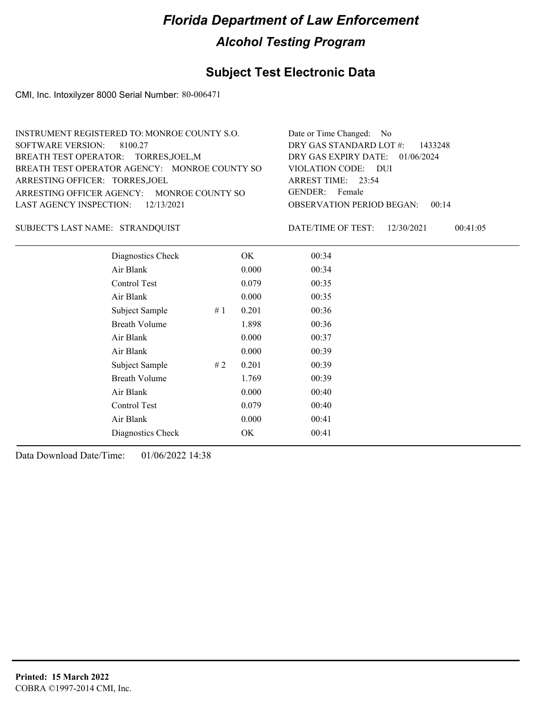### **Subject Test Electronic Data**

CMI, Inc. Intoxilyzer 8000 Serial Number: 80-006471

| INSTRUMENT REGISTERED TO: MONROE COUNTY S.O.  | Date or Time Changed: No               |
|-----------------------------------------------|----------------------------------------|
| SOFTWARE VERSION: 8100.27                     | DRY GAS STANDARD LOT $#$ : 1433248     |
| BREATH TEST OPERATOR: TORRES, JOEL, M         | DRY GAS EXPIRY DATE: 01/06/2024        |
| BREATH TEST OPERATOR AGENCY: MONROE COUNTY SO | VIOLATION CODE: DUI                    |
| ARRESTING OFFICER: TORRES, JOEL               | ARREST TIME: $23:54$                   |
| ARRESTING OFFICER AGENCY: MONROE COUNTY SO    | GENDER: Female                         |
| LAST AGENCY INSPECTION: 12/13/2021            | <b>OBSERVATION PERIOD BEGAN: 00:14</b> |
|                                               |                                        |

STRANDQUIST SUBJECT'S LAST NAME: DATE/TIME OF TEST:

DATE/TIME OF TEST: 12/30/2021 00:41:05

| Diagnostics Check    |     | OK    | 00:34 |
|----------------------|-----|-------|-------|
| Air Blank            |     | 0.000 | 00:34 |
| Control Test         |     | 0.079 | 00:35 |
| Air Blank            |     | 0.000 | 00:35 |
| Subject Sample       | #1  | 0.201 | 00:36 |
| <b>Breath Volume</b> |     | 1.898 | 00:36 |
| Air Blank            |     | 0.000 | 00:37 |
| Air Blank            |     | 0.000 | 00:39 |
| Subject Sample       | # 2 | 0.201 | 00:39 |
| <b>Breath Volume</b> |     | 1.769 | 00:39 |
| Air Blank            |     | 0.000 | 00:40 |
| Control Test         |     | 0.079 | 00:40 |
| Air Blank            |     | 0.000 | 00:41 |
| Diagnostics Check    |     | OK    | 00:41 |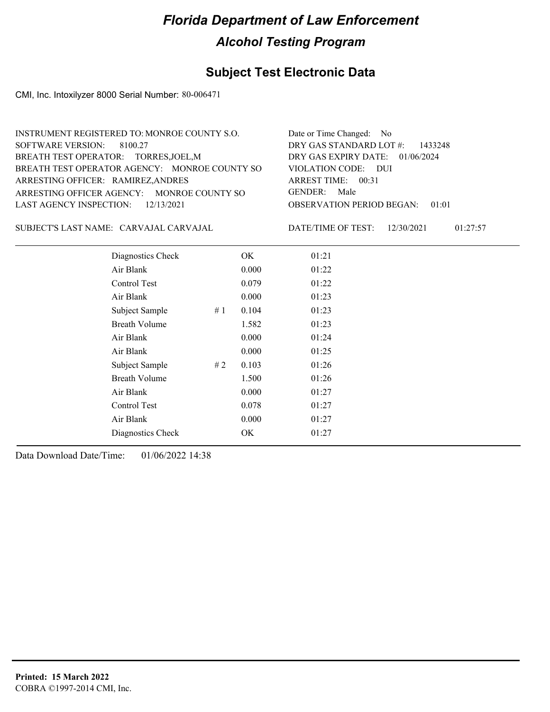### **Subject Test Electronic Data**

CMI, Inc. Intoxilyzer 8000 Serial Number: 80-006471

| INSTRUMENT REGISTERED TO: MONROE COUNTY S.O.  | Date or Time Changed: No               |
|-----------------------------------------------|----------------------------------------|
| SOFTWARE VERSION: 8100.27                     | DRY GAS STANDARD LOT $#$ : 1433248     |
| BREATH TEST OPERATOR: TORRES, JOEL, M         | DRY GAS EXPIRY DATE: 01/06/2024        |
| BREATH TEST OPERATOR AGENCY: MONROE COUNTY SO | VIOLATION CODE: DUI                    |
| ARRESTING OFFICER: RAMIREZ, ANDRES            | ARREST TIME: 00:31                     |
| ARRESTING OFFICER AGENCY: MONROE COUNTY SO    | GENDER: Male                           |
| LAST AGENCY INSPECTION: $12/13/2021$          | <b>OBSERVATION PERIOD BEGAN: 01:01</b> |
|                                               |                                        |

CARVAJAL CARVAJAL SUBJECT'S LAST NAME: DATE/TIME OF TEST:

DATE/TIME OF TEST: 12/30/2021 01:27:57

| Diagnostics Check    |    | OK    | 01:21 |
|----------------------|----|-------|-------|
| Air Blank            |    | 0.000 | 01:22 |
| Control Test         |    | 0.079 | 01:22 |
| Air Blank            |    | 0.000 | 01:23 |
| Subject Sample       | #1 | 0.104 | 01:23 |
| <b>Breath Volume</b> |    | 1.582 | 01:23 |
| Air Blank            |    | 0.000 | 01:24 |
| Air Blank            |    | 0.000 | 01:25 |
| Subject Sample       | #2 | 0.103 | 01:26 |
| <b>Breath Volume</b> |    | 1.500 | 01:26 |
| Air Blank            |    | 0.000 | 01:27 |
| Control Test         |    | 0.078 | 01:27 |
| Air Blank            |    | 0.000 | 01:27 |
| Diagnostics Check    |    | OK    | 01:27 |
|                      |    |       |       |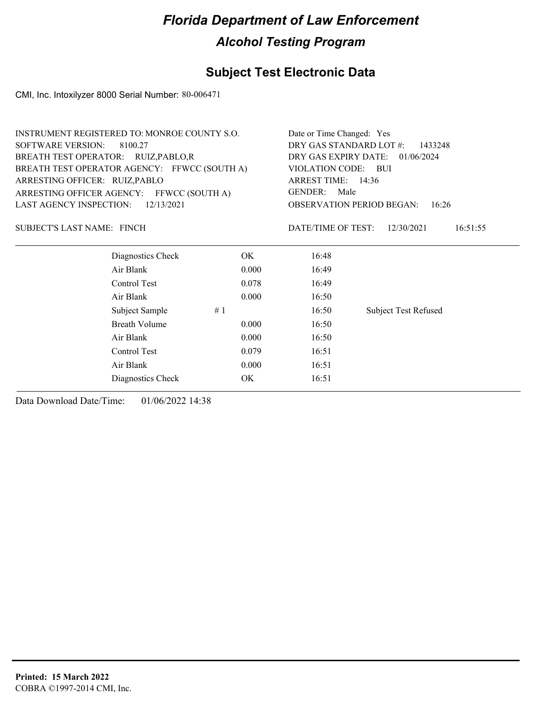### **Subject Test Electronic Data**

CMI, Inc. Intoxilyzer 8000 Serial Number: 80-006471

| INSTRUMENT REGISTERED TO: MONROE COUNTY S.O. | Date or Time Changed: Yes                   |
|----------------------------------------------|---------------------------------------------|
| SOFTWARE VERSION: 8100.27                    | DRY GAS STANDARD LOT $#$ : 1433248          |
| BREATH TEST OPERATOR: RUIZ, PABLO, R         | DRY GAS EXPIRY DATE: 01/06/2024             |
| BREATH TEST OPERATOR AGENCY: FFWCC (SOUTH A) | VIOLATION CODE: BUI                         |
| ARRESTING OFFICER: RUIZ, PABLO               | ARREST TIME: 14:36                          |
| ARRESTING OFFICER AGENCY: FFWCC (SOUTH A)    | GENDER: Male                                |
| LAST AGENCY INSPECTION: $12/13/2021$         | <b>OBSERVATION PERIOD BEGAN: 16:26</b>      |
|                                              |                                             |
| SUBJECT'S LAST NAME: FINCH                   | 16:51:55<br>DATE/TIME OF TEST: $12/30/2021$ |

| Diagnostics Check | OK    | 16:48 |                             |
|-------------------|-------|-------|-----------------------------|
| Air Blank         | 0.000 | 16:49 |                             |
| Control Test      | 0.078 | 16:49 |                             |
| Air Blank         | 0.000 | 16:50 |                             |
| Subject Sample    | #1    | 16:50 | <b>Subject Test Refused</b> |
| Breath Volume     | 0.000 | 16:50 |                             |
| Air Blank         | 0.000 | 16:50 |                             |
| Control Test      | 0.079 | 16:51 |                             |
| Air Blank         | 0.000 | 16:51 |                             |
| Diagnostics Check | OK    | 16:51 |                             |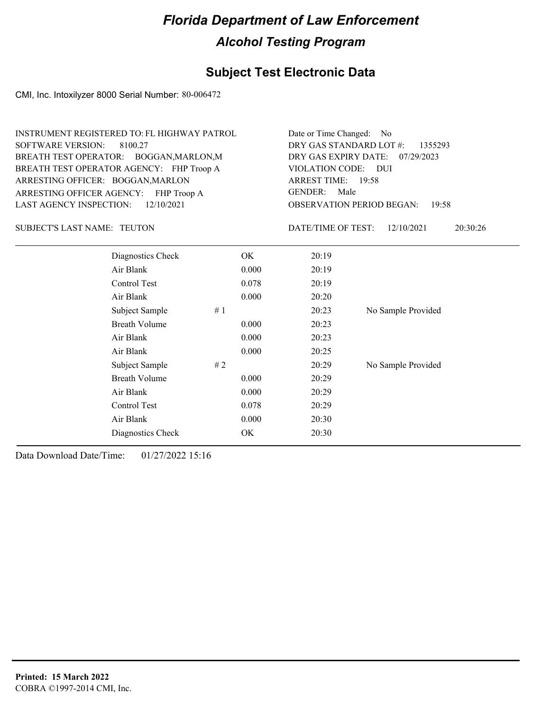### **Subject Test Electronic Data**

CMI, Inc. Intoxilyzer 8000 Serial Number: 80-006472

| INSTRUMENT REGISTERED TO: FL HIGHWAY PATROL | Date or Time Changed: No               |
|---------------------------------------------|----------------------------------------|
| SOFTWARE VERSION: 8100.27                   | DRY GAS STANDARD LOT #: 1355293        |
| BREATH TEST OPERATOR: BOGGAN, MARLON, M     | DRY GAS EXPIRY DATE: 07/29/2023        |
| BREATH TEST OPERATOR AGENCY: FHP Troop A    | VIOLATION CODE: DUI                    |
| ARRESTING OFFICER: BOGGAN, MARLON           | ARREST TIME: 19:58                     |
| ARRESTING OFFICER AGENCY: FHP Troop A       | GENDER: Male                           |
| LAST AGENCY INSPECTION: $12/10/2021$        | <b>OBSERVATION PERIOD BEGAN: 19:58</b> |

SUBJECT'S LAST NAME: TEUTON DATE/TIME OF TEST:

DATE/TIME OF TEST: 12/10/2021 20:30:26

| Diagnostics Check    | OK    | 20:19 |                    |
|----------------------|-------|-------|--------------------|
| Air Blank            | 0.000 | 20:19 |                    |
| Control Test         | 0.078 | 20:19 |                    |
| Air Blank            | 0.000 | 20:20 |                    |
| Subject Sample<br>#1 |       | 20:23 | No Sample Provided |
| <b>Breath Volume</b> | 0.000 | 20:23 |                    |
| Air Blank            | 0.000 | 20:23 |                    |
| Air Blank            | 0.000 | 20:25 |                    |
| Subject Sample<br>#2 |       | 20:29 | No Sample Provided |
| <b>Breath Volume</b> | 0.000 | 20:29 |                    |
| Air Blank            | 0.000 | 20:29 |                    |
| Control Test         | 0.078 | 20:29 |                    |
| Air Blank            | 0.000 | 20:30 |                    |
| Diagnostics Check    | OK    | 20:30 |                    |
|                      |       |       |                    |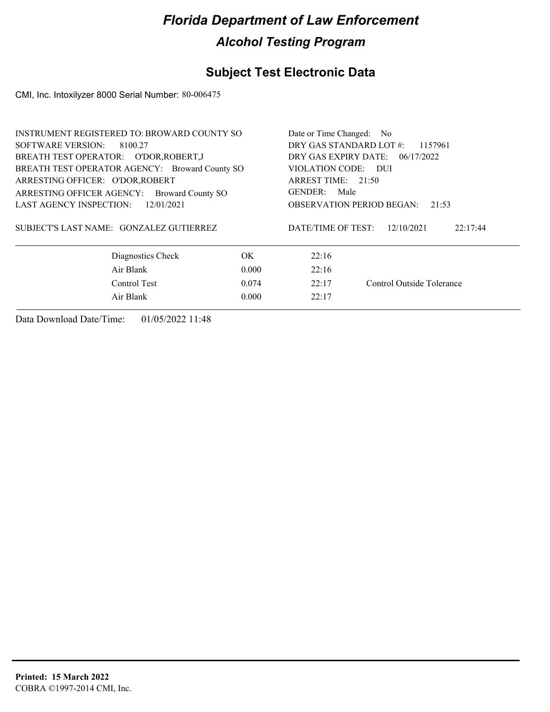## **Subject Test Electronic Data**

CMI, Inc. Intoxilyzer 8000 Serial Number: 80-006475

| <b>INSTRUMENT REGISTERED TO: BROWARD COUNTY SO</b>    | Date or Time Changed: No |                      |                                           |  |  |
|-------------------------------------------------------|--------------------------|----------------------|-------------------------------------------|--|--|
| SOFTWARE VERSION:<br>8100.27                          | DRY GAS STANDARD LOT #:  | 1157961              |                                           |  |  |
| BREATH TEST OPERATOR: O'DOR, ROBERT, J                |                          | DRY GAS EXPIRY DATE: | 06/17/2022                                |  |  |
| BREATH TEST OPERATOR AGENCY: Broward County SO        |                          | VIOLATION CODE: DUI  |                                           |  |  |
| ARRESTING OFFICER: O'DOR, ROBERT                      |                          |                      | ARREST TIME: 21:50                        |  |  |
| ARRESTING OFFICER AGENCY:<br><b>Broward County SO</b> |                          | <b>GENDER:</b>       | Male                                      |  |  |
| <b>LAST AGENCY INSPECTION:</b><br>12/01/2021          |                          |                      | <b>OBSERVATION PERIOD BEGAN:</b><br>21:53 |  |  |
| SUBJECT'S LAST NAME: GONZALEZ GUTIERREZ               |                          | DATE/TIME OF TEST:   | 22:17:44<br>12/10/2021                    |  |  |
| Diagnostics Check                                     | OK.                      | 22:16                |                                           |  |  |
| Air Blank                                             | 0.000                    | 22:16                |                                           |  |  |
| Control Test<br>0.074                                 |                          | 22:17                | Control Outside Tolerance                 |  |  |
| Air Blank                                             | 0.000                    | 22:17                |                                           |  |  |
|                                                       |                          |                      |                                           |  |  |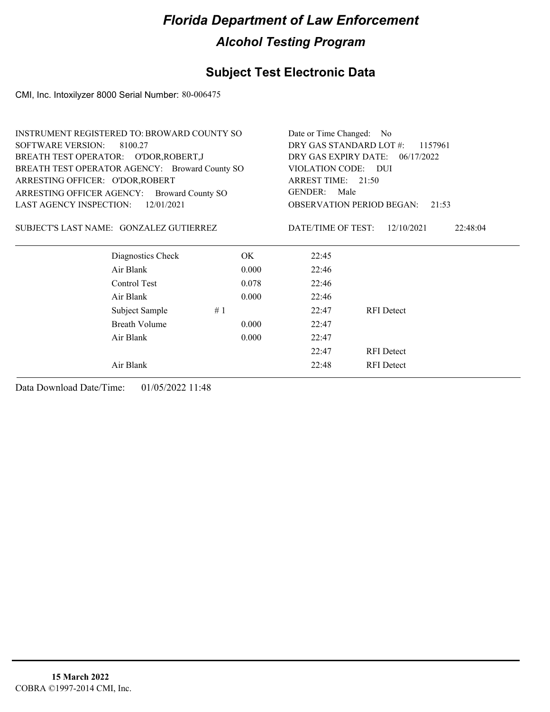## **Subject Test Electronic Data**

CMI, Inc. Intoxilyzer 8000 Serial Number: 80-006475

| <b>INSTRUMENT REGISTERED TO: BROWARD COUNTY SO</b> |       | Date or Time Changed: No |                                  |          |
|----------------------------------------------------|-------|--------------------------|----------------------------------|----------|
| <b>SOFTWARE VERSION:</b><br>8100.27                |       | DRY GAS STANDARD LOT #:  | 1157961                          |          |
| BREATH TEST OPERATOR: O'DOR, ROBERT, J             |       |                          | DRY GAS EXPIRY DATE: 06/17/2022  |          |
| BREATH TEST OPERATOR AGENCY: Broward County SO     |       | VIOLATION CODE: DUI      |                                  |          |
| ARRESTING OFFICER: O'DOR, ROBERT                   |       | ARREST TIME: 21:50       |                                  |          |
| ARRESTING OFFICER AGENCY: Broward County SO        |       | GENDER:<br>Male          |                                  |          |
| <b>LAST AGENCY INSPECTION:</b><br>12/01/2021       |       |                          | <b>OBSERVATION PERIOD BEGAN:</b> | 21:53    |
| SUBJECT'S LAST NAME: GONZALEZ GUTIERREZ            |       | DATE/TIME OF TEST:       | 12/10/2021                       | 22:48:04 |
| Diagnostics Check                                  | OK.   | 22:45                    |                                  |          |
| Air Blank                                          | 0.000 | 22:46                    |                                  |          |
| Control Test                                       | 0.078 | 22:46                    |                                  |          |
| Air Blank                                          | 0.000 | 22:46                    |                                  |          |
| Subject Sample                                     | #1    | 22:47                    | <b>RFI</b> Detect                |          |
| Breath Volume                                      | 0.000 | 22:47                    |                                  |          |
| Air Blank                                          | 0.000 | 22:47                    |                                  |          |
|                                                    |       | 22:47                    | <b>RFI</b> Detect                |          |
| Air Blank                                          |       | 22:48                    | <b>RFI</b> Detect                |          |
|                                                    |       |                          |                                  |          |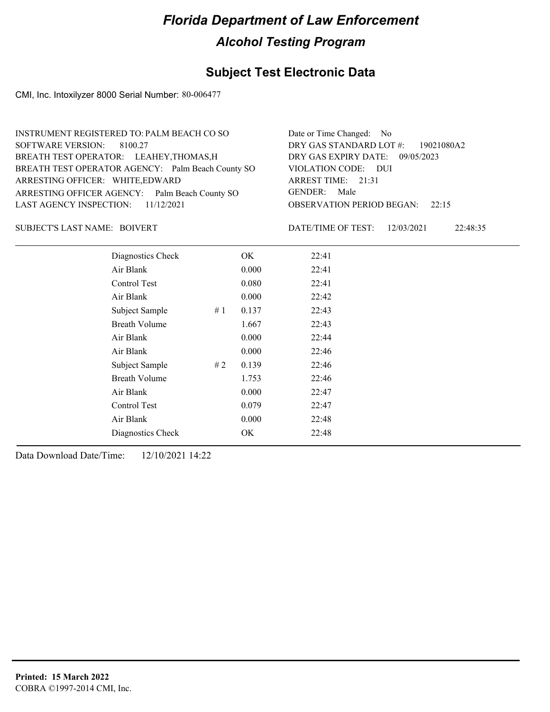## **Subject Test Electronic Data**

CMI, Inc. Intoxilyzer 8000 Serial Number: 80-006477

| INSTRUMENT REGISTERED TO: PALM BEACH CO SO        | Date or Time Changed: No               |
|---------------------------------------------------|----------------------------------------|
| SOFTWARE VERSION: 8100.27                         | DRY GAS STANDARD LOT $\#$ : 19021080A2 |
| BREATH TEST OPERATOR: LEAHEY, THOMAS, H           | DRY GAS EXPIRY DATE: 09/05/2023        |
| BREATH TEST OPERATOR AGENCY: Palm Beach County SO | VIOLATION CODE: DUI                    |
| ARRESTING OFFICER: WHITE, EDWARD                  | ARREST TIME: 21:31                     |
| ARRESTING OFFICER AGENCY: Palm Beach County SO    | GENDER: Male                           |
| LAST AGENCY INSPECTION: $11/12/2021$              | <b>OBSERVATION PERIOD BEGAN: 22:15</b> |
|                                                   |                                        |

### SUBJECT'S LAST NAME: BOIVERT **Example 2018** DATE/TIME OF TEST:

DATE/TIME OF TEST: 12/03/2021 22:48:35

| Diagnostics Check    |    | OK    | 22:41 |
|----------------------|----|-------|-------|
| Air Blank            |    | 0.000 | 22:41 |
| Control Test         |    | 0.080 | 22:41 |
| Air Blank            |    | 0.000 | 22:42 |
| Subject Sample       | #1 | 0.137 | 22:43 |
| <b>Breath Volume</b> |    | 1.667 | 22:43 |
| Air Blank            |    | 0.000 | 22:44 |
| Air Blank            |    | 0.000 | 22:46 |
| Subject Sample       | #2 | 0.139 | 22:46 |
| <b>Breath Volume</b> |    | 1.753 | 22:46 |
| Air Blank            |    | 0.000 | 22:47 |
| Control Test         |    | 0.079 | 22:47 |
| Air Blank            |    | 0.000 | 22:48 |
| Diagnostics Check    |    | OK.   | 22:48 |
|                      |    |       |       |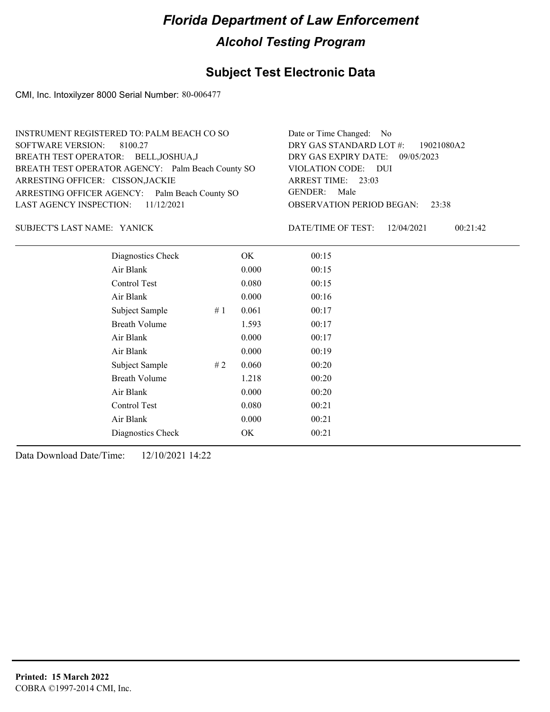## **Subject Test Electronic Data**

CMI, Inc. Intoxilyzer 8000 Serial Number: 80-006477

| INSTRUMENT REGISTERED TO: PALM BEACH CO SO        | Date or Time Changed: No               |
|---------------------------------------------------|----------------------------------------|
| SOFTWARE VERSION: 8100.27                         | DRY GAS STANDARD LOT #: 19021080A2     |
| BREATH TEST OPERATOR: BELL, JOSHUA, J             | DRY GAS EXPIRY DATE: 09/05/2023        |
| BREATH TEST OPERATOR AGENCY: Palm Beach County SO | VIOLATION CODE: DUI                    |
| ARRESTING OFFICER: CISSON, JACKIE                 | ARREST TIME: 23:03                     |
| ARRESTING OFFICER AGENCY: Palm Beach County SO    | GENDER: Male                           |
| LAST AGENCY INSPECTION: 11/12/2021                | <b>OBSERVATION PERIOD BEGAN: 23:38</b> |
|                                                   |                                        |

SUBJECT'S LAST NAME: YANICK DATE/TIME OF TEST:

DATE/TIME OF TEST: 12/04/2021 00:21:42

| Diagnostics Check    |    | OK    | 00:15 |  |
|----------------------|----|-------|-------|--|
| Air Blank            |    | 0.000 | 00:15 |  |
| Control Test         |    | 0.080 | 00:15 |  |
| Air Blank            |    | 0.000 | 00:16 |  |
| Subject Sample       | #1 | 0.061 | 00:17 |  |
| <b>Breath Volume</b> |    | 1.593 | 00:17 |  |
| Air Blank            |    | 0.000 | 00:17 |  |
| Air Blank            |    | 0.000 | 00:19 |  |
| Subject Sample       | #2 | 0.060 | 00:20 |  |
| <b>Breath Volume</b> |    | 1.218 | 00:20 |  |
| Air Blank            |    | 0.000 | 00:20 |  |
| Control Test         |    | 0.080 | 00:21 |  |
| Air Blank            |    | 0.000 | 00:21 |  |
| Diagnostics Check    |    | OK    | 00:21 |  |
|                      |    |       |       |  |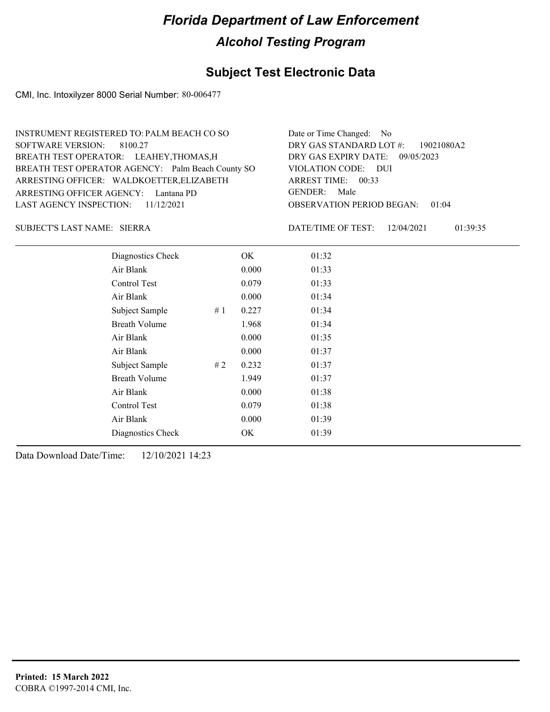## **Subject Test Electronic Data**

CMI, Inc. Intoxilyzer 8000 Serial Number: 80-006477

| INSTRUMENT REGISTERED TO: PALM BEACH CO SO        | Date or Time Changed: No               |
|---------------------------------------------------|----------------------------------------|
| SOFTWARE VERSION: 8100.27                         | DRY GAS STANDARD LOT #: 19021080A2     |
| BREATH TEST OPERATOR: LEAHEY, THOMAS, H           | DRY GAS EXPIRY DATE: 09/05/2023        |
| BREATH TEST OPERATOR AGENCY: Palm Beach County SO | VIOLATION CODE: DUI                    |
| ARRESTING OFFICER: WALDKOETTER, ELIZABETH         | ARREST TIME: 00:33                     |
| ARRESTING OFFICER AGENCY: Lantana PD              | GENDER: Male                           |
| LAST AGENCY INSPECTION: $11/12/2021$              | <b>OBSERVATION PERIOD BEGAN: 01:04</b> |
|                                                   |                                        |

SIERRA SUBJECT'S LAST NAME: DATE/TIME OF TEST:

DATE/TIME OF TEST: 12/04/2021 01:39:35

| Diagnostics Check    |    | OK    | 01:32 |
|----------------------|----|-------|-------|
| Air Blank            |    | 0.000 | 01:33 |
| Control Test         |    | 0.079 | 01:33 |
| Air Blank            |    | 0.000 | 01:34 |
| Subject Sample       | #1 | 0.227 | 01:34 |
| <b>Breath Volume</b> |    | 1.968 | 01:34 |
| Air Blank            |    | 0.000 | 01:35 |
| Air Blank            |    | 0.000 | 01:37 |
| Subject Sample       | #2 | 0.232 | 01:37 |
| <b>Breath Volume</b> |    | 1.949 | 01:37 |
| Air Blank            |    | 0.000 | 01:38 |
| <b>Control Test</b>  |    | 0.079 | 01:38 |
| Air Blank            |    | 0.000 | 01:39 |
| Diagnostics Check    |    | OK    | 01:39 |
|                      |    |       |       |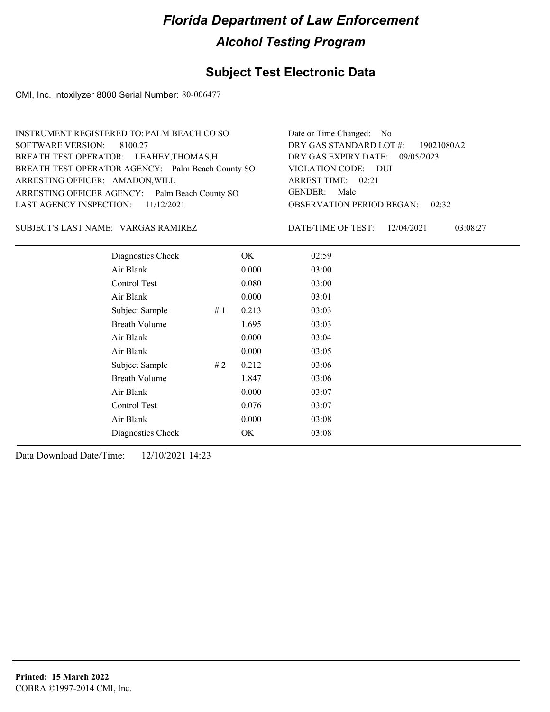## **Subject Test Electronic Data**

CMI, Inc. Intoxilyzer 8000 Serial Number: 80-006477

| INSTRUMENT REGISTERED TO: PALM BEACH CO SO        | Date or Time Changed: No               |
|---------------------------------------------------|----------------------------------------|
| SOFTWARE VERSION: 8100.27                         | DRY GAS STANDARD LOT $\#$ : 19021080A2 |
| BREATH TEST OPERATOR: LEAHEY, THOMAS, H           | DRY GAS EXPIRY DATE: 09/05/2023        |
| BREATH TEST OPERATOR AGENCY: Palm Beach County SO | VIOLATION CODE: DUI                    |
| ARRESTING OFFICER: AMADON, WILL                   | ARREST TIME: 02:21                     |
| ARRESTING OFFICER AGENCY: Palm Beach County SO    | GENDER: Male                           |
| LAST AGENCY INSPECTION: 11/12/2021                | <b>OBSERVATION PERIOD BEGAN: 02:32</b> |
|                                                   |                                        |

SUBJECT'S LAST NAME: VARGAS RAMIREZ DATE/TIME OF TEST:

DATE/TIME OF TEST: 12/04/2021 03:08:27

| Diagnostics Check    |    | OK    | 02:59 |
|----------------------|----|-------|-------|
| Air Blank            |    | 0.000 | 03:00 |
| Control Test         |    | 0.080 | 03:00 |
| Air Blank            |    | 0.000 | 03:01 |
| Subject Sample       | #1 | 0.213 | 03:03 |
| <b>Breath Volume</b> |    | 1.695 | 03:03 |
| Air Blank            |    | 0.000 | 03:04 |
| Air Blank            |    | 0.000 | 03:05 |
| Subject Sample       | #2 | 0.212 | 03:06 |
| <b>Breath Volume</b> |    | 1.847 | 03:06 |
| Air Blank            |    | 0.000 | 03:07 |
| Control Test         |    | 0.076 | 03:07 |
| Air Blank            |    | 0.000 | 03:08 |
| Diagnostics Check    |    | OK    | 03:08 |
|                      |    |       |       |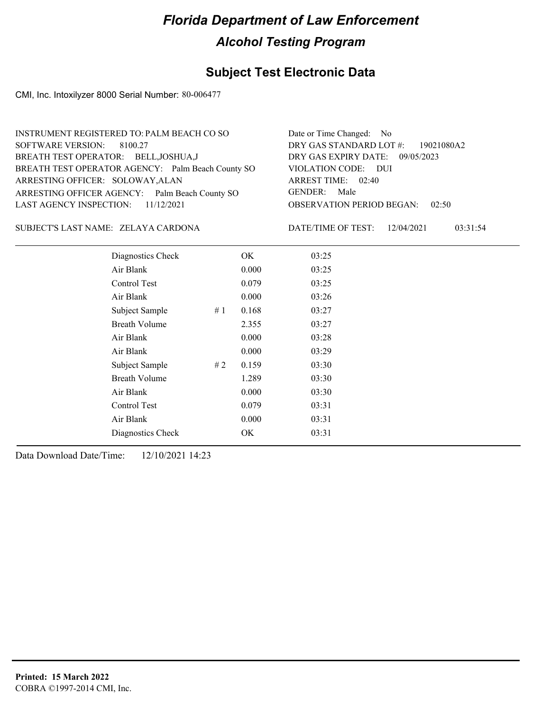## **Subject Test Electronic Data**

CMI, Inc. Intoxilyzer 8000 Serial Number: 80-006477

| INSTRUMENT REGISTERED TO: PALM BEACH CO SO        | Date or Time Changed: No               |
|---------------------------------------------------|----------------------------------------|
| SOFTWARE VERSION: 8100.27                         | DRY GAS STANDARD LOT #: 19021080A2     |
| BREATH TEST OPERATOR: BELL, JOSHUA, J             | DRY GAS EXPIRY DATE: 09/05/2023        |
| BREATH TEST OPERATOR AGENCY: Palm Beach County SO | VIOLATION CODE: DUI                    |
| ARRESTING OFFICER: SOLOWAY, ALAN                  | ARREST TIME: 02:40                     |
| ARRESTING OFFICER AGENCY: Palm Beach County SO    | GENDER: Male                           |
| LAST AGENCY INSPECTION: 11/12/2021                | <b>OBSERVATION PERIOD BEGAN: 02:50</b> |
|                                                   |                                        |

### ZELAYA CARDONA SUBJECT'S LAST NAME: DATE/TIME OF TEST:

DATE/TIME OF TEST: 12/04/2021 03:31:54

| Diagnostics Check    |    | OK    | 03:25 |
|----------------------|----|-------|-------|
| Air Blank            |    | 0.000 | 03:25 |
| Control Test         |    | 0.079 | 03:25 |
| Air Blank            |    | 0.000 | 03:26 |
| Subject Sample       | #1 | 0.168 | 03:27 |
| <b>Breath Volume</b> |    | 2.355 | 03:27 |
| Air Blank            |    | 0.000 | 03:28 |
| Air Blank            |    | 0.000 | 03:29 |
| Subject Sample       | #2 | 0.159 | 03:30 |
| <b>Breath Volume</b> |    | 1.289 | 03:30 |
| Air Blank            |    | 0.000 | 03:30 |
| <b>Control Test</b>  |    | 0.079 | 03:31 |
| Air Blank            |    | 0.000 | 03:31 |
| Diagnostics Check    |    | OK    | 03:31 |
|                      |    |       |       |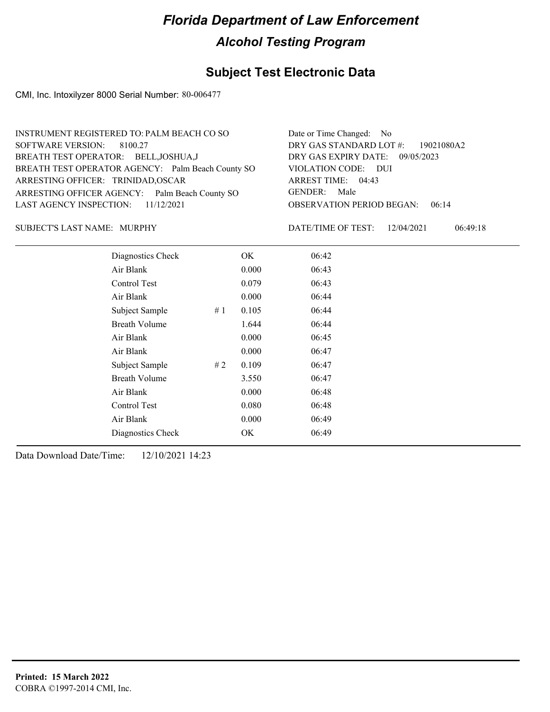## **Subject Test Electronic Data**

CMI, Inc. Intoxilyzer 8000 Serial Number: 80-006477

| INSTRUMENT REGISTERED TO: PALM BEACH CO SO        | Date or Time Changed: No               |
|---------------------------------------------------|----------------------------------------|
| SOFTWARE VERSION: 8100.27                         | DRY GAS STANDARD LOT #: 19021080A2     |
| BREATH TEST OPERATOR: BELL, JOSHUA, J             | DRY GAS EXPIRY DATE: 09/05/2023        |
| BREATH TEST OPERATOR AGENCY: Palm Beach County SO | VIOLATION CODE: DUI                    |
| ARRESTING OFFICER: TRINIDAD, OSCAR                | ARREST TIME: 04:43                     |
| ARRESTING OFFICER AGENCY: Palm Beach County SO    | GENDER: Male                           |
| LAST AGENCY INSPECTION: $11/12/2021$              | <b>OBSERVATION PERIOD BEGAN: 06:14</b> |
|                                                   |                                        |

### SUBJECT'S LAST NAME: MURPHY DATE/TIME OF TEST:

DATE/TIME OF TEST: 12/04/2021 06:49:18

| Diagnostics Check    |    | OK    | 06:42 |  |
|----------------------|----|-------|-------|--|
| Air Blank            |    | 0.000 | 06:43 |  |
| Control Test         |    | 0.079 | 06:43 |  |
| Air Blank            |    | 0.000 | 06:44 |  |
| Subject Sample       | #1 | 0.105 | 06:44 |  |
| <b>Breath Volume</b> |    | 1.644 | 06:44 |  |
| Air Blank            |    | 0.000 | 06:45 |  |
| Air Blank            |    | 0.000 | 06:47 |  |
| Subject Sample       | #2 | 0.109 | 06:47 |  |
| <b>Breath Volume</b> |    | 3.550 | 06:47 |  |
| Air Blank            |    | 0.000 | 06:48 |  |
| Control Test         |    | 0.080 | 06:48 |  |
| Air Blank            |    | 0.000 | 06:49 |  |
| Diagnostics Check    |    | OK    | 06:49 |  |
|                      |    |       |       |  |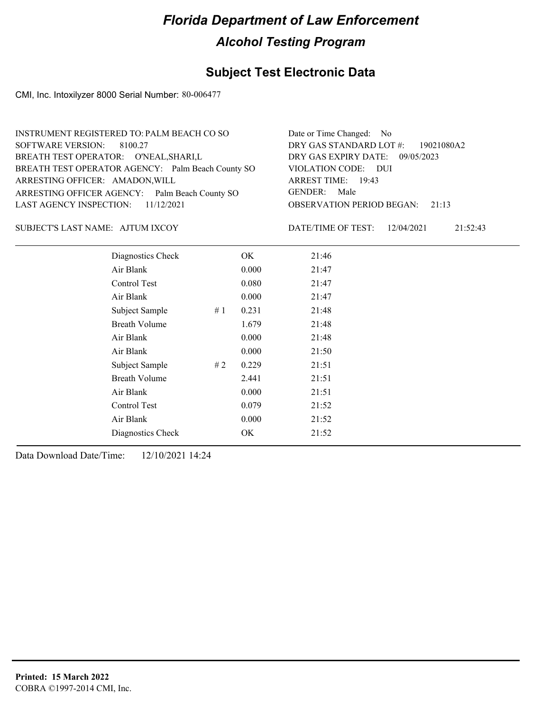## **Subject Test Electronic Data**

CMI, Inc. Intoxilyzer 8000 Serial Number: 80-006477

| INSTRUMENT REGISTERED TO: PALM BEACH CO SO        | Date or Time Changed: No               |
|---------------------------------------------------|----------------------------------------|
| SOFTWARE VERSION: 8100.27                         | DRY GAS STANDARD LOT #: 19021080A2     |
| BREATH TEST OPERATOR: O'NEAL, SHARI, L            | DRY GAS EXPIRY DATE: 09/05/2023        |
| BREATH TEST OPERATOR AGENCY: Palm Beach County SO | VIOLATION CODE: DUI                    |
| ARRESTING OFFICER: AMADON, WILL                   | ARREST TIME: 19:43                     |
| ARRESTING OFFICER AGENCY: Palm Beach County SO    | GENDER: Male                           |
| LAST AGENCY INSPECTION: $11/12/2021$              | <b>OBSERVATION PERIOD BEGAN: 21:13</b> |
|                                                   |                                        |

### SUBJECT'S LAST NAME: AJTUM IXCOY DATE/TIME OF TEST:

DATE/TIME OF TEST: 12/04/2021 21:52:43

| Diagnostics Check    | OK    | 21:46 |
|----------------------|-------|-------|
| Air Blank            | 0.000 | 21:47 |
| Control Test         | 0.080 | 21:47 |
| Air Blank            | 0.000 | 21:47 |
| Subject Sample<br>#1 | 0.231 | 21:48 |
| <b>Breath Volume</b> | 1.679 | 21:48 |
| Air Blank            | 0.000 | 21:48 |
| Air Blank            | 0.000 | 21:50 |
| Subject Sample<br>#2 | 0.229 | 21:51 |
| <b>Breath Volume</b> | 2.441 | 21:51 |
| Air Blank            | 0.000 | 21:51 |
| Control Test         | 0.079 | 21:52 |
| Air Blank            | 0.000 | 21:52 |
| Diagnostics Check    | OK    | 21:52 |
|                      |       |       |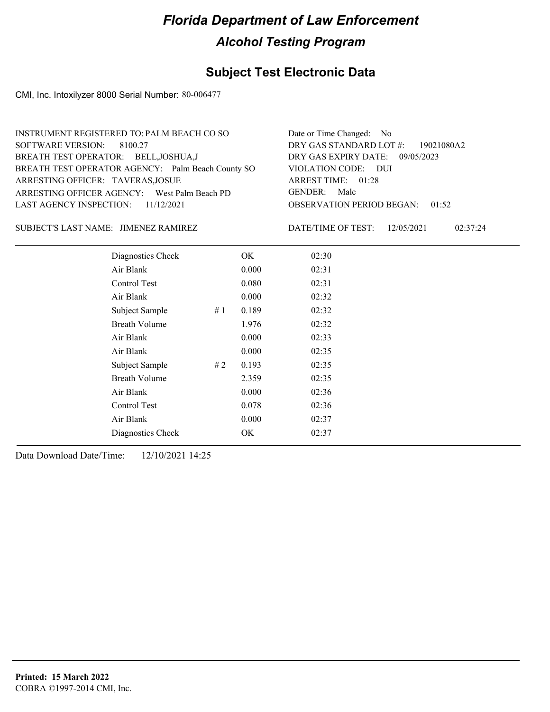## **Subject Test Electronic Data**

CMI, Inc. Intoxilyzer 8000 Serial Number: 80-006477

| INSTRUMENT REGISTERED TO: PALM BEACH CO SO        | Date or Time Changed: No               |
|---------------------------------------------------|----------------------------------------|
| SOFTWARE VERSION: 8100.27                         | DRY GAS STANDARD LOT #: 19021080A2     |
| BREATH TEST OPERATOR: BELL, JOSHUA, J             | DRY GAS EXPIRY DATE: 09/05/2023        |
| BREATH TEST OPERATOR AGENCY: Palm Beach County SO | VIOLATION CODE: DUI                    |
| ARRESTING OFFICER: TAVERAS, JOSUE                 | ARREST TIME: 01:28                     |
| ARRESTING OFFICER AGENCY: West Palm Beach PD      | GENDER: Male                           |
| LAST AGENCY INSPECTION: $11/12/2021$              | <b>OBSERVATION PERIOD BEGAN: 01:52</b> |
|                                                   |                                        |

### SUBJECT'S LAST NAME: JIMENEZ RAMIREZ **Frank CONTACT DESCRIPTION** DATE/TIME OF TEST:

DATE/TIME OF TEST: 12/05/2021 02:37:24

| Diagnostics Check    | OK    | 02:30 |
|----------------------|-------|-------|
| Air Blank            | 0.000 | 02:31 |
| Control Test         | 0.080 | 02:31 |
| Air Blank            | 0.000 | 02:32 |
| Subject Sample<br>#1 | 0.189 | 02:32 |
| <b>Breath Volume</b> | 1.976 | 02:32 |
| Air Blank            | 0.000 | 02:33 |
| Air Blank            | 0.000 | 02:35 |
| Subject Sample<br>#2 | 0.193 | 02:35 |
| <b>Breath Volume</b> | 2.359 | 02:35 |
| Air Blank            | 0.000 | 02:36 |
| Control Test         | 0.078 | 02:36 |
| Air Blank            | 0.000 | 02:37 |
| Diagnostics Check    | OK    | 02:37 |
|                      |       |       |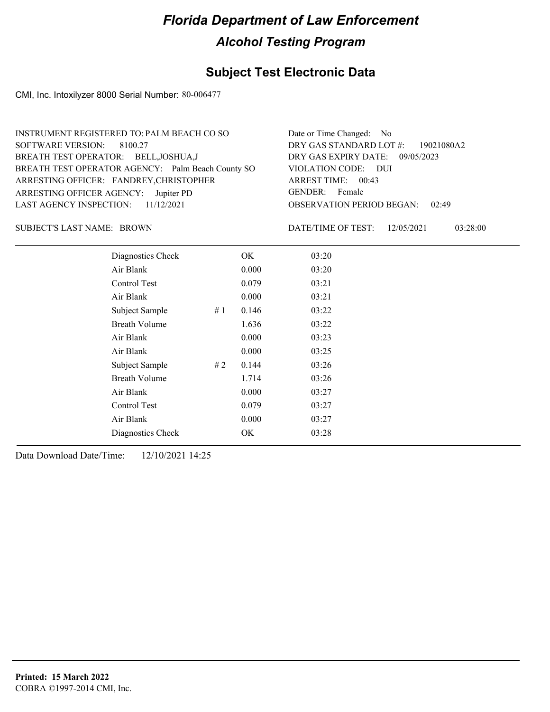## **Subject Test Electronic Data**

CMI, Inc. Intoxilyzer 8000 Serial Number: 80-006477

| INSTRUMENT REGISTERED TO: PALM BEACH CO SO        | Date or Time Changed: No               |
|---------------------------------------------------|----------------------------------------|
| SOFTWARE VERSION: 8100.27                         | DRY GAS STANDARD LOT #: 19021080A2     |
| BREATH TEST OPERATOR: BELL, JOSHUA, J             | DRY GAS EXPIRY DATE: 09/05/2023        |
| BREATH TEST OPERATOR AGENCY: Palm Beach County SO | VIOLATION CODE: DUI                    |
| ARRESTING OFFICER: FANDREY, CHRISTOPHER           | ARREST TIME: 00:43                     |
| ARRESTING OFFICER AGENCY: Jupiter PD              | GENDER: Female                         |
| LAST AGENCY INSPECTION: $11/12/2021$              | <b>OBSERVATION PERIOD BEGAN: 02:49</b> |
|                                                   |                                        |

SUBJECT'S LAST NAME: BROWN DATE/TIME OF TEST:

DATE/TIME OF TEST: 12/05/2021 03:28:00

| Diagnostics Check    |    | OK    | 03:20 |
|----------------------|----|-------|-------|
| Air Blank            |    | 0.000 | 03:20 |
| Control Test         |    | 0.079 | 03:21 |
| Air Blank            |    | 0.000 | 03:21 |
| Subject Sample       | #1 | 0.146 | 03:22 |
| <b>Breath Volume</b> |    | 1.636 | 03:22 |
| Air Blank            |    | 0.000 | 03:23 |
| Air Blank            |    | 0.000 | 03:25 |
| Subject Sample       | #2 | 0.144 | 03:26 |
| <b>Breath Volume</b> |    | 1.714 | 03:26 |
| Air Blank            |    | 0.000 | 03:27 |
| Control Test         |    | 0.079 | 03:27 |
| Air Blank            |    | 0.000 | 03:27 |
| Diagnostics Check    |    | OK    | 03:28 |
|                      |    |       |       |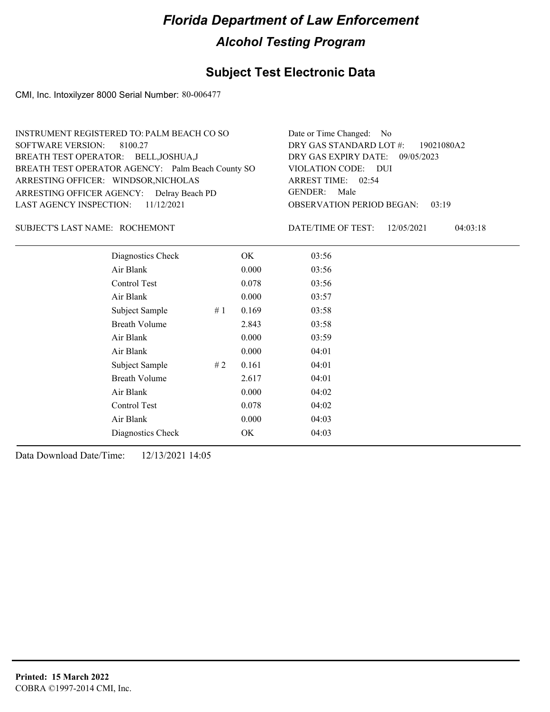## **Subject Test Electronic Data**

CMI, Inc. Intoxilyzer 8000 Serial Number: 80-006477

| INSTRUMENT REGISTERED TO: PALM BEACH CO SO        | Date or Time Changed: No               |
|---------------------------------------------------|----------------------------------------|
| SOFTWARE VERSION: 8100.27                         | DRY GAS STANDARD LOT #: 19021080A2     |
| BREATH TEST OPERATOR: BELL, JOSHUA, J             | DRY GAS EXPIRY DATE: 09/05/2023        |
| BREATH TEST OPERATOR AGENCY: Palm Beach County SO | VIOLATION CODE: DUI                    |
| ARRESTING OFFICER: WINDSOR, NICHOLAS              | ARREST TIME: 02:54                     |
| ARRESTING OFFICER AGENCY: Delray Beach PD         | GENDER: Male                           |
| LAST AGENCY INSPECTION: $11/12/2021$              | <b>OBSERVATION PERIOD BEGAN: 03:19</b> |
|                                                   |                                        |

### ROCHEMONT SUBJECT'S LAST NAME: DATE/TIME OF TEST:

DATE/TIME OF TEST: 12/05/2021 04:03:18

| Diagnostics Check    |    | OK    | 03:56 |
|----------------------|----|-------|-------|
| Air Blank            |    | 0.000 | 03:56 |
| Control Test         |    | 0.078 | 03:56 |
| Air Blank            |    | 0.000 | 03:57 |
| Subject Sample       | #1 | 0.169 | 03:58 |
| <b>Breath Volume</b> |    | 2.843 | 03:58 |
| Air Blank            |    | 0.000 | 03:59 |
| Air Blank            |    | 0.000 | 04:01 |
| Subject Sample       | #2 | 0.161 | 04:01 |
| <b>Breath Volume</b> |    | 2.617 | 04:01 |
| Air Blank            |    | 0.000 | 04:02 |
| Control Test         |    | 0.078 | 04:02 |
| Air Blank            |    | 0.000 | 04:03 |
| Diagnostics Check    |    | OK    | 04:03 |
|                      |    |       |       |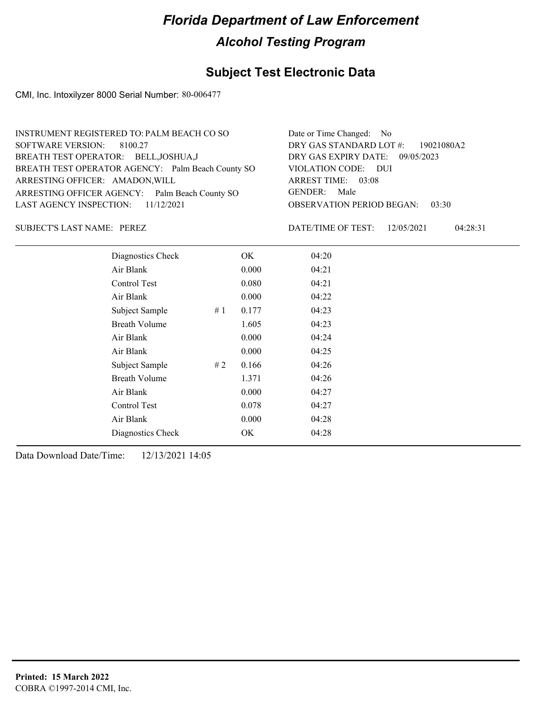## **Subject Test Electronic Data**

CMI, Inc. Intoxilyzer 8000 Serial Number: 80-006477

| Date or Time Changed: No               |
|----------------------------------------|
| DRY GAS STANDARD LOT #: 19021080A2     |
| DRY GAS EXPIRY DATE: 09/05/2023        |
| VIOLATION CODE: DUI                    |
| ARREST TIME: 03:08                     |
| GENDER: Male                           |
| <b>OBSERVATION PERIOD BEGAN: 03:30</b> |
|                                        |

SUBJECT'S LAST NAME: PEREZ DATE/TIME OF TEST:

DATE/TIME OF TEST: 12/05/2021 04:28:31

| Diagnostics Check    |    | OK    | 04:20 |
|----------------------|----|-------|-------|
| Air Blank            |    | 0.000 | 04:21 |
| Control Test         |    | 0.080 | 04:21 |
| Air Blank            |    | 0.000 | 04:22 |
| Subject Sample       | #1 | 0.177 | 04:23 |
| <b>Breath Volume</b> |    | 1.605 | 04:23 |
| Air Blank            |    | 0.000 | 04:24 |
| Air Blank            |    | 0.000 | 04:25 |
| Subject Sample       | #2 | 0.166 | 04:26 |
| <b>Breath Volume</b> |    | 1.371 | 04:26 |
| Air Blank            |    | 0.000 | 04:27 |
| Control Test         |    | 0.078 | 04:27 |
| Air Blank            |    | 0.000 | 04:28 |
| Diagnostics Check    |    | OK    | 04:28 |
|                      |    |       |       |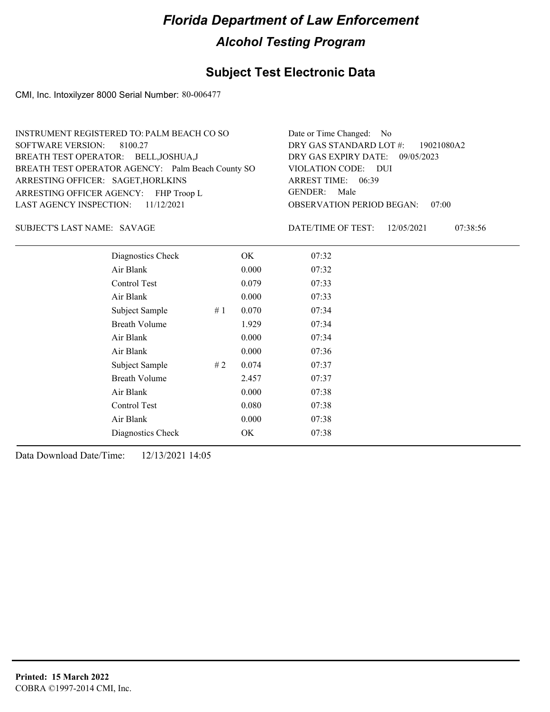## **Subject Test Electronic Data**

CMI, Inc. Intoxilyzer 8000 Serial Number: 80-006477

| INSTRUMENT REGISTERED TO: PALM BEACH CO SO        | Date or Time Changed: No               |
|---------------------------------------------------|----------------------------------------|
| SOFTWARE VERSION: 8100.27                         | DRY GAS STANDARD LOT #: 19021080A2     |
| BREATH TEST OPERATOR: BELL, JOSHUA, J             | DRY GAS EXPIRY DATE: 09/05/2023        |
| BREATH TEST OPERATOR AGENCY: Palm Beach County SO | VIOLATION CODE: DUI                    |
| ARRESTING OFFICER: SAGET, HORLKINS                | ARREST TIME: 06:39                     |
| ARRESTING OFFICER AGENCY: FHP Troop L             | GENDER: Male                           |
| LAST AGENCY INSPECTION: $11/12/2021$              | <b>OBSERVATION PERIOD BEGAN: 07:00</b> |
|                                                   |                                        |

SUBJECT'S LAST NAME: SAVAGE DATE/TIME OF TEST:

DATE/TIME OF TEST: 12/05/2021 07:38:56

| Diagnostics Check    |    | OK    | 07:32 |
|----------------------|----|-------|-------|
| Air Blank            |    | 0.000 | 07:32 |
| Control Test         |    | 0.079 | 07:33 |
| Air Blank            |    | 0.000 | 07:33 |
| Subject Sample       | #1 | 0.070 | 07:34 |
| <b>Breath Volume</b> |    | 1.929 | 07:34 |
| Air Blank            |    | 0.000 | 07:34 |
| Air Blank            |    | 0.000 | 07:36 |
| Subject Sample       | #2 | 0.074 | 07:37 |
| <b>Breath Volume</b> |    | 2.457 | 07:37 |
| Air Blank            |    | 0.000 | 07:38 |
| <b>Control Test</b>  |    | 0.080 | 07:38 |
| Air Blank            |    | 0.000 | 07:38 |
| Diagnostics Check    |    | OK    | 07:38 |
|                      |    |       |       |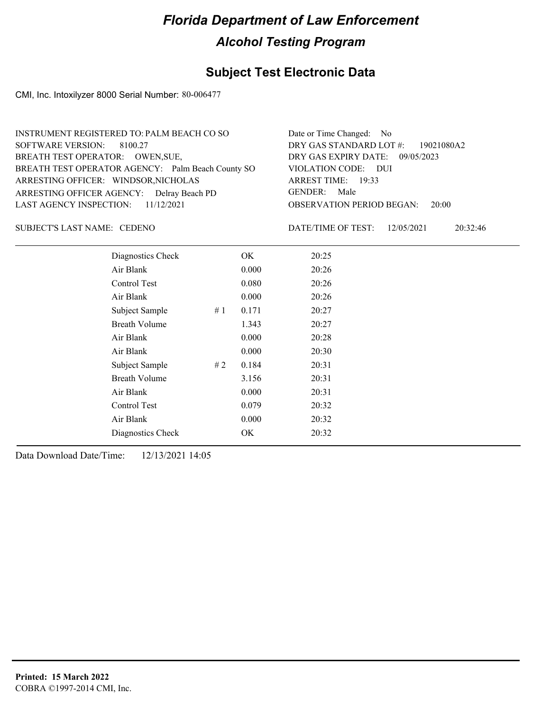## **Subject Test Electronic Data**

CMI, Inc. Intoxilyzer 8000 Serial Number: 80-006477

| INSTRUMENT REGISTERED TO: PALM BEACH CO SO        | Date or Time Changed: No               |
|---------------------------------------------------|----------------------------------------|
| SOFTWARE VERSION: 8100.27                         | DRY GAS STANDARD LOT #: 19021080A2     |
| BREATH TEST OPERATOR: OWEN, SUE,                  | DRY GAS EXPIRY DATE: 09/05/2023        |
| BREATH TEST OPERATOR AGENCY: Palm Beach County SO | VIOLATION CODE: DUI                    |
| ARRESTING OFFICER: WINDSOR, NICHOLAS              | ARREST TIME: 19:33                     |
| ARRESTING OFFICER AGENCY: Delray Beach PD         | GENDER: Male                           |
| LAST AGENCY INSPECTION: $11/12/2021$              | <b>OBSERVATION PERIOD BEGAN: 20:00</b> |
|                                                   |                                        |

### SUBJECT'S LAST NAME: CEDENO DATE/TIME OF TEST:

DATE/TIME OF TEST: 12/05/2021 20:32:46

| Diagnostics Check    |    | OK    | 20:25 |
|----------------------|----|-------|-------|
| Air Blank            |    | 0.000 | 20:26 |
| Control Test         |    | 0.080 | 20:26 |
| Air Blank            |    | 0.000 | 20:26 |
| Subject Sample       | #1 | 0.171 | 20:27 |
| <b>Breath Volume</b> |    | 1.343 | 20:27 |
| Air Blank            |    | 0.000 | 20:28 |
| Air Blank            |    | 0.000 | 20:30 |
| Subject Sample       | #2 | 0.184 | 20:31 |
| <b>Breath Volume</b> |    | 3.156 | 20:31 |
| Air Blank            |    | 0.000 | 20:31 |
| Control Test         |    | 0.079 | 20:32 |
| Air Blank            |    | 0.000 | 20:32 |
| Diagnostics Check    |    | OK    | 20:32 |
|                      |    |       |       |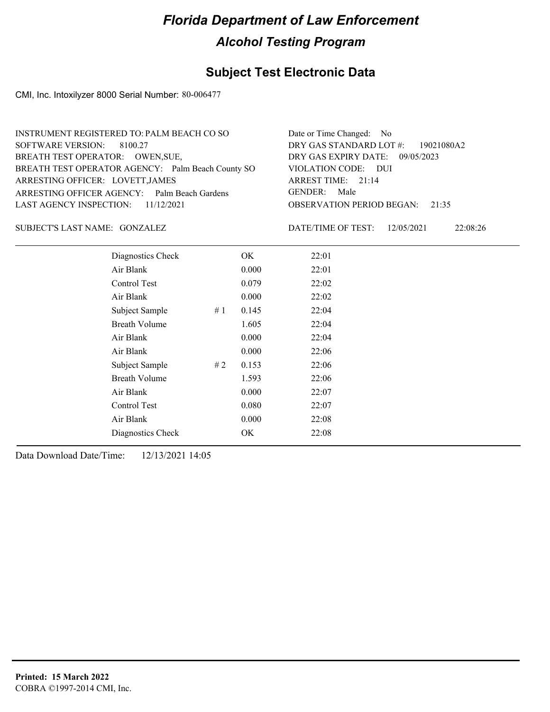## **Subject Test Electronic Data**

CMI, Inc. Intoxilyzer 8000 Serial Number: 80-006477

| INSTRUMENT REGISTERED TO: PALM BEACH CO SO        | Date or Time Changed: No               |
|---------------------------------------------------|----------------------------------------|
| SOFTWARE VERSION: 8100.27                         | DRY GAS STANDARD LOT #: 19021080A2     |
| BREATH TEST OPERATOR: OWEN, SUE,                  | DRY GAS EXPIRY DATE: 09/05/2023        |
| BREATH TEST OPERATOR AGENCY: Palm Beach County SO | VIOLATION CODE: DUI                    |
| ARRESTING OFFICER: LOVETT, JAMES                  | ARREST TIME: 21:14                     |
| ARRESTING OFFICER AGENCY: Palm Beach Gardens      | GENDER: Male                           |
| LAST AGENCY INSPECTION: $11/12/2021$              | <b>OBSERVATION PERIOD BEGAN: 21:35</b> |
|                                                   |                                        |

GONZALEZ SUBJECT'S LAST NAME: DATE/TIME OF TEST:

DATE/TIME OF TEST: 12/05/2021 22:08:26

| Diagnostics Check    |    | OK    | 22:01 |
|----------------------|----|-------|-------|
| Air Blank            |    | 0.000 | 22:01 |
| Control Test         |    | 0.079 | 22:02 |
| Air Blank            |    | 0.000 | 22:02 |
| Subject Sample       | #1 | 0.145 | 22:04 |
| <b>Breath Volume</b> |    | 1.605 | 22:04 |
| Air Blank            |    | 0.000 | 22:04 |
| Air Blank            |    | 0.000 | 22:06 |
| Subject Sample       | #2 | 0.153 | 22:06 |
| <b>Breath Volume</b> |    | 1.593 | 22:06 |
| Air Blank            |    | 0.000 | 22:07 |
| Control Test         |    | 0.080 | 22:07 |
| Air Blank            |    | 0.000 | 22:08 |
| Diagnostics Check    |    | OK    | 22:08 |
|                      |    |       |       |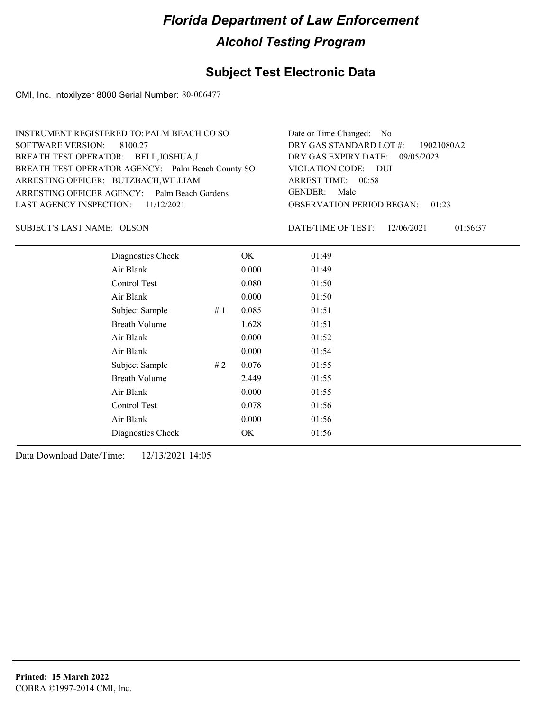## **Subject Test Electronic Data**

CMI, Inc. Intoxilyzer 8000 Serial Number: 80-006477

| INSTRUMENT REGISTERED TO: PALM BEACH CO SO        | Date or Time Changed: No               |
|---------------------------------------------------|----------------------------------------|
| SOFTWARE VERSION: 8100.27                         | DRY GAS STANDARD LOT #: 19021080A2     |
| BREATH TEST OPERATOR: BELL, JOSHUA, J             | DRY GAS EXPIRY DATE: $09/05/2023$      |
| BREATH TEST OPERATOR AGENCY: Palm Beach County SO | VIOLATION CODE: DUI                    |
| ARRESTING OFFICER: BUTZBACH, WILLIAM              | ARREST TIME: 00:58                     |
| ARRESTING OFFICER AGENCY: Palm Beach Gardens      | GENDER: Male                           |
| LAST AGENCY INSPECTION: $11/12/2021$              | <b>OBSERVATION PERIOD BEGAN: 01:23</b> |
|                                                   |                                        |

SUBJECT'S LAST NAME: OLSON DATE/TIME OF TEST:

DATE/TIME OF TEST: 12/06/2021 01:56:37

| Diagnostics Check    |    | OK    | 01:49 |
|----------------------|----|-------|-------|
| Air Blank            |    | 0.000 | 01:49 |
| Control Test         |    | 0.080 | 01:50 |
| Air Blank            |    | 0.000 | 01:50 |
| Subject Sample       | #1 | 0.085 | 01:51 |
| <b>Breath Volume</b> |    | 1.628 | 01:51 |
| Air Blank            |    | 0.000 | 01:52 |
| Air Blank            |    | 0.000 | 01:54 |
| Subject Sample       | #2 | 0.076 | 01:55 |
| <b>Breath Volume</b> |    | 2.449 | 01:55 |
| Air Blank            |    | 0.000 | 01:55 |
| Control Test         |    | 0.078 | 01:56 |
| Air Blank            |    | 0.000 | 01:56 |
| Diagnostics Check    |    | OK    | 01:56 |
|                      |    |       |       |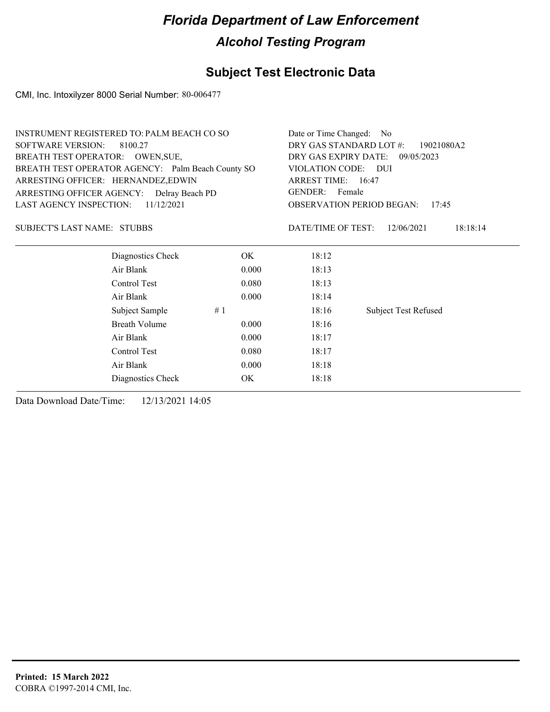## **Subject Test Electronic Data**

CMI, Inc. Intoxilyzer 8000 Serial Number: 80-006477

|                                           | <b>INSTRUMENT REGISTERED TO: PALM BEACH CO SO</b> |       | Date or Time Changed: No              |                                           |
|-------------------------------------------|---------------------------------------------------|-------|---------------------------------------|-------------------------------------------|
| <b>SOFTWARE VERSION:</b>                  | 8100.27                                           |       | DRY GAS STANDARD LOT #:<br>19021080A2 |                                           |
|                                           | BREATH TEST OPERATOR: OWEN, SUE,                  |       | DRY GAS EXPIRY DATE: 09/05/2023       |                                           |
|                                           | BREATH TEST OPERATOR AGENCY: Palm Beach County SO |       | VIOLATION CODE: DUI                   |                                           |
| ARRESTING OFFICER: HERNANDEZ,EDWIN        |                                                   |       | ARREST TIME: 16:47                    |                                           |
| ARRESTING OFFICER AGENCY: Delray Beach PD |                                                   |       | GENDER: Female                        |                                           |
| <b>LAST AGENCY INSPECTION:</b>            | 11/12/2021                                        |       |                                       | <b>OBSERVATION PERIOD BEGAN:</b><br>17:45 |
| <b>SUBJECT'S LAST NAME: STUBBS</b>        |                                                   |       | DATE/TIME OF TEST:                    | 18:18:14<br>12/06/2021                    |
|                                           | Diagnostics Check                                 | OK.   | 18:12                                 |                                           |
|                                           | Air Blank                                         | 0.000 | 18:13                                 |                                           |
|                                           | Control Test                                      | 0.080 | 18:13                                 |                                           |
|                                           | Air Blank                                         | 0.000 | 18:14                                 |                                           |
|                                           | #1<br>Subject Sample                              |       | 18:16                                 | <b>Subject Test Refused</b>               |
|                                           | <b>Breath Volume</b>                              | 0.000 | 18:16                                 |                                           |
|                                           | Air Blank                                         | 0.000 | 18:17                                 |                                           |
|                                           | Control Test                                      | 0.080 | 18:17                                 |                                           |
|                                           | Air Blank                                         | 0.000 | 18:18                                 |                                           |
|                                           | Diagnostics Check                                 | OK    | 18:18                                 |                                           |
|                                           |                                                   |       |                                       |                                           |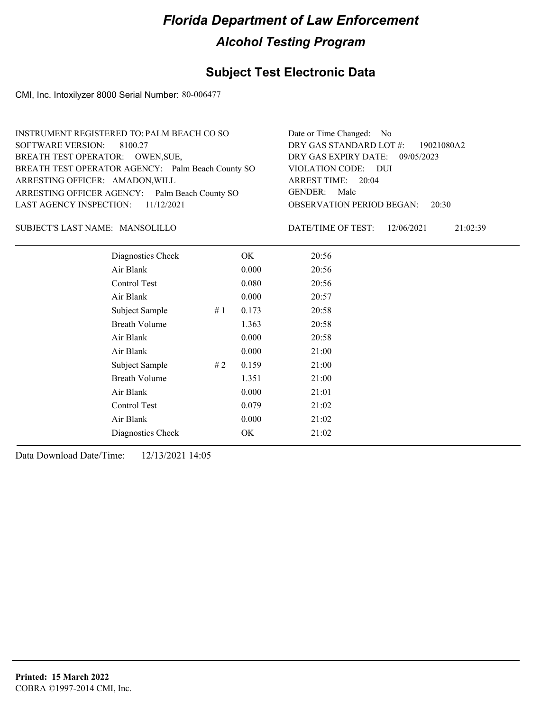## **Subject Test Electronic Data**

CMI, Inc. Intoxilyzer 8000 Serial Number: 80-006477

| INSTRUMENT REGISTERED TO: PALM BEACH CO SO        | Date or Time Changed: No               |
|---------------------------------------------------|----------------------------------------|
| SOFTWARE VERSION: 8100.27                         | DRY GAS STANDARD LOT #: 19021080A2     |
| BREATH TEST OPERATOR: OWEN, SUE,                  | DRY GAS EXPIRY DATE: 09/05/2023        |
| BREATH TEST OPERATOR AGENCY: Palm Beach County SO | VIOLATION CODE: DUI                    |
| ARRESTING OFFICER: AMADON, WILL                   | ARREST TIME: 20:04                     |
| ARRESTING OFFICER AGENCY: Palm Beach County SO    | GENDER: Male                           |
| LAST AGENCY INSPECTION: $11/12/2021$              | <b>OBSERVATION PERIOD BEGAN: 20:30</b> |
|                                                   |                                        |

### MANSOLILLO SUBJECT'S LAST NAME: DATE/TIME OF TEST:

DATE/TIME OF TEST: 12/06/2021 21:02:39

| Diagnostics Check    |       | OK    | 20:56 |
|----------------------|-------|-------|-------|
| Air Blank            |       | 0.000 | 20:56 |
| Control Test         |       | 0.080 | 20:56 |
| Air Blank            |       | 0.000 | 20:57 |
| Subject Sample       | # $1$ | 0.173 | 20:58 |
| <b>Breath Volume</b> |       | 1.363 | 20:58 |
| Air Blank            |       | 0.000 | 20:58 |
| Air Blank            |       | 0.000 | 21:00 |
| Subject Sample       | #2    | 0.159 | 21:00 |
| <b>Breath Volume</b> |       | 1.351 | 21:00 |
| Air Blank            |       | 0.000 | 21:01 |
| Control Test         |       | 0.079 | 21:02 |
| Air Blank            |       | 0.000 | 21:02 |
| Diagnostics Check    |       | OK    | 21:02 |
|                      |       |       |       |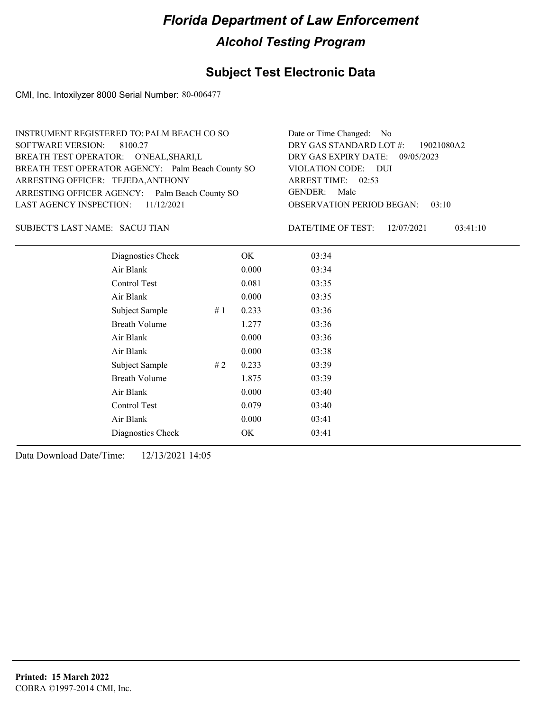## **Subject Test Electronic Data**

CMI, Inc. Intoxilyzer 8000 Serial Number: 80-006477

| INSTRUMENT REGISTERED TO: PALM BEACH CO SO        | Date or Time Changed: No               |
|---------------------------------------------------|----------------------------------------|
| SOFTWARE VERSION: 8100.27                         | DRY GAS STANDARD LOT $\#$ : 19021080A2 |
| BREATH TEST OPERATOR: O'NEAL, SHARI, L            | DRY GAS EXPIRY DATE: 09/05/2023        |
| BREATH TEST OPERATOR AGENCY: Palm Beach County SO | VIOLATION CODE: DUI                    |
| ARRESTING OFFICER: TEJEDA, ANTHONY                | ARREST TIME: 02:53                     |
| ARRESTING OFFICER AGENCY: Palm Beach County SO    | GENDER: Male                           |
| LAST AGENCY INSPECTION: $11/12/2021$              | <b>OBSERVATION PERIOD BEGAN: 03:10</b> |
|                                                   |                                        |

### SACUJ TIAN SUBJECT'S LAST NAME: DATE/TIME OF TEST:

DATE/TIME OF TEST: 12/07/2021 03:41:10

| Diagnostics Check    |    | OK    | 03:34 |  |
|----------------------|----|-------|-------|--|
| Air Blank            |    | 0.000 | 03:34 |  |
| Control Test         |    | 0.081 | 03:35 |  |
| Air Blank            |    | 0.000 | 03:35 |  |
| Subject Sample       | #1 | 0.233 | 03:36 |  |
| <b>Breath Volume</b> |    | 1.277 | 03:36 |  |
| Air Blank            |    | 0.000 | 03:36 |  |
| Air Blank            |    | 0.000 | 03:38 |  |
| Subject Sample       | #2 | 0.233 | 03:39 |  |
| <b>Breath Volume</b> |    | 1.875 | 03:39 |  |
| Air Blank            |    | 0.000 | 03:40 |  |
| Control Test         |    | 0.079 | 03:40 |  |
| Air Blank            |    | 0.000 | 03:41 |  |
| Diagnostics Check    |    | OK    | 03:41 |  |
|                      |    |       |       |  |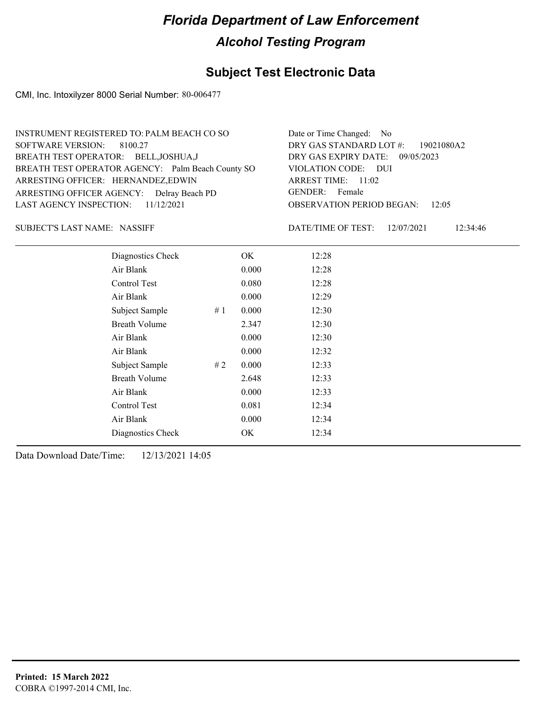## **Subject Test Electronic Data**

CMI, Inc. Intoxilyzer 8000 Serial Number: 80-006477

| INSTRUMENT REGISTERED TO: PALM BEACH CO SO        | Date or Time Changed: No               |
|---------------------------------------------------|----------------------------------------|
| SOFTWARE VERSION: 8100.27                         | DRY GAS STANDARD LOT #: 19021080A2     |
| BREATH TEST OPERATOR: BELL, JOSHUA, J             | DRY GAS EXPIRY DATE: 09/05/2023        |
| BREATH TEST OPERATOR AGENCY: Palm Beach County SO | VIOLATION CODE: DUI                    |
| ARRESTING OFFICER: HERNANDEZ, EDWIN               | ARREST TIME: $11:02$                   |
| ARRESTING OFFICER AGENCY: Delray Beach PD         | GENDER: Female                         |
| LAST AGENCY INSPECTION: $11/12/2021$              | <b>OBSERVATION PERIOD BEGAN: 12:05</b> |
|                                                   |                                        |

SUBJECT'S LAST NAME: NASSIFF **Example 20 SUBJECT'S LAST NAME:** NASSIFF **EXAMPLE OF TEST:** 

DATE/TIME OF TEST: 12/07/2021 12:34:46

| Diagnostics Check    |    | OK    | 12:28 |
|----------------------|----|-------|-------|
| Air Blank            |    | 0.000 | 12:28 |
| Control Test         |    | 0.080 | 12:28 |
| Air Blank            |    | 0.000 | 12:29 |
| Subject Sample       | #1 | 0.000 | 12:30 |
| <b>Breath Volume</b> |    | 2.347 | 12:30 |
| Air Blank            |    | 0.000 | 12:30 |
| Air Blank            |    | 0.000 | 12:32 |
| Subject Sample       | #2 | 0.000 | 12:33 |
| <b>Breath Volume</b> |    | 2.648 | 12:33 |
| Air Blank            |    | 0.000 | 12:33 |
| Control Test         |    | 0.081 | 12:34 |
| Air Blank            |    | 0.000 | 12:34 |
| Diagnostics Check    |    | OK    | 12:34 |
|                      |    |       |       |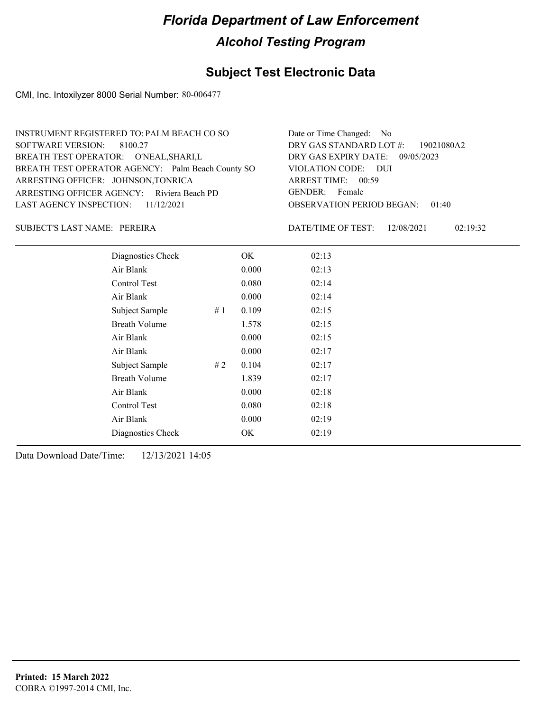## **Subject Test Electronic Data**

CMI, Inc. Intoxilyzer 8000 Serial Number: 80-006477

| INSTRUMENT REGISTERED TO: PALM BEACH CO SO        | Date or Time Changed: No               |
|---------------------------------------------------|----------------------------------------|
| SOFTWARE VERSION: 8100.27                         | DRY GAS STANDARD LOT #: 19021080A2     |
| BREATH TEST OPERATOR: O'NEAL, SHARI, L            | DRY GAS EXPIRY DATE: 09/05/2023        |
| BREATH TEST OPERATOR AGENCY: Palm Beach County SO | VIOLATION CODE: DUI                    |
| ARRESTING OFFICER: JOHNSON, TONRICA               | ARREST TIME: 00:59                     |
| ARRESTING OFFICER AGENCY: Riviera Beach PD        | GENDER: Female                         |
| LAST AGENCY INSPECTION: $11/12/2021$              | <b>OBSERVATION PERIOD BEGAN: 01:40</b> |
|                                                   |                                        |

### PEREIRA SUBJECT'S LAST NAME: DATE/TIME OF TEST:

DATE/TIME OF TEST: 12/08/2021 02:19:32

| Diagnostics Check    |    | OK    | 02:13 |
|----------------------|----|-------|-------|
| Air Blank            |    | 0.000 | 02:13 |
| Control Test         |    | 0.080 | 02:14 |
| Air Blank            |    | 0.000 | 02:14 |
| Subject Sample       | #1 | 0.109 | 02:15 |
| <b>Breath Volume</b> |    | 1.578 | 02:15 |
| Air Blank            |    | 0.000 | 02:15 |
| Air Blank            |    | 0.000 | 02:17 |
| Subject Sample       | #2 | 0.104 | 02:17 |
| <b>Breath Volume</b> |    | 1.839 | 02:17 |
| Air Blank            |    | 0.000 | 02:18 |
| Control Test         |    | 0.080 | 02:18 |
| Air Blank            |    | 0.000 | 02:19 |
| Diagnostics Check    |    | OK    | 02:19 |
|                      |    |       |       |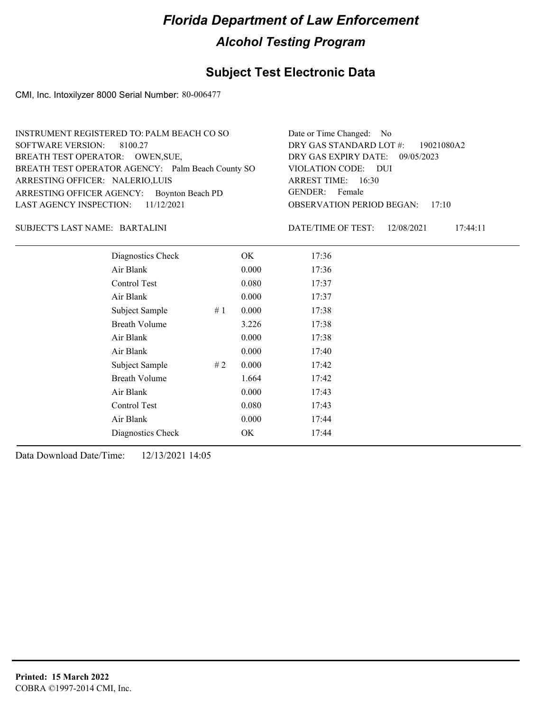## **Subject Test Electronic Data**

CMI, Inc. Intoxilyzer 8000 Serial Number: 80-006477

| INSTRUMENT REGISTERED TO: PALM BEACH CO SO        | Date or Time Changed: No               |
|---------------------------------------------------|----------------------------------------|
| SOFTWARE VERSION: 8100.27                         | DRY GAS STANDARD LOT #: 19021080A2     |
| BREATH TEST OPERATOR: OWEN, SUE,                  | DRY GAS EXPIRY DATE: 09/05/2023        |
| BREATH TEST OPERATOR AGENCY: Palm Beach County SO | VIOLATION CODE: DUI                    |
| ARRESTING OFFICER: NALERIO, LUIS                  | ARREST TIME: 16:30                     |
| ARRESTING OFFICER AGENCY: Boynton Beach PD        | GENDER: Female                         |
| LAST AGENCY INSPECTION: $11/12/2021$              | <b>OBSERVATION PERIOD BEGAN: 17:10</b> |
|                                                   |                                        |

### BARTALINI SUBJECT'S LAST NAME: DATE/TIME OF TEST:

DATE/TIME OF TEST: 12/08/2021 17:44:11

| Diagnostics Check    |    | OK    | 17:36 |
|----------------------|----|-------|-------|
| Air Blank            |    | 0.000 | 17:36 |
| Control Test         |    | 0.080 | 17:37 |
| Air Blank            |    | 0.000 | 17:37 |
| Subject Sample       | #1 | 0.000 | 17:38 |
| <b>Breath Volume</b> |    | 3.226 | 17:38 |
| Air Blank            |    | 0.000 | 17:38 |
| Air Blank            |    | 0.000 | 17:40 |
| Subject Sample       | #2 | 0.000 | 17:42 |
| <b>Breath Volume</b> |    | 1.664 | 17:42 |
| Air Blank            |    | 0.000 | 17:43 |
| Control Test         |    | 0.080 | 17:43 |
| Air Blank            |    | 0.000 | 17:44 |
| Diagnostics Check    |    | OK    | 17:44 |
|                      |    |       |       |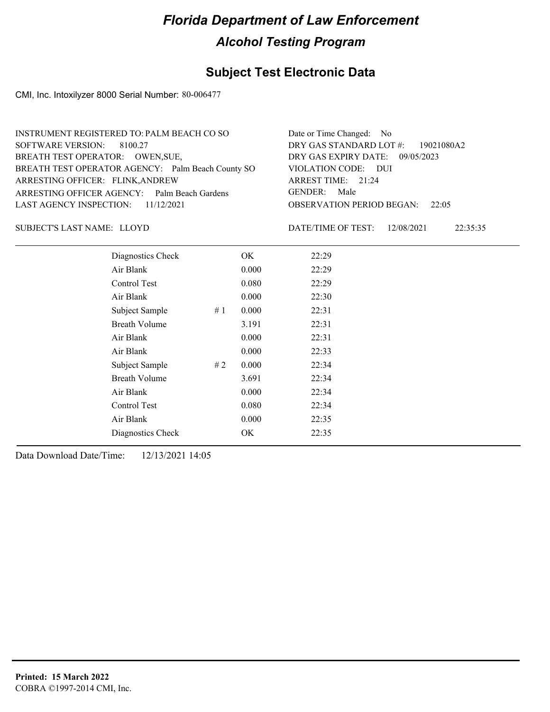## **Subject Test Electronic Data**

CMI, Inc. Intoxilyzer 8000 Serial Number: 80-006477

| INSTRUMENT REGISTERED TO: PALM BEACH CO SO        | Date or Time Changed: No               |
|---------------------------------------------------|----------------------------------------|
| SOFTWARE VERSION: 8100.27                         | DRY GAS STANDARD LOT #: 19021080A2     |
| BREATH TEST OPERATOR: OWEN, SUE,                  | DRY GAS EXPIRY DATE: 09/05/2023        |
| BREATH TEST OPERATOR AGENCY: Palm Beach County SO | VIOLATION CODE: DUI                    |
| ARRESTING OFFICER: FLINK, ANDREW                  | ARREST TIME: 21:24                     |
| ARRESTING OFFICER AGENCY: Palm Beach Gardens      | GENDER: Male                           |
| LAST AGENCY INSPECTION: $11/12/2021$              | <b>OBSERVATION PERIOD BEGAN:</b> 22:05 |
|                                                   |                                        |

### SUBJECT'S LAST NAME: LLOYD DATE/TIME OF TEST:

DATE/TIME OF TEST: 12/08/2021 22:35:35

| Diagnostics Check    |    | OK    | 22:29 |
|----------------------|----|-------|-------|
| Air Blank            |    | 0.000 | 22:29 |
| Control Test         |    | 0.080 | 22:29 |
| Air Blank            |    | 0.000 | 22:30 |
| Subject Sample       | #1 | 0.000 | 22:31 |
| <b>Breath Volume</b> |    | 3.191 | 22:31 |
| Air Blank            |    | 0.000 | 22:31 |
| Air Blank            |    | 0.000 | 22:33 |
| Subject Sample       | #2 | 0.000 | 22:34 |
| <b>Breath Volume</b> |    | 3.691 | 22:34 |
| Air Blank            |    | 0.000 | 22:34 |
| Control Test         |    | 0.080 | 22:34 |
| Air Blank            |    | 0.000 | 22:35 |
| Diagnostics Check    |    | OK    | 22:35 |
|                      |    |       |       |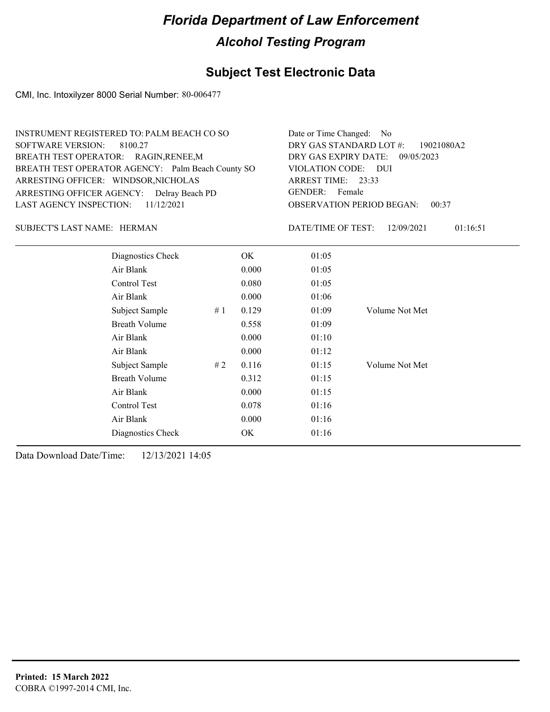## **Subject Test Electronic Data**

CMI, Inc. Intoxilyzer 8000 Serial Number: 80-006477

| INSTRUMENT REGISTERED TO: PALM BEACH CO SO        | Date or Time Changed: No               |
|---------------------------------------------------|----------------------------------------|
| SOFTWARE VERSION: 8100.27                         | DRY GAS STANDARD LOT #: 19021080A2     |
| BREATH TEST OPERATOR: RAGIN, RENEE, M             | DRY GAS EXPIRY DATE: 09/05/2023        |
| BREATH TEST OPERATOR AGENCY: Palm Beach County SO | VIOLATION CODE: DUI                    |
| ARRESTING OFFICER: WINDSOR, NICHOLAS              | ARREST TIME: 23:33                     |
| ARRESTING OFFICER AGENCY: Delray Beach PD         | GENDER: Female                         |
| LAST AGENCY INSPECTION: 11/12/2021                | <b>OBSERVATION PERIOD BEGAN: 00:37</b> |
|                                                   |                                        |

### HERMAN SUBJECT'S LAST NAME: DATE/TIME OF TEST:

DATE/TIME OF TEST: 12/09/2021 01:16:51

| Diagnostics Check    |    | OK    | 01:05 |                |
|----------------------|----|-------|-------|----------------|
| Air Blank            |    | 0.000 | 01:05 |                |
| Control Test         |    | 0.080 | 01:05 |                |
| Air Blank            |    | 0.000 | 01:06 |                |
| Subject Sample       | #1 | 0.129 | 01:09 | Volume Not Met |
| <b>Breath Volume</b> |    | 0.558 | 01:09 |                |
| Air Blank            |    | 0.000 | 01:10 |                |
| Air Blank            |    | 0.000 | 01:12 |                |
| Subject Sample       | #2 | 0.116 | 01:15 | Volume Not Met |
| <b>Breath Volume</b> |    | 0.312 | 01:15 |                |
| Air Blank            |    | 0.000 | 01:15 |                |
| Control Test         |    | 0.078 | 01:16 |                |
| Air Blank            |    | 0.000 | 01:16 |                |
| Diagnostics Check    |    | OK    | 01:16 |                |
|                      |    |       |       |                |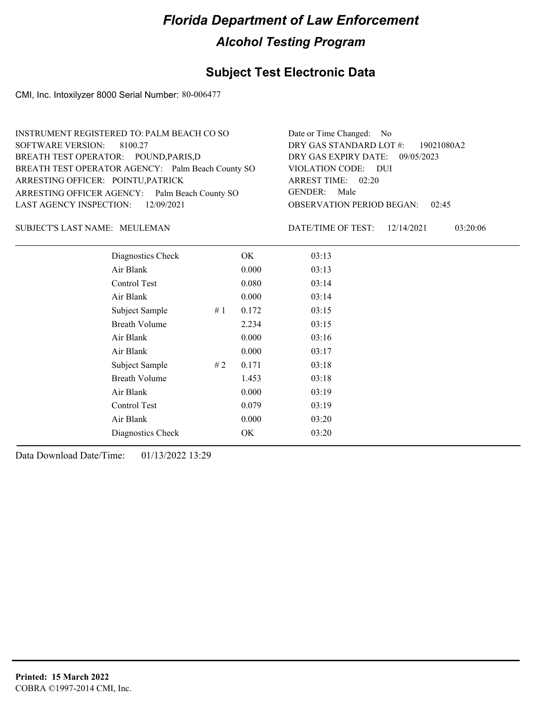## **Subject Test Electronic Data**

CMI, Inc. Intoxilyzer 8000 Serial Number: 80-006477

| INSTRUMENT REGISTERED TO: PALM BEACH CO SO        | Date or Time Changed: No               |
|---------------------------------------------------|----------------------------------------|
| SOFTWARE VERSION: 8100.27                         | DRY GAS STANDARD LOT #: 19021080A2     |
| BREATH TEST OPERATOR: POUND, PARIS, D             | DRY GAS EXPIRY DATE: 09/05/2023        |
| BREATH TEST OPERATOR AGENCY: Palm Beach County SO | VIOLATION CODE: DUI                    |
| ARRESTING OFFICER: POINTU, PATRICK                | ARREST TIME: 02:20                     |
| ARRESTING OFFICER AGENCY: Palm Beach County SO    | GENDER: Male                           |
| LAST AGENCY INSPECTION: 12/09/2021                | <b>OBSERVATION PERIOD BEGAN: 02:45</b> |
|                                                   |                                        |

### MEULEMAN SUBJECT'S LAST NAME: DATE/TIME OF TEST:

DATE/TIME OF TEST: 12/14/2021 03:20:06

| Diagnostics Check    |    | OK    | 03:13 |
|----------------------|----|-------|-------|
| Air Blank            |    | 0.000 | 03:13 |
| Control Test         |    | 0.080 | 03:14 |
| Air Blank            |    | 0.000 | 03:14 |
| Subject Sample       | #1 | 0.172 | 03:15 |
| <b>Breath Volume</b> |    | 2.234 | 03:15 |
| Air Blank            |    | 0.000 | 03:16 |
| Air Blank            |    | 0.000 | 03:17 |
| Subject Sample       | #2 | 0.171 | 03:18 |
| <b>Breath Volume</b> |    | 1.453 | 03:18 |
| Air Blank            |    | 0.000 | 03:19 |
| Control Test         |    | 0.079 | 03:19 |
| Air Blank            |    | 0.000 | 03:20 |
| Diagnostics Check    |    | OK    | 03:20 |
|                      |    |       |       |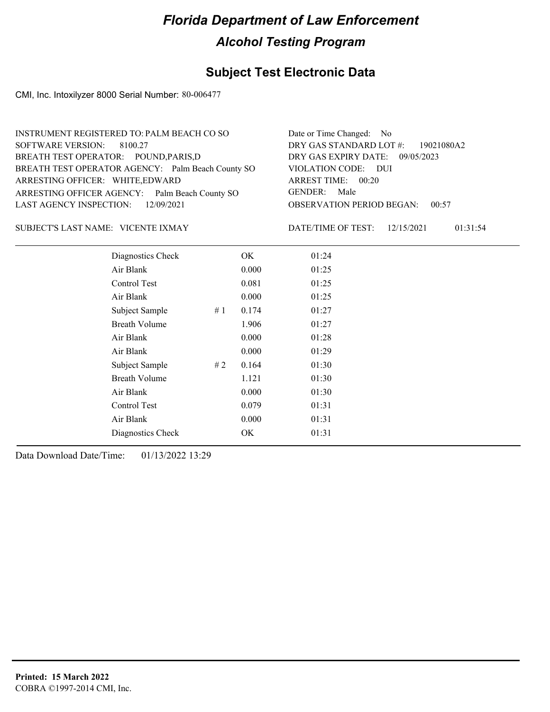## **Subject Test Electronic Data**

CMI, Inc. Intoxilyzer 8000 Serial Number: 80-006477

| INSTRUMENT REGISTERED TO: PALM BEACH CO SO        | Date or Time Changed: No               |
|---------------------------------------------------|----------------------------------------|
| SOFTWARE VERSION: 8100.27                         | DRY GAS STANDARD LOT #: 19021080A2     |
| BREATH TEST OPERATOR: POUND, PARIS, D             | DRY GAS EXPIRY DATE: 09/05/2023        |
| BREATH TEST OPERATOR AGENCY: Palm Beach County SO | VIOLATION CODE: DUI                    |
| ARRESTING OFFICER: WHITE, EDWARD                  | ARREST TIME: 00:20                     |
| ARRESTING OFFICER AGENCY: Palm Beach County SO    | GENDER: Male                           |
| LAST AGENCY INSPECTION: 12/09/2021                | <b>OBSERVATION PERIOD BEGAN: 00:57</b> |
|                                                   |                                        |

### VICENTE IXMAY SUBJECT'S LAST NAME: DATE/TIME OF TEST:

DATE/TIME OF TEST: 12/15/2021 01:31:54

| Diagnostics Check    |    | OK    | 01:24 |
|----------------------|----|-------|-------|
| Air Blank            |    | 0.000 | 01:25 |
| Control Test         |    | 0.081 | 01:25 |
| Air Blank            |    | 0.000 | 01:25 |
| Subject Sample<br>#1 |    | 0.174 | 01:27 |
| <b>Breath Volume</b> |    | 1.906 | 01:27 |
| Air Blank            |    | 0.000 | 01:28 |
| Air Blank            |    | 0.000 | 01:29 |
| Subject Sample       | #2 | 0.164 | 01:30 |
| <b>Breath Volume</b> |    | 1.121 | 01:30 |
| Air Blank            |    | 0.000 | 01:30 |
| Control Test         |    | 0.079 | 01:31 |
| Air Blank            |    | 0.000 | 01:31 |
| Diagnostics Check    |    | OK    | 01:31 |
|                      |    |       |       |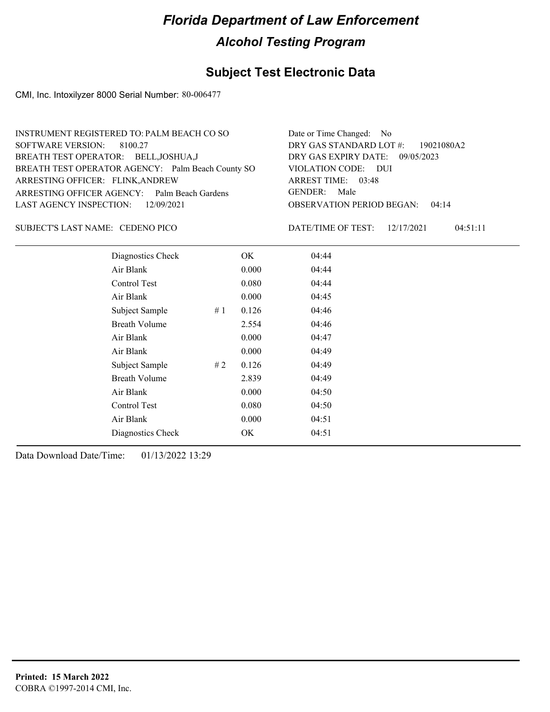## **Subject Test Electronic Data**

CMI, Inc. Intoxilyzer 8000 Serial Number: 80-006477

| INSTRUMENT REGISTERED TO: PALM BEACH CO SO        | Date or Time Changed: No               |
|---------------------------------------------------|----------------------------------------|
| SOFTWARE VERSION: 8100.27                         | DRY GAS STANDARD LOT #: 19021080A2     |
| BREATH TEST OPERATOR: BELL, JOSHUA, J             | DRY GAS EXPIRY DATE: 09/05/2023        |
| BREATH TEST OPERATOR AGENCY: Palm Beach County SO | VIOLATION CODE: DUI                    |
| ARRESTING OFFICER: FLINK, ANDREW                  | ARREST TIME: 03:48                     |
| ARRESTING OFFICER AGENCY: Palm Beach Gardens      | GENDER: Male                           |
| LAST AGENCY INSPECTION: 12/09/2021                | <b>OBSERVATION PERIOD BEGAN: 04:14</b> |
|                                                   |                                        |

### CEDENO PICO SUBJECT'S LAST NAME: DATE/TIME OF TEST:

DATE/TIME OF TEST: 12/17/2021 04:51:11

| Diagnostics Check    |    | OK    | 04:44 |  |
|----------------------|----|-------|-------|--|
| Air Blank            |    | 0.000 | 04:44 |  |
| Control Test         |    | 0.080 | 04:44 |  |
| Air Blank            |    | 0.000 | 04:45 |  |
| Subject Sample       | #1 | 0.126 | 04:46 |  |
| <b>Breath Volume</b> |    | 2.554 | 04:46 |  |
| Air Blank            |    | 0.000 | 04:47 |  |
| Air Blank            |    | 0.000 | 04:49 |  |
| Subject Sample       | #2 | 0.126 | 04:49 |  |
| <b>Breath Volume</b> |    | 2.839 | 04:49 |  |
| Air Blank            |    | 0.000 | 04:50 |  |
| Control Test         |    | 0.080 | 04:50 |  |
| Air Blank            |    | 0.000 | 04:51 |  |
| Diagnostics Check    |    | OK    | 04:51 |  |
|                      |    |       |       |  |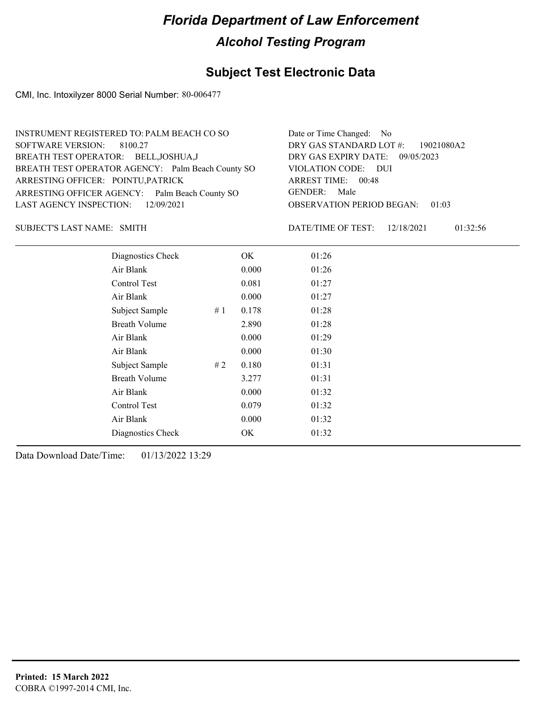## **Subject Test Electronic Data**

CMI, Inc. Intoxilyzer 8000 Serial Number: 80-006477

| INSTRUMENT REGISTERED TO: PALM BEACH CO SO        | Date or Time Changed: No               |
|---------------------------------------------------|----------------------------------------|
| SOFTWARE VERSION: 8100.27                         | DRY GAS STANDARD LOT $\#$ : 19021080A2 |
| BREATH TEST OPERATOR: BELL, JOSHUA, J             | DRY GAS EXPIRY DATE: 09/05/2023        |
| BREATH TEST OPERATOR AGENCY: Palm Beach County SO | VIOLATION CODE: DUI                    |
| ARRESTING OFFICER: POINTU, PATRICK                | ARREST TIME: 00:48                     |
| ARRESTING OFFICER AGENCY: Palm Beach County SO    | GENDER: Male                           |
| LAST AGENCY INSPECTION: 12/09/2021                | <b>OBSERVATION PERIOD BEGAN: 01:03</b> |
|                                                   |                                        |

SUBJECT'S LAST NAME: SMITH **Example 2018** DATE/TIME OF TEST:

DATE/TIME OF TEST: 12/18/2021 01:32:56

| Diagnostics Check    |    | OK    | 01:26 |
|----------------------|----|-------|-------|
| Air Blank            |    | 0.000 | 01:26 |
| Control Test         |    | 0.081 | 01:27 |
| Air Blank            |    | 0.000 | 01:27 |
| Subject Sample       | #1 | 0.178 | 01:28 |
| <b>Breath Volume</b> |    | 2.890 | 01:28 |
| Air Blank            |    | 0.000 | 01:29 |
| Air Blank            |    | 0.000 | 01:30 |
| Subject Sample       | #2 | 0.180 | 01:31 |
| <b>Breath Volume</b> |    | 3.277 | 01:31 |
| Air Blank            |    | 0.000 | 01:32 |
| <b>Control Test</b>  |    | 0.079 | 01:32 |
| Air Blank            |    | 0.000 | 01:32 |
| Diagnostics Check    |    | OK    | 01:32 |
|                      |    |       |       |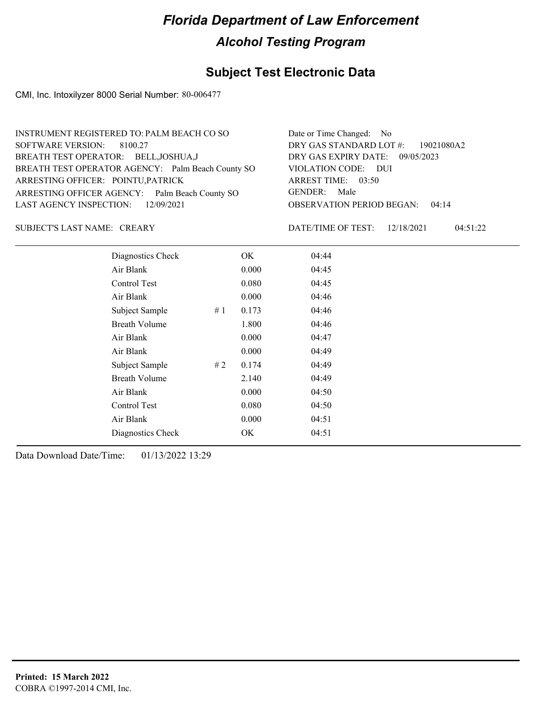## **Subject Test Electronic Data**

CMI, Inc. Intoxilyzer 8000 Serial Number: 80-006477

| INSTRUMENT REGISTERED TO: PALM BEACH CO SO        | Date or Time Changed: No               |
|---------------------------------------------------|----------------------------------------|
| SOFTWARE VERSION: 8100.27                         | DRY GAS STANDARD LOT #: 19021080A2     |
| BREATH TEST OPERATOR: BELL, JOSHUA, J             | DRY GAS EXPIRY DATE: 09/05/2023        |
| BREATH TEST OPERATOR AGENCY: Palm Beach County SO | VIOLATION CODE: DUI                    |
| ARRESTING OFFICER: POINTU, PATRICK                | ARREST TIME: 03:50                     |
| ARRESTING OFFICER AGENCY: Palm Beach County SO    | GENDER: Male                           |
| LAST AGENCY INSPECTION: 12/09/2021                | <b>OBSERVATION PERIOD BEGAN: 04:14</b> |
|                                                   |                                        |

SUBJECT'S LAST NAME: CREARY DATE/TIME OF TEST:

DATE/TIME OF TEST: 12/18/2021 04:51:22

| Diagnostics Check    |    | OK    | 04:44 |
|----------------------|----|-------|-------|
| Air Blank            |    | 0.000 | 04:45 |
| Control Test         |    | 0.080 | 04:45 |
| Air Blank            |    | 0.000 | 04:46 |
| Subject Sample       | #1 | 0.173 | 04:46 |
| <b>Breath Volume</b> |    | 1.800 | 04:46 |
| Air Blank            |    | 0.000 | 04:47 |
| Air Blank            |    | 0.000 | 04:49 |
| Subject Sample       | #2 | 0.174 | 04:49 |
| <b>Breath Volume</b> |    | 2.140 | 04:49 |
| Air Blank            |    | 0.000 | 04:50 |
| <b>Control Test</b>  |    | 0.080 | 04:50 |
| Air Blank            |    | 0.000 | 04:51 |
| Diagnostics Check    |    | OK    | 04:51 |
|                      |    |       |       |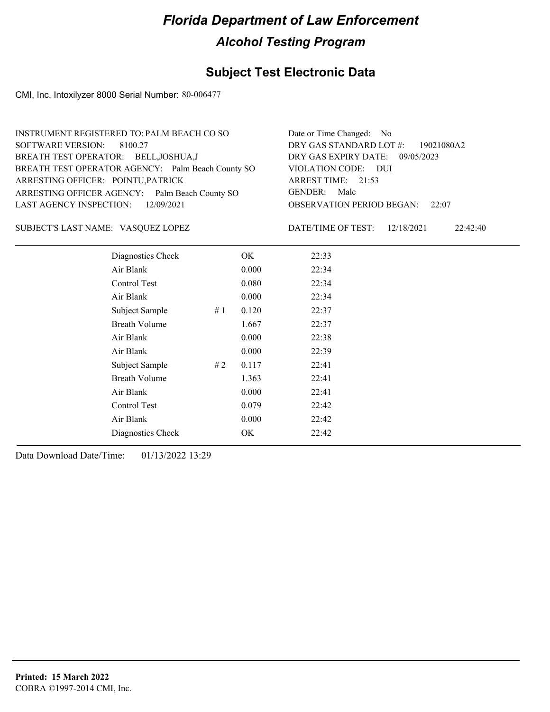## **Subject Test Electronic Data**

CMI, Inc. Intoxilyzer 8000 Serial Number: 80-006477

| INSTRUMENT REGISTERED TO: PALM BEACH CO SO        | Date or Time Changed: No               |
|---------------------------------------------------|----------------------------------------|
| SOFTWARE VERSION: 8100.27                         | DRY GAS STANDARD LOT #: 19021080A2     |
| BREATH TEST OPERATOR: BELL, JOSHUA, J             | DRY GAS EXPIRY DATE: 09/05/2023        |
| BREATH TEST OPERATOR AGENCY: Palm Beach County SO | VIOLATION CODE: DUI                    |
| ARRESTING OFFICER: POINTU, PATRICK                | ARREST TIME: 21:53                     |
| ARRESTING OFFICER AGENCY: Palm Beach County SO    | GENDER: Male                           |
| LAST AGENCY INSPECTION: 12/09/2021                | <b>OBSERVATION PERIOD BEGAN: 22:07</b> |
|                                                   |                                        |

VASQUEZ LOPEZ SUBJECT'S LAST NAME: DATE/TIME OF TEST:

DATE/TIME OF TEST: 12/18/2021 22:42:40

| Diagnostics Check    |    | OK    | 22:33 |
|----------------------|----|-------|-------|
| Air Blank            |    | 0.000 | 22:34 |
| Control Test         |    | 0.080 | 22:34 |
| Air Blank            |    | 0.000 | 22:34 |
| Subject Sample       | #1 | 0.120 | 22:37 |
| <b>Breath Volume</b> |    | 1.667 | 22:37 |
| Air Blank            |    | 0.000 | 22:38 |
| Air Blank            |    | 0.000 | 22:39 |
| Subject Sample       | #2 | 0.117 | 22:41 |
| <b>Breath Volume</b> |    | 1.363 | 22:41 |
| Air Blank            |    | 0.000 | 22:41 |
| Control Test         |    | 0.079 | 22:42 |
| Air Blank            |    | 0.000 | 22:42 |
| Diagnostics Check    |    | OK    | 22:42 |
|                      |    |       |       |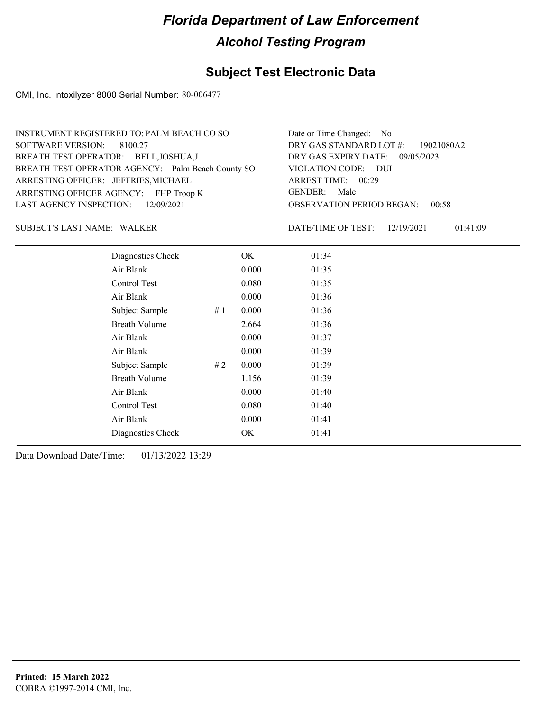## **Subject Test Electronic Data**

CMI, Inc. Intoxilyzer 8000 Serial Number: 80-006477

| INSTRUMENT REGISTERED TO: PALM BEACH CO SO        | Date or Time Changed: No               |
|---------------------------------------------------|----------------------------------------|
| SOFTWARE VERSION: 8100.27                         | DRY GAS STANDARD LOT #: 19021080A2     |
| BREATH TEST OPERATOR: BELL, JOSHUA, J             | DRY GAS EXPIRY DATE: 09/05/2023        |
| BREATH TEST OPERATOR AGENCY: Palm Beach County SO | VIOLATION CODE: DUI                    |
| ARRESTING OFFICER: JEFFRIES, MICHAEL              | ARREST TIME: 00:29                     |
| ARRESTING OFFICER AGENCY: FHP Troop K             | GENDER: Male                           |
| LAST AGENCY INSPECTION: 12/09/2021                | <b>OBSERVATION PERIOD BEGAN: 00:58</b> |
|                                                   |                                        |

### WALKER SUBJECT'S LAST NAME: DATE/TIME OF TEST:

DATE/TIME OF TEST: 12/19/2021 01:41:09

| Diagnostics Check    | OK    | 01:34 |
|----------------------|-------|-------|
| Air Blank            | 0.000 | 01:35 |
| Control Test         | 0.080 | 01:35 |
| Air Blank            | 0.000 | 01:36 |
| Subject Sample<br>#1 | 0.000 | 01:36 |
| <b>Breath Volume</b> | 2.664 | 01:36 |
| Air Blank            | 0.000 | 01:37 |
| Air Blank            | 0.000 | 01:39 |
| Subject Sample<br>#2 | 0.000 | 01:39 |
| <b>Breath Volume</b> | 1.156 | 01:39 |
| Air Blank            | 0.000 | 01:40 |
| Control Test         | 0.080 | 01:40 |
| Air Blank            | 0.000 | 01:41 |
| Diagnostics Check    | OK    | 01:41 |
|                      |       |       |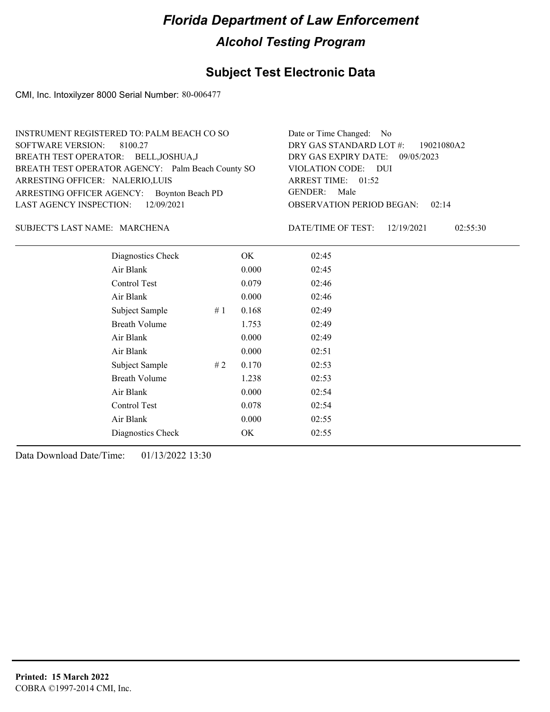## **Subject Test Electronic Data**

CMI, Inc. Intoxilyzer 8000 Serial Number: 80-006477

| INSTRUMENT REGISTERED TO: PALM BEACH CO SO        | Date or Time Changed: No               |
|---------------------------------------------------|----------------------------------------|
| SOFTWARE VERSION: 8100.27                         | DRY GAS STANDARD LOT #: 19021080A2     |
| BREATH TEST OPERATOR: BELL, JOSHUA, J             | DRY GAS EXPIRY DATE: 09/05/2023        |
| BREATH TEST OPERATOR AGENCY: Palm Beach County SO | VIOLATION CODE: DUI                    |
| ARRESTING OFFICER: NALERIO, LUIS                  | ARREST TIME: 01:52                     |
| ARRESTING OFFICER AGENCY: Boynton Beach PD        | GENDER: Male                           |
| LAST AGENCY INSPECTION: $12/09/2021$              | <b>OBSERVATION PERIOD BEGAN: 02:14</b> |
|                                                   |                                        |

### MARCHENA SUBJECT'S LAST NAME: DATE/TIME OF TEST:

DATE/TIME OF TEST: 12/19/2021 02:55:30

| Diagnostics Check    |    | OK    | 02:45 |
|----------------------|----|-------|-------|
| Air Blank            |    | 0.000 | 02:45 |
| Control Test         |    | 0.079 | 02:46 |
| Air Blank            |    | 0.000 | 02:46 |
| Subject Sample       | #1 | 0.168 | 02:49 |
| <b>Breath Volume</b> |    | 1.753 | 02:49 |
| Air Blank            |    | 0.000 | 02:49 |
| Air Blank            |    | 0.000 | 02:51 |
| Subject Sample       | #2 | 0.170 | 02:53 |
| <b>Breath Volume</b> |    | 1.238 | 02:53 |
| Air Blank            |    | 0.000 | 02:54 |
| Control Test         |    | 0.078 | 02:54 |
| Air Blank            |    | 0.000 | 02:55 |
| Diagnostics Check    |    | OK    | 02:55 |
|                      |    |       |       |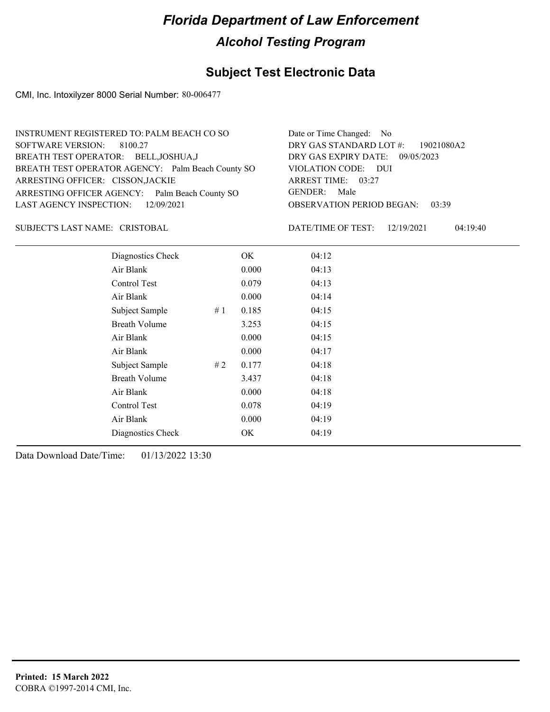## **Subject Test Electronic Data**

CMI, Inc. Intoxilyzer 8000 Serial Number: 80-006477

| INSTRUMENT REGISTERED TO: PALM BEACH CO SO        | Date or Time Changed: No               |
|---------------------------------------------------|----------------------------------------|
| SOFTWARE VERSION: 8100.27                         | DRY GAS STANDARD LOT #: 19021080A2     |
| BREATH TEST OPERATOR: BELL, JOSHUA, J             | DRY GAS EXPIRY DATE: 09/05/2023        |
| BREATH TEST OPERATOR AGENCY: Palm Beach County SO | VIOLATION CODE: DUI                    |
| ARRESTING OFFICER: CISSON, JACKIE                 | ARREST TIME: 03:27                     |
| ARRESTING OFFICER AGENCY: Palm Beach County SO    | GENDER: Male                           |
| LAST AGENCY INSPECTION: 12/09/2021                | <b>OBSERVATION PERIOD BEGAN: 03:39</b> |
|                                                   |                                        |

CRISTOBAL SUBJECT'S LAST NAME: DATE/TIME OF TEST:

DATE/TIME OF TEST: 12/19/2021 04:19:40

| Diagnostics Check    | OK    | 04:12 |
|----------------------|-------|-------|
| Air Blank            | 0.000 | 04:13 |
| Control Test         | 0.079 | 04:13 |
| Air Blank            | 0.000 | 04:14 |
| Subject Sample<br>#1 | 0.185 | 04:15 |
| <b>Breath Volume</b> | 3.253 | 04:15 |
| Air Blank            | 0.000 | 04:15 |
| Air Blank            | 0.000 | 04:17 |
| Subject Sample<br>#2 | 0.177 | 04:18 |
| <b>Breath Volume</b> | 3.437 | 04:18 |
| Air Blank            | 0.000 | 04:18 |
| Control Test         | 0.078 | 04:19 |
| Air Blank            | 0.000 | 04:19 |
| Diagnostics Check    | OK    | 04:19 |
|                      |       |       |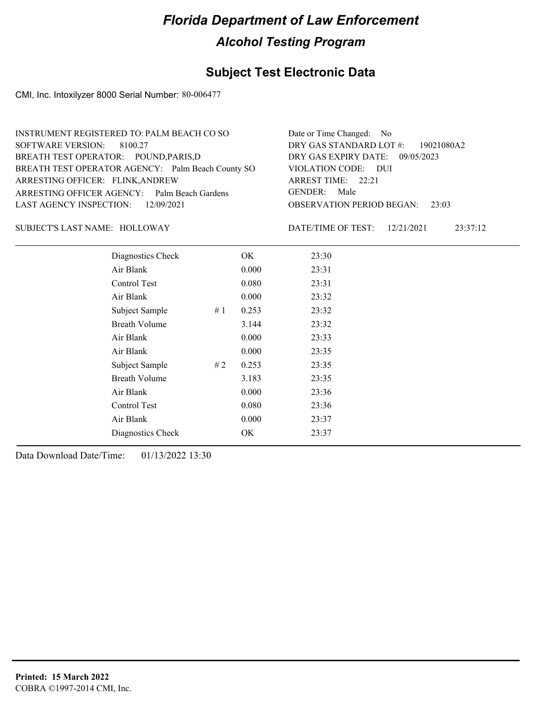## **Subject Test Electronic Data**

CMI, Inc. Intoxilyzer 8000 Serial Number: 80-006477

| INSTRUMENT REGISTERED TO: PALM BEACH CO SO        | Date or Time Changed: No               |
|---------------------------------------------------|----------------------------------------|
| SOFTWARE VERSION: 8100.27                         | DRY GAS STANDARD LOT #: 19021080A2     |
| BREATH TEST OPERATOR: POUND, PARIS, D             | DRY GAS EXPIRY DATE: 09/05/2023        |
| BREATH TEST OPERATOR AGENCY: Palm Beach County SO | VIOLATION CODE: DUI                    |
| ARRESTING OFFICER: FLINK, ANDREW                  | ARREST TIME: 22:21                     |
| ARRESTING OFFICER AGENCY: Palm Beach Gardens      | GENDER: Male                           |
| LAST AGENCY INSPECTION: 12/09/2021                | <b>OBSERVATION PERIOD BEGAN: 23:03</b> |
|                                                   |                                        |

### SUBJECT'S LAST NAME: HOLLOWAY DATE/TIME OF TEST:

DATE/TIME OF TEST: 12/21/2021 23:37:12

| Diagnostics Check    |    | OK    | 23:30 |
|----------------------|----|-------|-------|
| Air Blank            |    | 0.000 | 23:31 |
| Control Test         |    | 0.080 | 23:31 |
| Air Blank            |    | 0.000 | 23:32 |
| Subject Sample       | #1 | 0.253 | 23:32 |
| <b>Breath Volume</b> |    | 3.144 | 23:32 |
| Air Blank            |    | 0.000 | 23:33 |
| Air Blank            |    | 0.000 | 23:35 |
| Subject Sample       | #2 | 0.253 | 23:35 |
| <b>Breath Volume</b> |    | 3.183 | 23:35 |
| Air Blank            |    | 0.000 | 23:36 |
| Control Test         |    | 0.080 | 23:36 |
| Air Blank            |    | 0.000 | 23:37 |
| Diagnostics Check    |    | OK    | 23:37 |
|                      |    |       |       |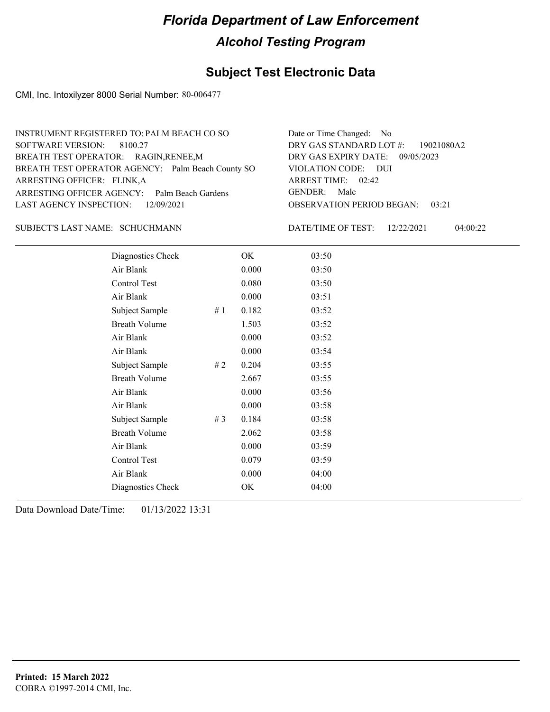## **Subject Test Electronic Data**

CMI, Inc. Intoxilyzer 8000 Serial Number: 80-006477

| INSTRUMENT REGISTERED TO: PALM BEACH CO SO        | Date or Time Changed: No               |
|---------------------------------------------------|----------------------------------------|
| SOFTWARE VERSION: 8100.27                         | DRY GAS STANDARD LOT $\#$ : 19021080A2 |
| BREATH TEST OPERATOR: RAGIN, RENEE, M             | DRY GAS EXPIRY DATE: 09/05/2023        |
| BREATH TEST OPERATOR AGENCY: Palm Beach County SO | VIOLATION CODE: DUI                    |
| ARRESTING OFFICER: FLINK, A                       | ARREST TIME: 02:42                     |
| ARRESTING OFFICER AGENCY: Palm Beach Gardens      | GENDER: Male                           |
| LAST AGENCY INSPECTION: 12/09/2021                | <b>OBSERVATION PERIOD BEGAN: 03:21</b> |
|                                                   |                                        |

### SCHUCHMANN SUBJECT'S LAST NAME: DATE/TIME OF TEST:

DATE/TIME OF TEST: 12/22/2021 04:00:22

| Diagnostics Check    |       | OK    | 03:50 |
|----------------------|-------|-------|-------|
| Air Blank            |       | 0.000 | 03:50 |
| Control Test         |       | 0.080 | 03:50 |
| Air Blank            |       | 0.000 | 03:51 |
| Subject Sample       | #1    | 0.182 | 03:52 |
| <b>Breath Volume</b> |       | 1.503 | 03:52 |
| Air Blank            |       | 0.000 | 03:52 |
| Air Blank            |       | 0.000 | 03:54 |
| Subject Sample       | #2    | 0.204 | 03:55 |
| <b>Breath Volume</b> |       | 2.667 | 03:55 |
| Air Blank            |       | 0.000 | 03:56 |
| Air Blank            |       | 0.000 | 03:58 |
| Subject Sample       | # $3$ | 0.184 | 03:58 |
| <b>Breath Volume</b> |       | 2.062 | 03:58 |
| Air Blank            |       | 0.000 | 03:59 |
| Control Test         |       | 0.079 | 03:59 |
| Air Blank            |       | 0.000 | 04:00 |
| Diagnostics Check    |       | OK    | 04:00 |
|                      |       |       |       |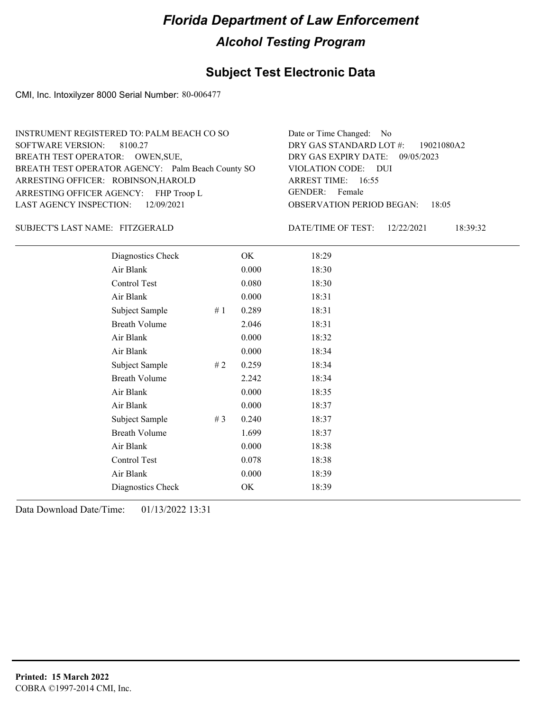#### **Subject Test Electronic Data**

CMI, Inc. Intoxilyzer 8000 Serial Number: 80-006477

OBSERVATION PERIOD BEGAN: 18:05 ARRESTING OFFICER AGENCY: FHP Troop L GENDER: BREATH TEST OPERATOR AGENCY: Palm Beach County SO VIOLATION CODE: SOFTWARE VERSION: VIOLATION CODE: DUI ARREST TIME: 16:55 ARRESTING OFFICER: ROBINSON, HAROLD DRY GAS EXPIRY DATE: 09/05/2023 19021080A2 BREATH TEST OPERATOR: OWEN, SUE, LAST AGENCY INSPECTION: 12/09/2021 8100.27 INSTRUMENT REGISTERED TO: PALM BEACH CO SO DRY GAS STANDARD LOT #: Date or Time Changed: No GENDER: Female

#### FITZGERALD SUBJECT'S LAST NAME: DATE/TIME OF TEST:

DATE/TIME OF TEST: 12/22/2021 18:39:32

| Diagnostics Check    |    | OK    | 18:29 |
|----------------------|----|-------|-------|
| Air Blank            |    | 0.000 | 18:30 |
| Control Test         |    | 0.080 | 18:30 |
| Air Blank            |    | 0.000 | 18:31 |
| Subject Sample       | #1 | 0.289 | 18:31 |
| <b>Breath Volume</b> |    | 2.046 | 18:31 |
| Air Blank            |    | 0.000 | 18:32 |
| Air Blank            |    | 0.000 | 18:34 |
| Subject Sample       | #2 | 0.259 | 18:34 |
| <b>Breath Volume</b> |    | 2.242 | 18:34 |
| Air Blank            |    | 0.000 | 18:35 |
| Air Blank            |    | 0.000 | 18:37 |
| Subject Sample       | #3 | 0.240 | 18:37 |
| <b>Breath Volume</b> |    | 1.699 | 18:37 |
| Air Blank            |    | 0.000 | 18:38 |
| Control Test         |    | 0.078 | 18:38 |
| Air Blank            |    | 0.000 | 18:39 |
| Diagnostics Check    |    | OK    | 18:39 |
|                      |    |       |       |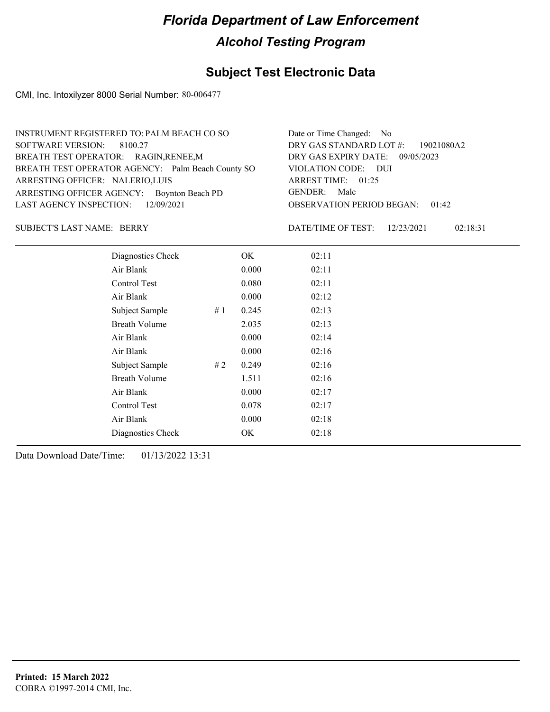### **Subject Test Electronic Data**

CMI, Inc. Intoxilyzer 8000 Serial Number: 80-006477

| INSTRUMENT REGISTERED TO: PALM BEACH CO SO        | Date or Time Changed: No               |
|---------------------------------------------------|----------------------------------------|
| SOFTWARE VERSION: 8100.27                         | DRY GAS STANDARD LOT #: 19021080A2     |
| BREATH TEST OPERATOR: RAGIN, RENEE, M             | DRY GAS EXPIRY DATE: 09/05/2023        |
| BREATH TEST OPERATOR AGENCY: Palm Beach County SO | VIOLATION CODE: DUI                    |
| ARRESTING OFFICER: NALERIO, LUIS                  | ARREST TIME: 01:25                     |
| ARRESTING OFFICER AGENCY: Boynton Beach PD        | GENDER: Male                           |
| LAST AGENCY INSPECTION: $12/09/2021$              | <b>OBSERVATION PERIOD BEGAN: 01:42</b> |
|                                                   |                                        |

#### BERRY SUBJECT'S LAST NAME: DATE/TIME OF TEST:

DATE/TIME OF TEST: 12/23/2021 02:18:31

| Diagnostics Check    |    | OK    | 02:11 |
|----------------------|----|-------|-------|
| Air Blank            |    | 0.000 | 02:11 |
| Control Test         |    | 0.080 | 02:11 |
| Air Blank            |    | 0.000 | 02:12 |
| Subject Sample       | #1 | 0.245 | 02:13 |
| <b>Breath Volume</b> |    | 2.035 | 02:13 |
| Air Blank            |    | 0.000 | 02:14 |
| Air Blank            |    | 0.000 | 02:16 |
| Subject Sample       | #2 | 0.249 | 02:16 |
| <b>Breath Volume</b> |    | 1.511 | 02:16 |
| Air Blank            |    | 0.000 | 02:17 |
| Control Test         |    | 0.078 | 02:17 |
| Air Blank            |    | 0.000 | 02:18 |
| Diagnostics Check    |    | OK    | 02:18 |
|                      |    |       |       |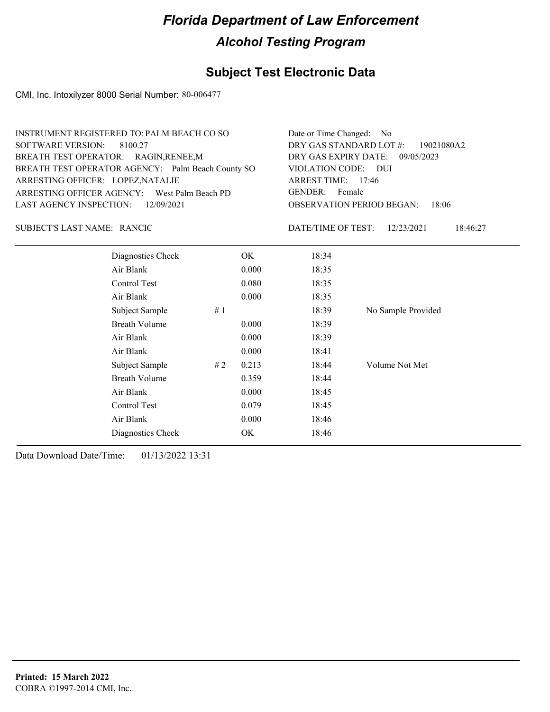### **Subject Test Electronic Data**

CMI, Inc. Intoxilyzer 8000 Serial Number: 80-006477

| INSTRUMENT REGISTERED TO: PALM BEACH CO SO                                         | Date or Time Changed: No                                       |
|------------------------------------------------------------------------------------|----------------------------------------------------------------|
| SOFTWARE VERSION: 8100.27                                                          | DRY GAS STANDARD LOT #: 19021080A2                             |
| BREATH TEST OPERATOR: RAGIN, RENEE, M                                              | DRY GAS EXPIRY DATE: 09/05/2023                                |
| BREATH TEST OPERATOR AGENCY: Palm Beach County SO                                  | VIOLATION CODE: DUI                                            |
| ARRESTING OFFICER: LOPEZ, NATALIE                                                  | ARREST TIME: 17:46                                             |
| ARRESTING OFFICER AGENCY: West Palm Beach PD<br>LAST AGENCY INSPECTION: 12/09/2021 | GENDER: Female<br><b>OBSERVATION PERIOD BEGAN:</b><br>$-18:06$ |

SUBJECT'S LAST NAME: RANCIC DATE/TIME OF TEST:

DATE/TIME OF TEST: 12/23/2021 18:46:27

| Diagnostics Check       | OK    | 18:34 |                    |
|-------------------------|-------|-------|--------------------|
| Air Blank               | 0.000 | 18:35 |                    |
| Control Test            | 0.080 | 18:35 |                    |
| Air Blank               | 0.000 | 18:35 |                    |
| # $1$<br>Subject Sample |       | 18:39 | No Sample Provided |
| <b>Breath Volume</b>    | 0.000 | 18:39 |                    |
| Air Blank               | 0.000 | 18:39 |                    |
| Air Blank               | 0.000 | 18:41 |                    |
| Subject Sample<br>#2    | 0.213 | 18:44 | Volume Not Met     |
| <b>Breath Volume</b>    | 0.359 | 18:44 |                    |
| Air Blank               | 0.000 | 18:45 |                    |
| Control Test            | 0.079 | 18:45 |                    |
| Air Blank               | 0.000 | 18:46 |                    |
| Diagnostics Check       | OK    | 18:46 |                    |
|                         |       |       |                    |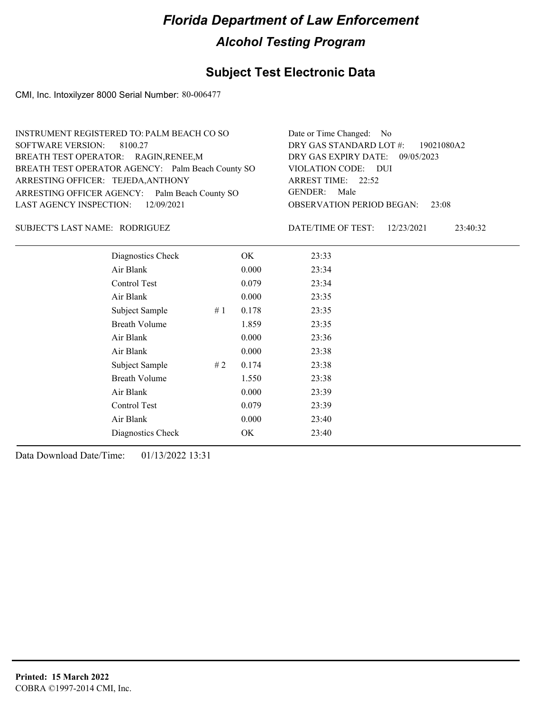### **Subject Test Electronic Data**

CMI, Inc. Intoxilyzer 8000 Serial Number: 80-006477

| INSTRUMENT REGISTERED TO: PALM BEACH CO SO        | Date or Time Changed: No               |
|---------------------------------------------------|----------------------------------------|
| SOFTWARE VERSION: 8100.27                         | DRY GAS STANDARD LOT #: 19021080A2     |
| BREATH TEST OPERATOR: RAGIN, RENEE, M             | DRY GAS EXPIRY DATE: 09/05/2023        |
| BREATH TEST OPERATOR AGENCY: Palm Beach County SO | VIOLATION CODE: DUI                    |
| ARRESTING OFFICER: TEJEDA, ANTHONY                | ARREST TIME: 22:52                     |
| ARRESTING OFFICER AGENCY: Palm Beach County SO    | GENDER: Male                           |
| LAST AGENCY INSPECTION: 12/09/2021                | <b>OBSERVATION PERIOD BEGAN: 23:08</b> |
|                                                   |                                        |

#### RODRIGUEZ SUBJECT'S LAST NAME: DATE/TIME OF TEST:

DATE/TIME OF TEST: 12/23/2021 23:40:32

| Diagnostics Check    |    | OK    | 23:33 |  |
|----------------------|----|-------|-------|--|
| Air Blank            |    | 0.000 | 23:34 |  |
| Control Test         |    | 0.079 | 23:34 |  |
| Air Blank            |    | 0.000 | 23:35 |  |
| Subject Sample       | #1 | 0.178 | 23:35 |  |
| <b>Breath Volume</b> |    | 1.859 | 23:35 |  |
| Air Blank            |    | 0.000 | 23:36 |  |
| Air Blank            |    | 0.000 | 23:38 |  |
| Subject Sample       | #2 | 0.174 | 23:38 |  |
| <b>Breath Volume</b> |    | 1.550 | 23:38 |  |
| Air Blank            |    | 0.000 | 23:39 |  |
| Control Test         |    | 0.079 | 23:39 |  |
| Air Blank            |    | 0.000 | 23:40 |  |
| Diagnostics Check    |    | OK    | 23:40 |  |
|                      |    |       |       |  |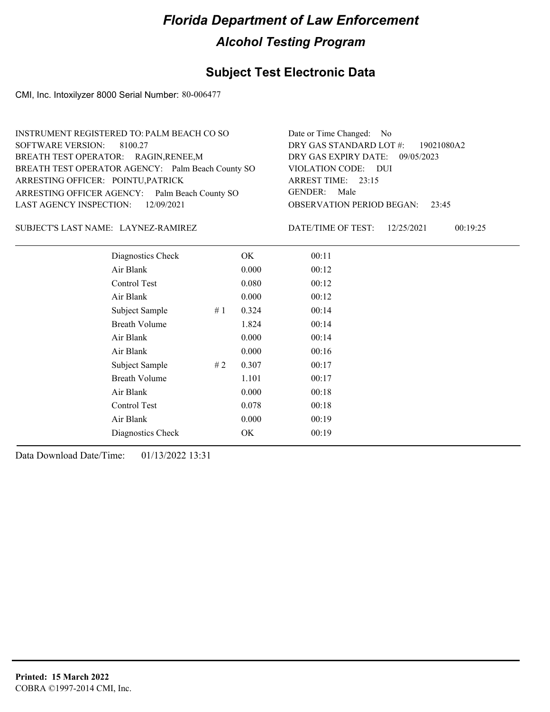### **Subject Test Electronic Data**

CMI, Inc. Intoxilyzer 8000 Serial Number: 80-006477

| INSTRUMENT REGISTERED TO: PALM BEACH CO SO        | Date or Time Changed: No               |
|---------------------------------------------------|----------------------------------------|
| SOFTWARE VERSION: 8100.27                         | DRY GAS STANDARD LOT #: 19021080A2     |
| BREATH TEST OPERATOR: RAGIN, RENEE, M             | DRY GAS EXPIRY DATE: 09/05/2023        |
| BREATH TEST OPERATOR AGENCY: Palm Beach County SO | VIOLATION CODE: DUI                    |
| ARRESTING OFFICER: POINTU, PATRICK                | ARREST TIME: 23:15                     |
| ARRESTING OFFICER AGENCY: Palm Beach County SO    | GENDER: Male                           |
| LAST AGENCY INSPECTION: 12/09/2021                | <b>OBSERVATION PERIOD BEGAN: 23:45</b> |
|                                                   |                                        |

LAYNEZ-RAMIREZ SUBJECT'S LAST NAME: DATE/TIME OF TEST:

DATE/TIME OF TEST: 12/25/2021 00:19:25

| Diagnostics Check    |    | OK    | 00:11 |  |
|----------------------|----|-------|-------|--|
| Air Blank            |    | 0.000 | 00:12 |  |
| Control Test         |    | 0.080 | 00:12 |  |
| Air Blank            |    | 0.000 | 00:12 |  |
| Subject Sample       | #1 | 0.324 | 00:14 |  |
| <b>Breath Volume</b> |    | 1.824 | 00:14 |  |
| Air Blank            |    | 0.000 | 00:14 |  |
| Air Blank            |    | 0.000 | 00:16 |  |
| Subject Sample       | #2 | 0.307 | 00:17 |  |
| <b>Breath Volume</b> |    | 1.101 | 00:17 |  |
| Air Blank            |    | 0.000 | 00:18 |  |
| Control Test         |    | 0.078 | 00:18 |  |
| Air Blank            |    | 0.000 | 00:19 |  |
| Diagnostics Check    |    | OK    | 00:19 |  |
|                      |    |       |       |  |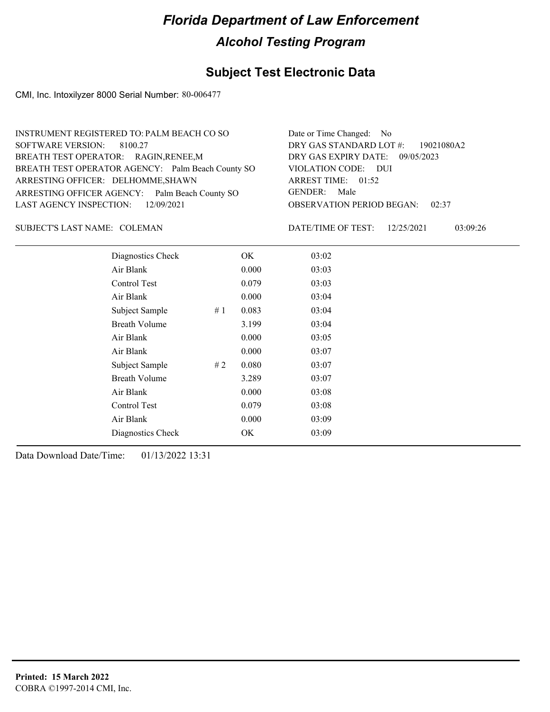### **Subject Test Electronic Data**

CMI, Inc. Intoxilyzer 8000 Serial Number: 80-006477

| INSTRUMENT REGISTERED TO: PALM BEACH CO SO        | Date or Time Changed: No               |
|---------------------------------------------------|----------------------------------------|
| SOFTWARE VERSION: 8100.27                         | DRY GAS STANDARD LOT #: 19021080A2     |
| BREATH TEST OPERATOR: RAGIN, RENEE, M             | DRY GAS EXPIRY DATE: 09/05/2023        |
| BREATH TEST OPERATOR AGENCY: Palm Beach County SO | VIOLATION CODE: DUI                    |
| ARRESTING OFFICER: DELHOMME, SHAWN                | ARREST TIME: 01:52                     |
| ARRESTING OFFICER AGENCY: Palm Beach County SO    | GENDER: Male                           |
| LAST AGENCY INSPECTION: 12/09/2021                | <b>OBSERVATION PERIOD BEGAN: 02:37</b> |
|                                                   |                                        |

#### SUBJECT'S LAST NAME: COLEMAN DATE/TIME OF TEST:

DATE/TIME OF TEST: 12/25/2021 03:09:26

| Diagnostics Check    |    | OK    | 03:02 |
|----------------------|----|-------|-------|
| Air Blank            |    | 0.000 | 03:03 |
| Control Test         |    | 0.079 | 03:03 |
| Air Blank            |    | 0.000 | 03:04 |
| Subject Sample       | #1 | 0.083 | 03:04 |
| <b>Breath Volume</b> |    | 3.199 | 03:04 |
| Air Blank            |    | 0.000 | 03:05 |
| Air Blank            |    | 0.000 | 03:07 |
| Subject Sample       | #2 | 0.080 | 03:07 |
| <b>Breath Volume</b> |    | 3.289 | 03:07 |
| Air Blank            |    | 0.000 | 03:08 |
| <b>Control Test</b>  |    | 0.079 | 03:08 |
| Air Blank            |    | 0.000 | 03:09 |
| Diagnostics Check    |    | OK    | 03:09 |
|                      |    |       |       |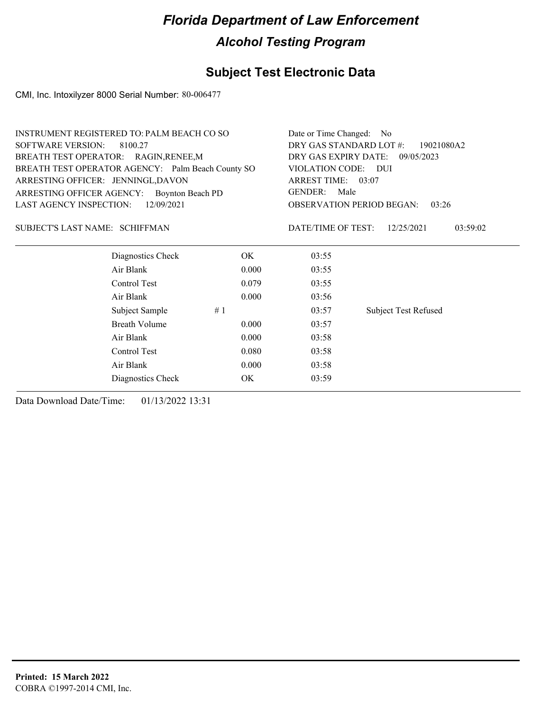### **Subject Test Electronic Data**

CMI, Inc. Intoxilyzer 8000 Serial Number: 80-006477

| <b>INSTRUMENT REGISTERED TO: PALM BEACH CO SO</b> |       | Date or Time Changed: No                     |                             |  |
|---------------------------------------------------|-------|----------------------------------------------|-----------------------------|--|
| <b>SOFTWARE VERSION:</b><br>8100.27               |       | DRY GAS STANDARD LOT #:<br>19021080A2        |                             |  |
| BREATH TEST OPERATOR: RAGIN, RENEE, M             |       | DRY GAS EXPIRY DATE: 09/05/2023              |                             |  |
| BREATH TEST OPERATOR AGENCY: Palm Beach County SO |       | VIOLATION CODE: DUI                          |                             |  |
| ARRESTING OFFICER: JENNINGL, DAVON                |       | ARREST TIME: 03:07<br><b>GENDER:</b><br>Male |                             |  |
| ARRESTING OFFICER AGENCY: Boynton Beach PD        |       |                                              |                             |  |
| LAST AGENCY INSPECTION:<br>12/09/2021             |       | <b>OBSERVATION PERIOD BEGAN:</b><br>03:26    |                             |  |
| SUBJECT'S LAST NAME: SCHIFFMAN                    |       | DATE/TIME OF TEST:                           | 12/25/2021<br>03:59:02      |  |
| Diagnostics Check                                 | OK    | 03:55                                        |                             |  |
| Air Blank                                         | 0.000 | 03:55                                        |                             |  |
| Control Test                                      | 0.079 | 03:55                                        |                             |  |
| Air Blank                                         | 0.000 | 03:56                                        |                             |  |
| Subject Sample                                    | #1    | 03:57                                        | <b>Subject Test Refused</b> |  |
| <b>Breath Volume</b>                              | 0.000 | 03:57                                        |                             |  |
| Air Blank                                         | 0.000 | 03:58                                        |                             |  |
| Control Test                                      | 0.080 | 03:58                                        |                             |  |
| Air Blank                                         | 0.000 | 03:58                                        |                             |  |
| Diagnostics Check                                 | OK    | 03:59                                        |                             |  |
|                                                   |       |                                              |                             |  |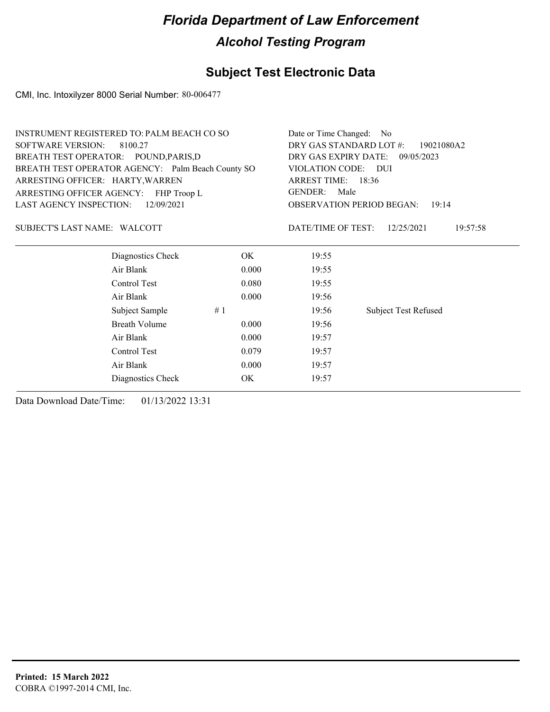### **Subject Test Electronic Data**

CMI, Inc. Intoxilyzer 8000 Serial Number: 80-006477

| <b>INSTRUMENT REGISTERED TO: PALM BEACH CO SO</b> |                                                   |           | Date or Time Changed: No                                            |                                           |  |
|---------------------------------------------------|---------------------------------------------------|-----------|---------------------------------------------------------------------|-------------------------------------------|--|
| <b>SOFTWARE VERSION:</b><br>8100.27               |                                                   |           | DRY GAS STANDARD LOT #:<br>19021080A2                               |                                           |  |
| BREATH TEST OPERATOR: POUND, PARIS, D             |                                                   |           | DRY GAS EXPIRY DATE: 09/05/2023                                     |                                           |  |
|                                                   | BREATH TEST OPERATOR AGENCY: Palm Beach County SO |           | VIOLATION CODE: DUI<br>ARREST TIME: 18:36<br><b>GENDER:</b><br>Male |                                           |  |
| ARRESTING OFFICER: HARTY, WARREN                  |                                                   |           |                                                                     |                                           |  |
|                                                   | ARRESTING OFFICER AGENCY: FHP Troop L             |           |                                                                     |                                           |  |
| <b>LAST AGENCY INSPECTION:</b><br>12/09/2021      |                                                   |           |                                                                     | <b>OBSERVATION PERIOD BEGAN:</b><br>19:14 |  |
| SUBJECT'S LAST NAME: WALCOTT                      |                                                   |           | DATE/TIME OF TEST:                                                  | 12/25/2021<br>19:57:58                    |  |
|                                                   | Diagnostics Check                                 | OK.       | 19:55                                                               |                                           |  |
|                                                   | Air Blank                                         | 0.000     | 19:55                                                               |                                           |  |
|                                                   | Control Test                                      | 0.080     | 19:55                                                               |                                           |  |
|                                                   | Air Blank                                         | 0.000     | 19:56                                                               |                                           |  |
|                                                   | Subject Sample                                    | #1        | 19:56                                                               | <b>Subject Test Refused</b>               |  |
|                                                   | <b>Breath Volume</b>                              | 0.000     | 19:56                                                               |                                           |  |
|                                                   | Air Blank                                         | 0.000     | 19:57                                                               |                                           |  |
|                                                   | Control Test                                      | 0.079     | 19:57                                                               |                                           |  |
|                                                   | Air Blank                                         | 0.000     | 19:57                                                               |                                           |  |
|                                                   | Diagnostics Check                                 | <b>OK</b> | 19:57                                                               |                                           |  |
|                                                   |                                                   |           |                                                                     |                                           |  |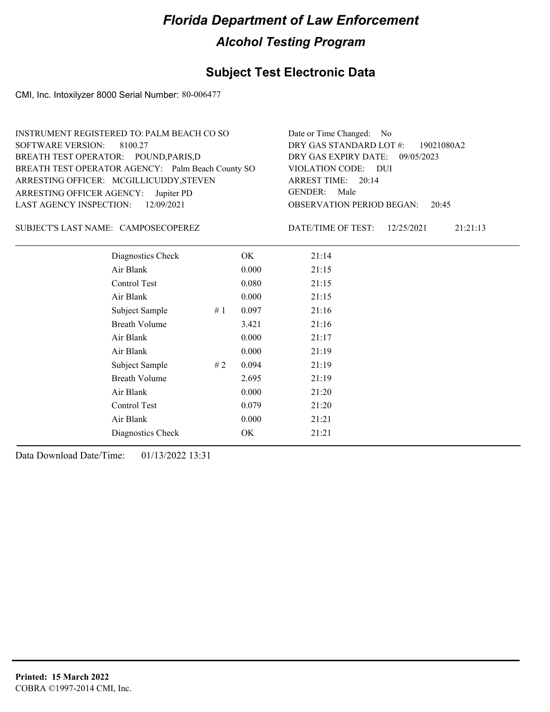### **Subject Test Electronic Data**

CMI, Inc. Intoxilyzer 8000 Serial Number: 80-006477

| INSTRUMENT REGISTERED TO: PALM BEACH CO SO                                 | Date or Time Changed: No               |
|----------------------------------------------------------------------------|----------------------------------------|
| SOFTWARE VERSION: 8100.27                                                  | DRY GAS STANDARD LOT #: 19021080A2     |
| BREATH TEST OPERATOR: POUND, PARIS, D                                      | DRY GAS EXPIRY DATE: 09/05/2023        |
|                                                                            | VIOLATION CODE: DUI                    |
| BREATH TEST OPERATOR AGENCY: Palm Beach County SO                          | ARREST TIME: 20:14                     |
| ARRESTING OFFICER: MCGILLICUDDY, STEVEN                                    | GENDER: Male                           |
| ARRESTING OFFICER AGENCY: Jupiter PD<br>LAST AGENCY INSPECTION: 12/09/2021 | <b>OBSERVATION PERIOD BEGAN: 20:45</b> |

SUBJECT'S LAST NAME: CAMPOSECOPEREZ DATE/TIME OF TEST:

DATE/TIME OF TEST: 12/25/2021 21:21:13

| Diagnostics Check    | OK    | 21:14 |
|----------------------|-------|-------|
| Air Blank            | 0.000 | 21:15 |
| Control Test         | 0.080 | 21:15 |
| Air Blank            | 0.000 | 21:15 |
| Subject Sample<br>#1 | 0.097 | 21:16 |
| <b>Breath Volume</b> | 3.421 | 21:16 |
| Air Blank            | 0.000 | 21:17 |
| Air Blank            | 0.000 | 21:19 |
| Subject Sample<br>#2 | 0.094 | 21:19 |
| <b>Breath Volume</b> | 2.695 | 21:19 |
| Air Blank            | 0.000 | 21:20 |
| Control Test         | 0.079 | 21:20 |
| Air Blank            | 0.000 | 21:21 |
| Diagnostics Check    | OK    | 21:21 |
|                      |       |       |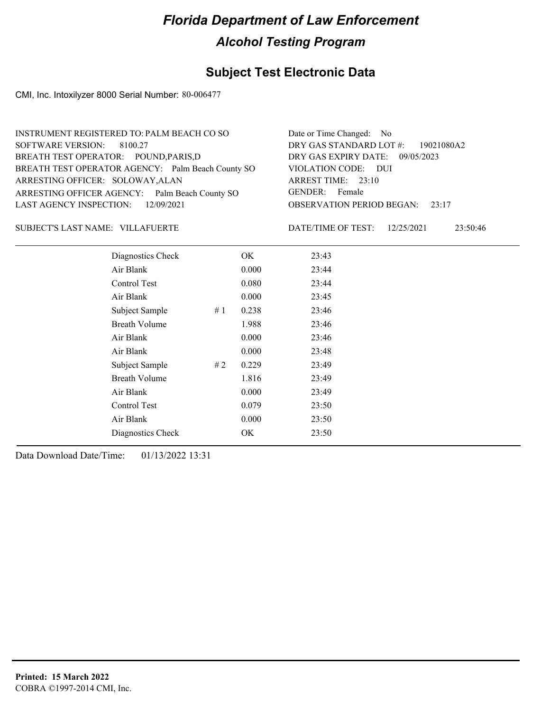### **Subject Test Electronic Data**

CMI, Inc. Intoxilyzer 8000 Serial Number: 80-006477

| INSTRUMENT REGISTERED TO: PALM BEACH CO SO        | Date or Time Changed: No               |
|---------------------------------------------------|----------------------------------------|
| SOFTWARE VERSION: 8100.27                         | DRY GAS STANDARD LOT #: 19021080A2     |
| BREATH TEST OPERATOR: POUND, PARIS, D             | DRY GAS EXPIRY DATE: 09/05/2023        |
| BREATH TEST OPERATOR AGENCY: Palm Beach County SO | VIOLATION CODE: DUI                    |
| ARRESTING OFFICER: SOLOWAY, ALAN                  | ARREST TIME: 23:10                     |
| ARRESTING OFFICER AGENCY: Palm Beach County SO    | GENDER: Female                         |
| LAST AGENCY INSPECTION: 12/09/2021                | <b>OBSERVATION PERIOD BEGAN:</b> 23:17 |
|                                                   |                                        |

VILLAFUERTE SUBJECT'S LAST NAME: DATE/TIME OF TEST:

DATE/TIME OF TEST: 12/25/2021 23:50:46

| Diagnostics Check    |    | OK    | 23:43 |
|----------------------|----|-------|-------|
| Air Blank            |    | 0.000 | 23:44 |
| Control Test         |    | 0.080 | 23:44 |
| Air Blank            |    | 0.000 | 23:45 |
| Subject Sample       | #1 | 0.238 | 23:46 |
| <b>Breath Volume</b> |    | 1.988 | 23:46 |
| Air Blank            |    | 0.000 | 23:46 |
| Air Blank            |    | 0.000 | 23:48 |
| Subject Sample       | #2 | 0.229 | 23:49 |
| <b>Breath Volume</b> |    | 1.816 | 23:49 |
| Air Blank            |    | 0.000 | 23:49 |
| Control Test         |    | 0.079 | 23:50 |
| Air Blank            |    | 0.000 | 23:50 |
| Diagnostics Check    |    | OK    | 23:50 |
|                      |    |       |       |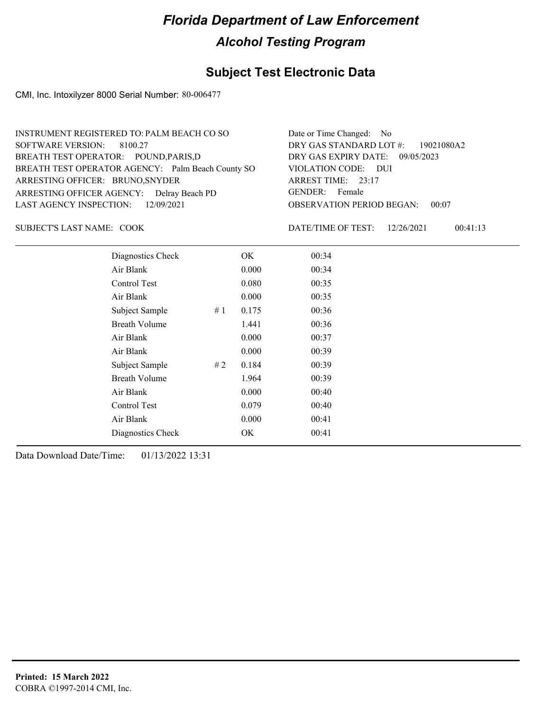### **Subject Test Electronic Data**

CMI, Inc. Intoxilyzer 8000 Serial Number: 80-006477

| INSTRUMENT REGISTERED TO: PALM BEACH CO SO        | Date or Time Changed: No               |
|---------------------------------------------------|----------------------------------------|
| SOFTWARE VERSION: 8100.27                         | DRY GAS STANDARD LOT #: 19021080A2     |
| BREATH TEST OPERATOR: POUND, PARIS, D             | DRY GAS EXPIRY DATE: 09/05/2023        |
| BREATH TEST OPERATOR AGENCY: Palm Beach County SO | VIOLATION CODE: DUI                    |
| ARRESTING OFFICER: BRUNO, SNYDER                  | ARREST TIME: 23:17                     |
| ARRESTING OFFICER AGENCY: Delray Beach PD         | GENDER: Female                         |
| LAST AGENCY INSPECTION: $12/09/2021$              | <b>OBSERVATION PERIOD BEGAN: 00:07</b> |
|                                                   |                                        |

SUBJECT'S LAST NAME: COOK DATE/TIME OF TEST:

DATE/TIME OF TEST: 12/26/2021 00:41:13

| Diagnostics Check    |    | OK    | 00:34 |  |
|----------------------|----|-------|-------|--|
| Air Blank            |    | 0.000 | 00:34 |  |
| Control Test         |    | 0.080 | 00:35 |  |
| Air Blank            |    | 0.000 | 00:35 |  |
| Subject Sample       | #1 | 0.175 | 00:36 |  |
| <b>Breath Volume</b> |    | 1.441 | 00:36 |  |
| Air Blank            |    | 0.000 | 00:37 |  |
| Air Blank            |    | 0.000 | 00:39 |  |
| Subject Sample       | #2 | 0.184 | 00:39 |  |
| <b>Breath Volume</b> |    | 1.964 | 00:39 |  |
| Air Blank            |    | 0.000 | 00:40 |  |
| <b>Control Test</b>  |    | 0.079 | 00:40 |  |
| Air Blank            |    | 0.000 | 00:41 |  |
| Diagnostics Check    |    | OK    | 00:41 |  |
|                      |    |       |       |  |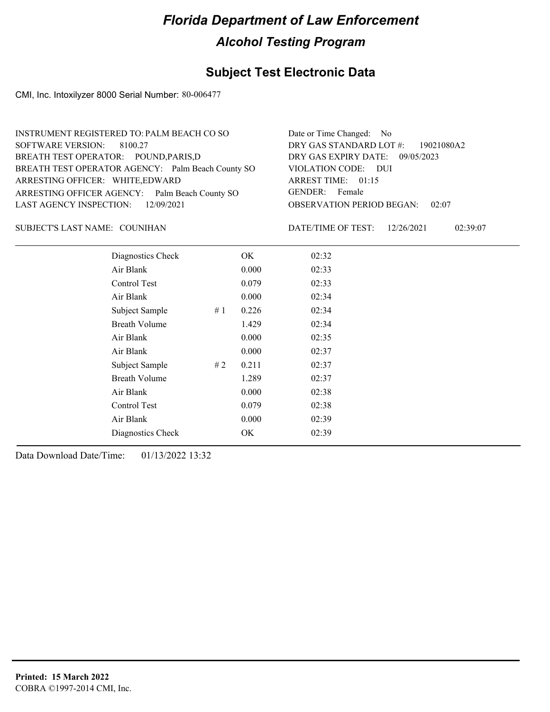### **Subject Test Electronic Data**

CMI, Inc. Intoxilyzer 8000 Serial Number: 80-006477

| INSTRUMENT REGISTERED TO: PALM BEACH CO SO        | Date or Time Changed: No               |
|---------------------------------------------------|----------------------------------------|
| SOFTWARE VERSION: 8100.27                         | DRY GAS STANDARD LOT #: 19021080A2     |
| BREATH TEST OPERATOR: POUND, PARIS, D             | DRY GAS EXPIRY DATE: 09/05/2023        |
| BREATH TEST OPERATOR AGENCY: Palm Beach County SO | VIOLATION CODE: DUI                    |
| ARRESTING OFFICER: WHITE, EDWARD                  | ARREST TIME: 01:15                     |
| ARRESTING OFFICER AGENCY: Palm Beach County SO    | GENDER: Female                         |
| LAST AGENCY INSPECTION: 12/09/2021                | <b>OBSERVATION PERIOD BEGAN: 02:07</b> |
|                                                   |                                        |

#### SUBJECT'S LAST NAME: COUNIHAN DATE/TIME OF TEST:

DATE/TIME OF TEST: 12/26/2021 02:39:07

| Diagnostics Check    | OK    | 02:32 |
|----------------------|-------|-------|
| Air Blank            | 0.000 | 02:33 |
| Control Test         | 0.079 | 02:33 |
| Air Blank            | 0.000 | 02:34 |
| Subject Sample<br>#1 | 0.226 | 02:34 |
| <b>Breath Volume</b> | 1.429 | 02:34 |
| Air Blank            | 0.000 | 02:35 |
| Air Blank            | 0.000 | 02:37 |
| Subject Sample<br>#2 | 0.211 | 02:37 |
| <b>Breath Volume</b> | 1.289 | 02:37 |
| Air Blank            | 0.000 | 02:38 |
| Control Test         | 0.079 | 02:38 |
| Air Blank            | 0.000 | 02:39 |
| Diagnostics Check    | OK    | 02:39 |
|                      |       |       |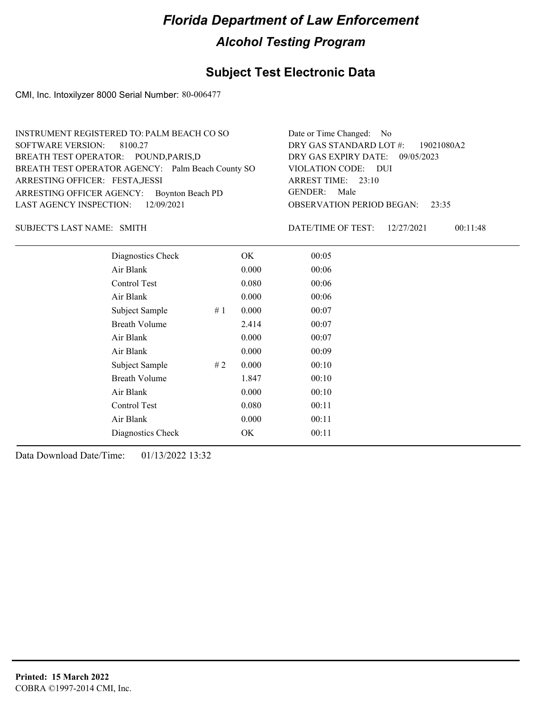### **Subject Test Electronic Data**

CMI, Inc. Intoxilyzer 8000 Serial Number: 80-006477

| INSTRUMENT REGISTERED TO: PALM BEACH CO SO        | Date or Time Changed: No               |
|---------------------------------------------------|----------------------------------------|
| SOFTWARE VERSION: 8100.27                         | DRY GAS STANDARD LOT #: 19021080A2     |
| BREATH TEST OPERATOR: POUND, PARIS, D             | DRY GAS EXPIRY DATE: 09/05/2023        |
| BREATH TEST OPERATOR AGENCY: Palm Beach County SO | VIOLATION CODE: DUI                    |
| ARRESTING OFFICER: FESTA, JESSI                   | ARREST TIME: 23:10                     |
| ARRESTING OFFICER AGENCY: Boynton Beach PD        | GENDER: Male                           |
| LAST AGENCY INSPECTION: 12/09/2021                | <b>OBSERVATION PERIOD BEGAN: 23:35</b> |
|                                                   |                                        |

SUBJECT'S LAST NAME: SMITH **Example 2018** DATE/TIME OF TEST:

DATE/TIME OF TEST: 12/27/2021 00:11:48

| Diagnostics Check    | OK    | 00:05 |
|----------------------|-------|-------|
| Air Blank            | 0.000 | 00:06 |
| <b>Control Test</b>  | 0.080 | 00:06 |
| Air Blank            | 0.000 | 00:06 |
| Subject Sample<br>#1 | 0.000 | 00:07 |
| <b>Breath Volume</b> | 2.414 | 00:07 |
| Air Blank            | 0.000 | 00:07 |
| Air Blank            | 0.000 | 00:09 |
| Subject Sample<br>#2 | 0.000 | 00:10 |
| <b>Breath Volume</b> | 1.847 | 00:10 |
| Air Blank            | 0.000 | 00:10 |
| Control Test         | 0.080 | 00:11 |
| Air Blank            | 0.000 | 00:11 |
| Diagnostics Check    | OK    | 00:11 |
|                      |       |       |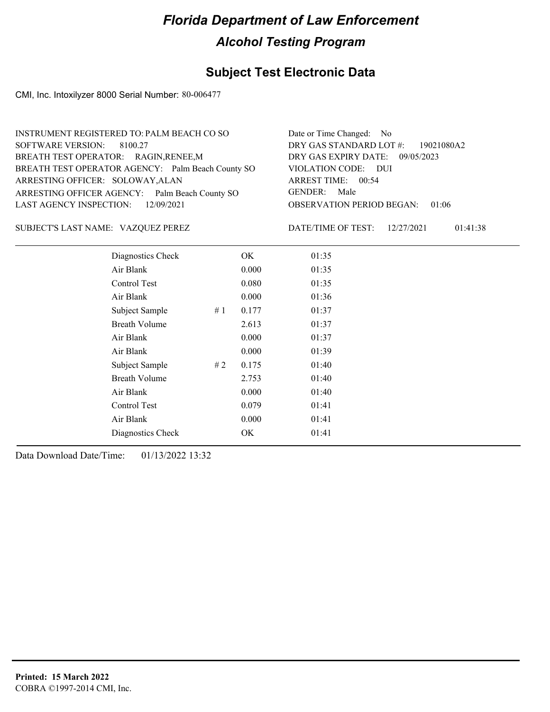### **Subject Test Electronic Data**

CMI, Inc. Intoxilyzer 8000 Serial Number: 80-006477

| INSTRUMENT REGISTERED TO: PALM BEACH CO SO        | Date or Time Changed: No               |
|---------------------------------------------------|----------------------------------------|
| SOFTWARE VERSION: 8100.27                         | DRY GAS STANDARD LOT #: 19021080A2     |
| BREATH TEST OPERATOR: RAGIN, RENEE, M             | DRY GAS EXPIRY DATE: 09/05/2023        |
| BREATH TEST OPERATOR AGENCY: Palm Beach County SO | VIOLATION CODE: DUI                    |
| ARRESTING OFFICER: SOLOWAY, ALAN                  | ARREST TIME: 00:54                     |
| ARRESTING OFFICER AGENCY: Palm Beach County SO    | GENDER: Male                           |
| LAST AGENCY INSPECTION: 12/09/2021                | <b>OBSERVATION PERIOD BEGAN: 01:06</b> |
|                                                   |                                        |

VAZQUEZ PEREZ SUBJECT'S LAST NAME: DATE/TIME OF TEST:

DATE/TIME OF TEST: 12/27/2021 01:41:38

| Diagnostics Check    |    | OK    | 01:35 |  |
|----------------------|----|-------|-------|--|
| Air Blank            |    | 0.000 | 01:35 |  |
| Control Test         |    | 0.080 | 01:35 |  |
| Air Blank            |    | 0.000 | 01:36 |  |
| Subject Sample       | #1 | 0.177 | 01:37 |  |
| <b>Breath Volume</b> |    | 2.613 | 01:37 |  |
| Air Blank            |    | 0.000 | 01:37 |  |
| Air Blank            |    | 0.000 | 01:39 |  |
| Subject Sample       | #2 | 0.175 | 01:40 |  |
| <b>Breath Volume</b> |    | 2.753 | 01:40 |  |
| Air Blank            |    | 0.000 | 01:40 |  |
| Control Test         |    | 0.079 | 01:41 |  |
| Air Blank            |    | 0.000 | 01:41 |  |
| Diagnostics Check    |    | OK    | 01:41 |  |
|                      |    |       |       |  |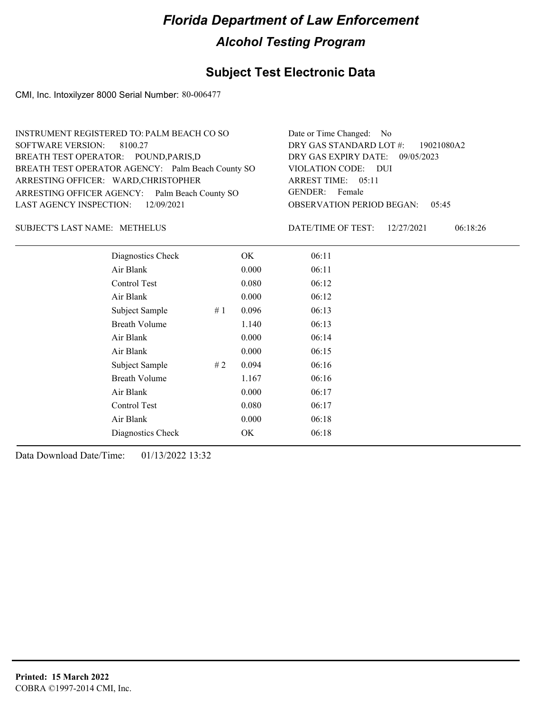### **Subject Test Electronic Data**

CMI, Inc. Intoxilyzer 8000 Serial Number: 80-006477

| INSTRUMENT REGISTERED TO: PALM BEACH CO SO        | Date or Time Changed: No               |
|---------------------------------------------------|----------------------------------------|
| SOFTWARE VERSION: 8100.27                         | DRY GAS STANDARD LOT #: 19021080A2     |
| BREATH TEST OPERATOR: POUND, PARIS, D             | DRY GAS EXPIRY DATE: 09/05/2023        |
| BREATH TEST OPERATOR AGENCY: Palm Beach County SO | VIOLATION CODE: DUI                    |
| ARRESTING OFFICER: WARD, CHRISTOPHER              | ARREST TIME: 05:11                     |
| ARRESTING OFFICER AGENCY: Palm Beach County SO    | GENDER: Female                         |
| LAST AGENCY INSPECTION: $12/09/2021$              | <b>OBSERVATION PERIOD BEGAN: 05:45</b> |
|                                                   |                                        |

#### SUBJECT'S LAST NAME: METHELUS DATE/TIME OF TEST:

DATE/TIME OF TEST: 12/27/2021 06:18:26

| Diagnostics Check    |    | OK    | 06:11 |
|----------------------|----|-------|-------|
| Air Blank            |    | 0.000 | 06:11 |
| Control Test         |    | 0.080 | 06:12 |
| Air Blank            |    | 0.000 | 06:12 |
| Subject Sample       | #1 | 0.096 | 06:13 |
| <b>Breath Volume</b> |    | 1.140 | 06:13 |
| Air Blank            |    | 0.000 | 06:14 |
| Air Blank            |    | 0.000 | 06:15 |
| Subject Sample       | #2 | 0.094 | 06:16 |
| <b>Breath Volume</b> |    | 1.167 | 06:16 |
| Air Blank            |    | 0.000 | 06:17 |
| Control Test         |    | 0.080 | 06:17 |
| Air Blank            |    | 0.000 | 06:18 |
| Diagnostics Check    |    | OK    | 06:18 |
|                      |    |       |       |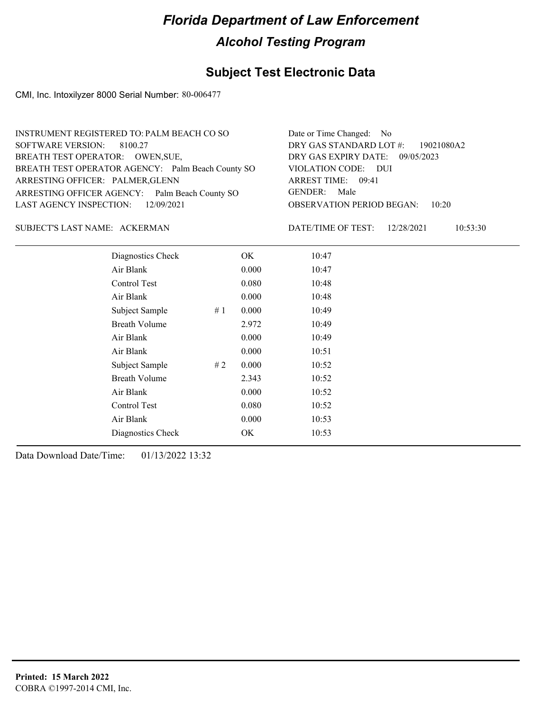### **Subject Test Electronic Data**

CMI, Inc. Intoxilyzer 8000 Serial Number: 80-006477

| INSTRUMENT REGISTERED TO: PALM BEACH CO SO        | Date or Time Changed: No               |
|---------------------------------------------------|----------------------------------------|
| SOFTWARE VERSION: 8100.27                         | DRY GAS STANDARD LOT #: 19021080A2     |
| BREATH TEST OPERATOR: OWEN, SUE,                  | DRY GAS EXPIRY DATE: 09/05/2023        |
| BREATH TEST OPERATOR AGENCY: Palm Beach County SO | VIOLATION CODE: DUI                    |
| ARRESTING OFFICER: PALMER, GLENN                  | ARREST TIME: 09:41                     |
| ARRESTING OFFICER AGENCY: Palm Beach County SO    | GENDER: Male                           |
| LAST AGENCY INSPECTION: 12/09/2021                | <b>OBSERVATION PERIOD BEGAN: 10:20</b> |
|                                                   |                                        |

#### ACKERMAN SUBJECT'S LAST NAME: DATE/TIME OF TEST:

DATE/TIME OF TEST: 12/28/2021 10:53:30

| Diagnostics Check    |    | OK    | 10:47 |  |
|----------------------|----|-------|-------|--|
| Air Blank            |    | 0.000 | 10:47 |  |
| Control Test         |    | 0.080 | 10:48 |  |
| Air Blank            |    | 0.000 | 10:48 |  |
| Subject Sample       | #1 | 0.000 | 10:49 |  |
| <b>Breath Volume</b> |    | 2.972 | 10:49 |  |
| Air Blank            |    | 0.000 | 10:49 |  |
| Air Blank            |    | 0.000 | 10:51 |  |
| Subject Sample       | #2 | 0.000 | 10:52 |  |
| <b>Breath Volume</b> |    | 2.343 | 10:52 |  |
| Air Blank            |    | 0.000 | 10:52 |  |
| Control Test         |    | 0.080 | 10:52 |  |
| Air Blank            |    | 0.000 | 10:53 |  |
| Diagnostics Check    |    | OK    | 10:53 |  |
|                      |    |       |       |  |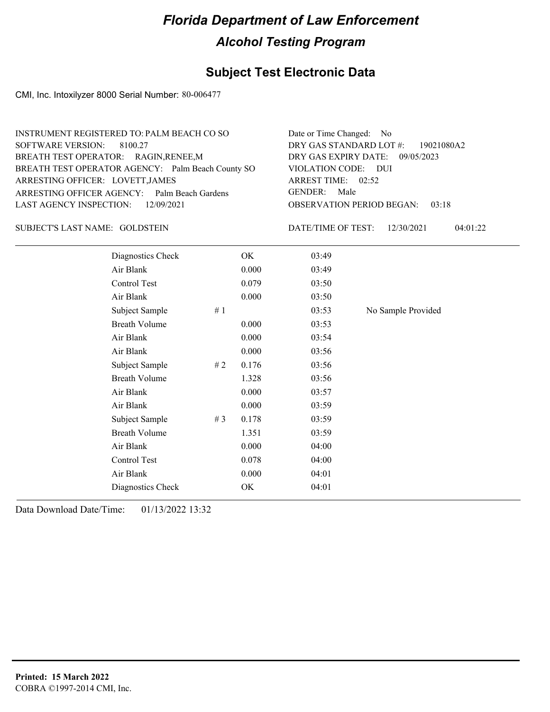### **Subject Test Electronic Data**

CMI, Inc. Intoxilyzer 8000 Serial Number: 80-006477

| INSTRUMENT REGISTERED TO: PALM BEACH CO SO        | Date or Time Changed: No               |
|---------------------------------------------------|----------------------------------------|
| SOFTWARE VERSION: 8100.27                         | DRY GAS STANDARD LOT #: 19021080A2     |
| BREATH TEST OPERATOR: RAGIN, RENEE, M             | DRY GAS EXPIRY DATE: 09/05/2023        |
| BREATH TEST OPERATOR AGENCY: Palm Beach County SO | VIOLATION CODE: DUI                    |
| ARRESTING OFFICER: LOVETT, JAMES                  | ARREST TIME: 02:52                     |
| ARRESTING OFFICER AGENCY: Palm Beach Gardens      | GENDER: Male                           |
| LAST AGENCY INSPECTION: 12/09/2021                | <b>OBSERVATION PERIOD BEGAN: 03:18</b> |
|                                                   |                                        |

#### SUBJECT'S LAST NAME: GOLDSTEIN DATE/TIME OF TEST:

DATE/TIME OF TEST: 12/30/2021 04:01:22

| Diagnostics Check    |       | OK    | 03:49 |                    |
|----------------------|-------|-------|-------|--------------------|
| Air Blank            |       | 0.000 | 03:49 |                    |
| Control Test         |       | 0.079 | 03:50 |                    |
| Air Blank            |       | 0.000 | 03:50 |                    |
| Subject Sample       | #1    |       | 03:53 | No Sample Provided |
| <b>Breath Volume</b> |       | 0.000 | 03:53 |                    |
| Air Blank            |       | 0.000 | 03:54 |                    |
| Air Blank            |       | 0.000 | 03:56 |                    |
| Subject Sample       | # 2   | 0.176 | 03:56 |                    |
| <b>Breath Volume</b> |       | 1.328 | 03:56 |                    |
| Air Blank            |       | 0.000 | 03:57 |                    |
| Air Blank            |       | 0.000 | 03:59 |                    |
| Subject Sample       | # $3$ | 0.178 | 03:59 |                    |
| <b>Breath Volume</b> |       | 1.351 | 03:59 |                    |
| Air Blank            |       | 0.000 | 04:00 |                    |
| Control Test         |       | 0.078 | 04:00 |                    |
| Air Blank            |       | 0.000 | 04:01 |                    |
| Diagnostics Check    |       | OK    | 04:01 |                    |
|                      |       |       |       |                    |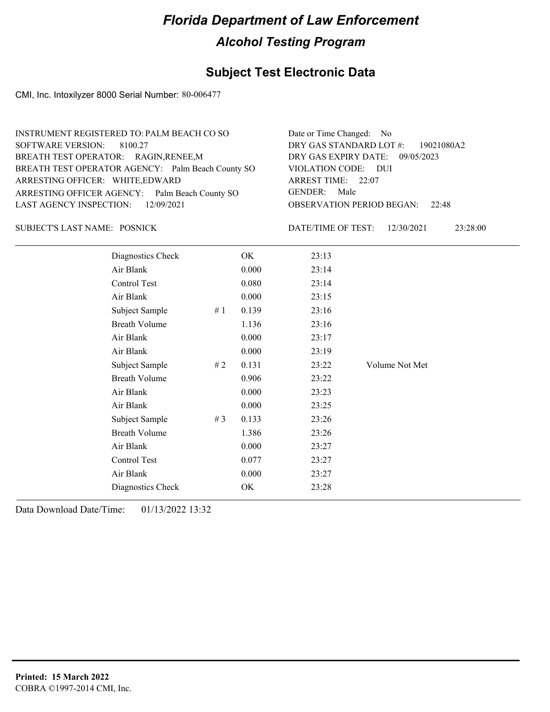### **Subject Test Electronic Data**

CMI, Inc. Intoxilyzer 8000 Serial Number: 80-006477

| INSTRUMENT REGISTERED TO: PALM BEACH CO SO        | Date or Time Changed: No               |
|---------------------------------------------------|----------------------------------------|
| SOFTWARE VERSION: 8100.27                         | DRY GAS STANDARD LOT #: 19021080A2     |
| BREATH TEST OPERATOR: RAGIN, RENEE, M             | DRY GAS EXPIRY DATE: 09/05/2023        |
| BREATH TEST OPERATOR AGENCY: Palm Beach County SO | VIOLATION CODE: DUI                    |
| ARRESTING OFFICER: WHITE, EDWARD                  | ARREST TIME: 22:07                     |
| ARRESTING OFFICER AGENCY: Palm Beach County SO    | GENDER: Male                           |
| LAST AGENCY INSPECTION: 12/09/2021                | <b>OBSERVATION PERIOD BEGAN: 22:48</b> |
|                                                   |                                        |

#### SUBJECT'S LAST NAME: POSNICK  $\begin{array}{ccc} \text{DATE/TIME OF TEST:} \end{array}$

DATE/TIME OF TEST: 12/30/2021 23:28:00

| Diagnostics Check    |       | OK    | 23:13 |                |
|----------------------|-------|-------|-------|----------------|
| Air Blank            |       | 0.000 | 23:14 |                |
| Control Test         |       | 0.080 | 23:14 |                |
| Air Blank            |       | 0.000 | 23:15 |                |
| Subject Sample       | #1    | 0.139 | 23:16 |                |
| <b>Breath Volume</b> |       | 1.136 | 23:16 |                |
| Air Blank            |       | 0.000 | 23:17 |                |
| Air Blank            |       | 0.000 | 23:19 |                |
| Subject Sample       | # 2   | 0.131 | 23:22 | Volume Not Met |
| <b>Breath Volume</b> |       | 0.906 | 23:22 |                |
| Air Blank            |       | 0.000 | 23:23 |                |
| Air Blank            |       | 0.000 | 23:25 |                |
| Subject Sample       | # $3$ | 0.133 | 23:26 |                |
| <b>Breath Volume</b> |       | 1.386 | 23:26 |                |
| Air Blank            |       | 0.000 | 23:27 |                |
| Control Test         |       | 0.077 | 23:27 |                |
| Air Blank            |       | 0.000 | 23:27 |                |
| Diagnostics Check    |       | OK    | 23:28 |                |
|                      |       |       |       |                |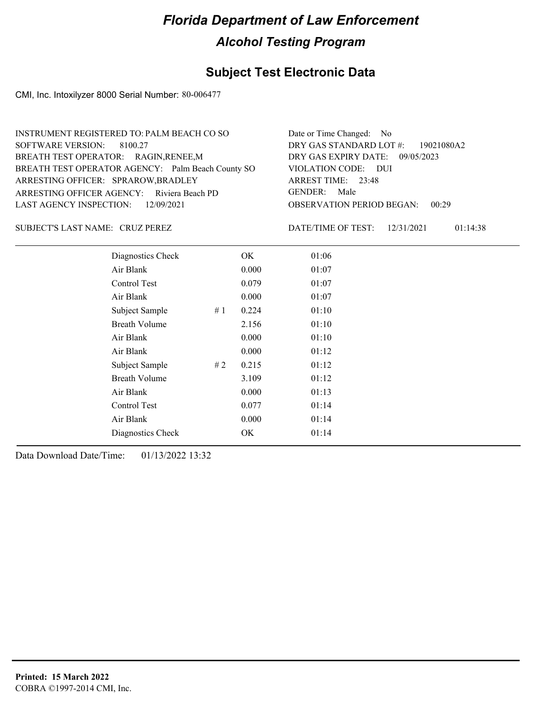#### **Subject Test Electronic Data**

CMI, Inc. Intoxilyzer 8000 Serial Number: 80-006477

OBSERVATION PERIOD BEGAN: 00:29 ARRESTING OFFICER AGENCY: Riviera Beach PD GENDER: BREATH TEST OPERATOR AGENCY: Palm Beach County SO VIOLATION CODE: SOFTWARE VERSION: VIOLATION CODE: DUI 23:48 ARREST TIME: ARRESTING OFFICER: SPRAROW, BRADLEY DRY GAS EXPIRY DATE: 09/05/2023 DRY GAS STANDARD LOT #: 19021080A2 BREATH TEST OPERATOR: RAGIN,RENEE,M LAST AGENCY INSPECTION: 12/09/2021 8100.27 INSTRUMENT REGISTERED TO: PALM BEACH CO SO Date or Time Changed: No GENDER: Male

SUBJECT'S LAST NAME: CRUZ PEREZ DATE/TIME OF TEST:

DATE/TIME OF TEST: 12/31/2021 01:14:38

| Diagnostics Check    |    | OK    | 01:06 |  |
|----------------------|----|-------|-------|--|
| Air Blank            |    | 0.000 | 01:07 |  |
| Control Test         |    | 0.079 | 01:07 |  |
| Air Blank            |    | 0.000 | 01:07 |  |
| Subject Sample       | #1 | 0.224 | 01:10 |  |
| <b>Breath Volume</b> |    | 2.156 | 01:10 |  |
| Air Blank            |    | 0.000 | 01:10 |  |
| Air Blank            |    | 0.000 | 01:12 |  |
| Subject Sample       | #2 | 0.215 | 01:12 |  |
| <b>Breath Volume</b> |    | 3.109 | 01:12 |  |
| Air Blank            |    | 0.000 | 01:13 |  |
| Control Test         |    | 0.077 | 01:14 |  |
| Air Blank            |    | 0.000 | 01:14 |  |
| Diagnostics Check    |    | OK    | 01:14 |  |
|                      |    |       |       |  |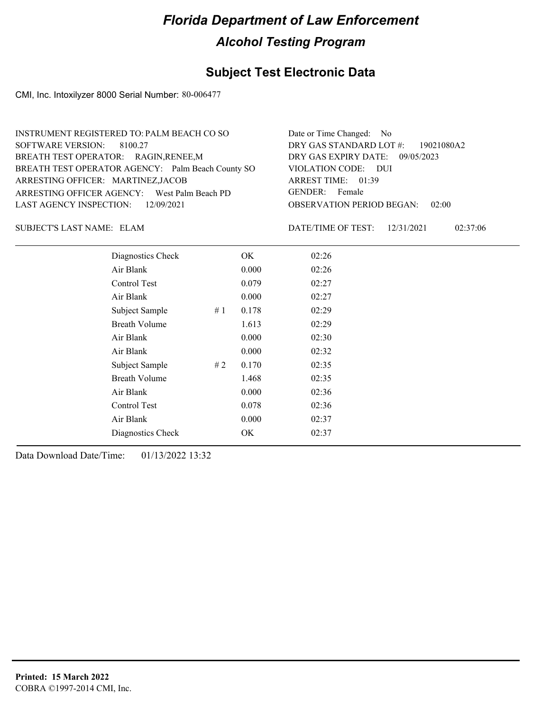### **Subject Test Electronic Data**

CMI, Inc. Intoxilyzer 8000 Serial Number: 80-006477

| INSTRUMENT REGISTERED TO: PALM BEACH CO SO        | Date or Time Changed: No               |
|---------------------------------------------------|----------------------------------------|
| SOFTWARE VERSION: 8100.27                         | DRY GAS STANDARD LOT #: 19021080A2     |
| BREATH TEST OPERATOR: RAGIN, RENEE, M             | DRY GAS EXPIRY DATE: 09/05/2023        |
| BREATH TEST OPERATOR AGENCY: Palm Beach County SO | VIOLATION CODE: DUI                    |
| ARRESTING OFFICER: MARTINEZ, JACOB                | ARREST TIME: 01:39                     |
| ARRESTING OFFICER AGENCY: West Palm Beach PD      | GENDER: Female                         |
| LAST AGENCY INSPECTION: 12/09/2021                | <b>OBSERVATION PERIOD BEGAN: 02:00</b> |
|                                                   |                                        |

SUBJECT'S LAST NAME: ELAM DATE/TIME OF TEST:

DATE/TIME OF TEST: 12/31/2021 02:37:06

| Diagnostics Check    |    | OK    | 02:26 |
|----------------------|----|-------|-------|
| Air Blank            |    | 0.000 | 02:26 |
| Control Test         |    | 0.079 | 02:27 |
| Air Blank            |    | 0.000 | 02:27 |
| Subject Sample       | #1 | 0.178 | 02:29 |
| <b>Breath Volume</b> |    | 1.613 | 02:29 |
| Air Blank            |    | 0.000 | 02:30 |
| Air Blank            |    | 0.000 | 02:32 |
| Subject Sample       | #2 | 0.170 | 02:35 |
| <b>Breath Volume</b> |    | 1.468 | 02:35 |
| Air Blank            |    | 0.000 | 02:36 |
| Control Test         |    | 0.078 | 02:36 |
| Air Blank            |    | 0.000 | 02:37 |
| Diagnostics Check    |    | OK    | 02:37 |
|                      |    |       |       |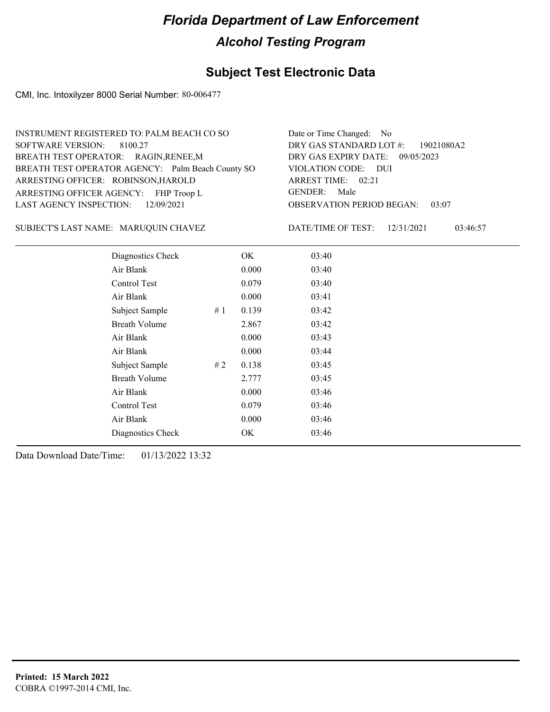### **Subject Test Electronic Data**

CMI, Inc. Intoxilyzer 8000 Serial Number: 80-006477

| <b>INSTRUMENT REGISTERED TO: PALM BEACH CO SO</b> | Date or Time Changed: No               |
|---------------------------------------------------|----------------------------------------|
| SOFTWARE VERSION: 8100.27                         | DRY GAS STANDARD LOT $\#$ : 19021080A2 |
| BREATH TEST OPERATOR: RAGIN, RENEE, M             | DRY GAS EXPIRY DATE: 09/05/2023        |
| BREATH TEST OPERATOR AGENCY: Palm Beach County SO | VIOLATION CODE: DUI                    |
| ARRESTING OFFICER: ROBINSON, HAROLD               | ARREST TIME: 02:21                     |
| ARRESTING OFFICER AGENCY: FHP Troop L             | GENDER: Male                           |
| LAST AGENCY INSPECTION: 12/09/2021                | <b>OBSERVATION PERIOD BEGAN: 03:07</b> |
|                                                   |                                        |

#### MARUQUIN CHAVEZ SUBJECT'S LAST NAME: DATE/TIME OF TEST:

DATE/TIME OF TEST: 12/31/2021 03:46:57

| Diagnostics Check    |    | OK    | 03:40 |  |
|----------------------|----|-------|-------|--|
| Air Blank            |    | 0.000 | 03:40 |  |
| Control Test         |    | 0.079 | 03:40 |  |
| Air Blank            |    | 0.000 | 03:41 |  |
| Subject Sample       | #1 | 0.139 | 03:42 |  |
| <b>Breath Volume</b> |    | 2.867 | 03:42 |  |
| Air Blank            |    | 0.000 | 03:43 |  |
| Air Blank            |    | 0.000 | 03:44 |  |
| Subject Sample       | #2 | 0.138 | 03:45 |  |
| <b>Breath Volume</b> |    | 2.777 | 03:45 |  |
| Air Blank            |    | 0.000 | 03:46 |  |
| Control Test         |    | 0.079 | 03:46 |  |
| Air Blank            |    | 0.000 | 03:46 |  |
| Diagnostics Check    |    | OK    | 03:46 |  |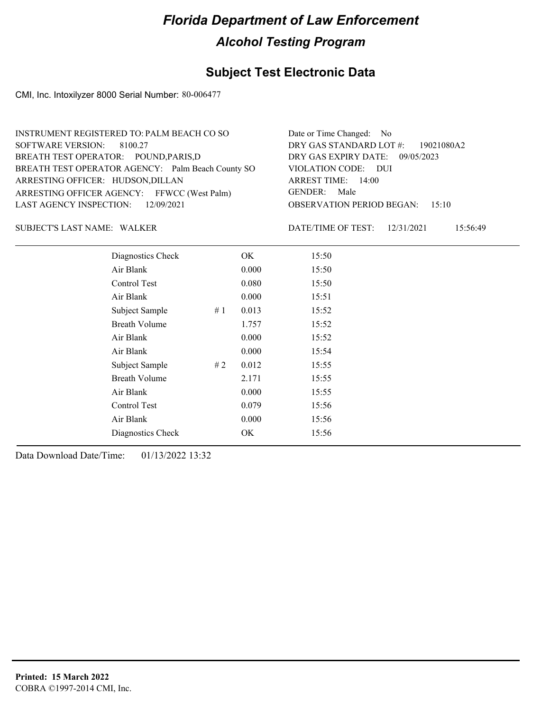### **Subject Test Electronic Data**

CMI, Inc. Intoxilyzer 8000 Serial Number: 80-006477

| INSTRUMENT REGISTERED TO: PALM BEACH CO SO        | Date or Time Changed: No               |
|---------------------------------------------------|----------------------------------------|
| SOFTWARE VERSION: 8100.27                         | DRY GAS STANDARD LOT #: 19021080A2     |
| BREATH TEST OPERATOR: POUND, PARIS, D             | DRY GAS EXPIRY DATE: 09/05/2023        |
| BREATH TEST OPERATOR AGENCY: Palm Beach County SO | VIOLATION CODE: DUI                    |
| ARRESTING OFFICER: HUDSON, DILLAN                 | ARREST TIME: 14:00                     |
| ARRESTING OFFICER AGENCY: FFWCC (West Palm)       | GENDER: Male                           |
| LAST AGENCY INSPECTION: 12/09/2021                | <b>OBSERVATION PERIOD BEGAN: 15:10</b> |
|                                                   |                                        |

#### WALKER SUBJECT'S LAST NAME: DATE/TIME OF TEST:

DATE/TIME OF TEST: 12/31/2021 15:56:49

| Diagnostics Check    |    | OK    | 15:50 |  |  |
|----------------------|----|-------|-------|--|--|
| Air Blank            |    | 0.000 | 15:50 |  |  |
| Control Test         |    | 0.080 | 15:50 |  |  |
| Air Blank            |    | 0.000 | 15:51 |  |  |
| Subject Sample       | #1 | 0.013 | 15:52 |  |  |
| <b>Breath Volume</b> |    | 1.757 | 15:52 |  |  |
| Air Blank            |    | 0.000 | 15:52 |  |  |
| Air Blank            |    | 0.000 | 15:54 |  |  |
| Subject Sample       | #2 | 0.012 | 15:55 |  |  |
| <b>Breath Volume</b> |    | 2.171 | 15:55 |  |  |
| Air Blank            |    | 0.000 | 15:55 |  |  |
| Control Test         |    | 0.079 | 15:56 |  |  |
| Air Blank            |    | 0.000 | 15:56 |  |  |
| Diagnostics Check    |    | OK    | 15:56 |  |  |
|                      |    |       |       |  |  |